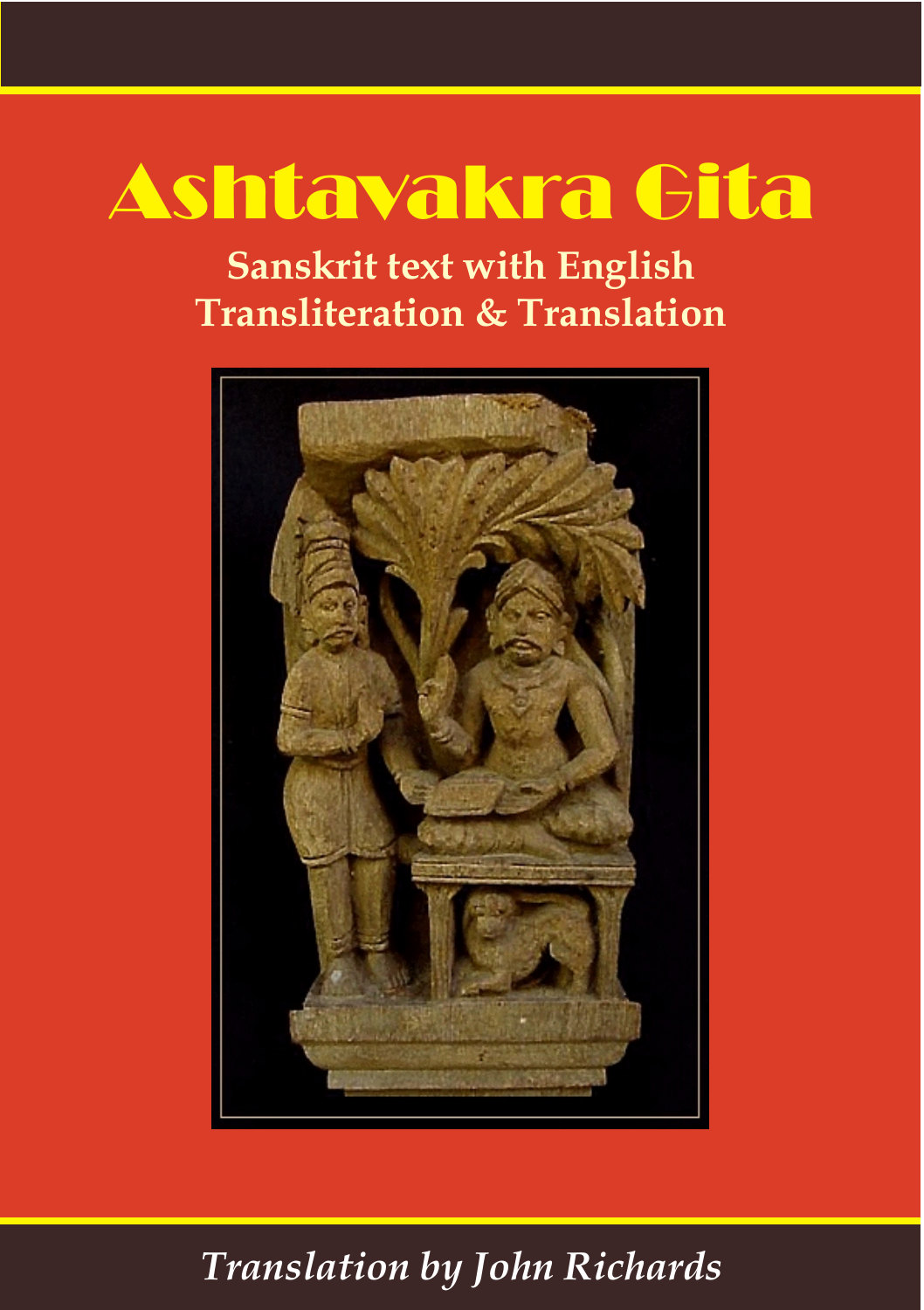# Ashtavakra Gita

**Sanskrit text with English Transliteration & Translation**



#### *Translation by John Richards*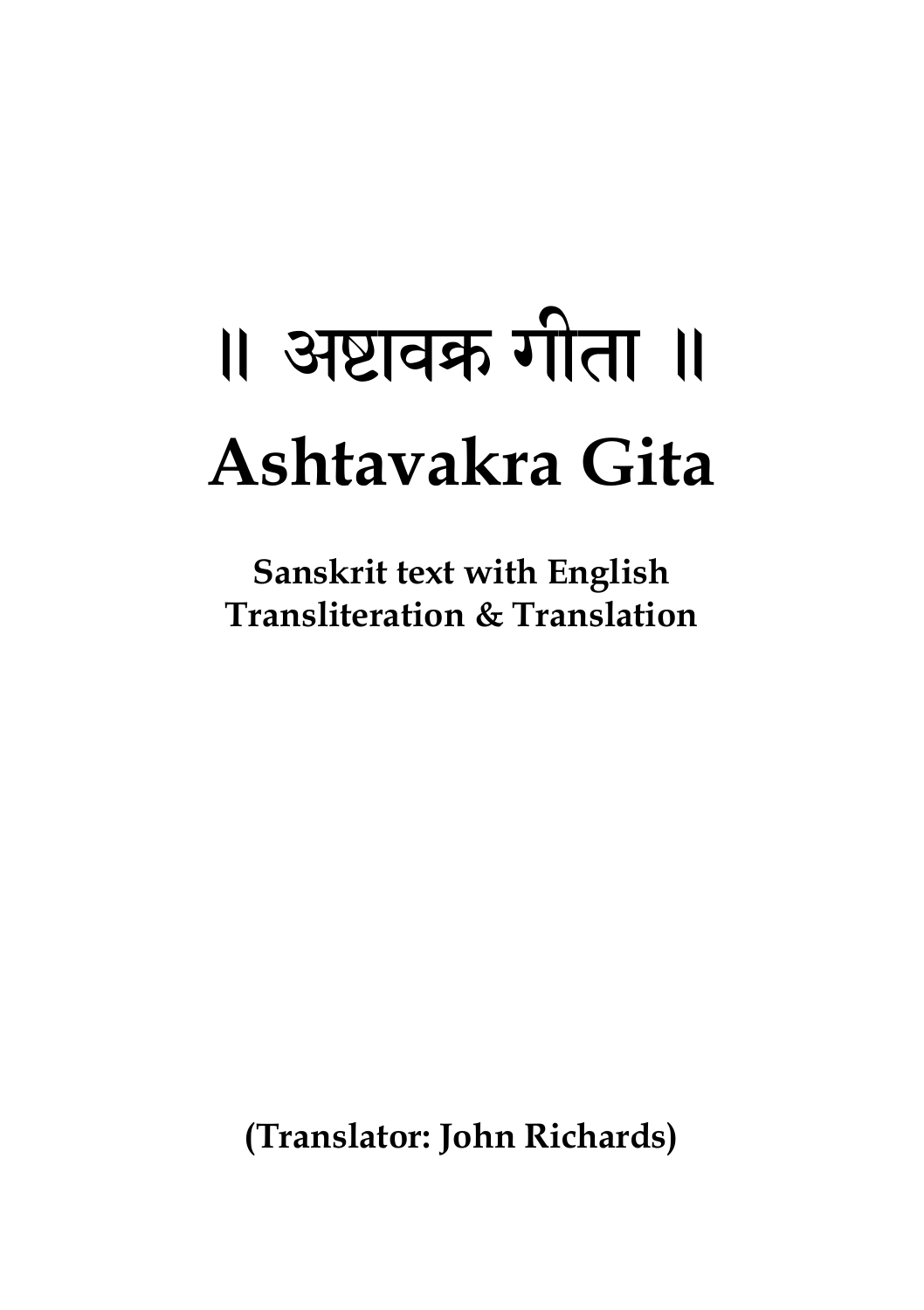# ॥ अष्टावक्र गीता ॥ **Ashtavakra Gita**

**Sanskrit text with English Transliteration & Translation**

**(Translator: John Richards)**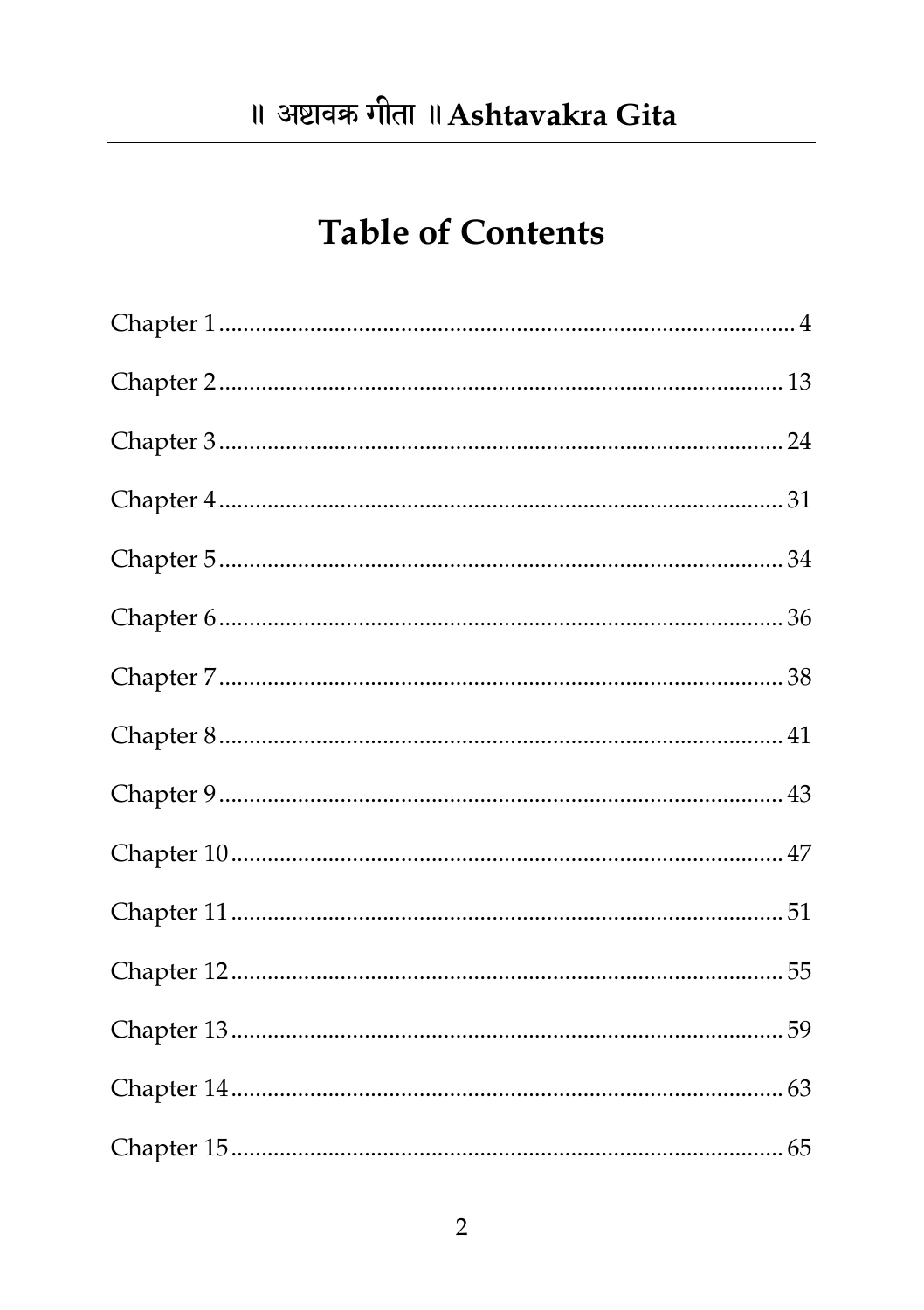#### **Table of Contents**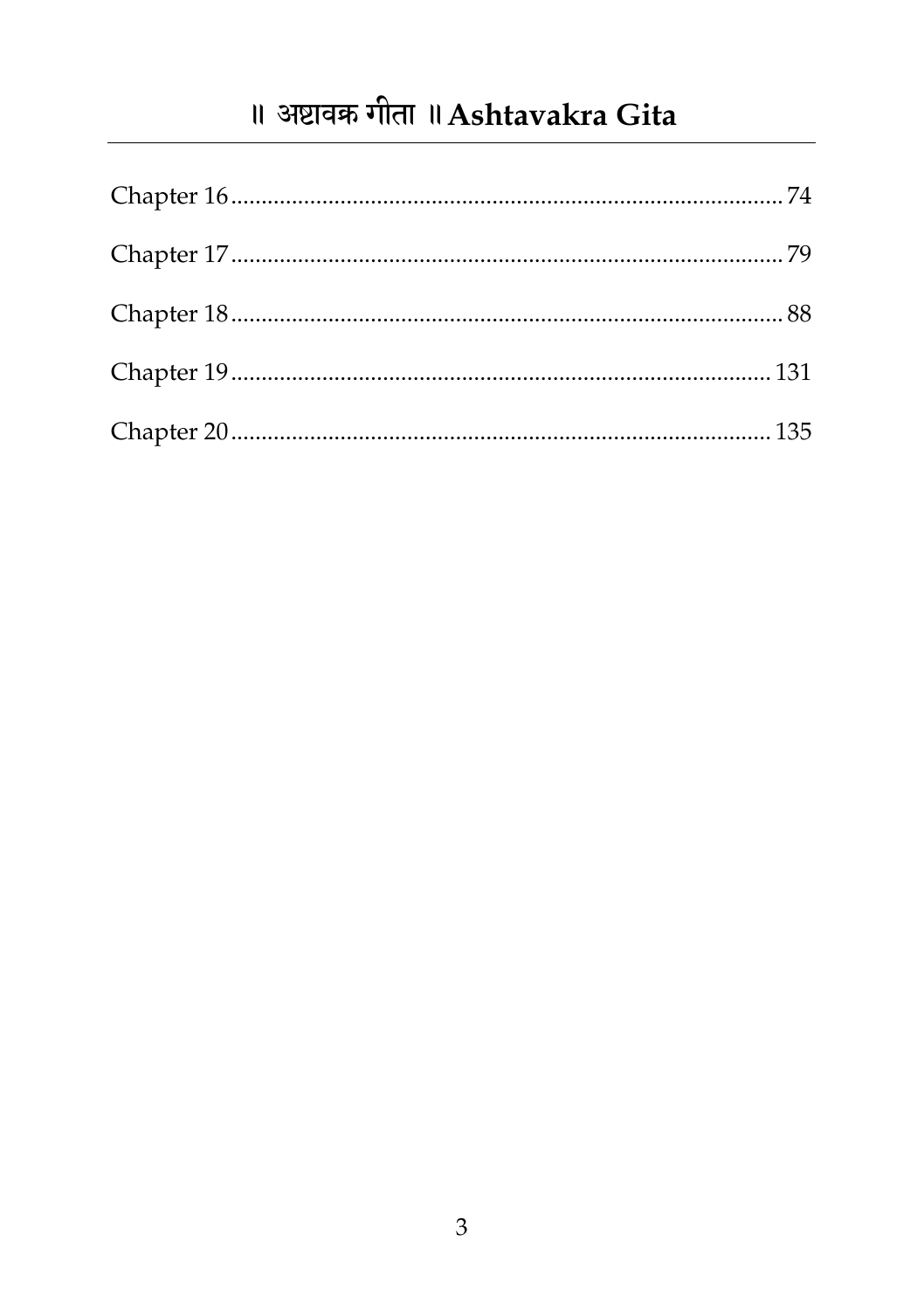#### ॥ अष्टावक्र गीता ॥ Ashtavakra Gita

<span id="page-3-0"></span>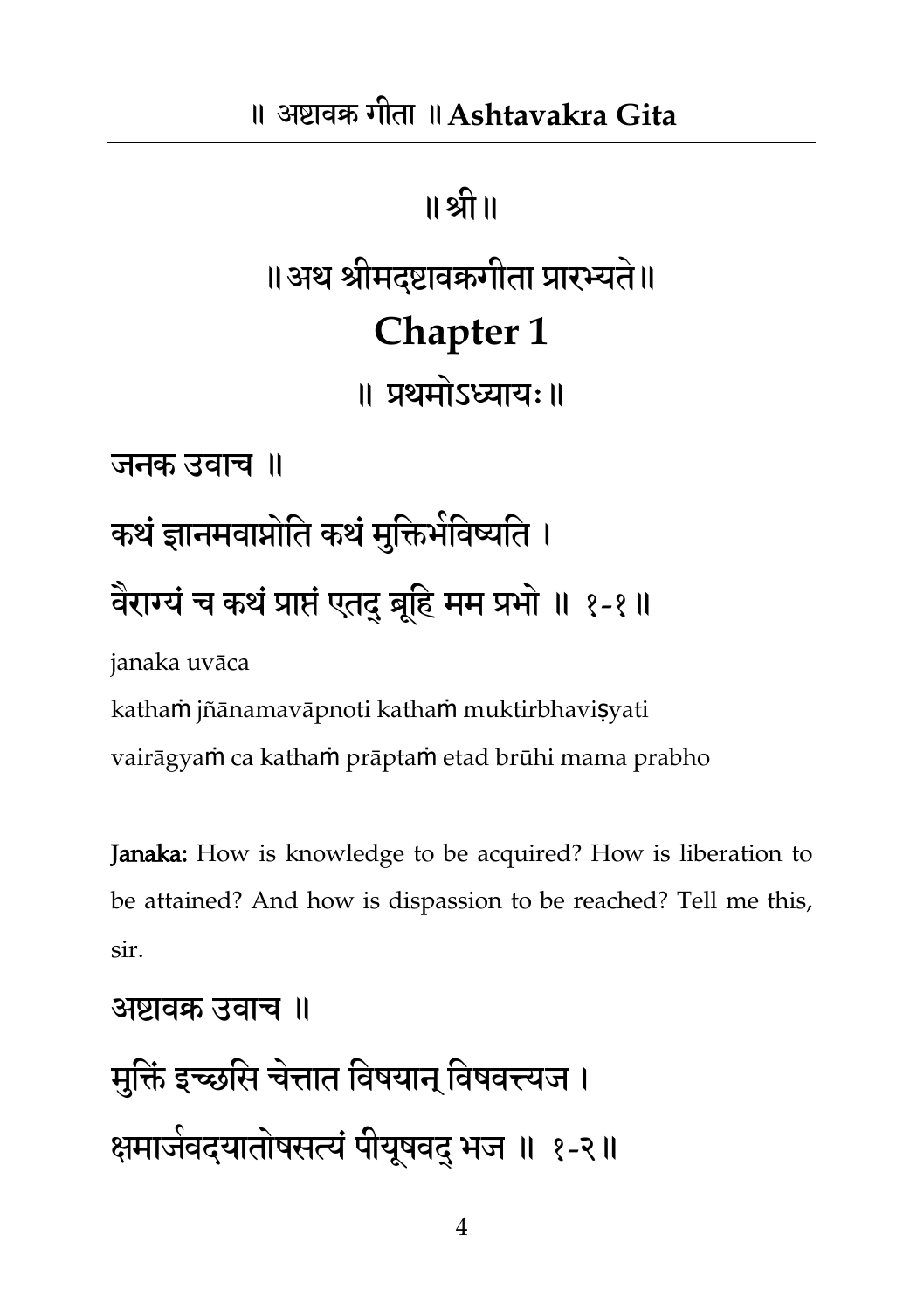## ॥श्री॥ ॥अथ श्रीभदष्टावक्रगीता प्रायभ्यत॥े **Chapter 1** ॥ प्रथभोऽध्याम्॥ जनक उवाच ॥ कथं ज्ञानमवाप्नोति कथं मुक्तिभेविष्यति । वेराग्यं च कथं प्राप्तं एतद् ब्रूहि मम प्रभो ॥ १-१॥ janaka uvāca kathaṁ jñānamavāpnoti kathaṁ muktirbhaviṣyati vairāgyaṁ ca kathaṁ prāptaṁ etad brūhi mama prabho

Janaka: How is knowledge to be acquired? How is liberation to be attained? And how is dispassion to be reached? Tell me this, sir.

```
अष्टावक्र उवाच ॥
```
भतुिं इच्छतस चत्ते ात तवषमान त्वषवत्त्यज । ऺभाजव भ दमातोषसत्यंऩीमषूवद ्बज ॥ १-२॥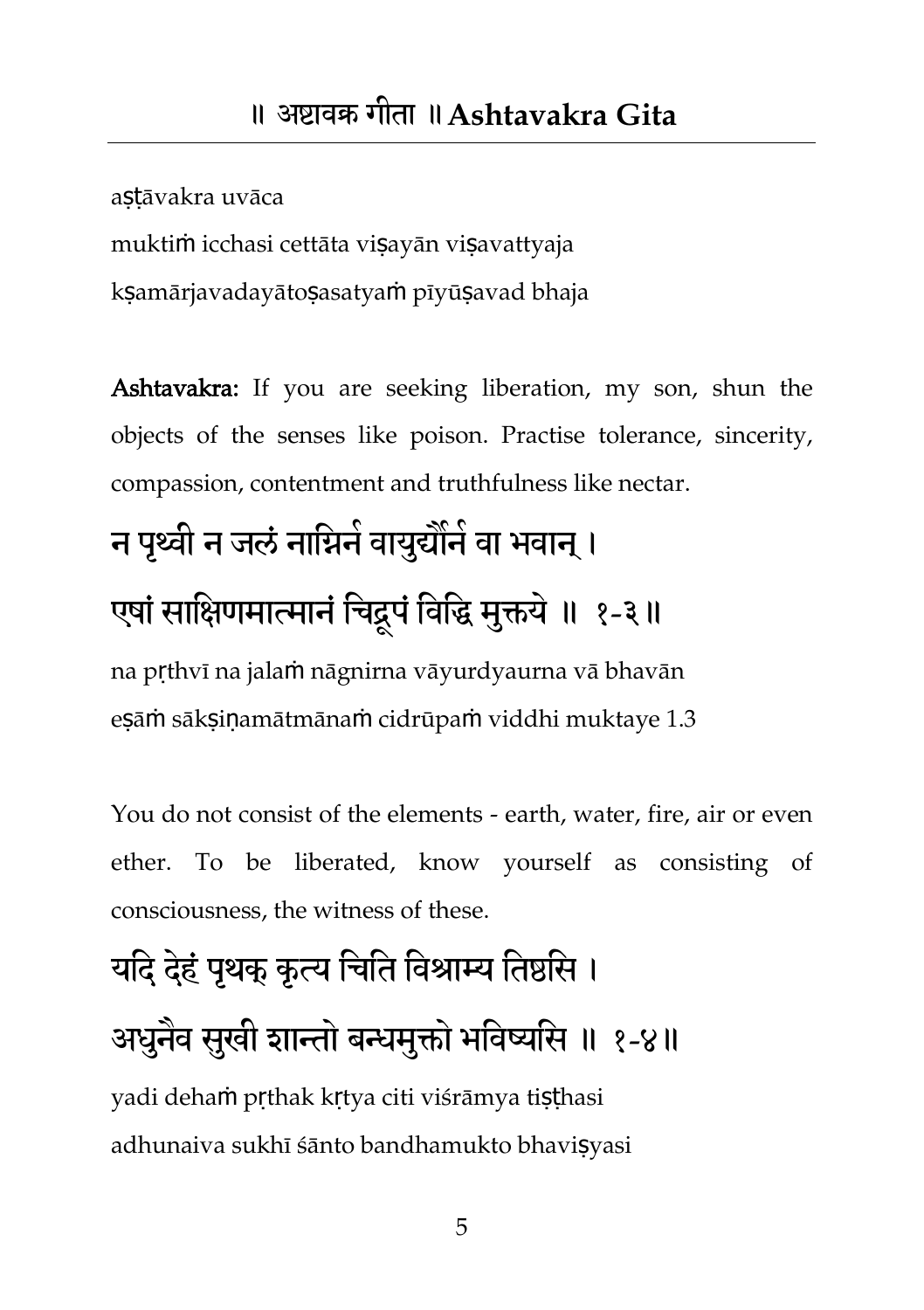astāvakra uvāca muktiṁ icchasi cettāta viṣayān viṣavattyaja ksamārjavadayātosasatyam pīyūsayad bhaja

Ashtavakra: If you are seeking liberation, my son, shun the objects of the senses like poison. Practise tolerance, sincerity, compassion, contentment and truthfulness like nectar.

## न पृथ्वी न जलं नाग्निने वायुद्यौंने वा भवान् । एषां साक्षिणमात्मानं चिद्दूपं विद्धि मुक्तये ॥ १-३॥ na pṛthvī na jalaṁ nāgnirna vāyurdyaurna vā bhavān

eṣāṁ sākṣiṇamātmānaṁ cidrūpaṁ viddhi muktaye 1.3

You do not consist of the elements - earth, water, fire, air or even ether. To be liberated, know yourself as consisting of consciousness, the witness of these.

## यदि देहं पृथक् कृत्य चिति विश्राम्य तिष्ठसि । अधुनैव सुखी शान्तो बन्धमुक्तो भविष्यसि ॥ १-४॥ yadi dehaṁ pṛthak kṛtya citi viśrāmya tiṣṭhasi

adhunaiva sukhī śānto bandhamukto bhaviṣyasi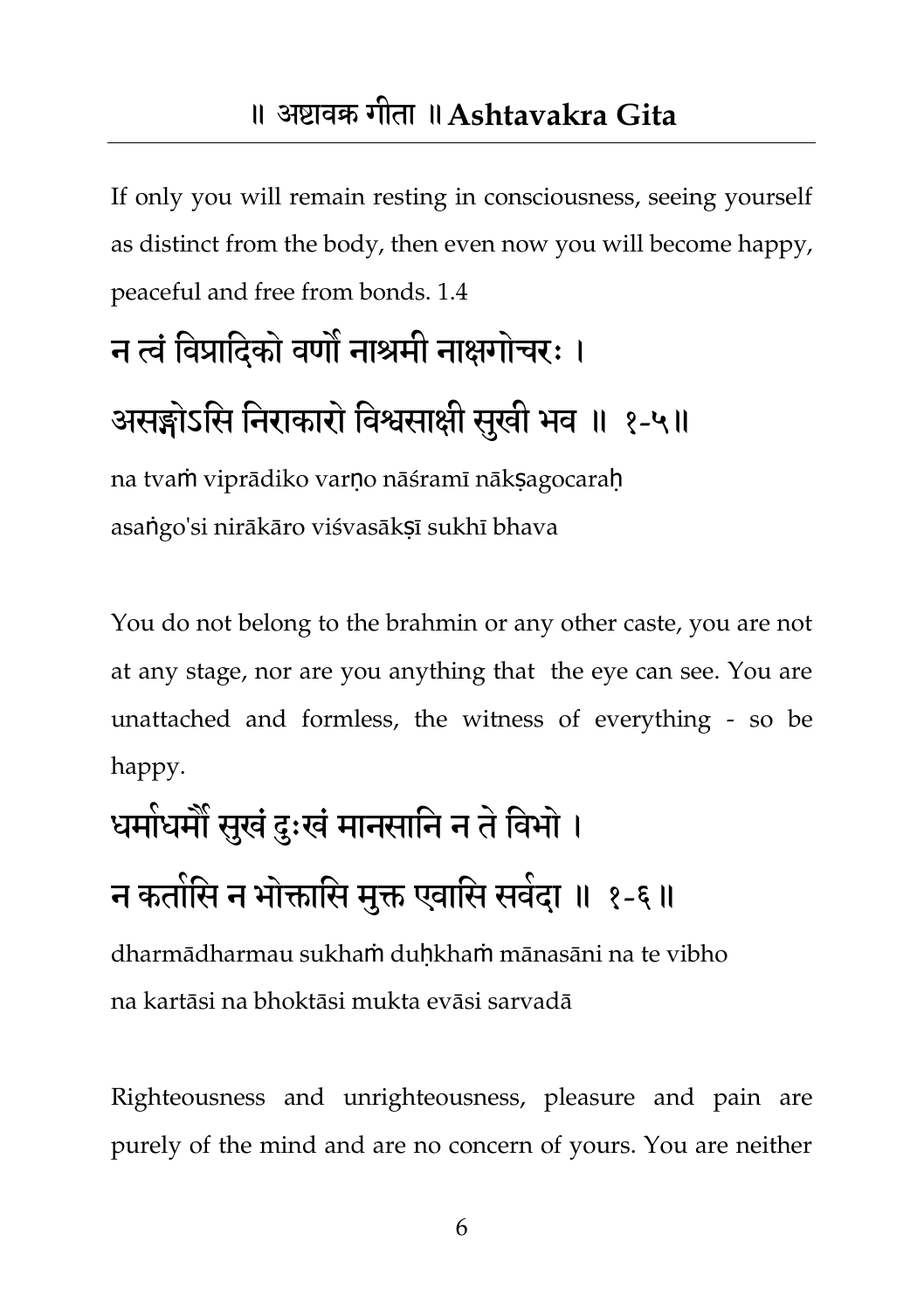#### ॥ अष्टावक्र गीता ॥**Ashtavakra Gita**

If only you will remain resting in consciousness, seeing yourself as distinct from the body, then even now you will become happy, peaceful and free from bonds. 1.4

#### न त्वं विप्रादिको वर्णो नाश्रमी नाक्षगोचरः ।

#### असङ्गोऽसि निराकारो विश्वसाक्षी सुखी भव ॥ १-५॥

na tvaṁ viprādiko varṇo nāśramī nākṣagocaraḥ asaṅgo'si nirākāro viśvasākṣī sukhī bhava

You do not belong to the brahmin or any other caste, you are not at any stage, nor are you anything that the eye can see. You are unattached and formless, the witness of everything - so be happy.

# धमोधमौ सुखं दुःखं मानसानि न ते विभो । न कतोसि न भोक्तासि मुक्त एवासि सवेदा ॥ १-६॥

dharmādharmau sukhaṁ duḥkhaṁ mānasāni na te vibho na kartāsi na bhoktāsi mukta evāsi sarvadā

Righteousness and unrighteousness, pleasure and pain are purely of the mind and are no concern of yours. You are neither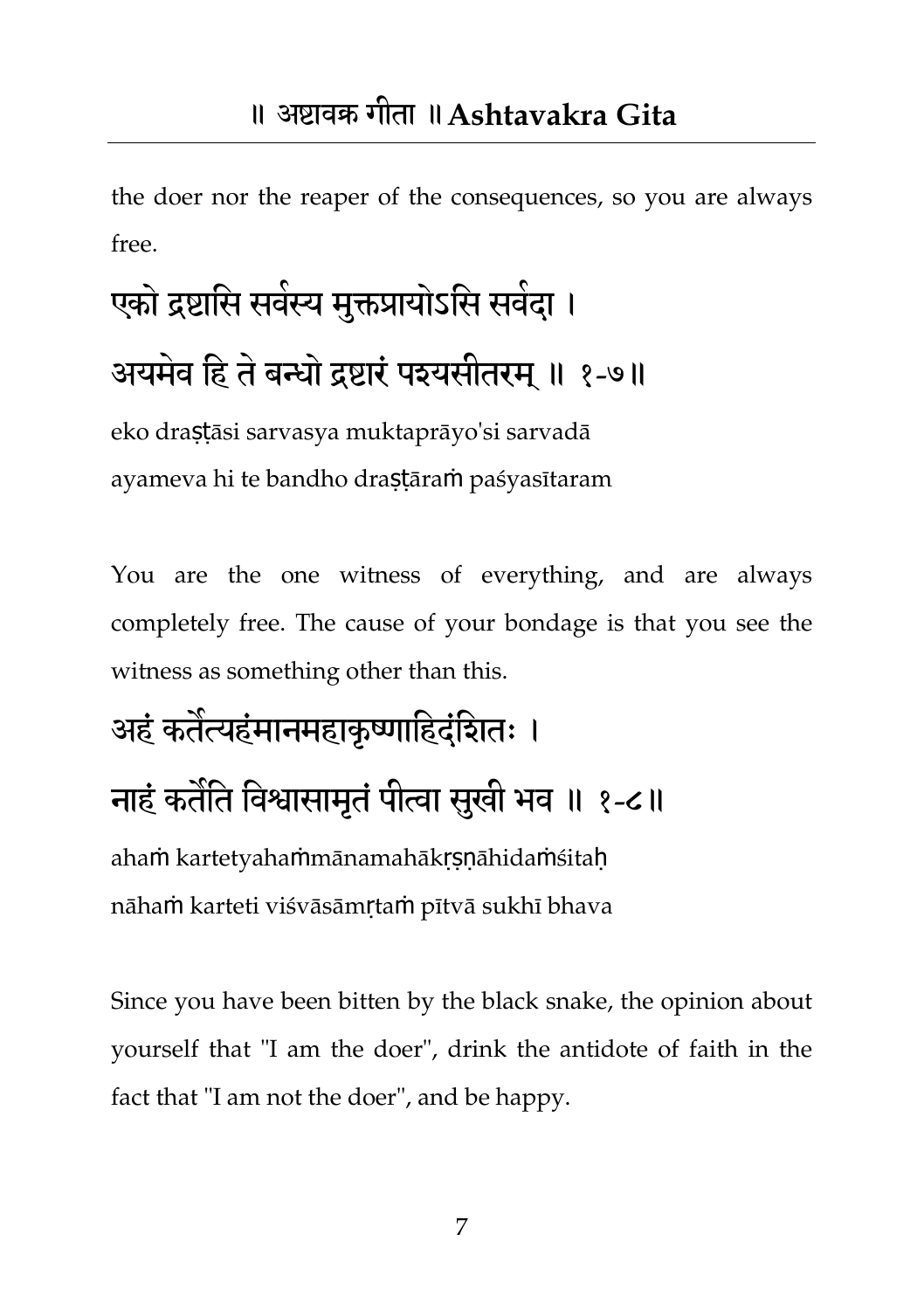the doer nor the reaper of the consequences, so you are always free.

# एको द्रष्टासि सर्वस्य मुक्तप्रायोऽसि सर्वदा । अयमेव हि ते बन्धो द्रष्टारं पश्यसीतरम् ॥ १-७॥

eko draṣṭāsi sarvasya muktaprāyo'si sarvadā ayameva hi te bandho draṣṭāraṁ paśyasītaram

You are the one witness of everything, and are always completely free. The cause of your bondage is that you see the witness as something other than this.

## अहं कतंत्यहंमानमहाकृष्णाहिदंदिातः । नाहं कतौते विश्वासामृतं पीत्वा सुखी भव ॥ १-८॥ ahaṁ kartetyahaṁmānamahākṛṣṇāhidaṁśitaḥ nāhaṁ karteti viśvāsāmṛtaṁ pītvā sukhī bhava

Since you have been bitten by the black snake, the opinion about yourself that "I am the doer", drink the antidote of faith in the fact that "I am not the doer", and be happy.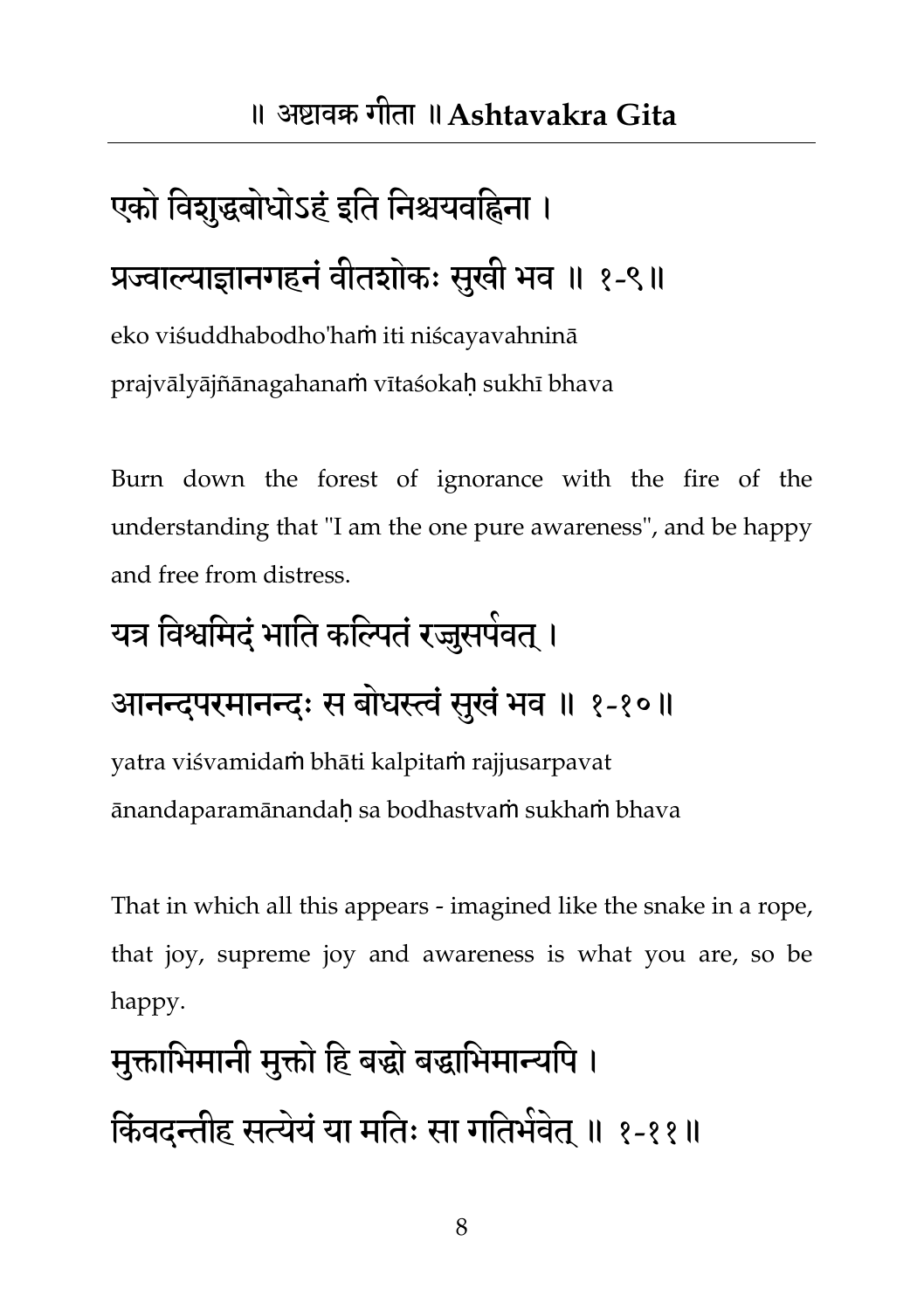## एको विशुद्धबोधोऽहं इति निश्चयवहिना । प्रज्वाल्याज्ञानगहनं वीतशोकः सुखी भव ॥ १-९॥

eko viśuddhabodho'haṁ iti niścayavahninā prajvālyājñānagahanaṁ vītaśokaḥ sukhī bhava

Burn down the forest of ignorance with the fire of the understanding that "I am the one pure awareness", and be happy and free from distress.

#### यत्र विश्वमिदं भाति कल्पितं रज्जुसपेवत् ।

#### आनन्दपरमानन्दः स बोधस्त्वं सुखं भव ॥ १-१०॥

yatra viśvamidaṁ bhāti kalpitaṁ rajjusarpavat ānandaparamānandaḥ sa bodhastvaṁ sukhaṁ bhava

That in which all this appears - imagined like the snake in a rope, that joy, supreme joy and awareness is what you are, so be happy.

# मुक्ताभिमानी मुक्तो हि बद्धो बद्धाभिमान्यपि । किंवदन्तीह सत्येयं या मतिः सा गतिभेवेत् ॥ १-११॥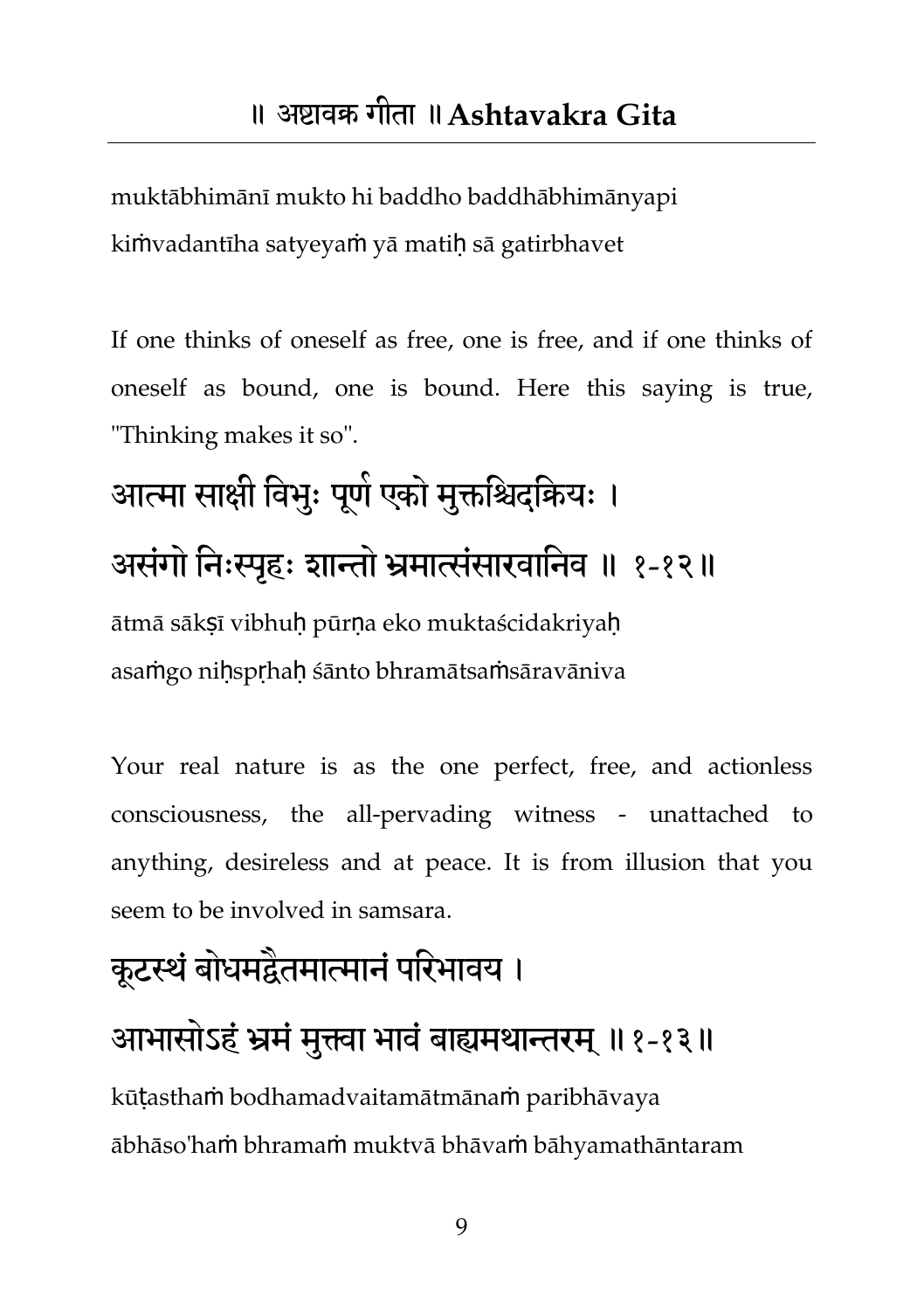muktābhimānī mukto hi baddho baddhābhimānyapi kimvadantīha satyeyam yā matih sā gatirbhavet

If one thinks of oneself as free, one is free, and if one thinks of oneself as bound, one is bound. Here this saying is true, "Thinking makes it so".

## आत्मा साक्षी विभुः पूर्ण एको मुक्तश्चिदक्रियः । असंगो निःस्पृहः शान्तो भ्रमात्संसारवानिव ॥ १-१२॥ ātmā sākṣī vibhuḥ pūrṇa eko muktaścidakriyaḥ asaṁgo niḥspṛhaḥ śānto bhramātsaṁsāravāniva

Your real nature is as the one perfect, free, and actionless consciousness, the all-pervading witness - unattached to anything, desireless and at peace. It is from illusion that you seem to be involved in samsara.

# कूटस्थं बोधमद्वैतमात्मानं परिभावय । आभासोऽहं भ्रमं मुक्त्वा भावं बाह्यमथान्तरम् ॥१-१३॥

kūṭasthaṁ bodhamadvaitamātmānaṁ paribhāvaya ābhāso'haṁ bhramaṁ muktvā bhāvaṁ bāhyamathāntaram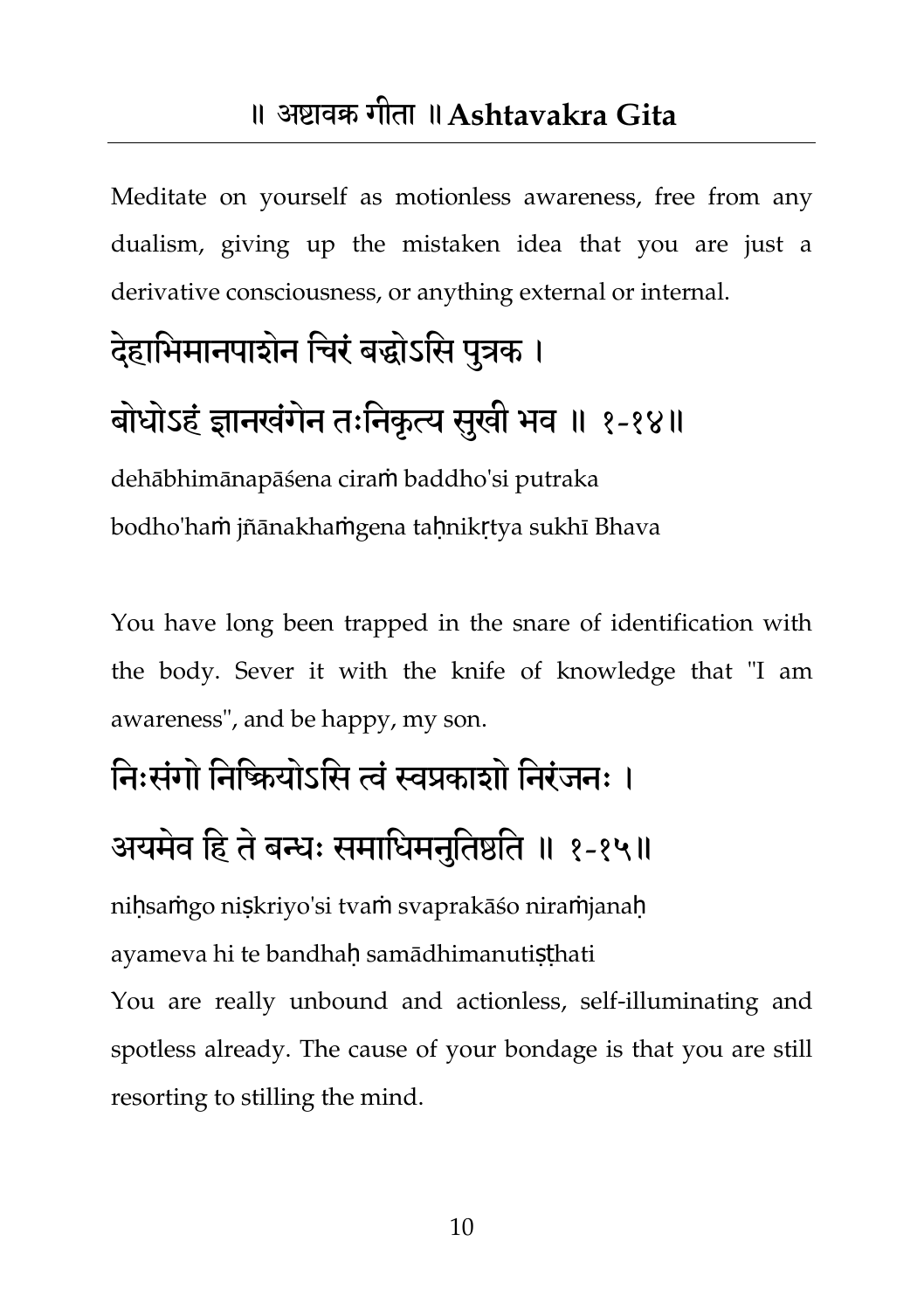Meditate on yourself as motionless awareness, free from any dualism, giving up the mistaken idea that you are just a derivative consciousness, or anything external or internal.

#### देहाभिमानपाशेन चिरं बद्धोऽसि पुत्रक ।

#### बोधोऽहं ज्ञानखंगेन तःनिकृत्य सुखी भव ॥ १-१४॥

dehābhimānapāśena ciraṁ baddho'si putraka bodho'haṁ jñānakhaṁgena tahnikrtya sukhī Bhava

You have long been trapped in the snare of identification with the body. Sever it with the knife of knowledge that "I am awareness", and be happy, my son.

## ति:संगो तिष्क्रियोऽसि त्वं स्वप्रकाशो तिरंजन: ।

#### अयमेव हि ते बन्धः समाधिमनुतिष्ठति ॥ १-१५॥

niḥsaṁgo niṣkriyo'si tvaṁ svaprakāśo niraṁjanaḥ ayameya hi te bandhah samādhimanutisthati

You are really unbound and actionless, self-illuminating and spotless already. The cause of your bondage is that you are still resorting to stilling the mind.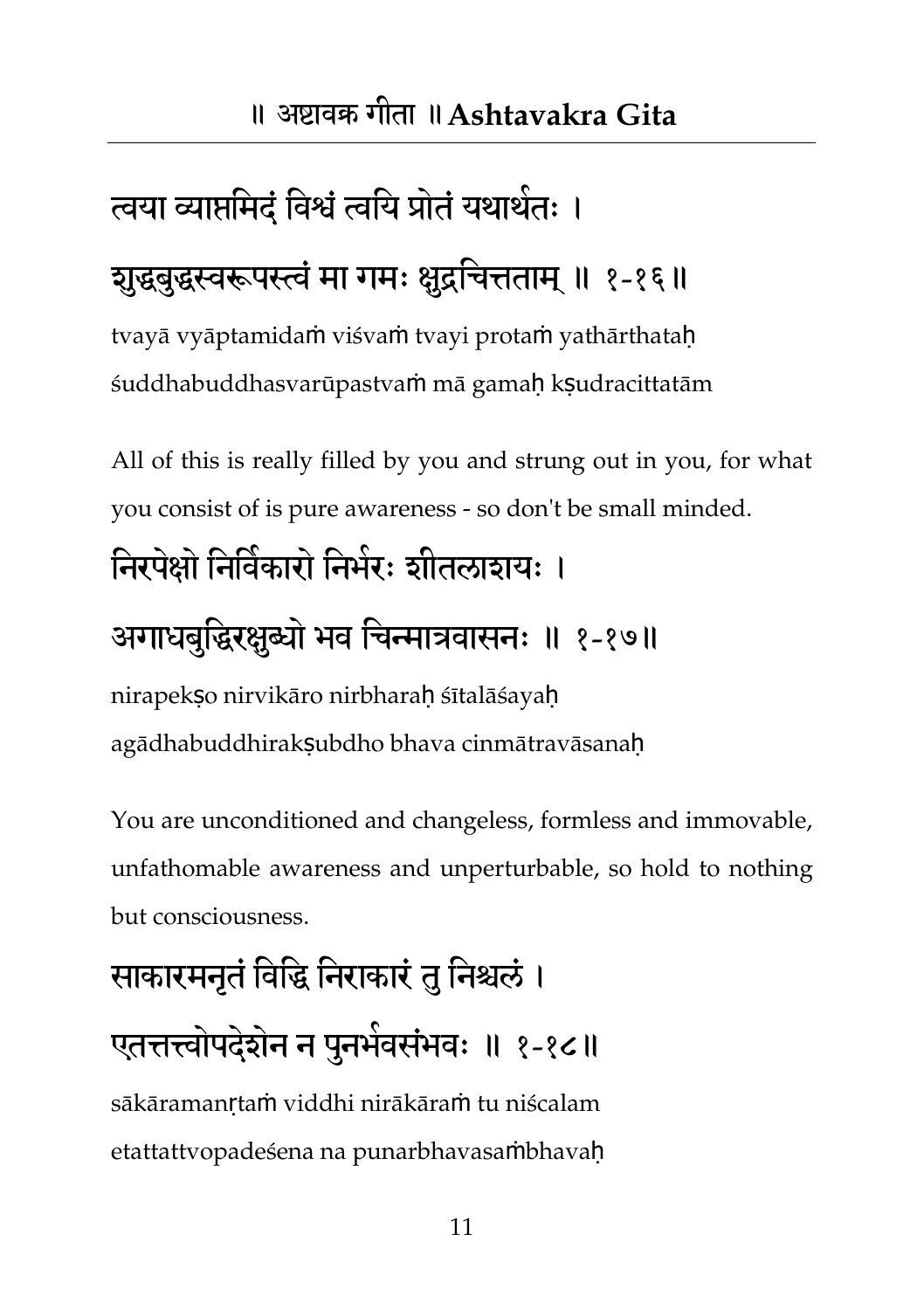### त्वया व्याप्तमिदं विश्वं त्वयि प्रोतं यथार्थतः ।

#### शुद्धबुद्धस्वरूपस्त्वं मा गमः क्षुद्रचित्तताम् ॥ १-१६॥

tvayā vyāptamidaṁ viśvaṁ tvayi protaṁ yathārthataḥ śuddhabuddhasvarūpastvaṁ mā gamaḥ kṣudracittatām

All of this is really filled by you and strung out in you, for what you consist of is pure awareness - so don't be small minded.

#### निरपेक्षो निर्विकारो निर्मरः शीतलाशयः ।

#### अगाधबुद्धिरक्षुब्यो भव चिन्मात्रवासनः ॥ १-१७॥

nirapekso nirvikāro nirbharah śītalāśayah agādhabuddhirakSubdho bhava cinmātravāsanah

You are unconditioned and changeless, formless and immovable, unfathomable awareness and unperturbable, so hold to nothing but consciousness.

# साकारमनृतं विद्धि निराकारं तु निश्चलं । एतत्तत्त्वोपदेशेन न पुनर्भवसंभवः ॥ १-१८॥ sākāramanṛtaṁ viddhi nirākāraṁ tu niścalam

etattattvopadeśena na punarbhavasaṁbhavaḥ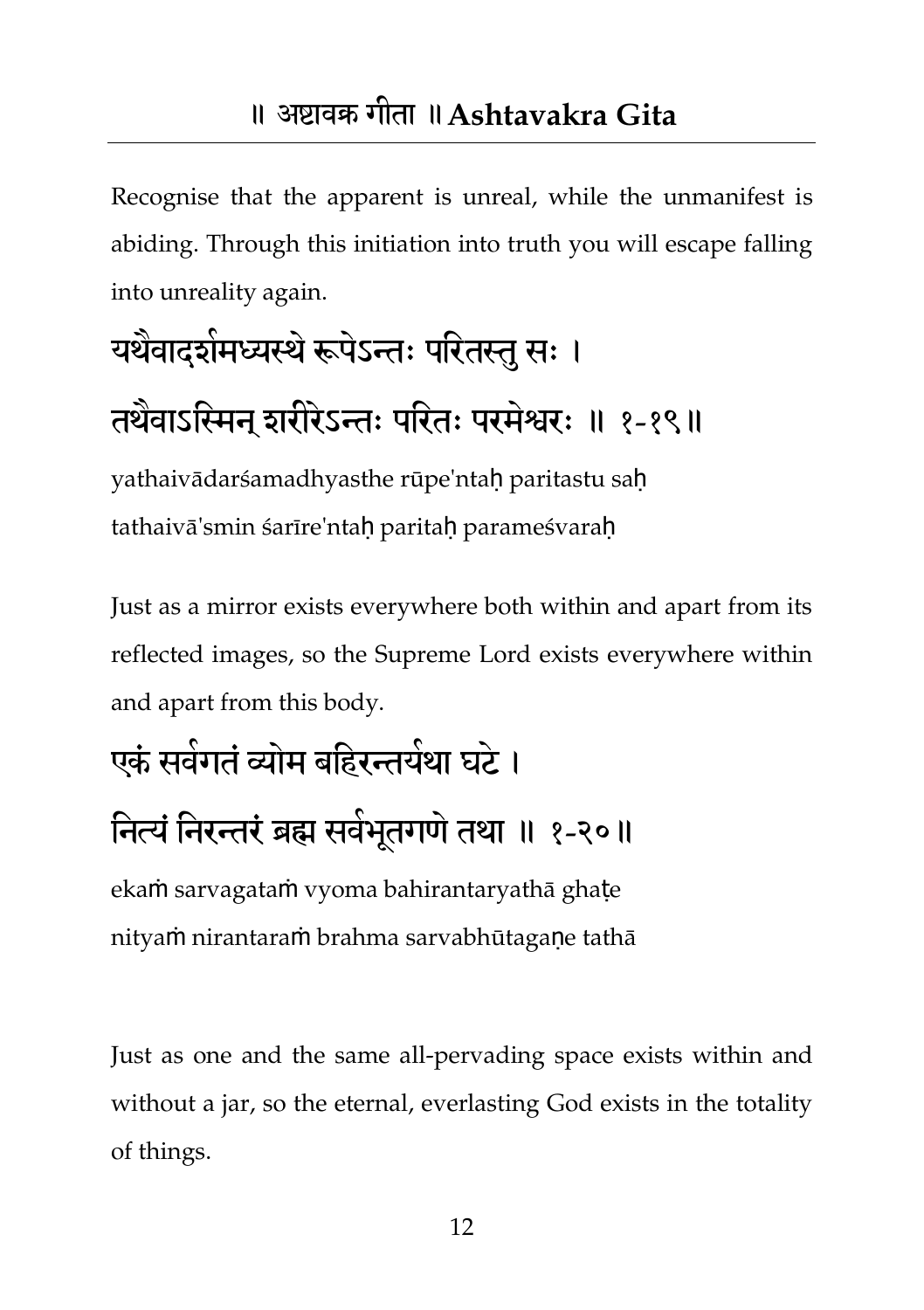<span id="page-12-0"></span>Recognise that the apparent is unreal, while the unmanifest is abiding. Through this initiation into truth you will escape falling into unreality again.

# यर्थवादशेमध्यस्थे रूपेऽन्तः परितस्तु सः ।

#### तथैवाऽस्मिन् शरीरेऽन्तः परितः परमेश्वरः ॥ १-१९॥

yathaivādarśamadhyasthe rūpe'ntah paritastu sah tathaivā'smin śarīre'ntah paritah parameśvarah

Just as a mirror exists everywhere both within and apart from its reflected images, so the Supreme Lord exists everywhere within and apart from this body.

## एकं सर्वगतं व्योम बहिरन्तर्यथा घर्ट । नित्यं निरन्तरं ब्रह्म सर्वभूतगणं तथा ॥ १-२०॥ ekaṁ sarvagataṁ vyoma bahirantaryathā ghaṭe

nityaṁ nirantaraṁ brahma sarvabhūtagaṇe tathā

Just as one and the same all-pervading space exists within and without a jar, so the eternal, everlasting God exists in the totality of things.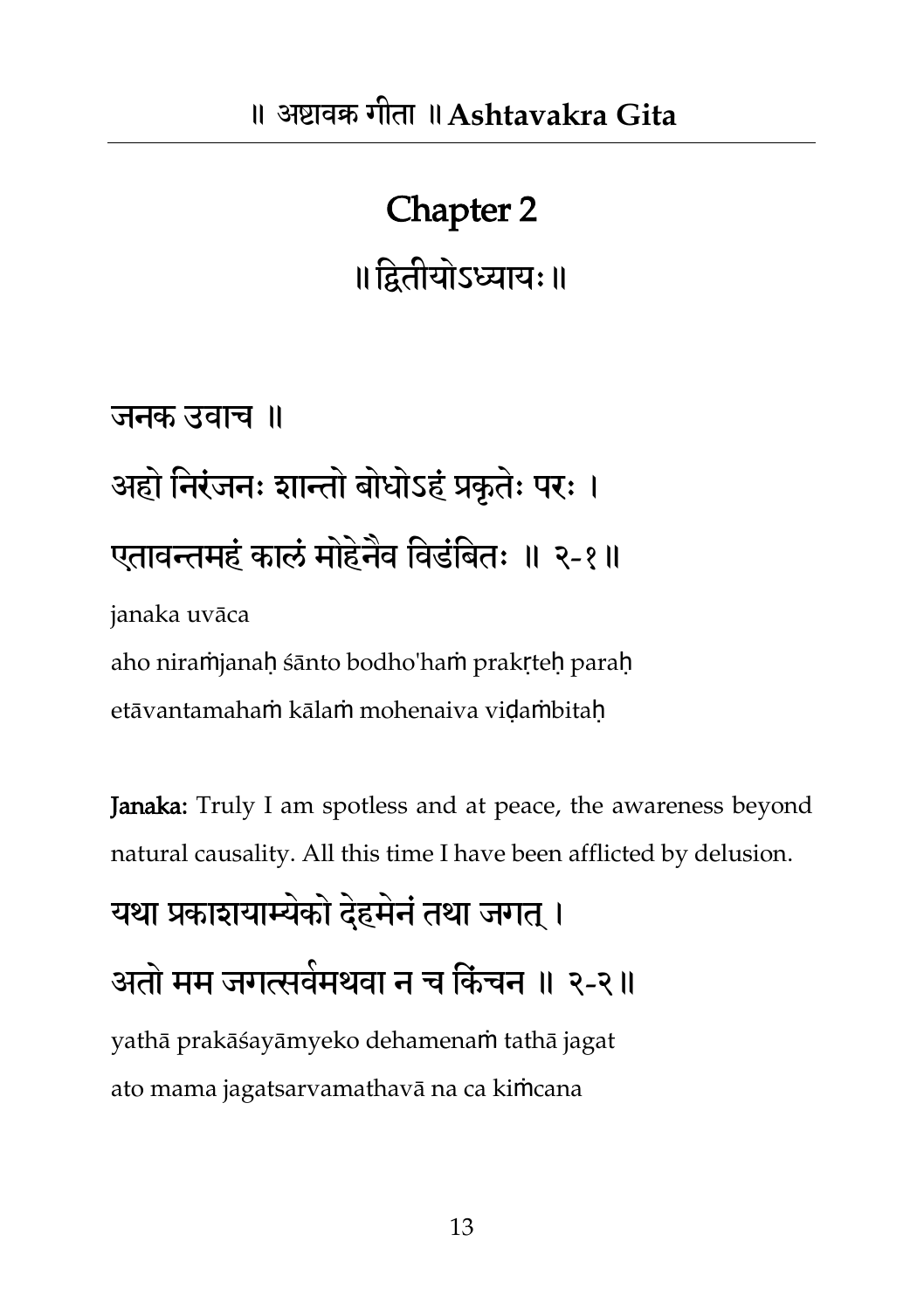## Chapter 2 ॥तद्वतीमोऽध्याम्॥

जनक उवाच ॥ अहो निरंजनः शान्तो बोधोऽहं प्रकृतेः परः । एतावन्तमहं कालं मोहेनैव विडंबितः ॥ २-१॥ janaka uvāca

aho niraṁjanaḥ śānto bodho'haṁ prakṛteḥ paraḥ etāvantamahaṁ kālaṁ mohenaiva viḍaṁbitaḥ

Janaka: Truly I am spotless and at peace, the awareness beyond natural causality. All this time I have been afflicted by delusion.

#### यथा प्रकाशयाम्येको देहमेनं तथा जगत् ।

#### अतो भभ जगत्सवभ भ थवा न च तकंचन ॥ २-२॥

yathā prakāśayāmyeko dehamenaṁ tathā jagat ato mama jagatsarvamathavā na ca kiṁcana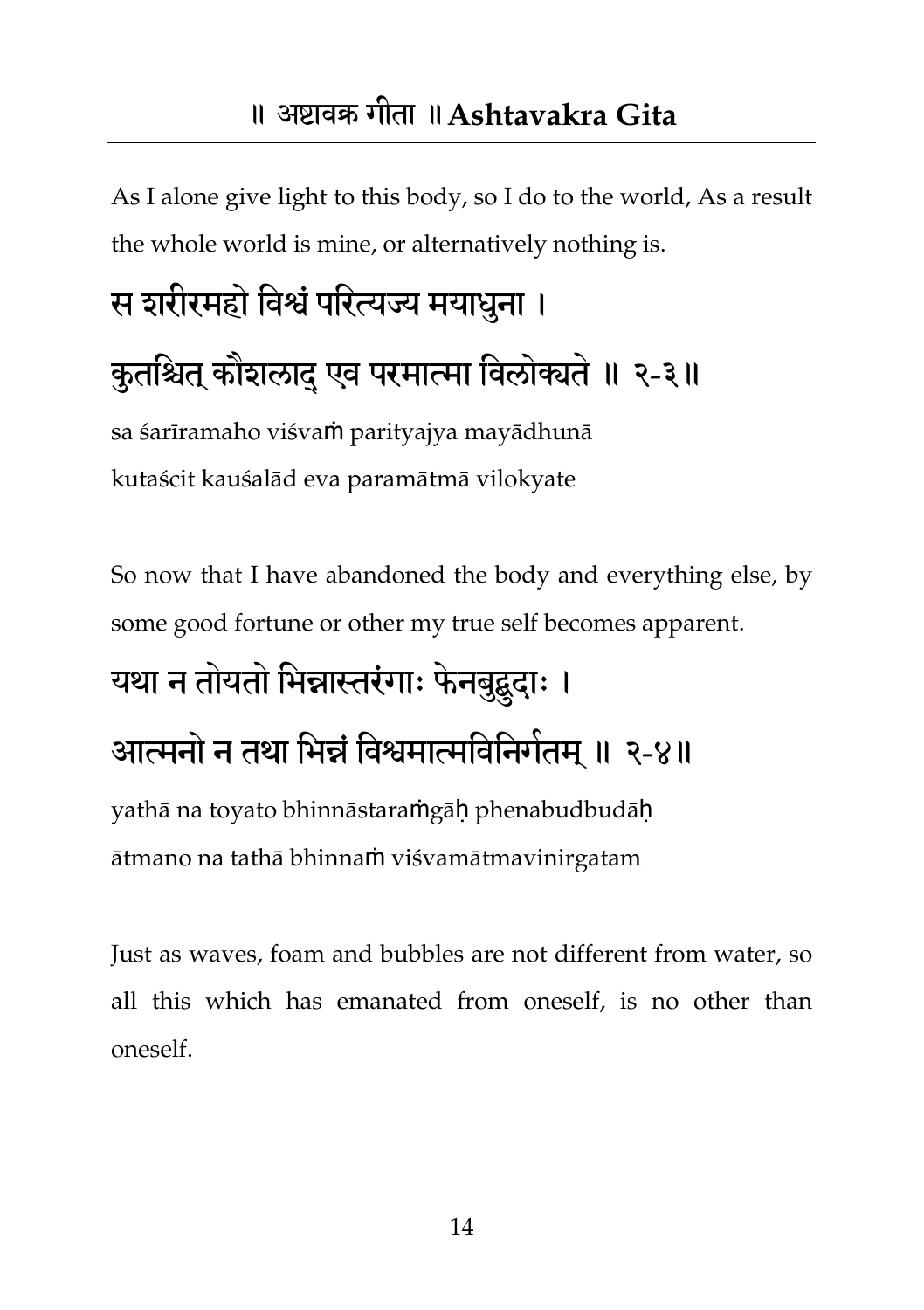As I alone give light to this body, so I do to the world, As a result the whole world is mine, or alternatively nothing is.

# स शरीरमहो विश्वं परित्यज्य मयाधुना । कुतश्चित् कौशलादु एव परमात्मा विलोक्यते ॥ २-३॥ sa śarīramaho viśvaṁ parityajya mayādhunā

kutaścit kauśalād eva paramātmā vilokyate

So now that I have abandoned the body and everything else, by some good fortune or other my true self becomes apparent.

## यथा न तोयतो भिन्नास्तरंगाः फेनबुद्बुदाः । आत्मनो न तथा भिन्नं विश्वमात्मविनिगेतम् ॥ २-४॥ yathā na toyato bhinnāstaraṁgāḥ phenabudbudāḥ ātmano na tathā bhinnaṁ viśvamātmavinirgatam

Just as waves, foam and bubbles are not different from water, so all this which has emanated from oneself, is no other than oneself.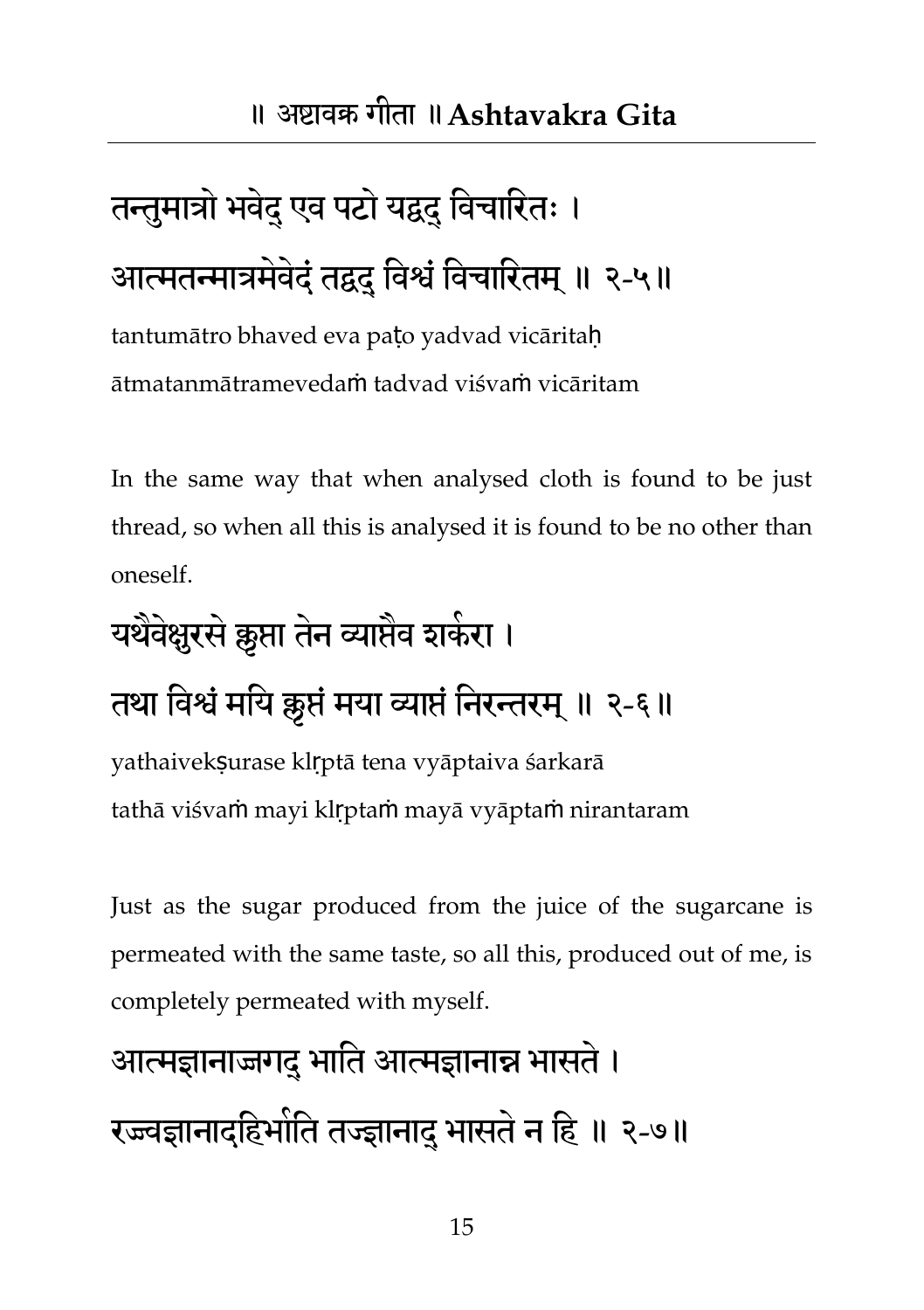# तन्तुमात्रो भवेदु एव पटो यद्वुदु विचारितः । आत्मतन्मात्रमेवेदं तद्वदु विश्वं विचारितम् ॥ २-५॥

tantumātro bhaved eva paṭo yadvad vicāritaḥ ātmatanmātramevedaṁ tadvad viśvaṁ vicāritam

In the same way that when analysed cloth is found to be just thread, so when all this is analysed it is found to be no other than oneself.

# यर्थवेक्षुरसे क्रुप्ता तेन व्याप्तेव शकेरा । तथा विश्वं मयि क्लृप्तं मया व्याप्तं निरन्तरम् ॥ २-६॥

yathaivekṣurase klṛptā tena vyāptaiva śarkarā tathā viśvaṁ mayi klṛptaṁ mayā vyāptaṁ nirantaram

Just as the sugar produced from the juice of the sugarcane is permeated with the same taste, so all this, produced out of me, is completely permeated with myself.

## आत्मज्ञानाज्जगदु भाति आत्मज्ञानान्न भासते । रज्ज्वज्ञानादहिभोति तज्ज्ञानादु भासते न हि ॥ २-७॥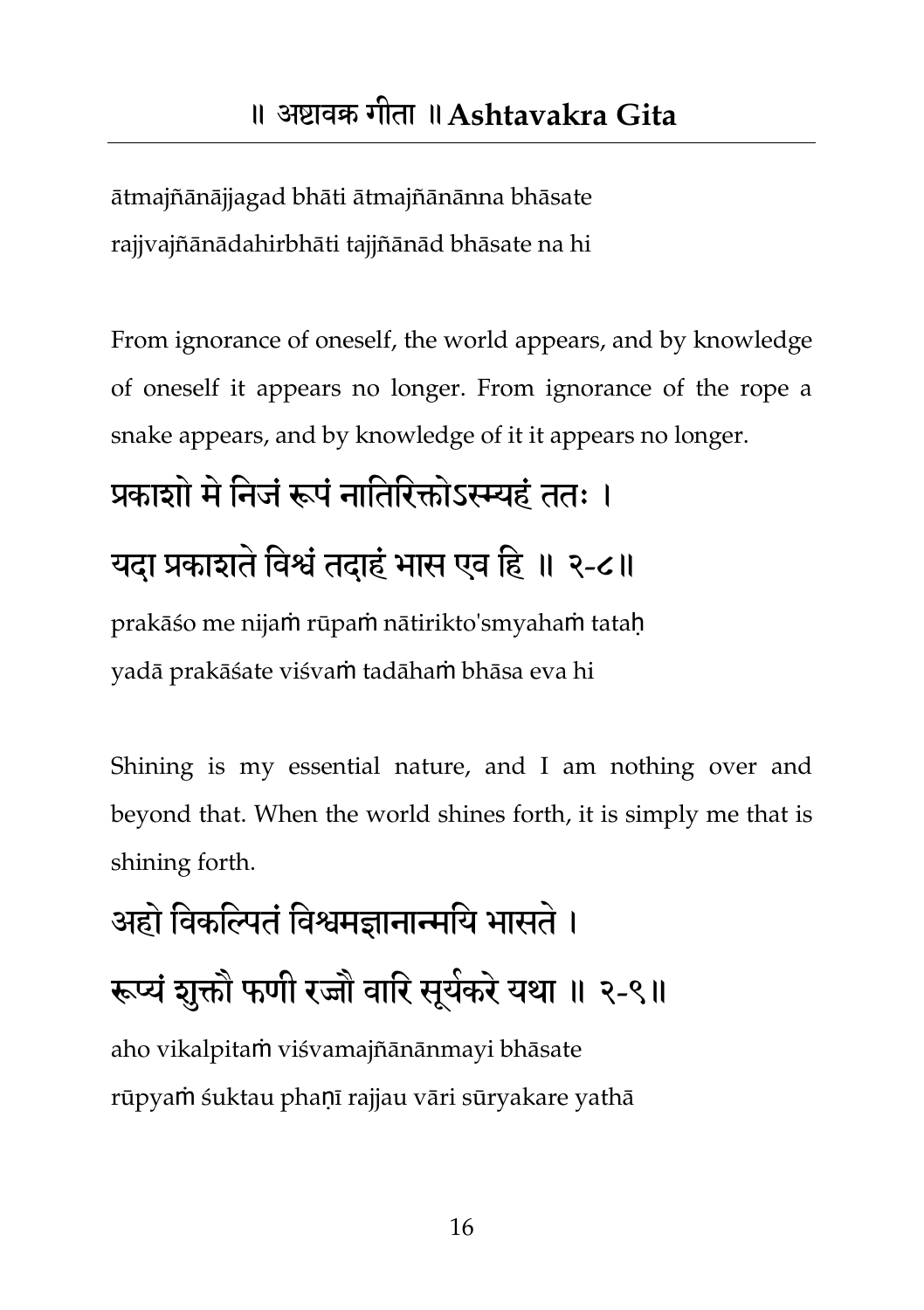ātmajñānājjagad bhāti ātmajñānānna bhāsate rajjvajñānādahirbhāti tajjñānād bhāsate na hi

From ignorance of oneself, the world appears, and by knowledge of oneself it appears no longer. From ignorance of the rope a snake appears, and by knowledge of it it appears no longer.

#### प्रकाशो मे निजं रूपं नातिरिक्तोऽस्म्यहं ततः ।

#### यदा प्रकाशते विश्वं तदाहं भास एव हि ॥ २-८॥

prakāśo me nijaṁ rūpaṁ nātirikto'smyahaṁ tataḥ yadā prakāśate viśvaṁ tadāhaṁ bhāsa eva hi

Shining is my essential nature, and I am nothing over and beyond that. When the world shines forth, it is simply me that is shining forth.

## अहो विकल्पितं विश्वमज्ञानान्मयि भासते । रूप्यं शुक्तौ फणी रज्जौ वारि सूर्यकरे यथा ॥ २-९॥ aho vikalpitaṁ viśvamajñānānmayi bhāsate rūpyaṁ śuktau phaṇī rajjau vāri sūryakare yathā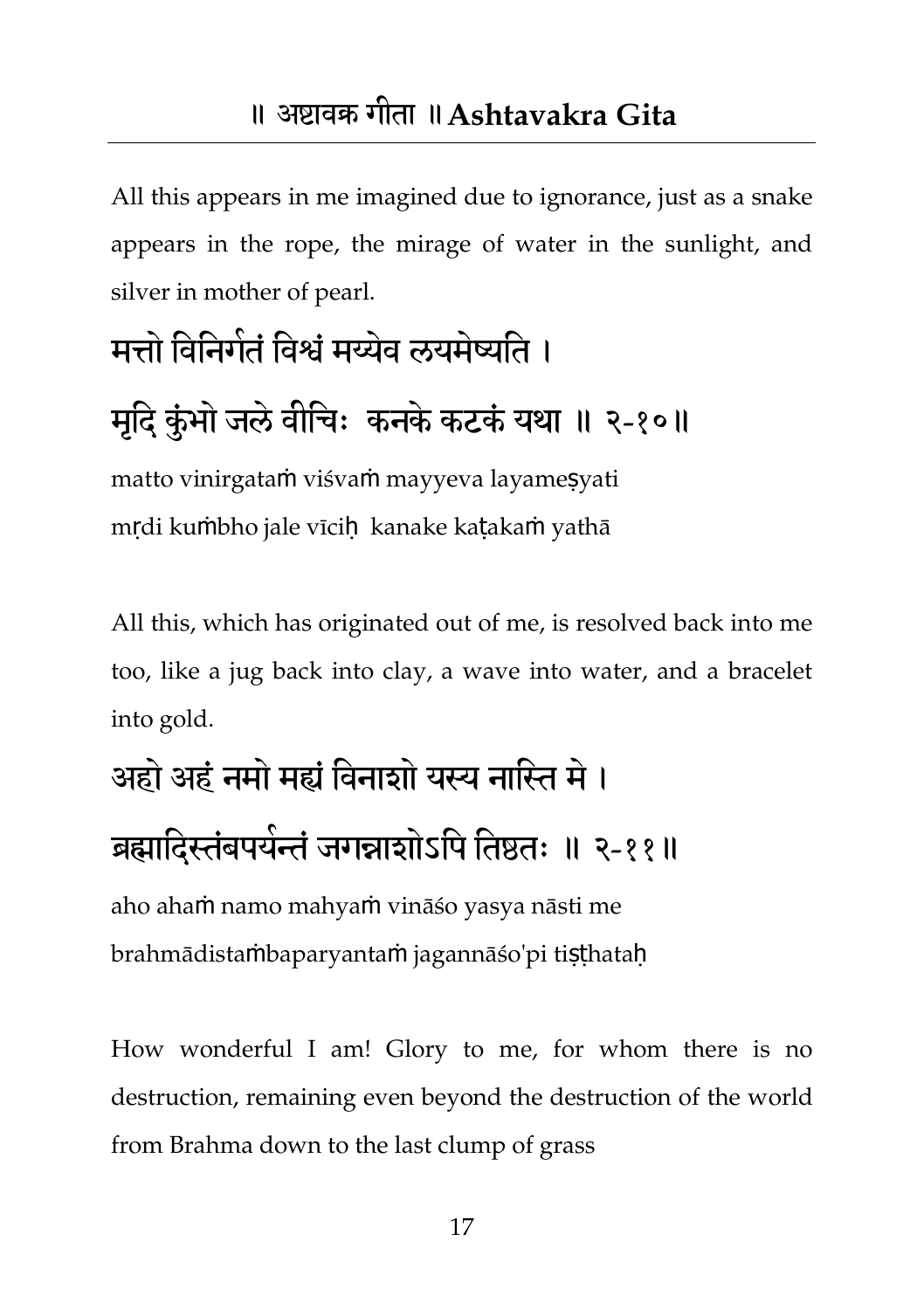All this appears in me imagined due to ignorance, just as a snake appears in the rope, the mirage of water in the sunlight, and silver in mother of pearl.

### मत्तो विनिगेतं विश्वं मय्येव लयमेष्यति ।

#### मृदि कुंभो जले वीचिः कनके कटकं यथा ॥ २-१०॥

matto vinirgataṁ viśvaṁ mayyeva layameṣyati mrdi kumbho jale vīcih kanake katakam yathā

All this, which has originated out of me, is resolved back into me too, like a jug back into clay, a wave into water, and a bracelet into gold.

## अहो अहंनभो भह्यंतवनाशो मस्य नातस्त भे। ब्रह्मादिस्तंबपर्यन्तं जगन्नाशोऽपि तिष्ठतः ॥ २-११॥

aho ahaṁ namo mahyaṁ vināśo yasya nāsti me brahmādistaṁbaparyantaṁ jagannāśo'pi tiṣṭhataḥ

How wonderful I am! Glory to me, for whom there is no destruction, remaining even beyond the destruction of the world from Brahma down to the last clump of grass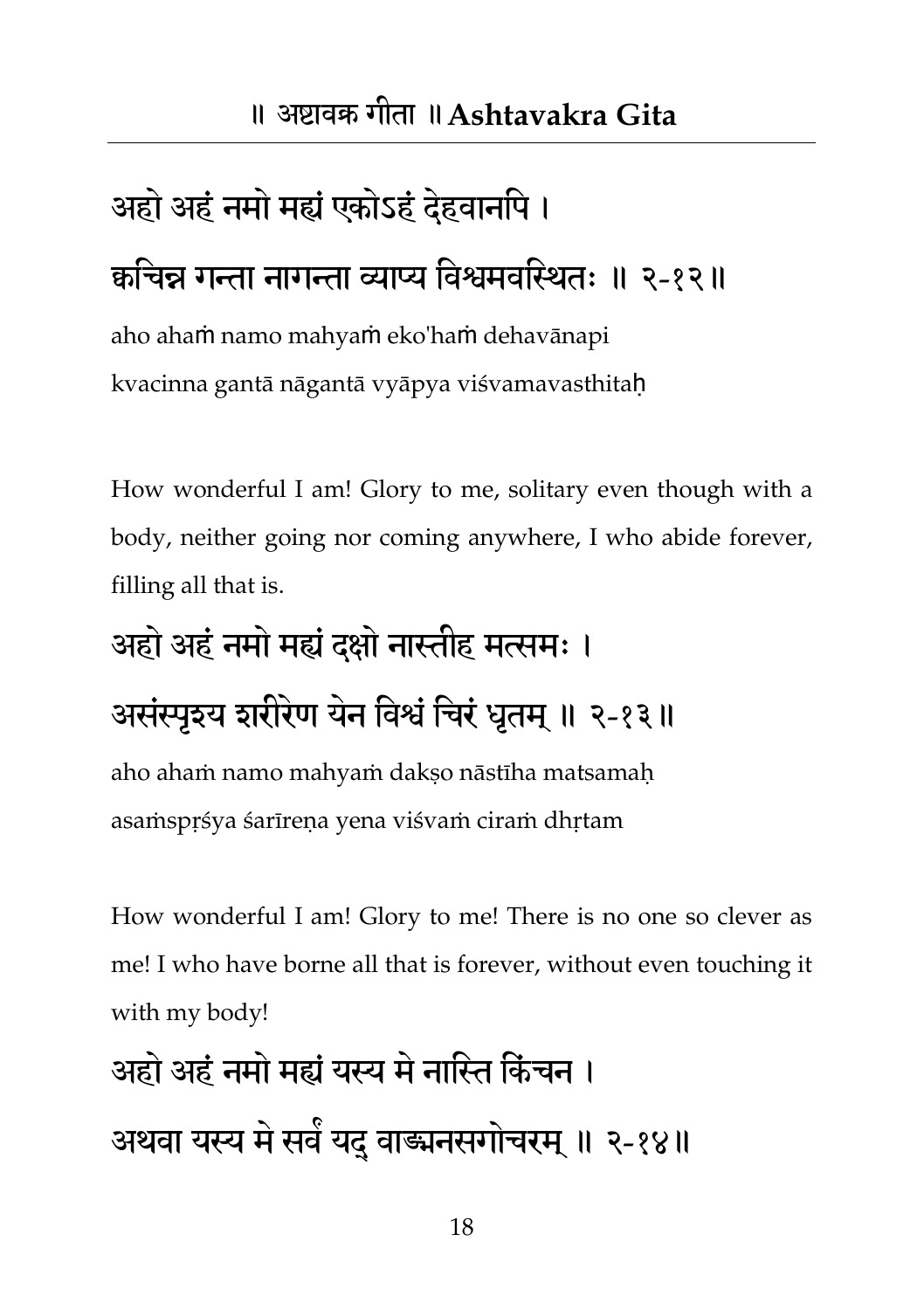# अहो अहं नमो मह्यं एकोऽहं देहवानपि । कचिन्न गन्ता नागन्ता व्याप्य विश्वमवस्थितः ॥ २-१२॥

aho ahaṁ namo mahyaṁ eko'haṁ dehavānapi kvacinna gantā nāgantā vyāpya viśvamavasthitaḥ

How wonderful I am! Glory to me, solitary even though with a body, neither going nor coming anywhere, I who abide forever, filling all that is.

# अहो अहं नमो मह्यं दक्षो नास्तीह मत्समः ।

#### असंस्पुइय इारीरेण येन विश्वं चिरं धतम् ॥ २-१३॥

aho ahaṁ namo mahyaṁ dakṣo nāstīha matsamaḥ asaṁspṛśya śarīreṇa yena viśvaṁ ciraṁ dhṛtam

How wonderful I am! Glory to me! There is no one so clever as me! I who have borne all that is forever, without even touching it with my body!

अहो अहंनभो भह्यंमस्य भेनातस्त तकंचन । अथवा मस्य भेसव ं मद ्वाङ्मनसगोचयभ ॥् २-१४॥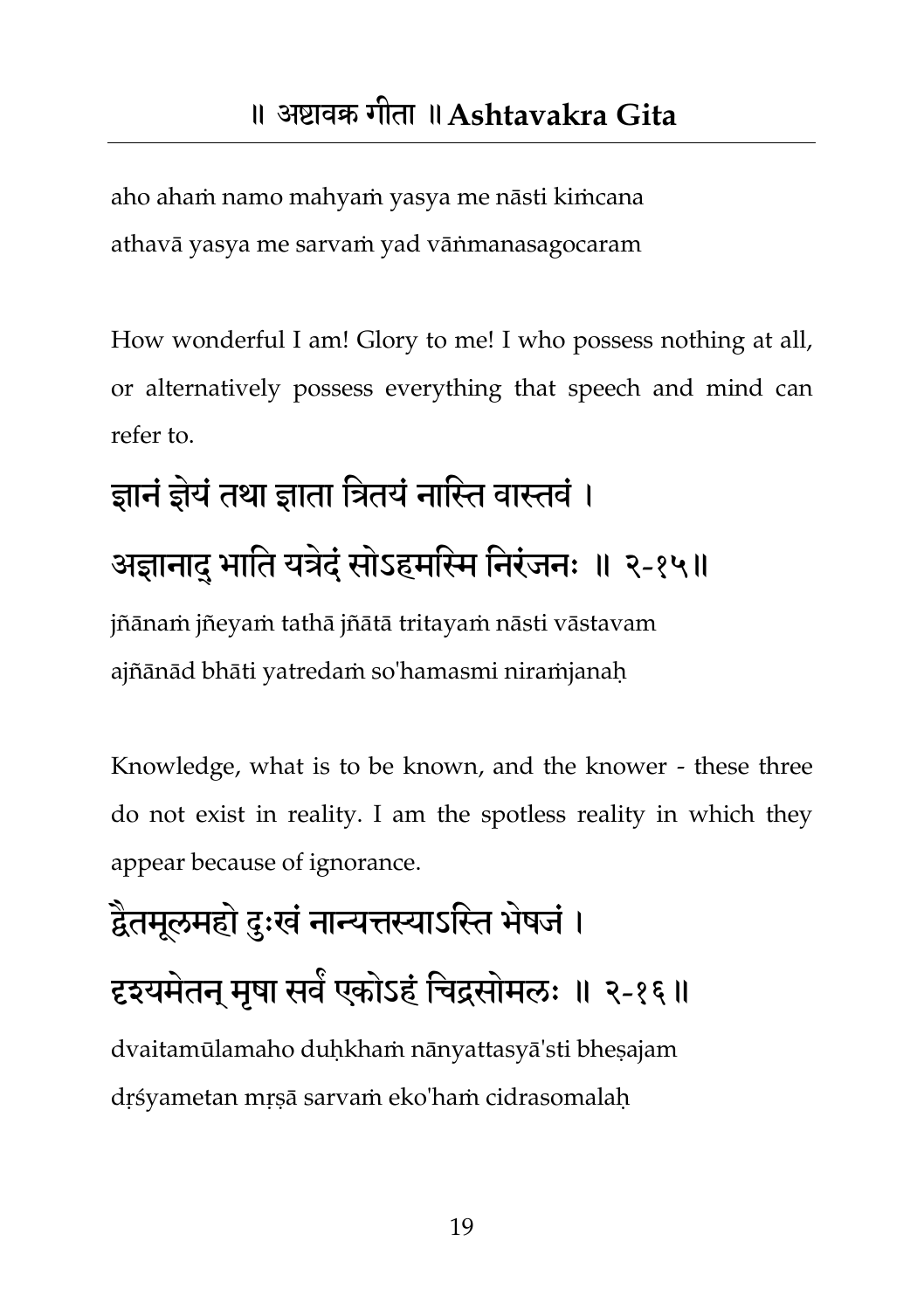aho ahaṁ namo mahyaṁ yasya me nāsti kiṁcana athavā yasya me sarvaṁ yad vāṅmanasagocaram

How wonderful I am! Glory to me! I who possess nothing at all, or alternatively possess everything that speech and mind can refer to.

# ज्ञानं ज्ञेयं तथा ज्ञाता त्रितयं नास्ति वास्तवं । अज्ञानादु भाति यत्रेदं सोऽहमस्मि निरंजनः ॥ २-१५॥

jñānaṁ jñeyaṁ tathā jñātā tritayaṁ nāsti vāstavam ajñānād bhāti yatredaṁ so'hamasmi niraṁjanaḥ

Knowledge, what is to be known, and the knower - these three do not exist in reality. I am the spotless reality in which they appear because of ignorance.

## द्वैतमूलमहो दुःखं नान्यत्तस्याऽस्ति भेषजं । दृश्यमेतन् मृषा सर्वं एकोऽहं चिद्रसोमलः ॥ २-१६॥ dvaitamūlamaho duḥkhaṁ nānyattasyā'sti bheṣajam dṛśyametan mṛṣā sarvaṁ eko'haṁ cidrasomalaḥ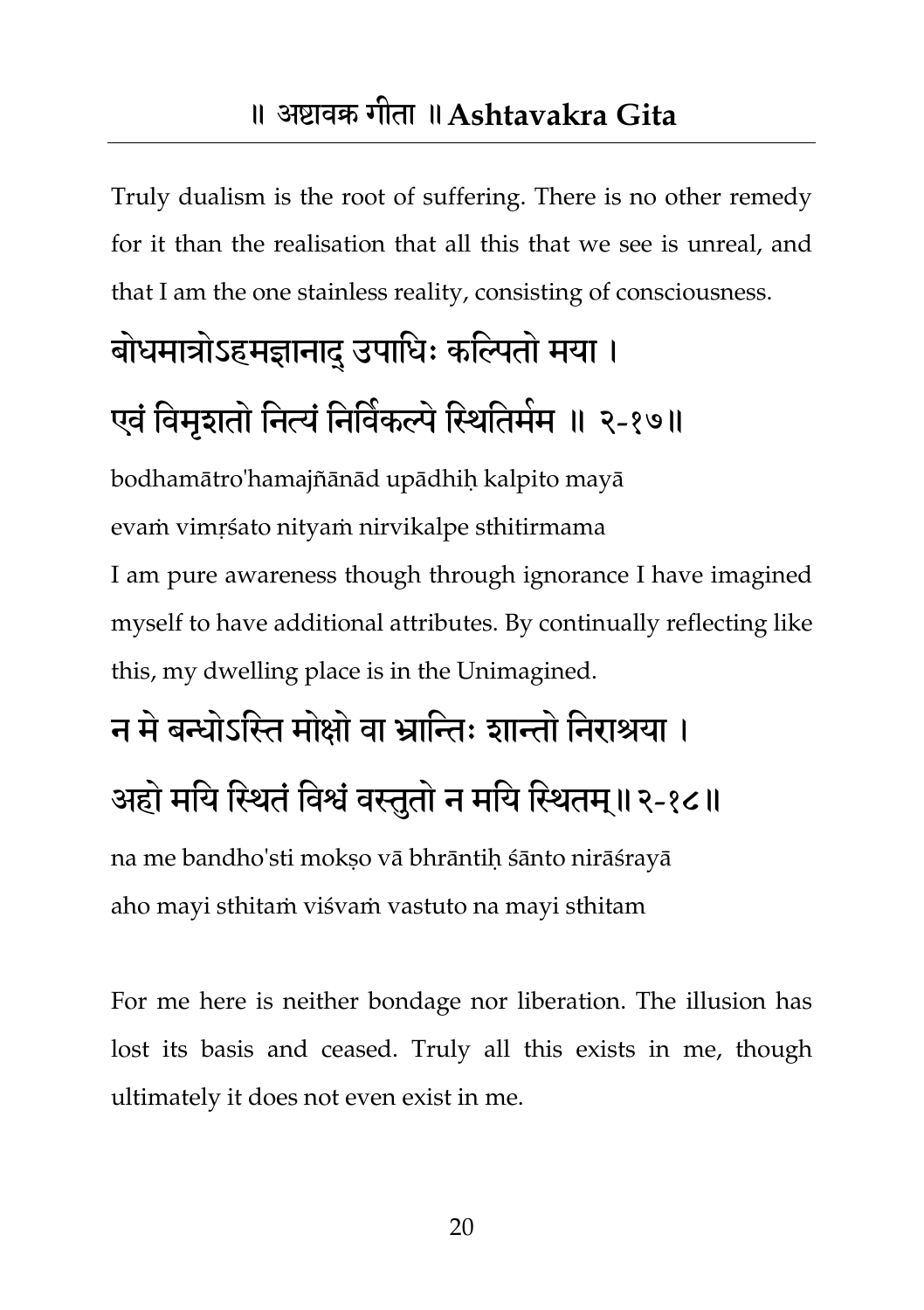Truly dualism is the root of suffering. There is no other remedy for it than the realisation that all this that we see is unreal, and that I am the one stainless reality, consisting of consciousness.

## बोधमात्रोऽहमज्ञानादु उपाधिः कल्पितो मया । एवं विमृशतो नित्यं निर्विकल्पे स्थितिमेम ॥ २-१७॥

bodhamātro'hamajñānād upādhiḥ kalpito mayā evaṁ vimṛśato nityaṁ nirvikalpe sthitirmama I am pure awareness though through ignorance I have imagined myself to have additional attributes. By continually reflecting like this, my dwelling place is in the Unimagined.

## न मे बन्धोऽस्ति मोक्षो वा भ्रान्तिः शान्तो निराश्रया । अहो मयि स्थितं विश्वं वस्तुतो न मयि स्थितम्॥२-१८॥

na me bandho'sti mokṣo vā bhrāntiḥ śānto nirāśrayā aho mayi sthitaṁ viśvaṁ vastuto na mayi sthitam

For me here is neither bondage nor liberation. The illusion has lost its basis and ceased. Truly all this exists in me, though ultimately it does not even exist in me.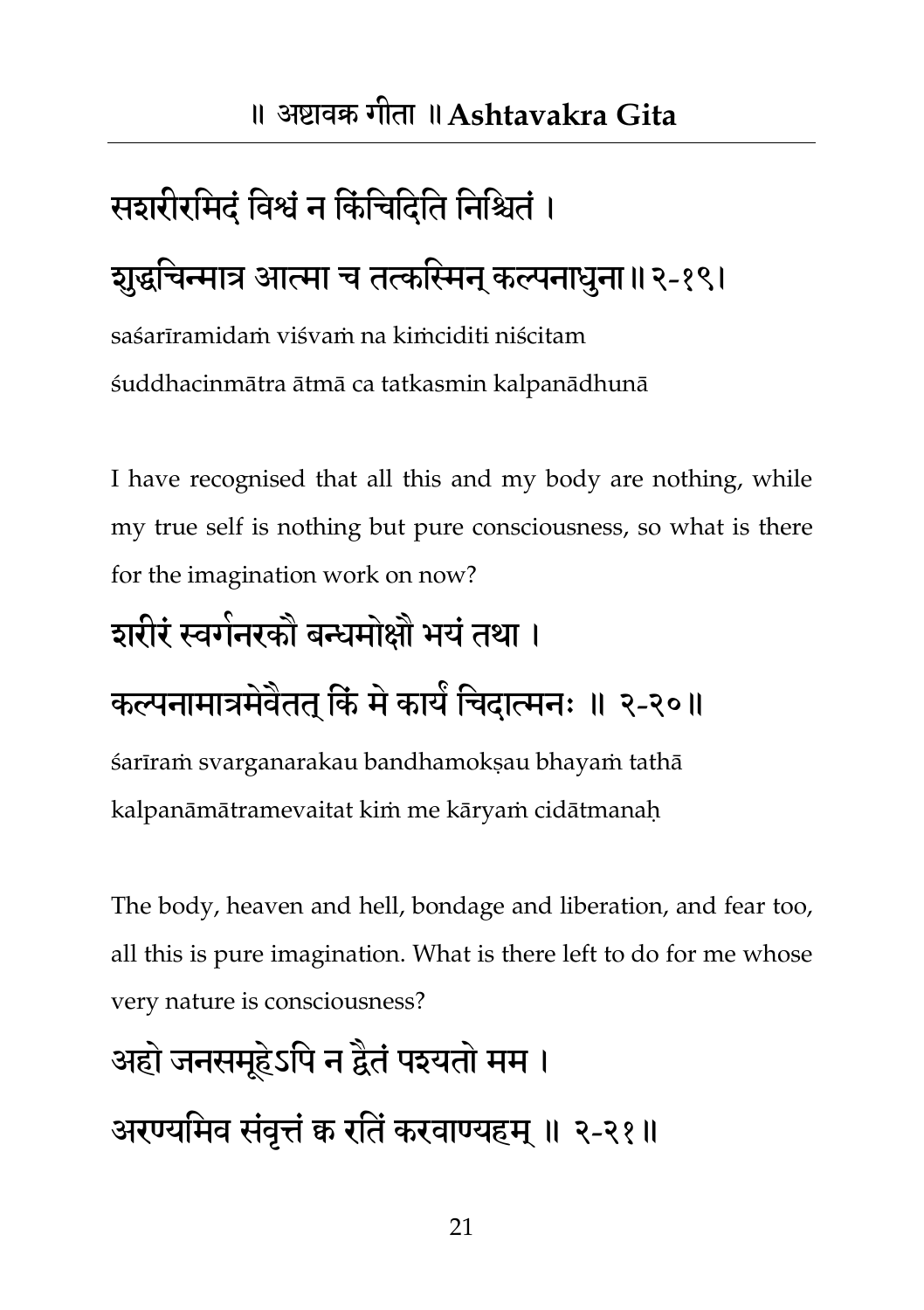## सशरीरमिदं विश्वं न किंचिदिति निश्चितं। शुद्धचिन्मात्र आत्मा च तत्कस्मिन् कल्पनाधुना॥२-१९।

saśarīramidaṁ viśvaṁ na kiṁciditi niścitam śuddhacinmātra ātmā ca tatkasmin kalpanādhunā

I have recognised that all this and my body are nothing, while my true self is nothing but pure consciousness, so what is there for the imagination work on now?

#### शरीरं स्वर्गनरकों बन्धमोक्षों भयं तथा ।

### कल्पनामात्रमेवेतत् किं मे कार्यं चिदात्मनः ॥ २-२०॥

śarīraṁ svarganarakau bandhamokṣau bhayaṁ tathā kalpanāmātramevaitat kiṁ me kāryaṁ cidātmanaḥ

The body, heaven and hell, bondage and liberation, and fear too, all this is pure imagination. What is there left to do for me whose very nature is consciousness?

## अहो जनसमूहेऽपि न द्वैतं पश्यतो मम । अरण्यमिव संवृत्तं क रतिं करवाण्यहम् ॥ २-२१॥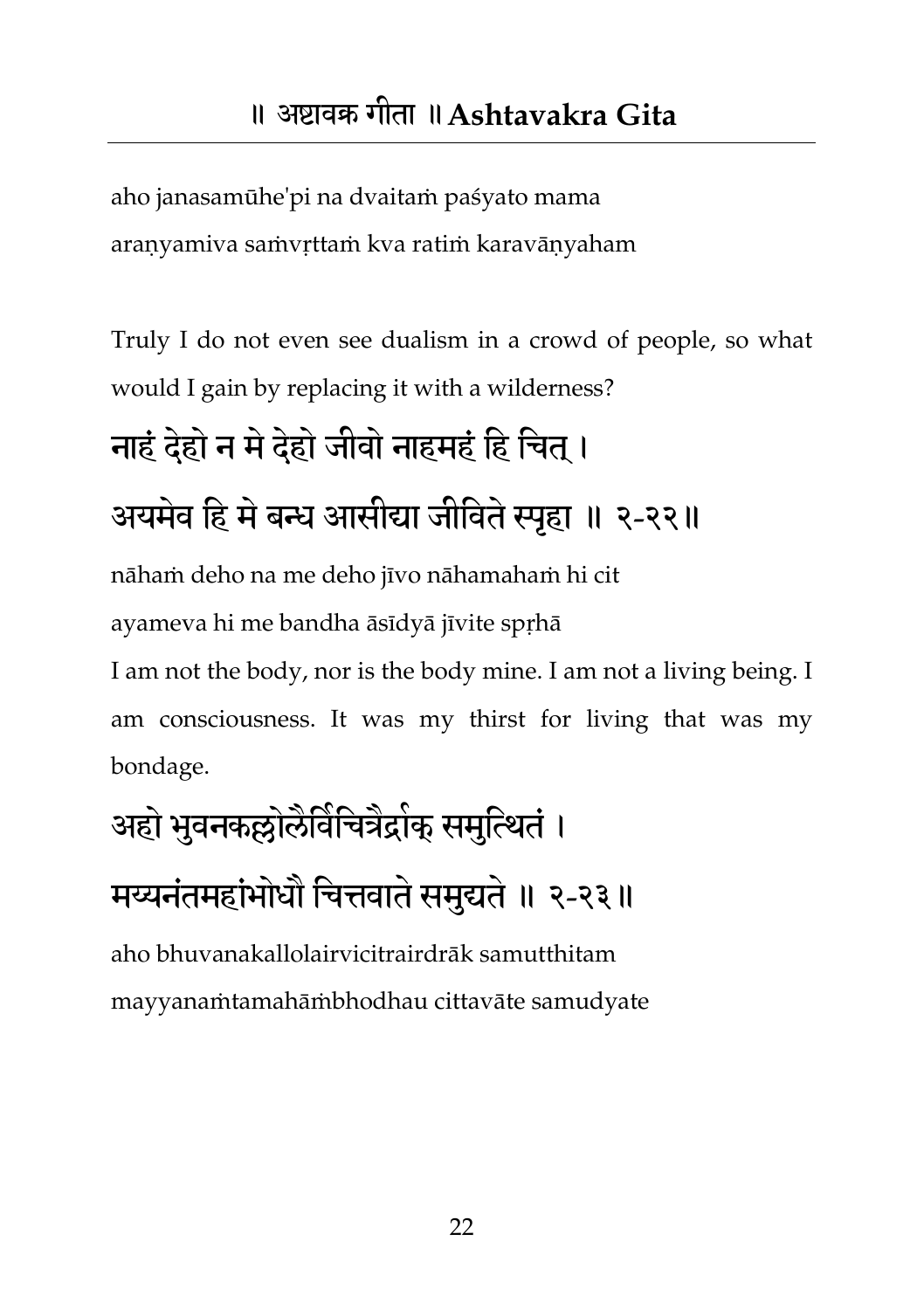aho janasamūhe'pi na dvaitaṁ paśyato mama araṇyamiva saṁvṛttaṁ kva ratiṁ karavāṇyaham

Truly I do not even see dualism in a crowd of people, so what would I gain by replacing it with a wilderness?

## नाहं दहेो न भेदहेो जीवो नाहभहं तह तचत ।् अयमेव हि मे बन्ध आसीद्या जीविते स्पृहा ॥ २-२२॥

nāhaṁ deho na me deho jīvo nāhamahaṁ hi cit

ayameva hi me bandha āsīdyā jīvite spṛhā

I am not the body, nor is the body mine. I am not a living being. I am consciousness. It was my thirst for living that was my bondage.

## अहो भुवनकल्लोलैविचित्रैद्रोक् समुत्थितं । मय्यनंतमहांभोधौ चित्तवाते समुद्यते ॥ २-२३॥

aho bhuvanakallolairvicitrairdrāk samutthitam mayyanaṁtamahāṁbhodhau cittavāte samudyate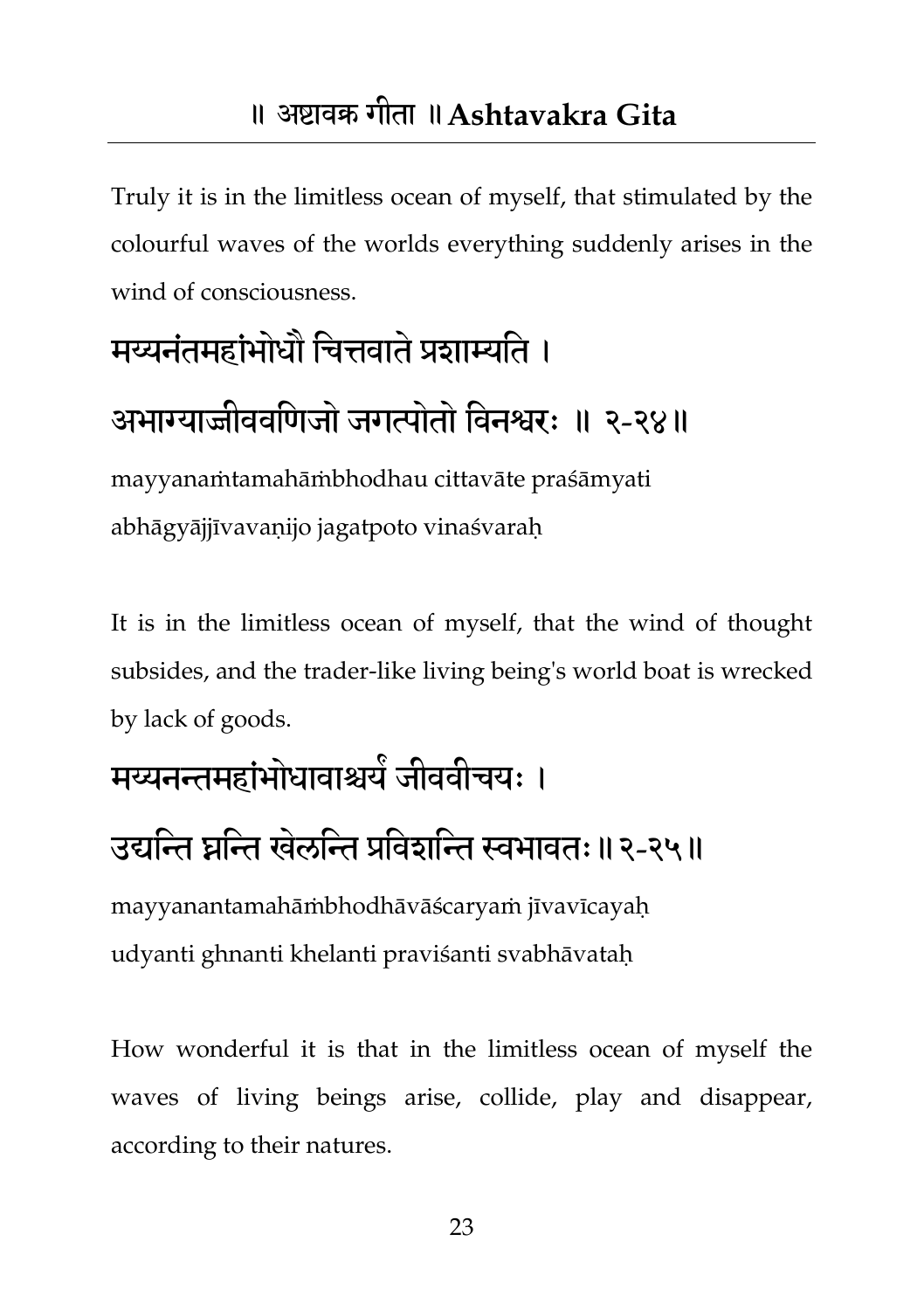<span id="page-23-0"></span>Truly it is in the limitless ocean of myself, that stimulated by the colourful waves of the worlds everything suddenly arises in the wind of consciousness.

## मय्यनंतमहांभोधौ चित्तवाते प्रशाम्यति ।

#### अभाग्याज्जीववणिजो जगत्पोतो विनश्वरः ॥ २-२४॥

mayyanaṁtamahāṁbhodhau cittavāte praśāmyati abhāgyājjīvavaṇijo jagatpoto vinaśvaraḥ

It is in the limitless ocean of myself, that the wind of thought subsides, and the trader-like living being's world boat is wrecked by lack of goods.

#### मय्यनन्तमहांभोधावाश्चये जीववीचयः ।

#### उद्यन्ति घ्रन्ति खेलन्ति प्रविशन्ति स्वभावतः॥२-२५॥

mayyanantamahāṁbhodhāvāścaryaṁ jīvavīcayaḥ udyanti ghnanti khelanti praviśanti svabhāvataḥ

How wonderful it is that in the limitless ocean of myself the waves of living beings arise, collide, play and disappear, according to their natures.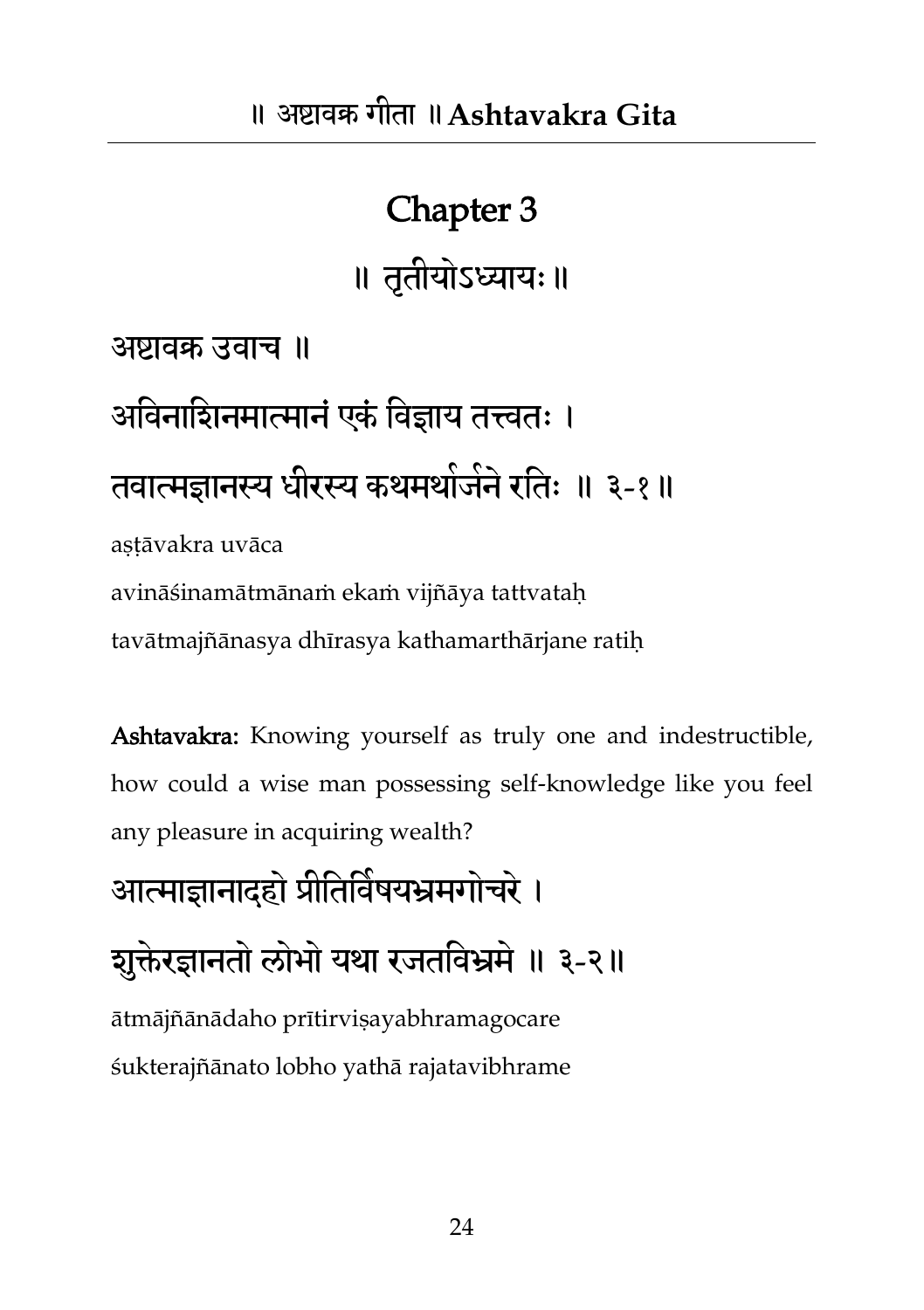#### Chapter 3

॥ तृतीमोऽध्याम्॥

अष्टावक्र उवाच ॥

अविनाशिनमात्मानं एकं विज्ञाय तत्त्वतः । तवात्मज्ञानस्य धीरस्य कथमथोजने रतिः ॥ ३-१॥

astāvakra uvāca

avināśinamātmānaṁ ekaṁ vijñāya tattvataḥ

tavātmajñānasya dhīrasya kathamarthārjane ratiḥ

Ashtavakra: Knowing yourself as truly one and indestructible, how could a wise man possessing self-knowledge like you feel any pleasure in acquiring wealth?

आत्माज्ञानादहो प्रीतिविषयभ्रमगोचरे ।

शुक्तेरज्ञानतो लोभो यथा रजतविभ्रमे ॥ ३-२॥

ātmājñānādaho prītirviṣayabhramagocare śukterajñānato lobho yathā rajatavibhrame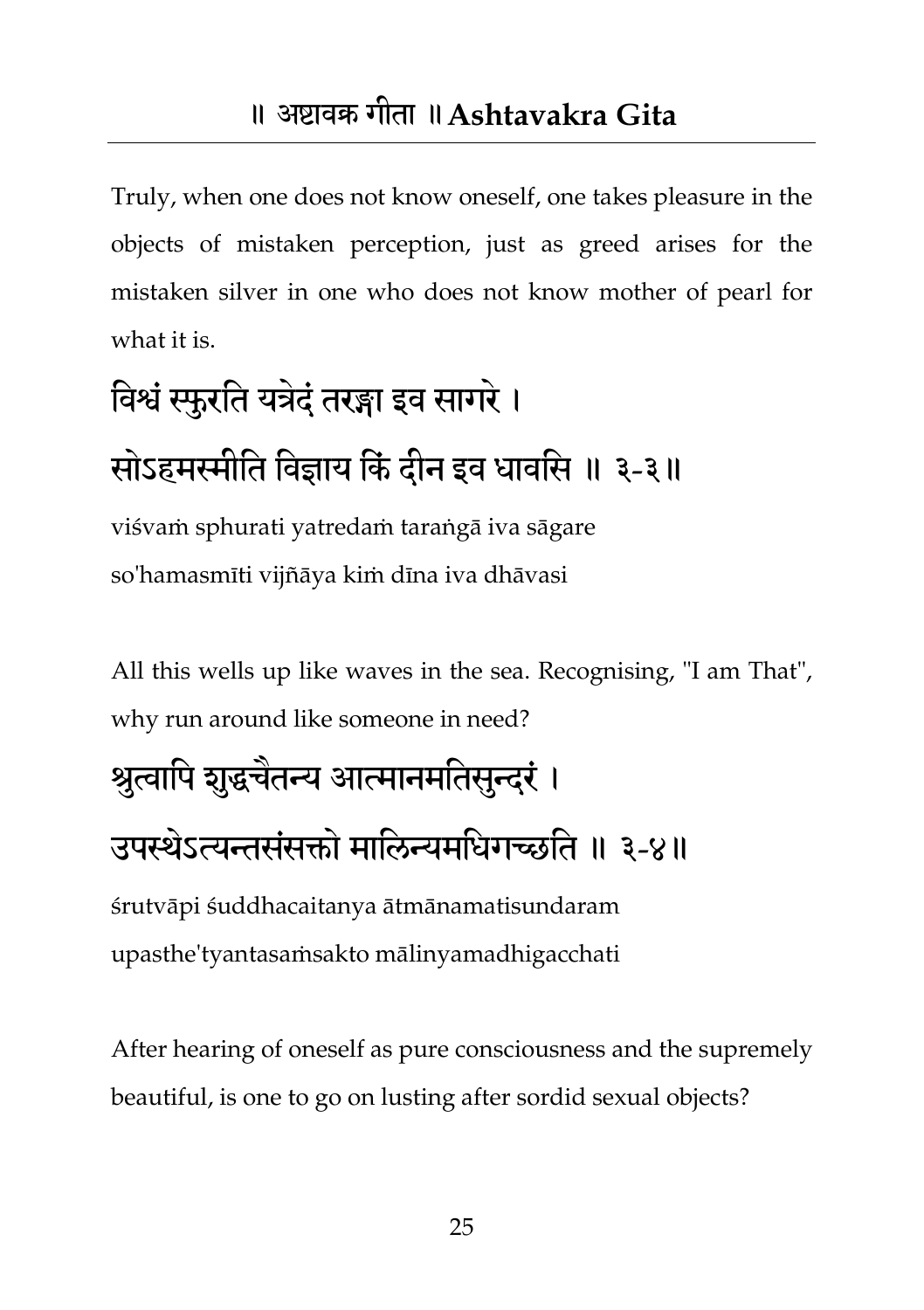Truly, when one does not know oneself, one takes pleasure in the objects of mistaken perception, just as greed arises for the mistaken silver in one who does not know mother of pearl for what it is.

# तवश्वंस्फुयतत मत्रदेंतयङ्गा इव सागये। सोऽहमस्मीति विज्ञाय किं दीन इव धावसि ॥ ३-३॥

viśvaṁ sphurati yatredaṁ taraṅgā iva sāgare so'hamasmīti vijñāya kiṁ dīna iva dhāvasi

All this wells up like waves in the sea. Recognising, "I am That", why run around like someone in need?

#### श्रुत्वापि शुद्धचैतन्य आत्मानमतिसुन्दरं ।

#### उपस्थेऽत्यन्तसंसक्तो मालिन्यमधिगच्छति ॥ ३-४॥

śrutvāpi śuddhacaitanya ātmānamatisundaram upasthe'tyantasaṁsakto mālinyamadhigacchati

After hearing of oneself as pure consciousness and the supremely beautiful, is one to go on lusting after sordid sexual objects?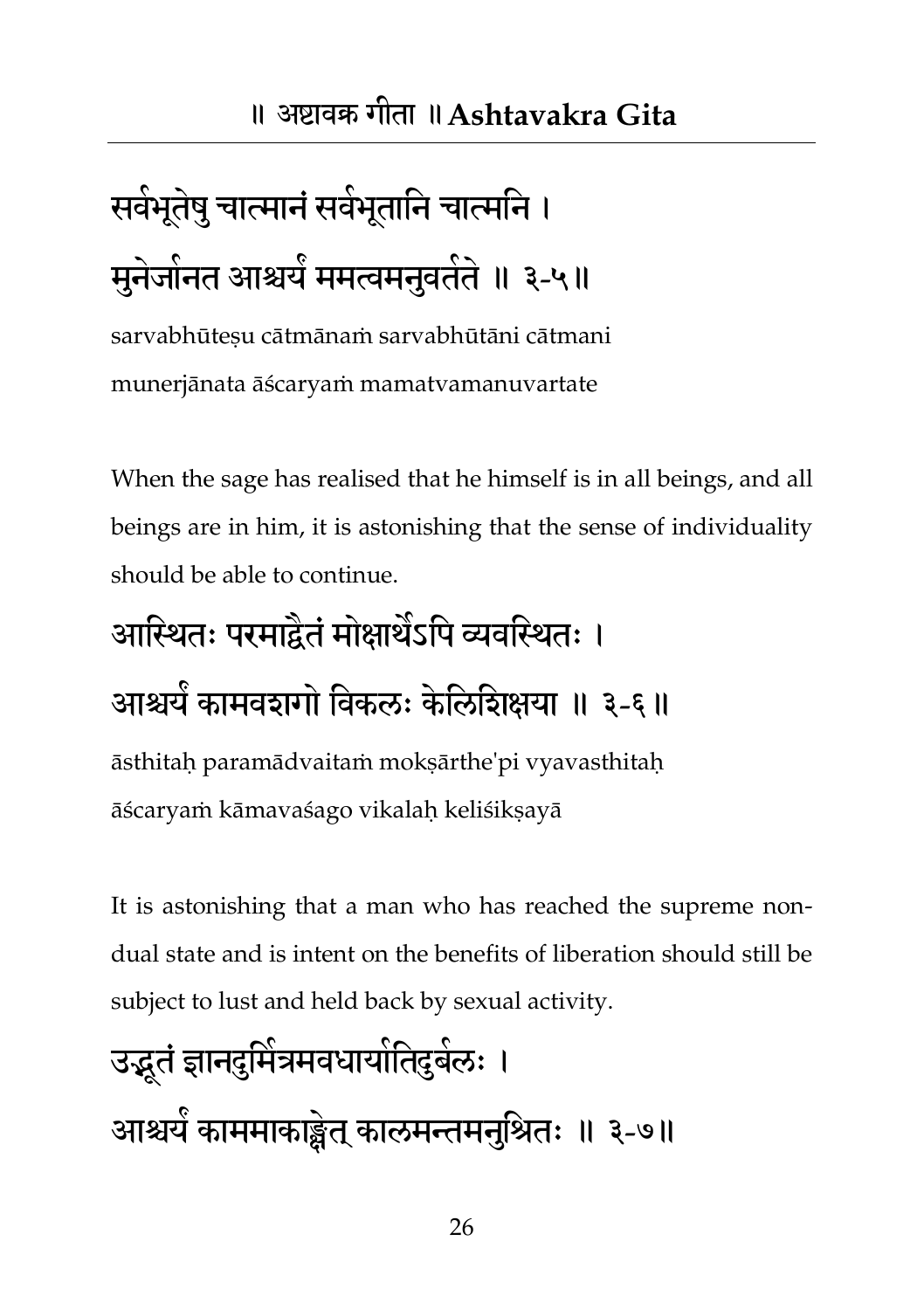# सर्वभूतेषु चात्मानं सर्वभूतानि चात्मनि । मुनेजोनत आश्चर्य ममत्वमनुवतेते ॥ ३-५॥

sarvabhūtesu cātmānam sarvabhūtāni cātmani munerjānata āścaryaṁ mamatvamanuvartate

When the sage has realised that he himself is in all beings, and all beings are in him, it is astonishing that the sense of individuality should be able to continue.

## आस्थितः परमाद्वैतं मोक्षार्थेऽपि व्यवस्थितः । आश्चयं कामवशगों विकलः केलिशिक्षया ॥ ३-६॥ āsthitaḥ paramādvaitaṁ mokṣārthe'pi vyavasthitaḥ āścaryaṁ kāmavaśago vikalaḥ keliśikṣayā

It is astonishing that a man who has reached the supreme nondual state and is intent on the benefits of liberation should still be subject to lust and held back by sexual activity.

उद्भू तंऻानदुतभत्र भ भवधामातभ तदुफर भ ् । आश्चम ं काभभाकाङ्क्षेत क् ारभन्तभनतुश्रत् ॥ ३-७॥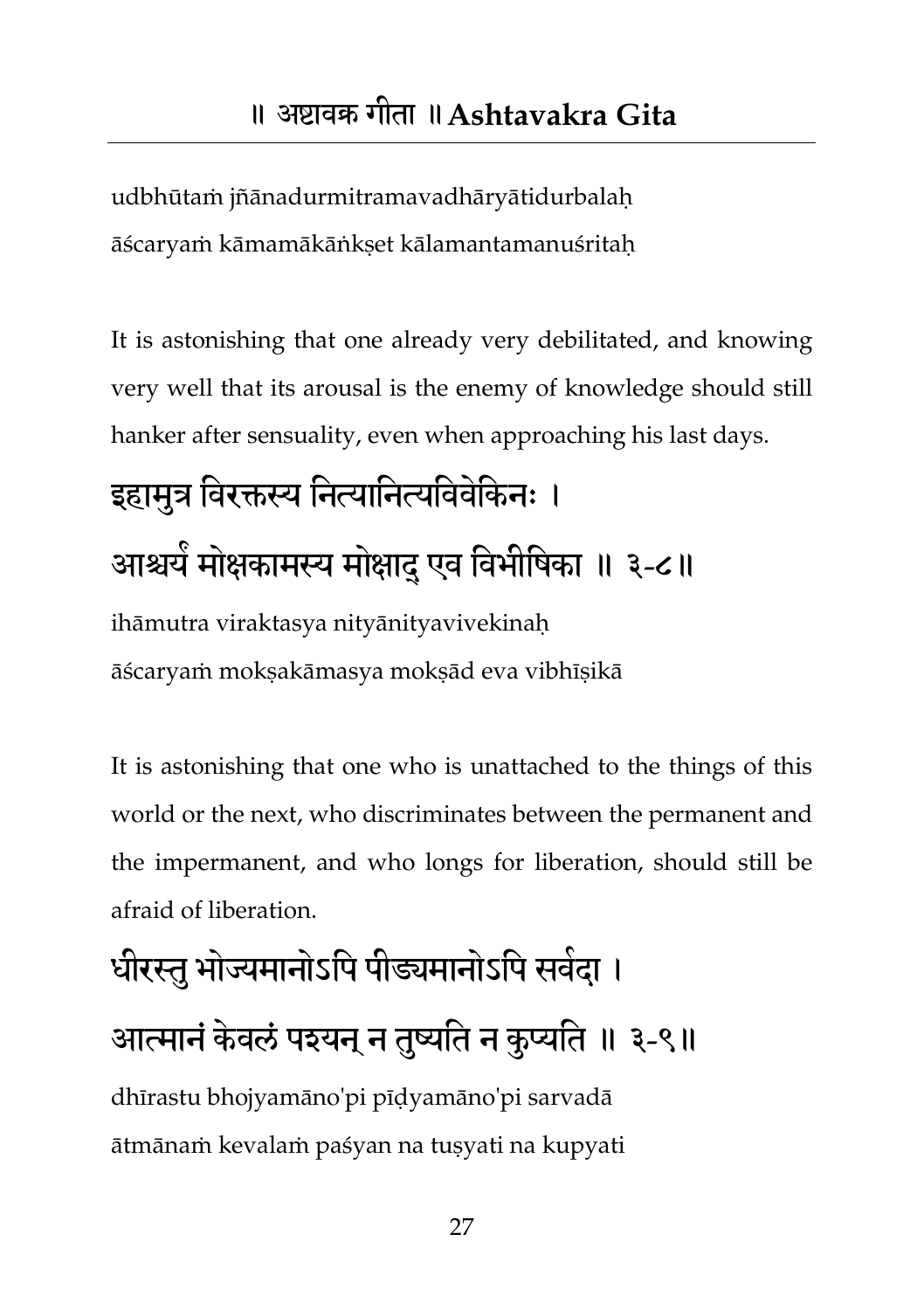udbhūtaṁ jñānadurmitramavadhāryātidurbalaḥ āścaryaṁ kāmamākāṅkṣet kālamantamanuśritaḥ

It is astonishing that one already very debilitated, and knowing very well that its arousal is the enemy of knowledge should still hanker after sensuality, even when approaching his last days.

## इहामुत्र विरक्तस्य नित्यानित्यविवेकिनः । आश्चर्य मोक्षकामस्य मोक्षाद् एव विभीषिका ॥ ३-८॥ ihāmutra viraktasya nityānityavivekinaḥ āścaryaṁ mokṣakāmasya mokṣād eva vibhīṣikā

It is astonishing that one who is unattached to the things of this world or the next, who discriminates between the permanent and the impermanent, and who longs for liberation, should still be afraid of liberation.

# धीरस्तु भोज्यमानोऽपि पीड्यमानोऽपि सवेदा । आत्मानं केवलं पश्यन् न तुष्यति न कुप्यति ॥ ३-९॥

dhīrastu bhojyamāno'pi pīḍyamāno'pi sarvadā ātmānaṁ kevalaṁ paśyan na tuṣyati na kupyati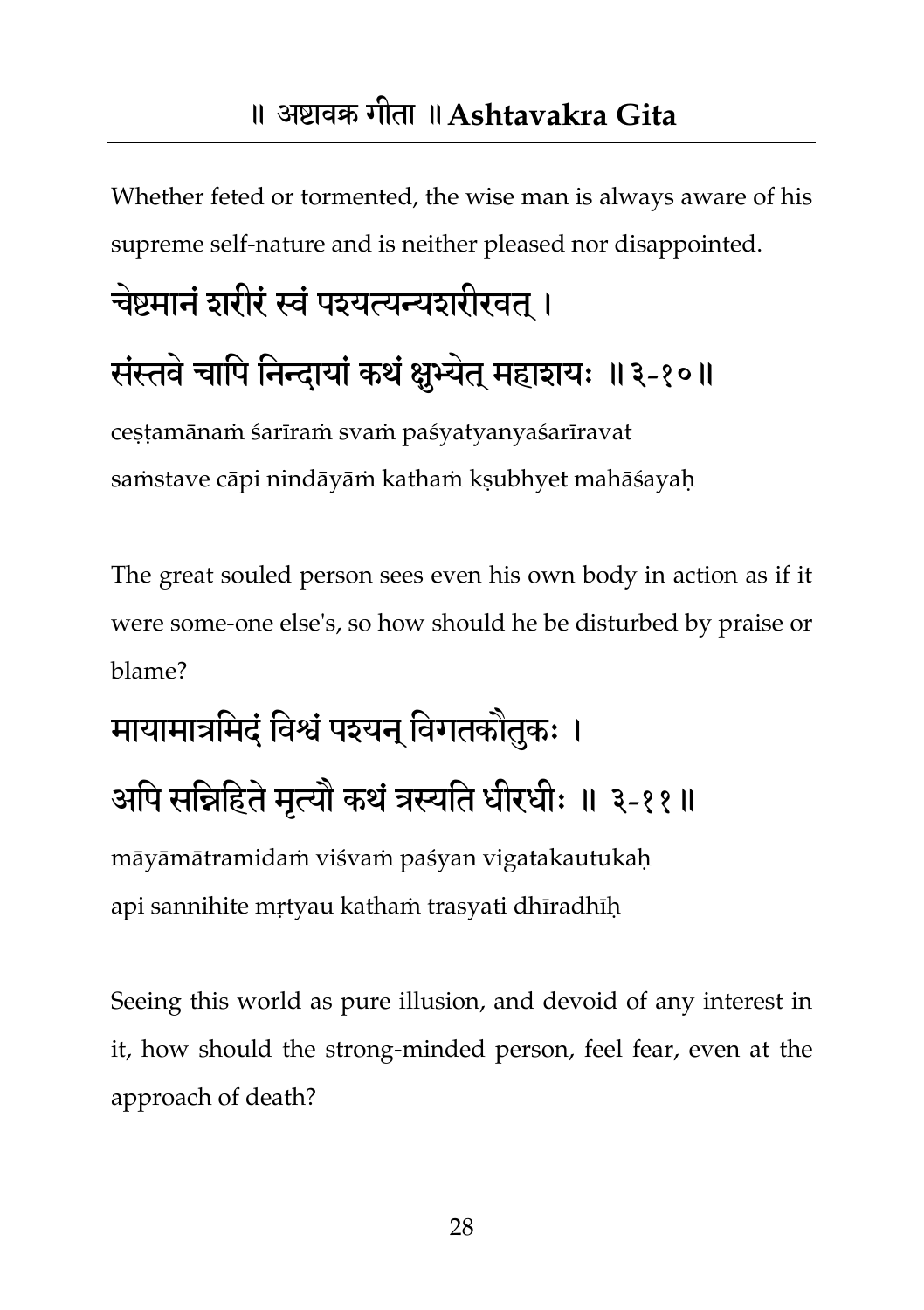Whether feted or tormented, the wise man is always aware of his supreme self-nature and is neither pleased nor disappointed.

# चेष्टमानं शरीरं स्वं पश्यत्यन्यशरीरवत । संस्तवे चापि निन्दायां कथं क्षुभ्येत् महाशयः ॥३-१०॥

cestamānam śarīram svam paśyatyanyaśarīravat saṁstave cāpi nindāyāṁ kathaṁ kṣubhyet mahāśayaḥ

The great souled person sees even his own body in action as if it were some-one else's, so how should he be disturbed by praise or blame?

# मायामात्रमिदं विश्वं पश्यन् विगतकौतुकः । अपि सन्निहिते मृत्यौ कथं त्रस्यति धीरधीः ॥ ३-११॥

māyāmātramidaṁ viśvaṁ paśyan vigatakautukaḥ api sannihite mṛtyau kathaṁ trasyati dhīradhīḥ

Seeing this world as pure illusion, and devoid of any interest in it, how should the strong-minded person, feel fear, even at the approach of death?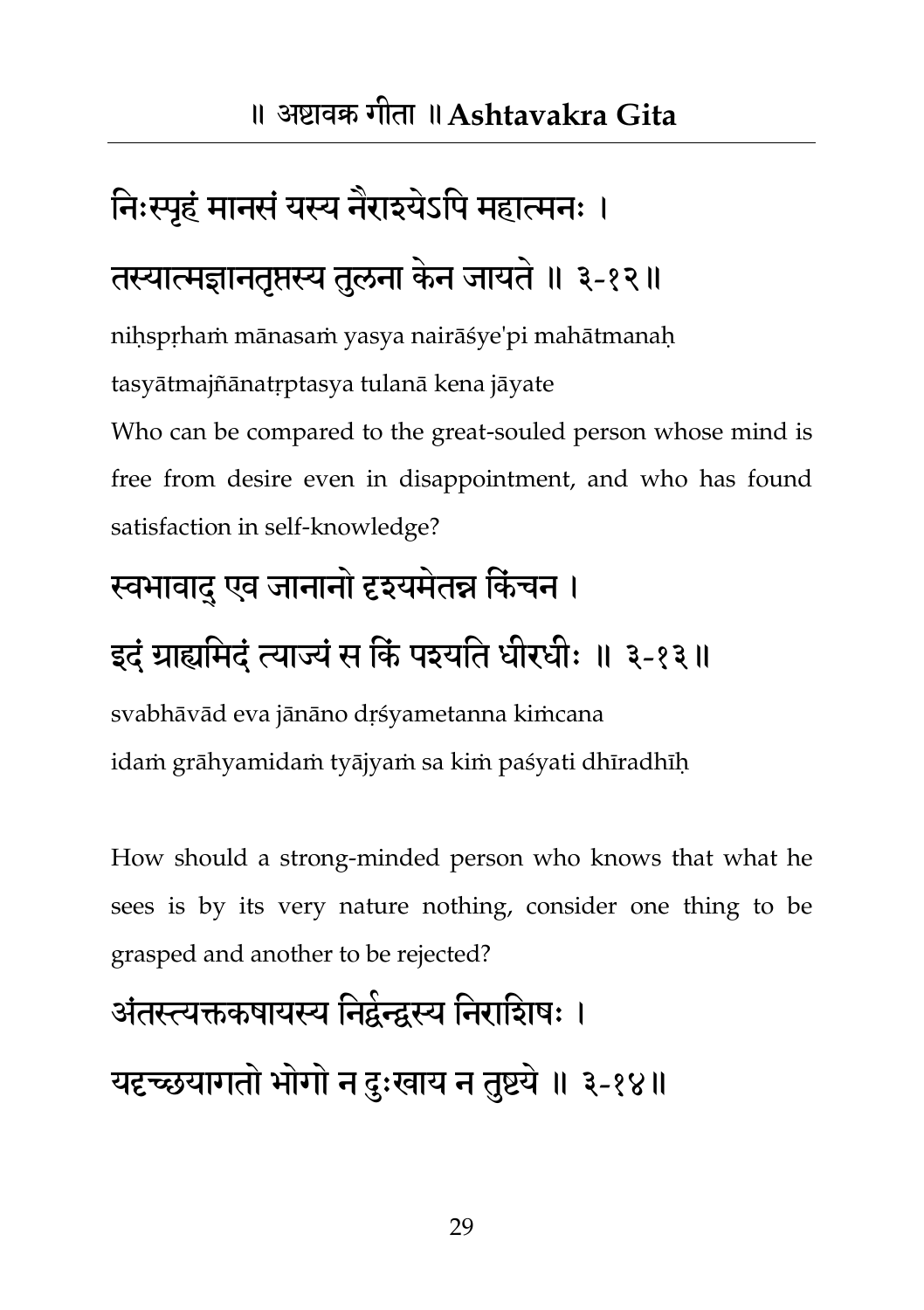#### निःस्पृहं मानसं यस्य नैराइयेऽपि महात्मनः ।

#### तस्यात्मज्ञानतृप्तस्य तुलना केन जायते ॥ ३-१२॥

niḥspṛhaṁ mānasaṁ yasya nairāśye'pi mahātmanaḥ tasyātmajñānatṛptasya tulanā kena jāyate Who can be compared to the great-souled person whose mind is free from desire even in disappointment, and who has found satisfaction in self-knowledge?

#### स्वभावादु एव जानानो दृश्यमेतन्न किंचन ।

#### इदं ग्राह्यमिदं त्याज्यं स किं पश्यति धीरधीः ॥ ३-१३॥

svabhāvād eva jānāno dṛśyametanna kiṁcana idaṁ grāhyamidaṁ tyājyaṁ sa kiṁ paśyati dhīradhīḥ

How should a strong-minded person who knows that what he sees is by its very nature nothing, consider one thing to be grasped and another to be rejected?

# अंतस्त्यक्तकषायस्य निद्वेन्द्वस्य निराशिषः । यदृच्छयागतो भोगो न दुःखाय न तुष्टये ॥ ३-१४॥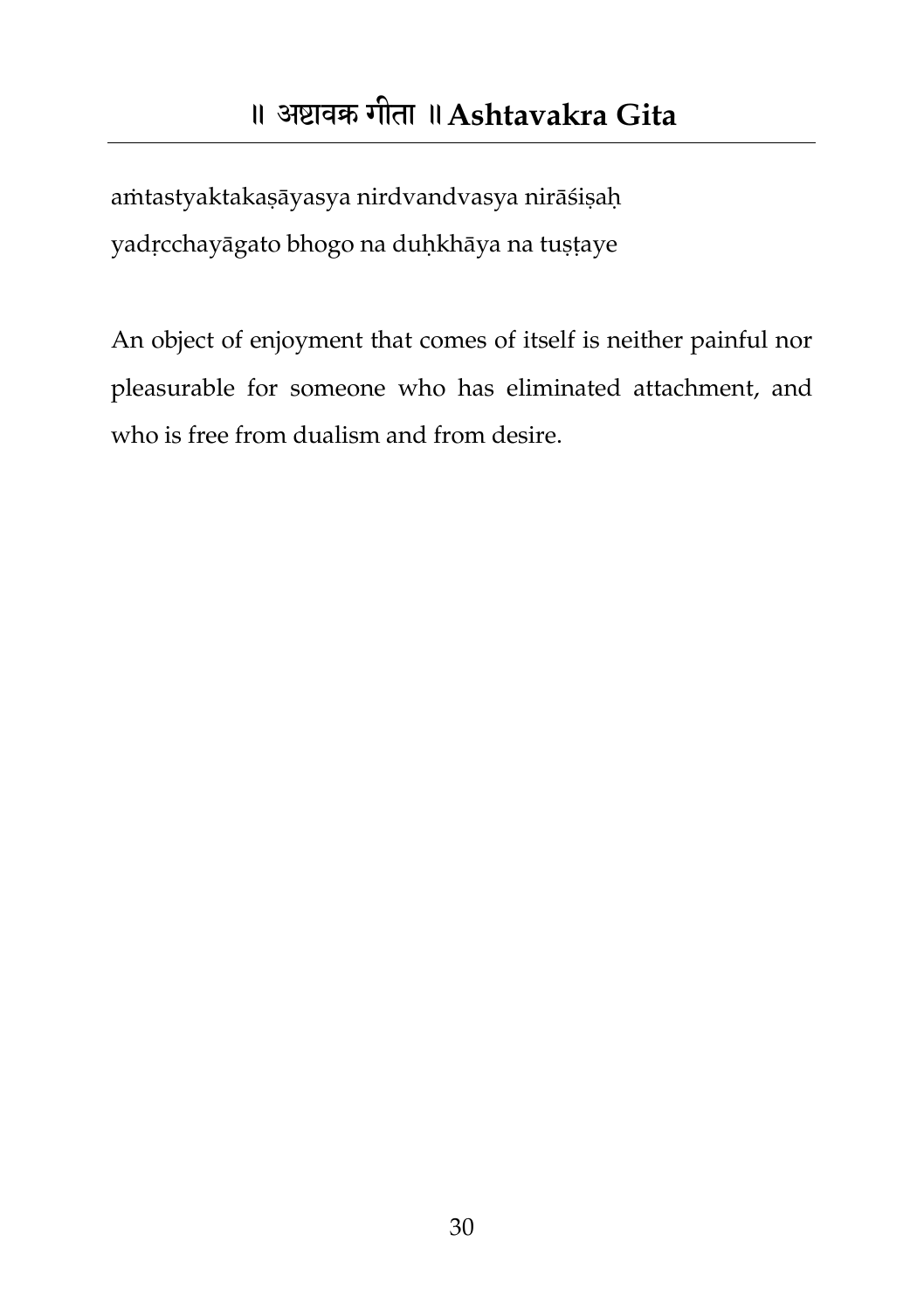<span id="page-30-0"></span>aṁtastyaktakaṣāyasya nirdvandvasya nirāśiṣaḥ yadṛcchayāgato bhogo na duḥkhāya na tuṣṭaye

An object of enjoyment that comes of itself is neither painful nor pleasurable for someone who has eliminated attachment, and who is free from dualism and from desire.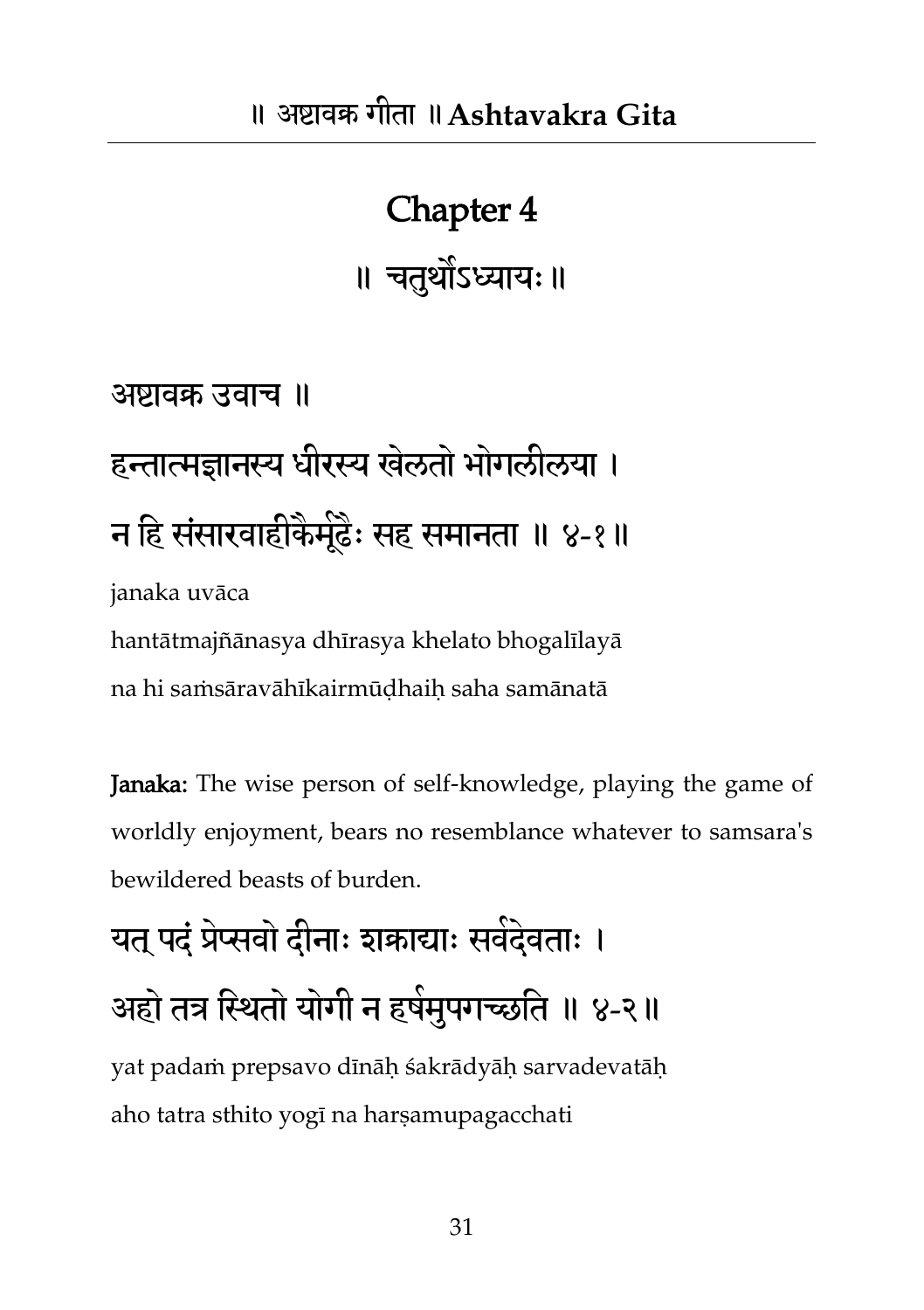## Chapter 4 ॥ चतथुोऽध्याम्॥

### अष्टावक्र उवाच ॥ हन्तात्मज्ञानस्य धीरस्य खेलतो भोगलीलया । न हि संसारवाहीकेमूंढैः सह समानता ॥ ४-१॥ janaka uvāca hantātmajñānasya dhīrasya khelato bhogalīlayā na hi saṁsāravāhīkairmūḍhaiḥ saha samānatā

Janaka: The wise person of self-knowledge, playing the game of worldly enjoyment, bears no resemblance whatever to samsara's bewildered beasts of burden.

## यत् पदं प्रेप्सवो दीनाः शकाद्याः सवेदेवताः । अहो तत्र स्थितो योगी न हर्षमुपगच्छति ॥ ४-२॥ yat padaṁ prepsavo dīnāḥ śakrādyāḥ sarvadevatāḥ aho tatra sthito yogī na harṣamupagacchati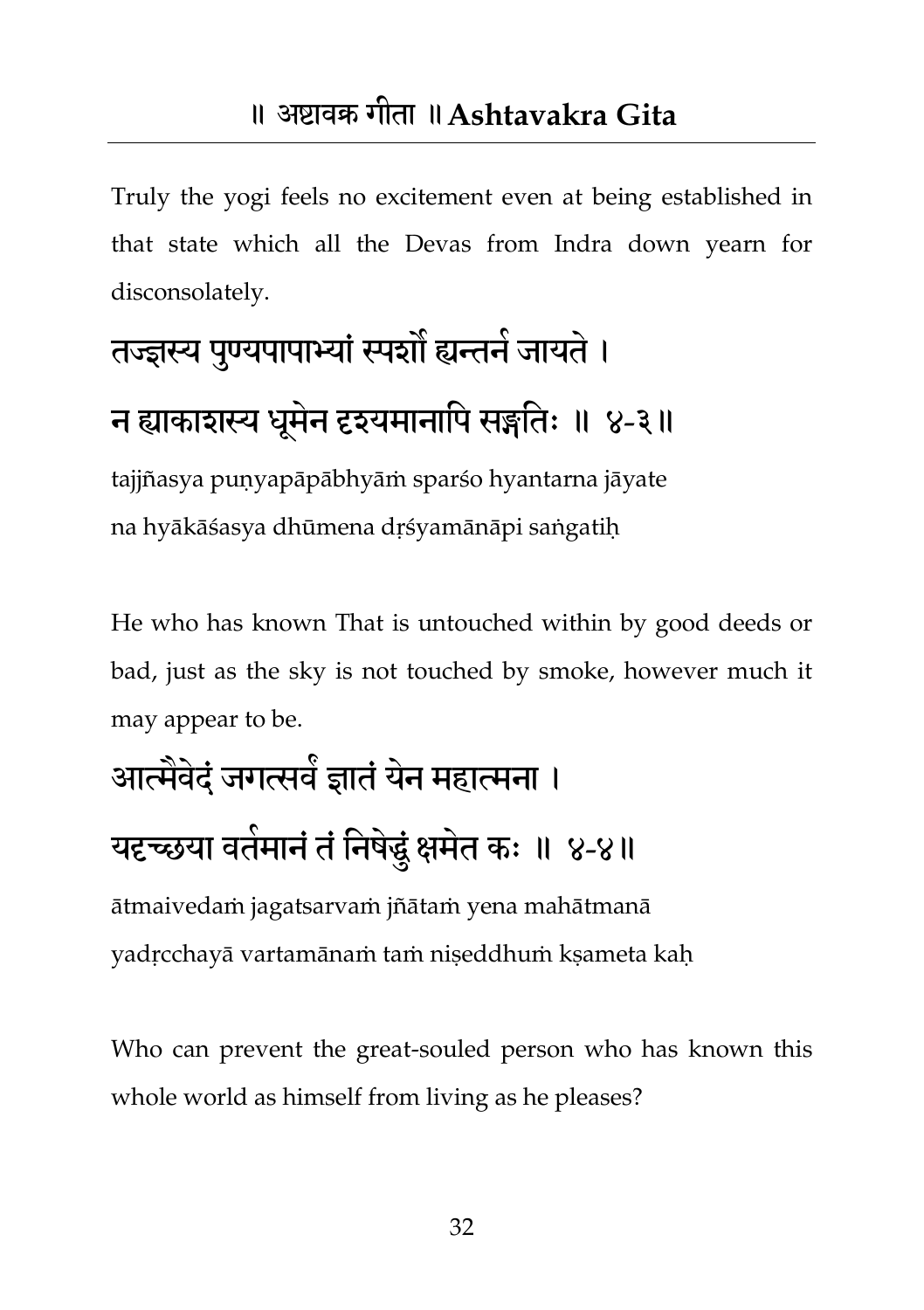Truly the yogi feels no excitement even at being established in that state which all the Devas from Indra down yearn for disconsolately.

## तज्ज्ञस्य पुण्यपापाभ्यां स्पन्नौ ह्यन्तने जायते । न ह्याकाशस्य धूमेन दृश्यमानापि सङ्गतिः ॥ ४-३॥

tajjñasya puṇyapāpābhyāṁ sparśo hyantarna jāyate na hyākāśasya dhūmena dṛśyamānāpi saṅgatiḥ

He who has known That is untouched within by good deeds or bad, just as the sky is not touched by smoke, however much it may appear to be.

## आत्मेवेदं जगत्सवे ज्ञातं येन महात्मना । यदृच्छया वर्तमानं तं निषेर्द्धुं क्षमेत कः ॥ ४-४॥

ātmaivedaṁ jagatsarvaṁ jñātaṁ yena mahātmanā yadṛcchayā vartamānaṁ taṁ niṣeddhuṁ kṣameta kaḥ

Who can prevent the great-souled person who has known this whole world as himself from living as he pleases?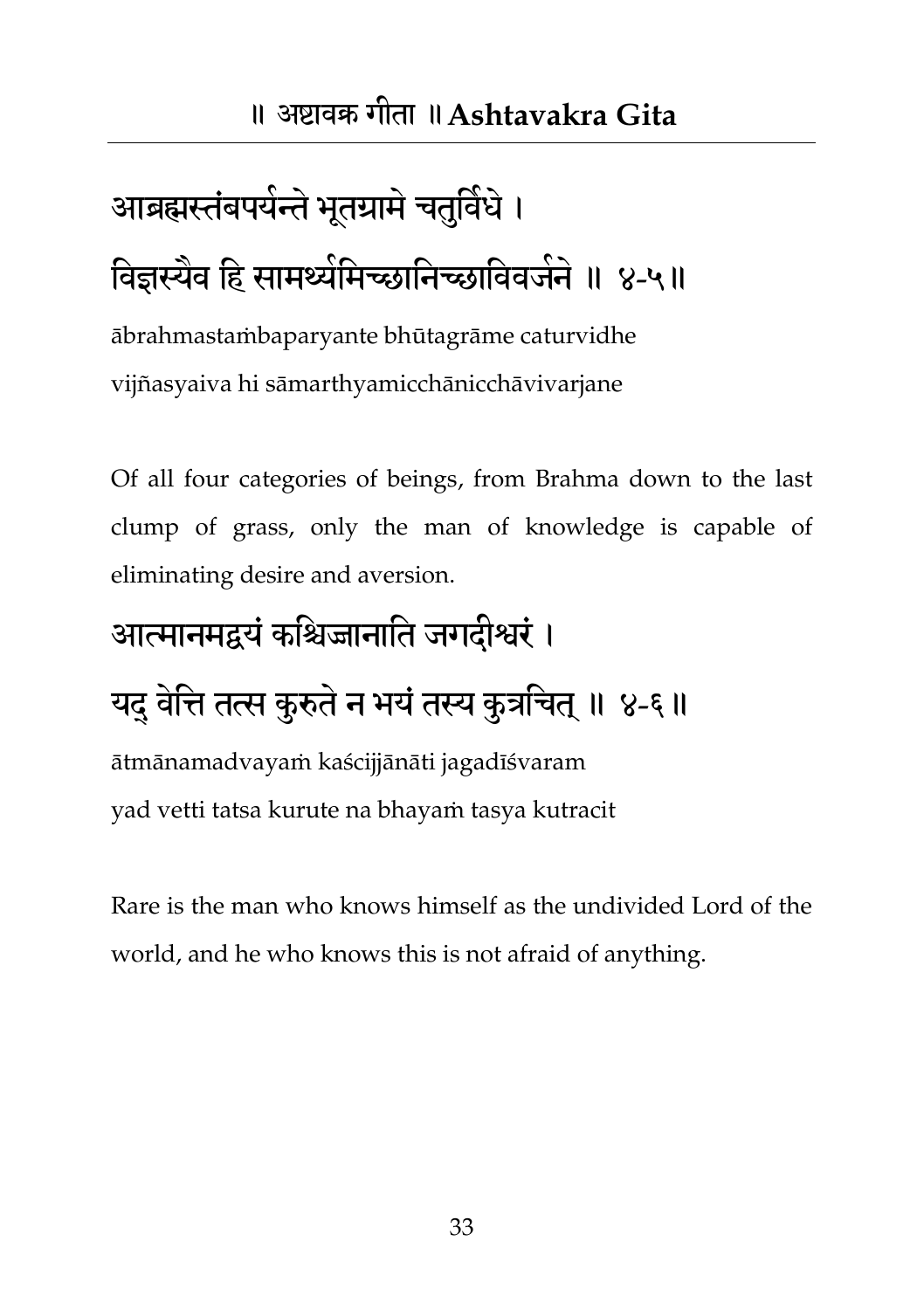# <span id="page-33-0"></span>आब्रह्मस्तंबपयेन्ते भूतग्रामे चतुर्विधे । विज्ञस्यैव हि सामर्थ्यमिच्छानिच्छाविवजनं ॥ ४-५॥

ābrahmastaṁbaparyante bhūtagrāme caturvidhe vijñasyaiva hi sāmarthyamicchānicchāvivarjane

Of all four categories of beings, from Brahma down to the last clump of grass, only the man of knowledge is capable of eliminating desire and aversion.

#### आत्मानभद्वमंकतश्चज्जानातत जगदीश्वयं ।

### यदु वेत्ति तत्स कुरुते न भयं तस्य कुत्रचित् ॥ ४-६॥

ātmānamadvayaṁ kaścijjānāti jagadīśvaram yad vetti tatsa kurute na bhayaṁ tasya kutracit

Rare is the man who knows himself as the undivided Lord of the world, and he who knows this is not afraid of anything.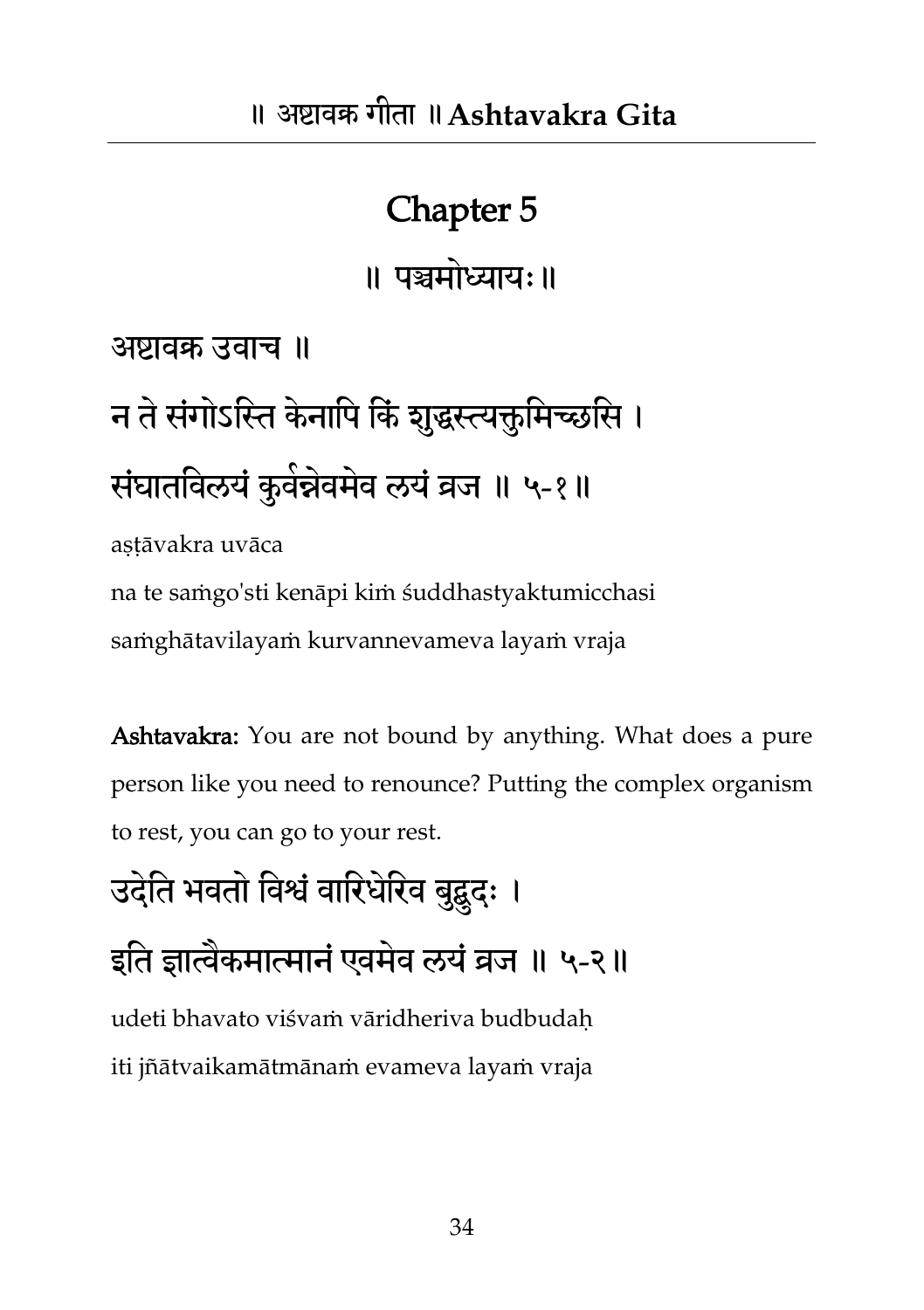#### Chapter 5

॥ पञ्चमोध्याय:॥

अष्टावक्र उवाच ॥

# न ते संगोऽस्ति केनापि किं शुद्धस्त्यक्तुमिच्छसि । संघातविलयं कुवंन्नेवमेव लयं व्रज ॥ ५-१॥

astāvakra uvāca na te saṁgo'sti kenāpi kiṁ śuddhastyaktumicchasi saṁghātavilayaṁ kurvannevameva layaṁ vraja

Ashtavakra: You are not bound by anything. What does a pure person like you need to renounce? Putting the complex organism to rest, you can go to your rest.

## उदेति भवतो विश्वं वारिधेरिव बुद्बुदः । इति ज्ञात्वैकमात्मानं एवमेव लयं व्रज ॥ ५-२॥ udeti bhavato viśvaṁ vāridheriva budbudaḥ iti jñātvaikamātmānaṁ evameva layaṁ vraja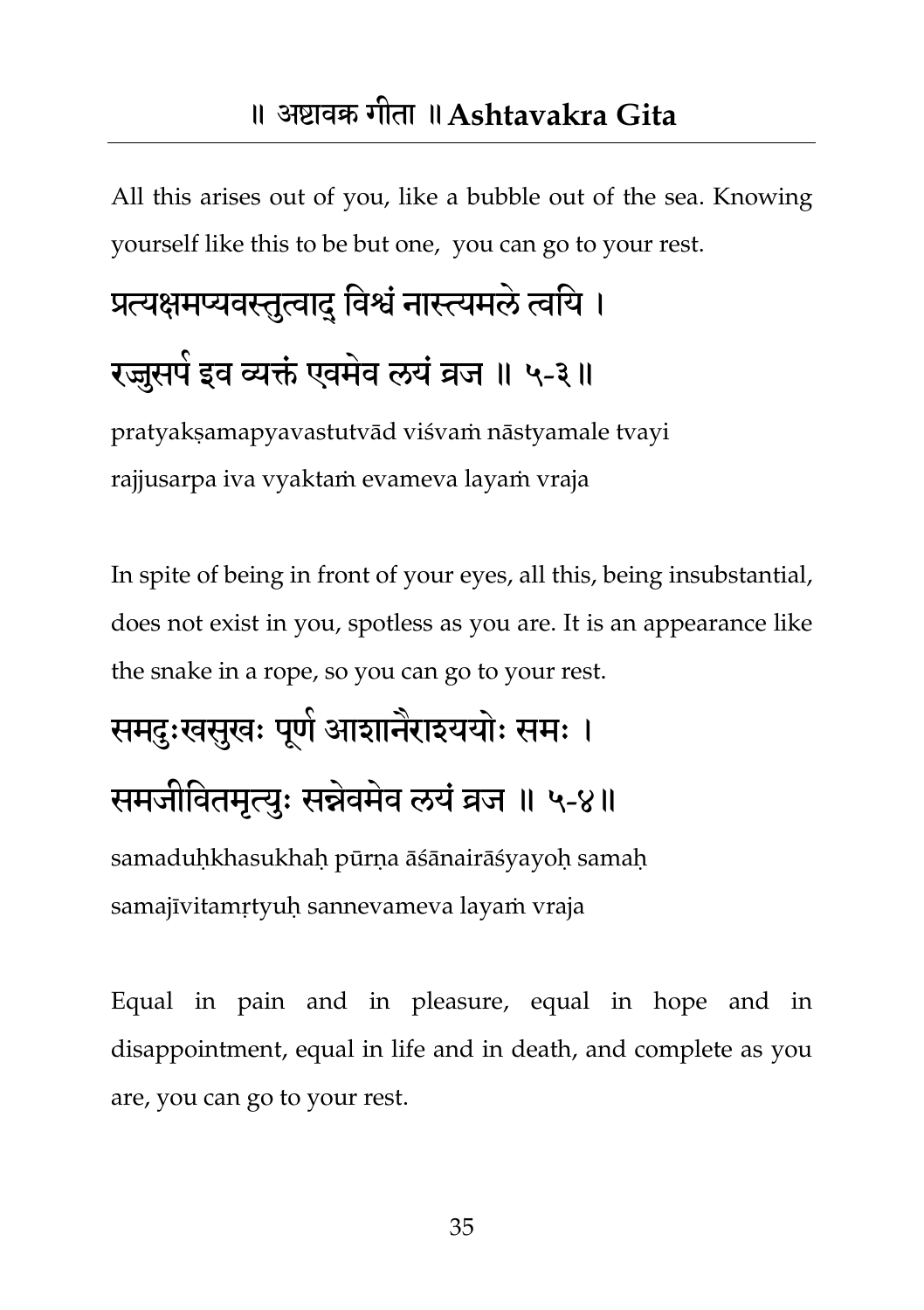#### ॥ अष्टावक्र गीता ॥**Ashtavakra Gita**

<span id="page-35-0"></span>All this arises out of you, like a bubble out of the sea. Knowing yourself like this to be but one, you can go to your rest.

## प्रत्यक्षमप्यवस्तुत्वादु विश्वं नास्त्यमले त्वयि । रज्जुसपे इव व्यक्तं एवमेव लयं व्रज ॥ ५-३॥

pratyakṣamapyavastutvād viśvaṁ nāstyamale tvayi rajjusarpa iva vyaktaṁ evameva layaṁ vraja

In spite of being in front of your eyes, all this, being insubstantial, does not exist in you, spotless as you are. It is an appearance like the snake in a rope, so you can go to your rest.

### समदुःखसुखः पूर्ण आशानैराश्ययोः समः । समजीवितमृत्युः सन्नेवमेव लयं व्रज ॥ ५-४॥ samaduḥkhasukhaḥ pūrṇa āśānairāśyayoḥ samaḥ samajīvitamṛtyuḥ sannevameva layaṁ vraja

Equal in pain and in pleasure, equal in hope and in disappointment, equal in life and in death, and complete as you are, you can go to your rest.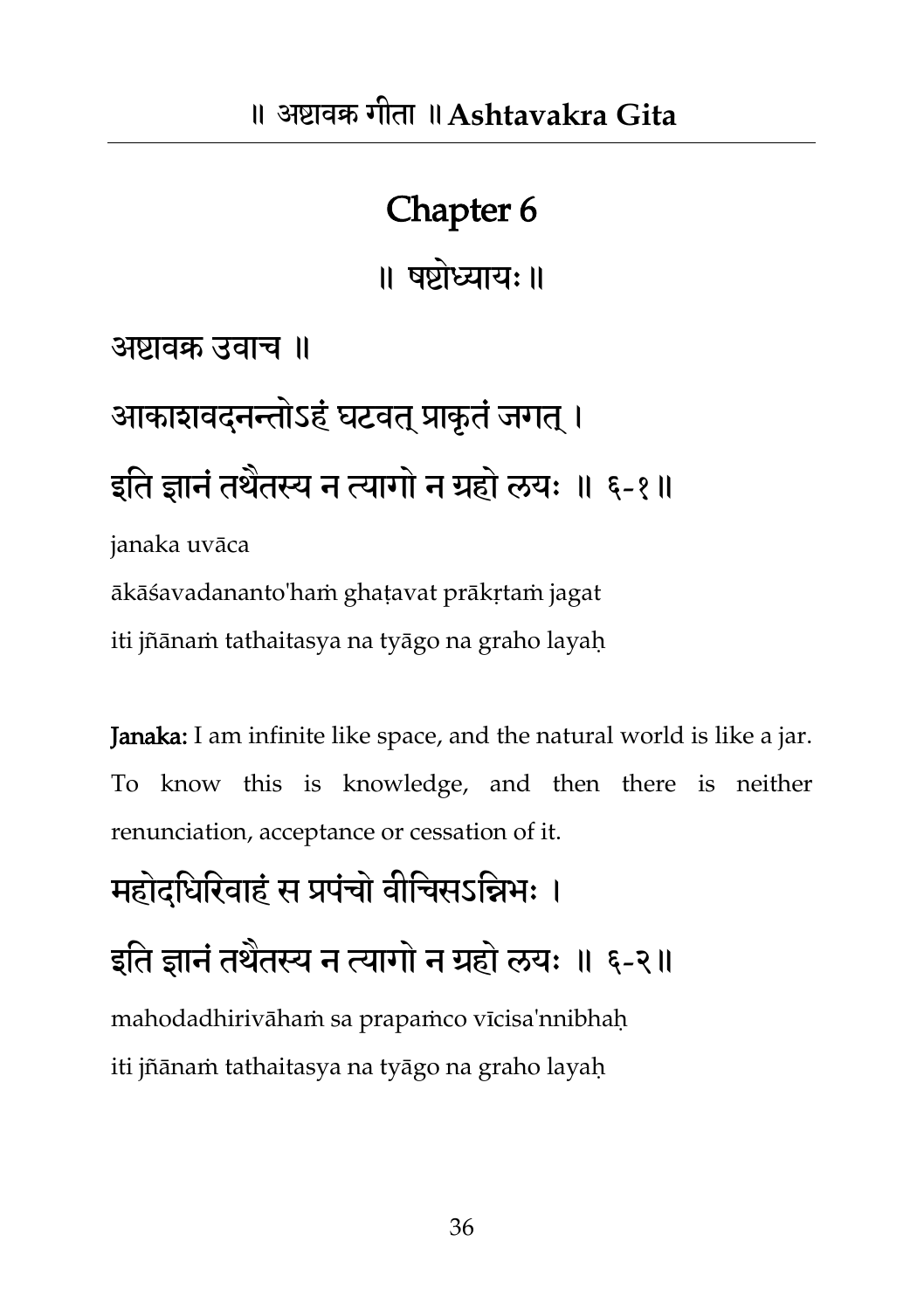॥ षष्टोध्याम्॥

अष्टावक्र उवाच ॥

आकाशवदनन्तोऽहं घटवत् प्राकृतं जगत् । इति ज्ञानं तथैतस्य न त्यागों न ग्रहो लयः ॥ ६-१॥

janaka uvāca

ākāśavadananto'haṁ ghaṭavat prākṛtaṁ jagat

iti jñānaṁ tathaitasya na tyāgo na graho layaḥ

Janaka: I am infinite like space, and the natural world is like a jar. To know this is knowledge, and then there is neither renunciation, acceptance or cessation of it.

महोदधिरिवाहं स प्रपंचो वीचिसऽन्निभः ।

इति ज्ञानं तथैतस्य न त्यागों न ग्रहो लयः ॥ ६-२॥ mahodadhirivāhaṁ sa prapaṁco vīcisa'nnibhaḥ

iti jñānaṁ tathaitasya na tyāgo na graho layaḥ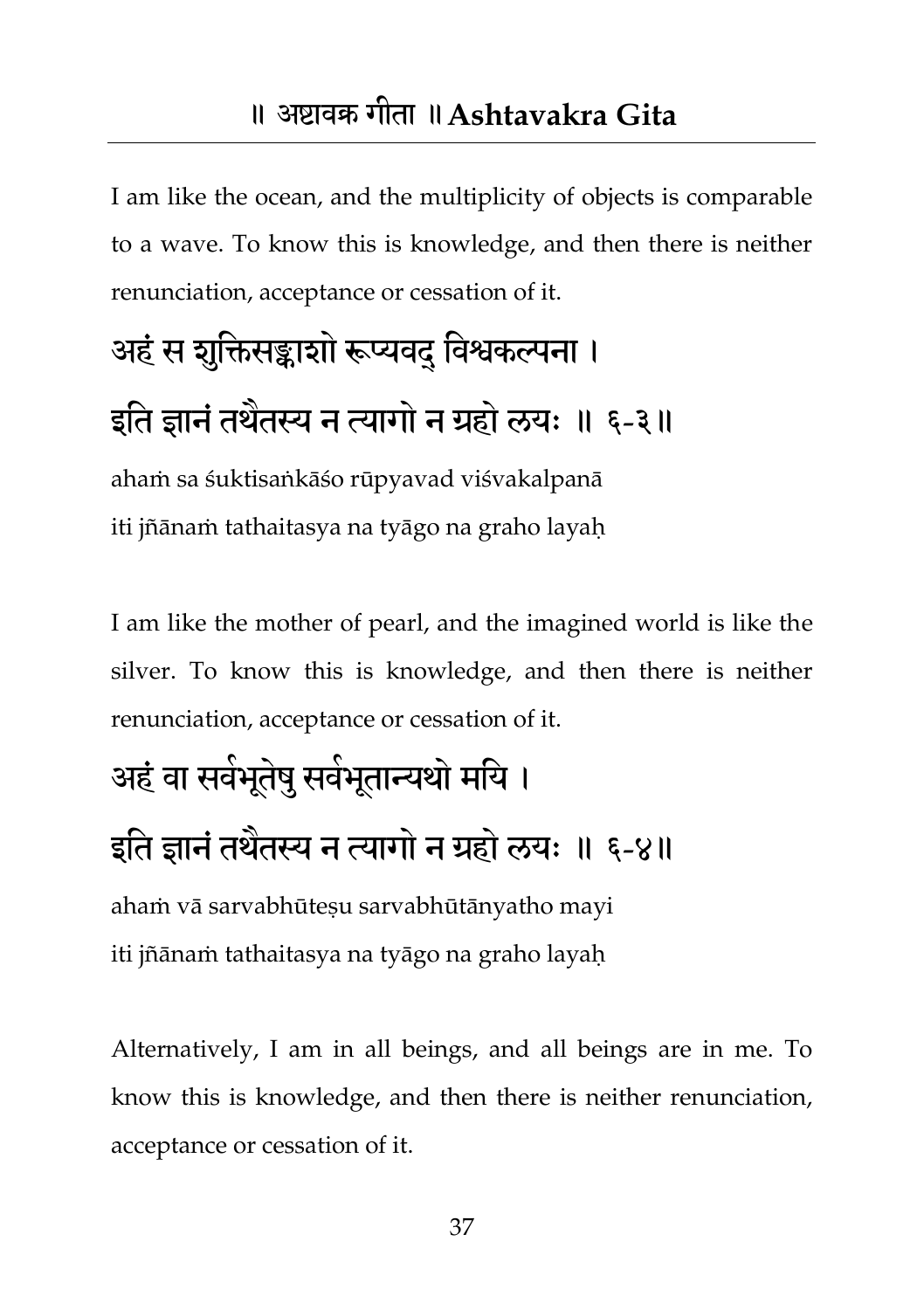#### ॥ अष्टावक्र गीता ॥**Ashtavakra Gita**

I am like the ocean, and the multiplicity of objects is comparable to a wave. To know this is knowledge, and then there is neither renunciation, acceptance or cessation of it.

# अहं स शुक्तिसङ्काशो रूप्यवद विश्वकल्पना । इति ज्ञानं तथैतस्य न त्यागों न ग्रहो लयः ॥ ६-३॥

ahaṁ sa śuktisaṅkāśo rūpyavad viśvakalpanā iti jñānaṁ tathaitasya na tyāgo na graho layaḥ

I am like the mother of pearl, and the imagined world is like the silver. To know this is knowledge, and then there is neither renunciation, acceptance or cessation of it.

## अहं वा सवेभूतेषु सर्वभूतान्यथो मयि । इति ज्ञानं तथैतस्य न त्यागों न ग्रहो लयः ॥ ६-४॥

ahaṁ vā sarvabhūteṣu sarvabhūtānyatho mayi iti jñānaṁ tathaitasya na tyāgo na graho layaḥ

Alternatively, I am in all beings, and all beings are in me. To know this is knowledge, and then there is neither renunciation, acceptance or cessation of it.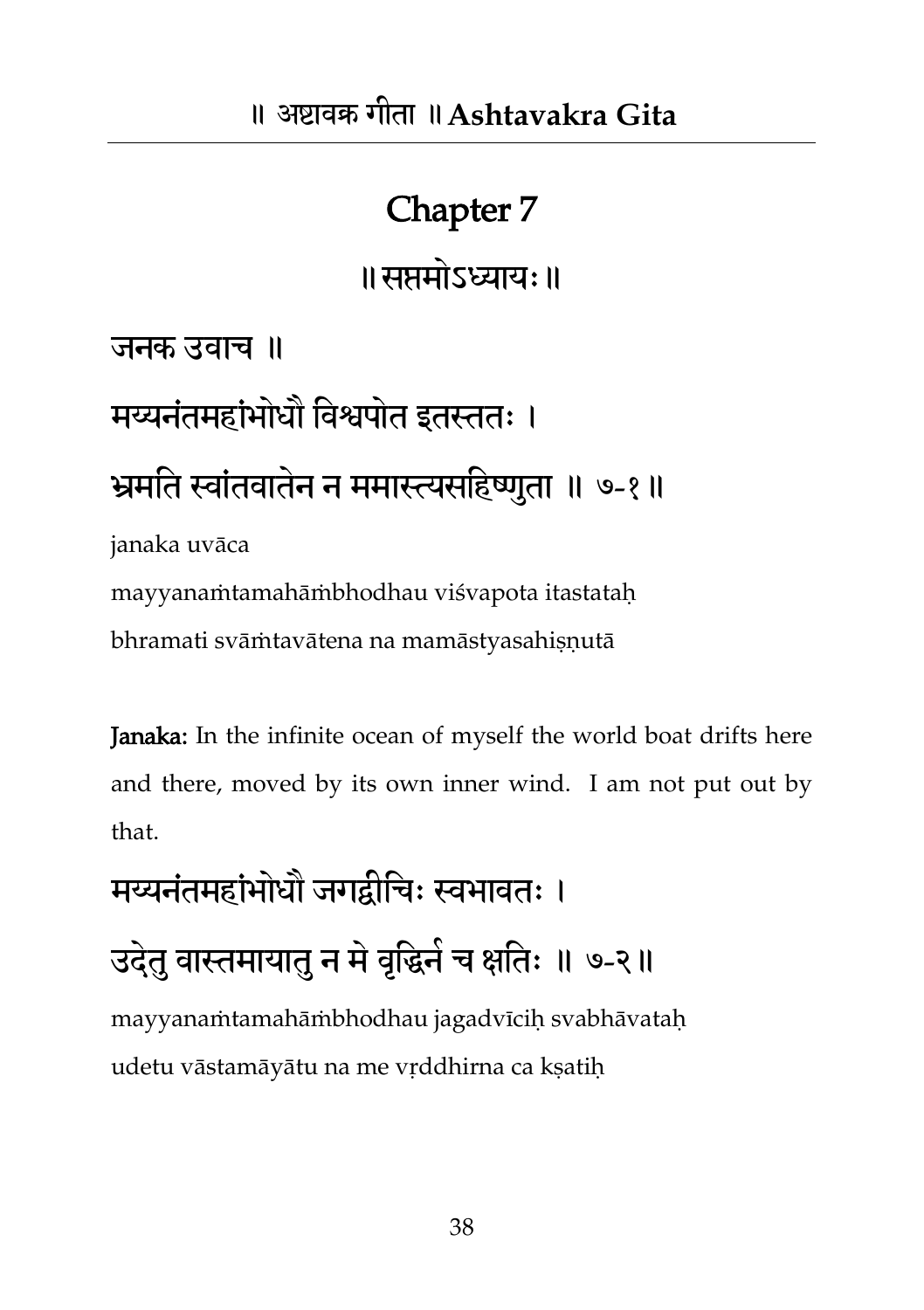॥सप्तभोऽध्याम्॥

जनक उवाच ॥

# मय्यनंतमहांभोधौ विश्वपोत इतस्ततः । भ्रमति स्वांतवातेन न ममास्त्यसहिष्णुता ॥ ७-१॥

janaka uvāca

mayyanaṁtamahāṁbhodhau viśvapota itastataḥ

bhramati svāṁtavātena na mamāstyasahiṣṇutā

Janaka: In the infinite ocean of myself the world boat drifts here and there, moved by its own inner wind. I am not put out by that.

मय्यनंतमहांभोधौ जगद्वीचिः स्वभावतः ।

उदेतु वास्तमायातु न मे वृद्धिने च क्षतिः ॥ ७-२॥

mayyanaṁtamahāṁbhodhau jagadvīcih svabhāvatah udetu vāstamāyātu na me vṛddhirna ca kṣatiḥ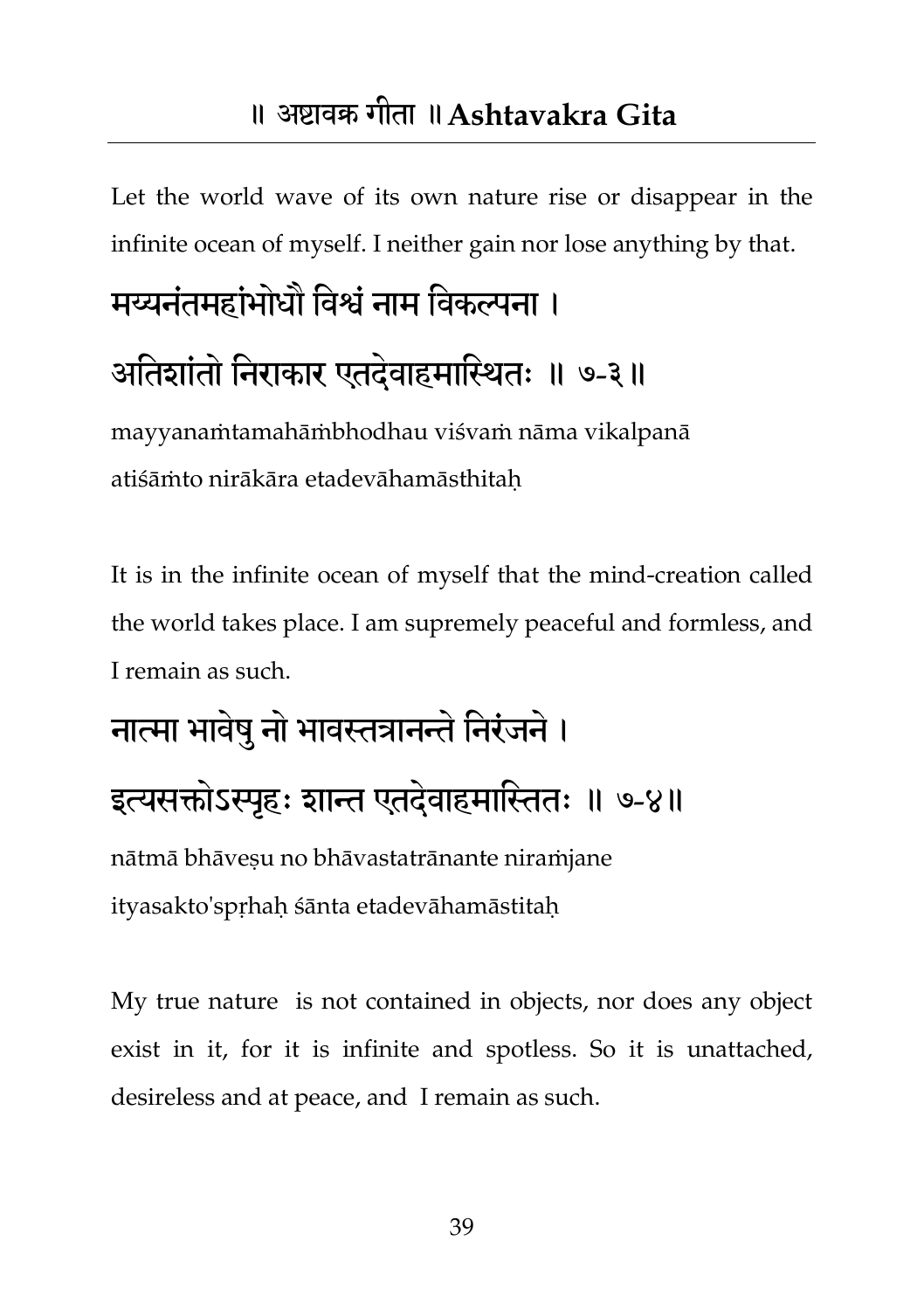Let the world wave of its own nature rise or disappear in the infinite ocean of myself. I neither gain nor lose anything by that.

# मय्यनंतमहांभोधौ विश्वं नाम विकल्पना । अतिशांतो निराकार एतदेवाहमास्थितः ॥ ७-३॥

mayyanaṁtamahāṁbhodhau viśvaṁ nāma vikalpanā atiśāṁto nirākāra etadevāhamāsthitaḥ

It is in the infinite ocean of myself that the mind-creation called the world takes place. I am supremely peaceful and formless, and I remain as such.

## नात्मा भावेषु नो भावस्तत्रानन्ते निरंजने। इत्यसक्तोऽस्पृहः शान्त एतदेवाहमास्तितः ॥ ७-४॥ nātmā bhāveṣu no bhāvastatrānante niraṁjane ityasakto'spṛhaḥ śānta etadevāhamāstitaḥ

My true nature is not contained in objects, nor does any object exist in it, for it is infinite and spotless. So it is unattached, desireless and at peace, and I remain as such.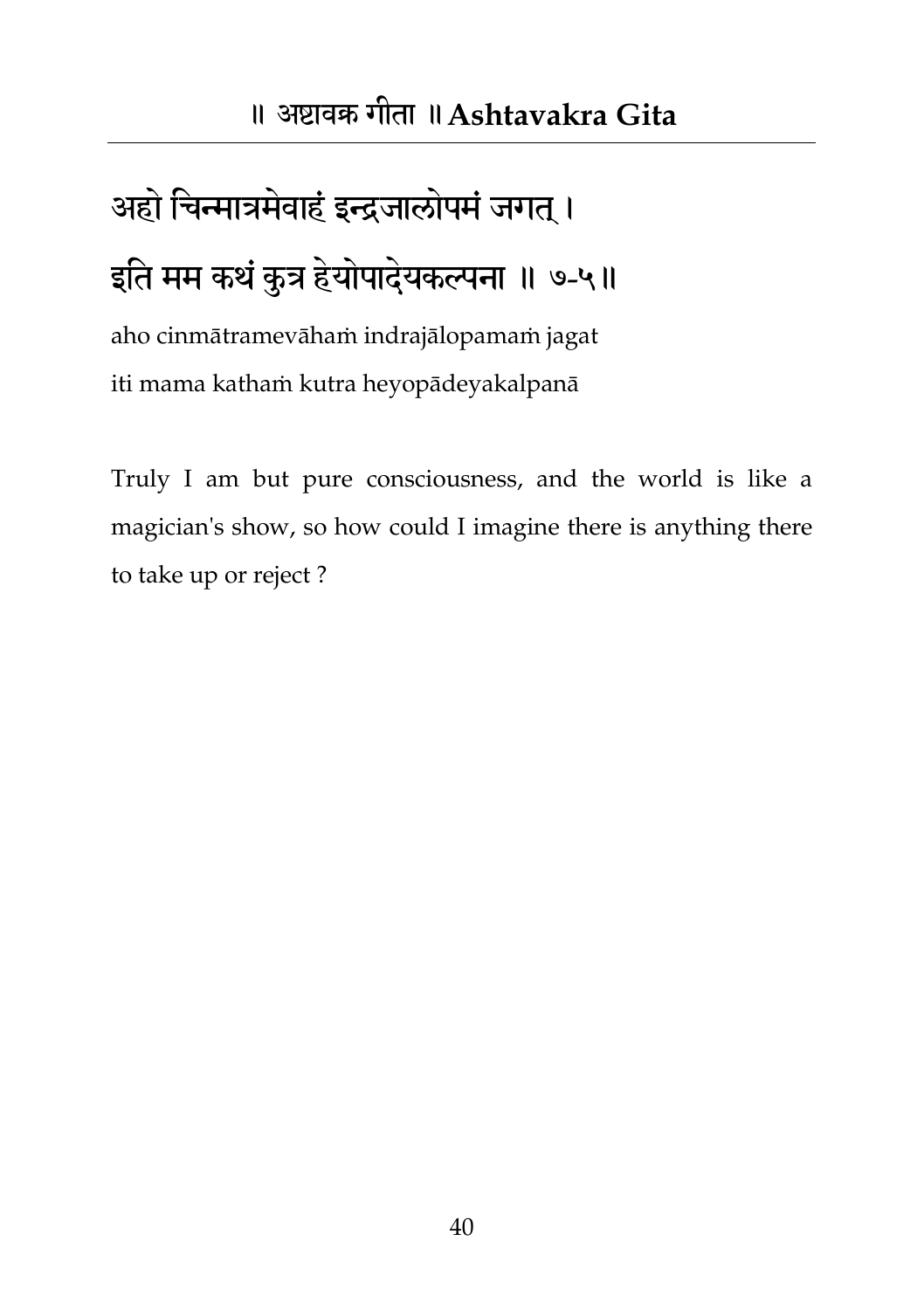## अहो चिन्मात्रमेवाहं इन्द्रजालोपमं जगत् । इति मम कथं कुत्र हेयोपादेयकल्पना ॥ ७-५॥

aho cinmātramevāhaṁ indrajālopamaṁ jagat iti mama kathaṁ kutra heyopādeyakalpanā

Truly I am but pure consciousness, and the world is like a magician's show, so how could I imagine there is anything there to take up or reject ?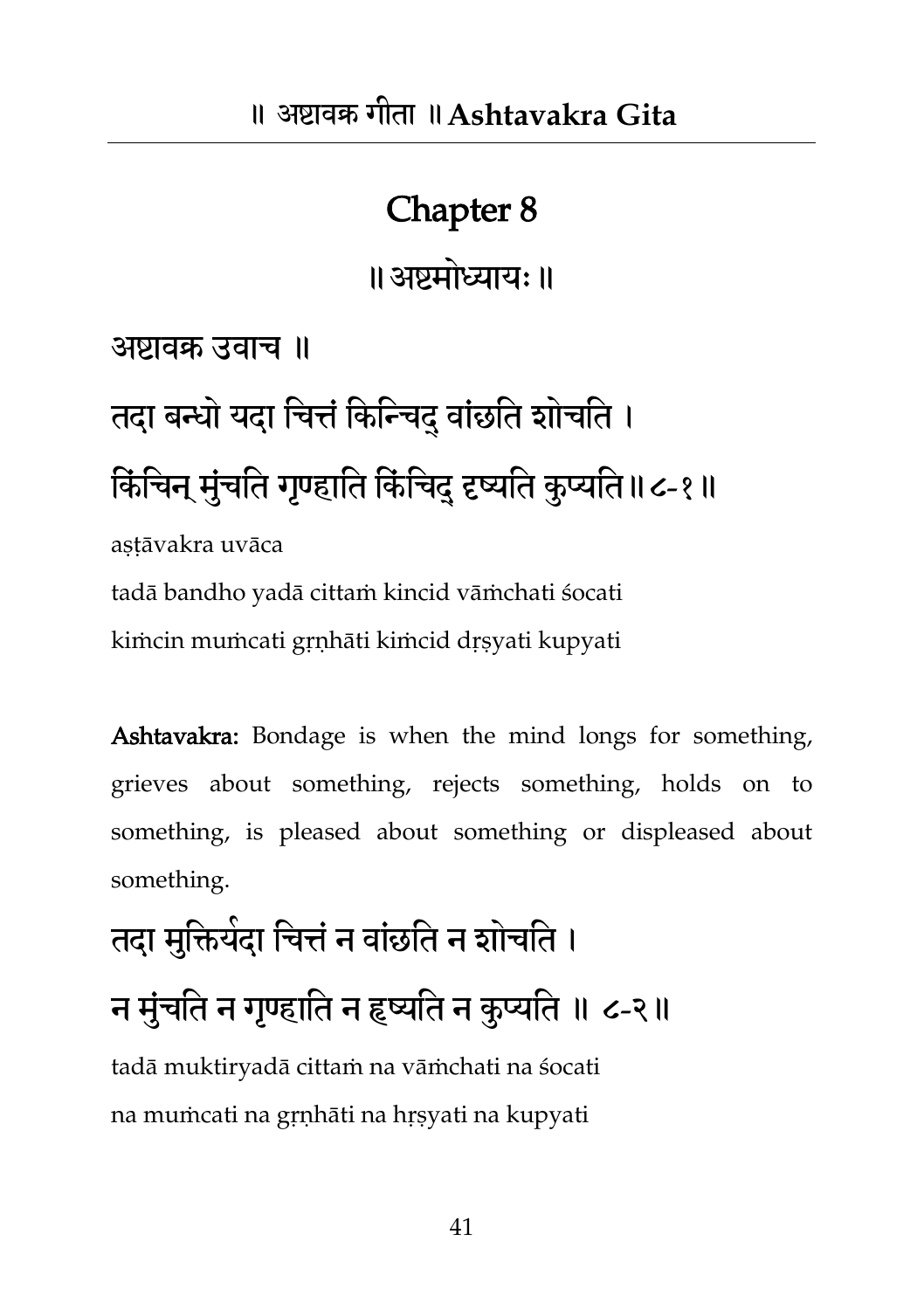॥अष्टभोध्याम्॥

अष्टावक्र उवाच ॥

## तदा बन्धो यदा चित्तं किन्चिदु वांछति शोचति । किंचिन् मुंचति गृण्हाति किंचिदु दृष्यति कुप्यति॥८-१॥ astāvakra uvāca

tadā bandho yadā cittaṁ kincid vāṁchati śocati kiṁcin muṁcati gṛṇhāti kiṁcid dṛṣyati kupyati

Ashtavakra: Bondage is when the mind longs for something, grieves about something, rejects something, holds on to something, is pleased about something or displeased about something.

## तदा मुक्तियेदा चित्तं न वांछति न शोचति । न मुंचति न गृण्हाति न हृष्यति न कुप्यति ॥ ८-२॥ tadā muktiryadā cittaṁ na vāṁchati na śocati

na muṁcati na gṛṇhāti na hṛṣyati na kupyati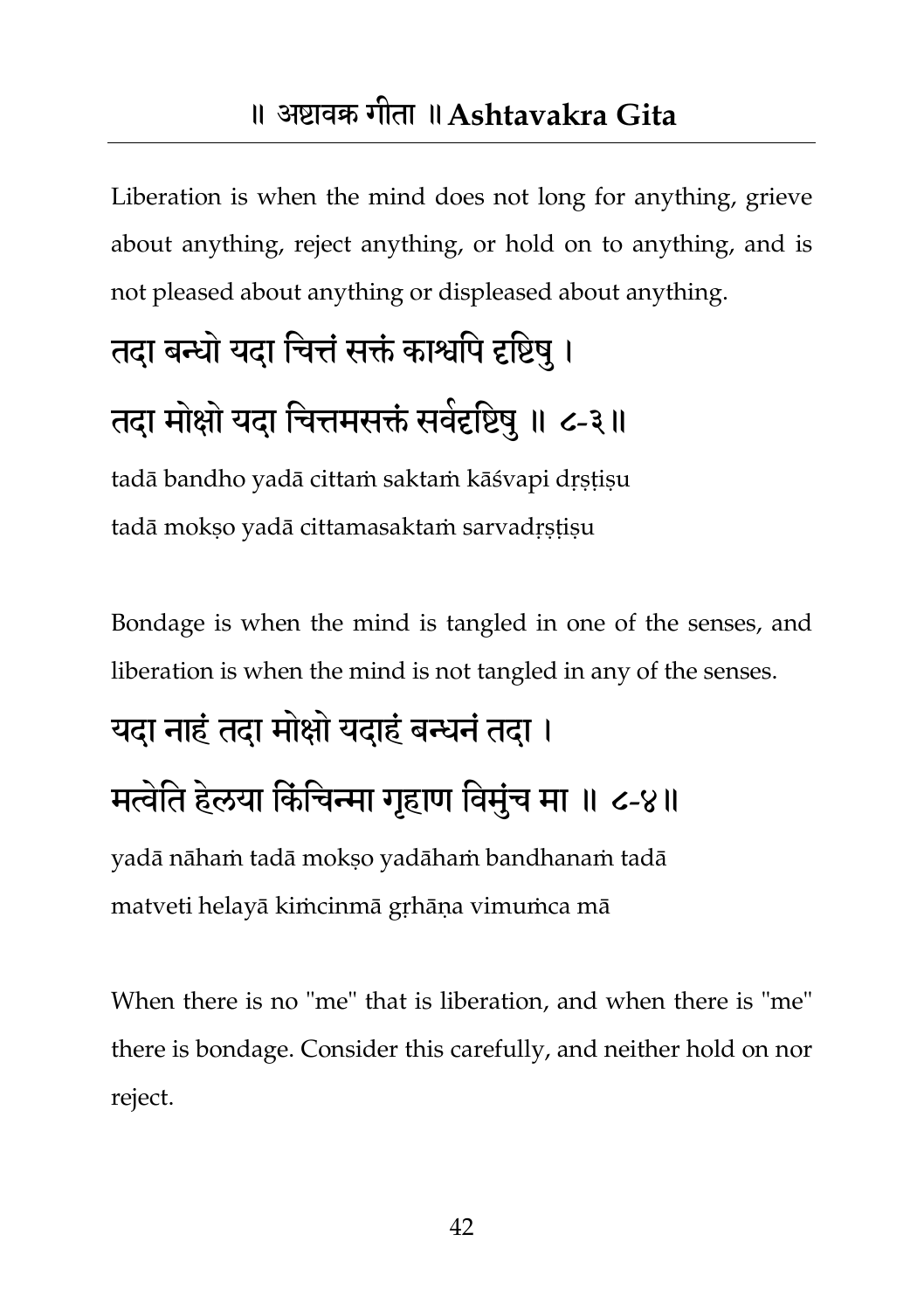Liberation is when the mind does not long for anything, grieve about anything, reject anything, or hold on to anything, and is not pleased about anything or displeased about anything.

### तदा बन्धो यदा चित्तं सक्तं काश्वपि दृष्टिषु ।

## तदा मोक्षो यदा चित्तमसक्तं सर्वदृष्टिषु ॥ ८-३॥

tadā bandho yadā cittaṁ saktaṁ kāśvapi dṛṣṭiṣu tadā mokso yadā cittamasaktam sarvadrstisu

Bondage is when the mind is tangled in one of the senses, and liberation is when the mind is not tangled in any of the senses.

### यदा नाहं तदा मोक्षो यदाहं बन्धनं तदा ।

### मत्वेति हेलया किंचिन्मा गृहाण विमुंच मा ॥ ८-४॥

yadā nāhaṁ tadā mokṣo yadāhaṁ bandhanaṁ tadā matveti helayā kiṁcinmā gṛhāṇa vimuṁca mā

When there is no "me" that is liberation, and when there is "me" there is bondage. Consider this carefully, and neither hold on nor reject.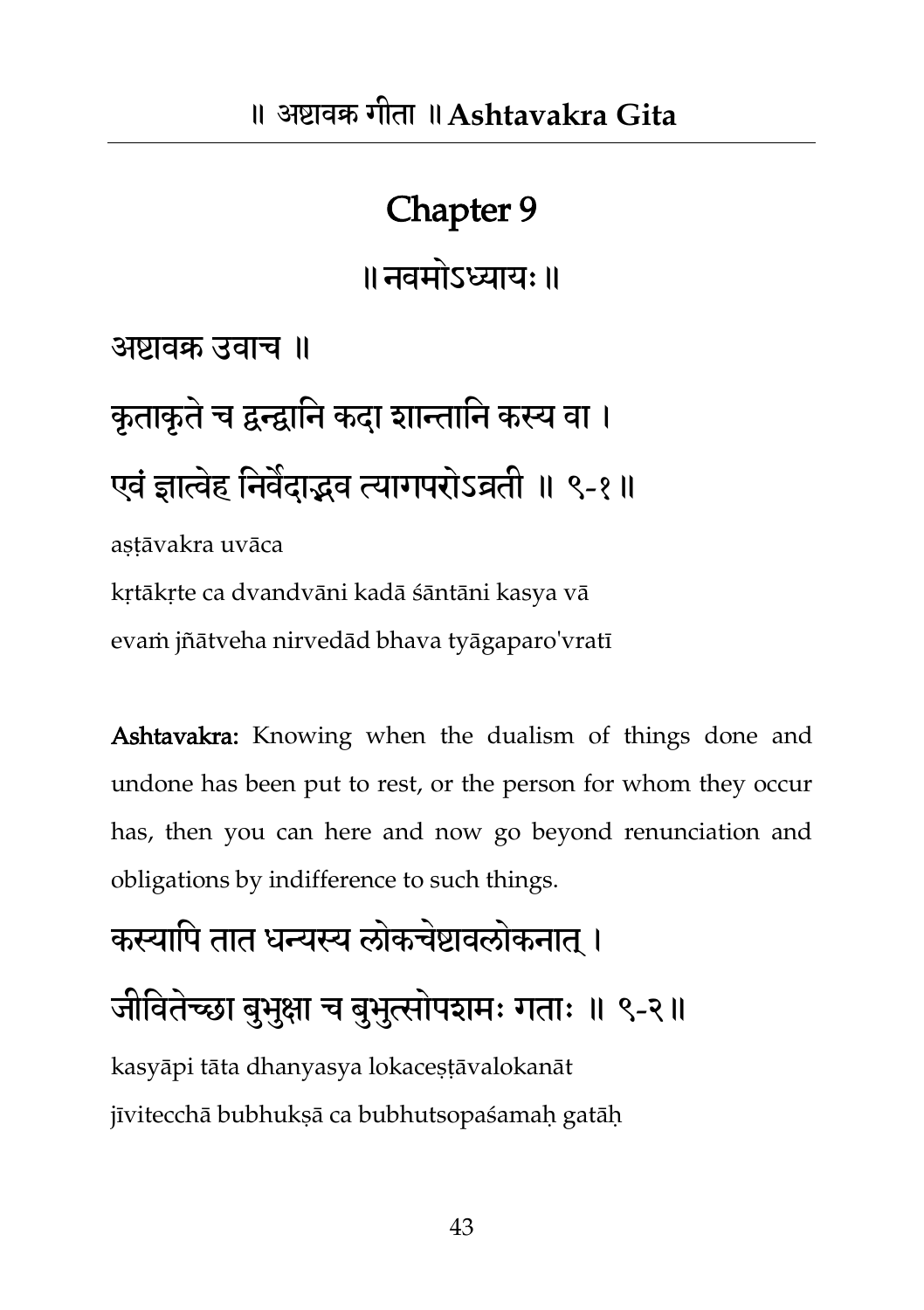॥नवभोऽध्याम्॥

अष्टावक्र उवाच ॥

कृताकृतेच द्वन्द्वातन कदा शान्तातन कस्य वा । एवं ज्ञात्वेह निवैदाद्भव त्यागपरोऽव्रती ॥ ९-१॥

astāvakra uvāca

kṛtākṛte ca dvandvāni kadā śāntāni kasya vā evaṁ jñātveha nirvedād bhava tyāgaparo'vratī

Ashtavakra: Knowing when the dualism of things done and undone has been put to rest, or the person for whom they occur has, then you can here and now go beyond renunciation and obligations by indifference to such things.

## कस्यापि तात धन्यस्य लोकचेष्टावलोकनात । जीवितेच्छा बुभुक्षा च बुभुत्सोपशमः गताः ॥ ९-२॥ kasyāpi tāta dhanyasya lokaceṣṭāvalokanāt jīvitecchā bubhukṣā ca bubhutsopaśamaḥ gatāḥ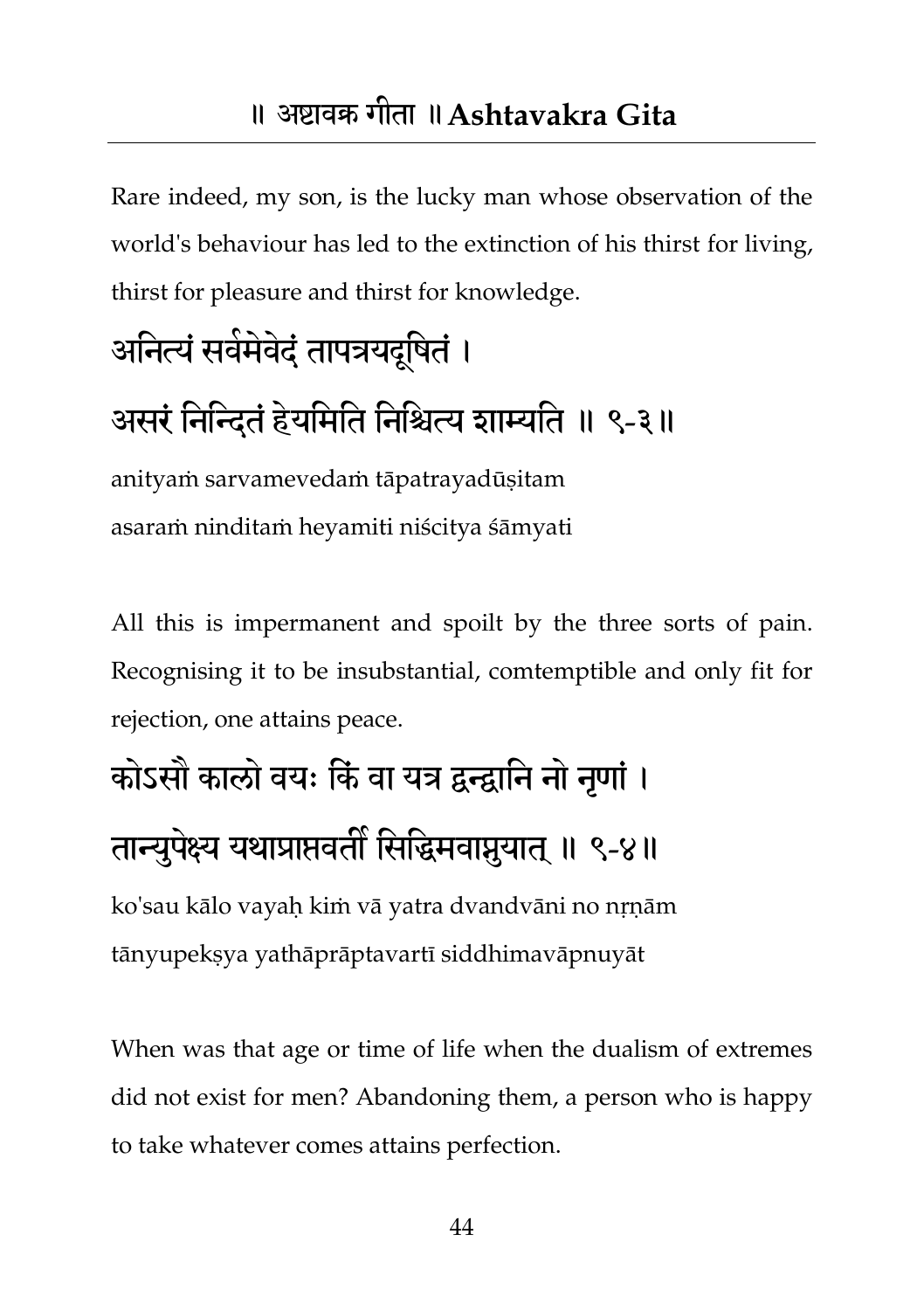Rare indeed, my son, is the lucky man whose observation of the world's behaviour has led to the extinction of his thirst for living, thirst for pleasure and thirst for knowledge.

## आनेत्यं सर्वमेवेदं तापत्रयदूषितं ।

### असरं निन्दितं हेयमिति निश्चित्य शाम्यति ॥ ९-३॥

anityaṁ sarvamevedaṁ tāpatrayadūṣitam asaraṁ ninditaṁ heyamiti niścitya śāmyati

All this is impermanent and spoilt by the three sorts of pain. Recognising it to be insubstantial, comtemptible and only fit for rejection, one attains peace.

## कोऽसौ कालो वयः किं वा यत्र द्वन्द्वानि नो नणां। तान्युपेक्ष्य यथाप्राप्तवर्ती सिद्धिमवाप्नुयात् ॥ ९-४॥

ko'sau kālo vayaḥ kiṁ vā yatra dvandvāni no nṛṇām tānyupekṣya yathāprāptavartī siddhimavāpnuyāt

When was that age or time of life when the dualism of extremes did not exist for men? Abandoning them, a person who is happy to take whatever comes attains perfection.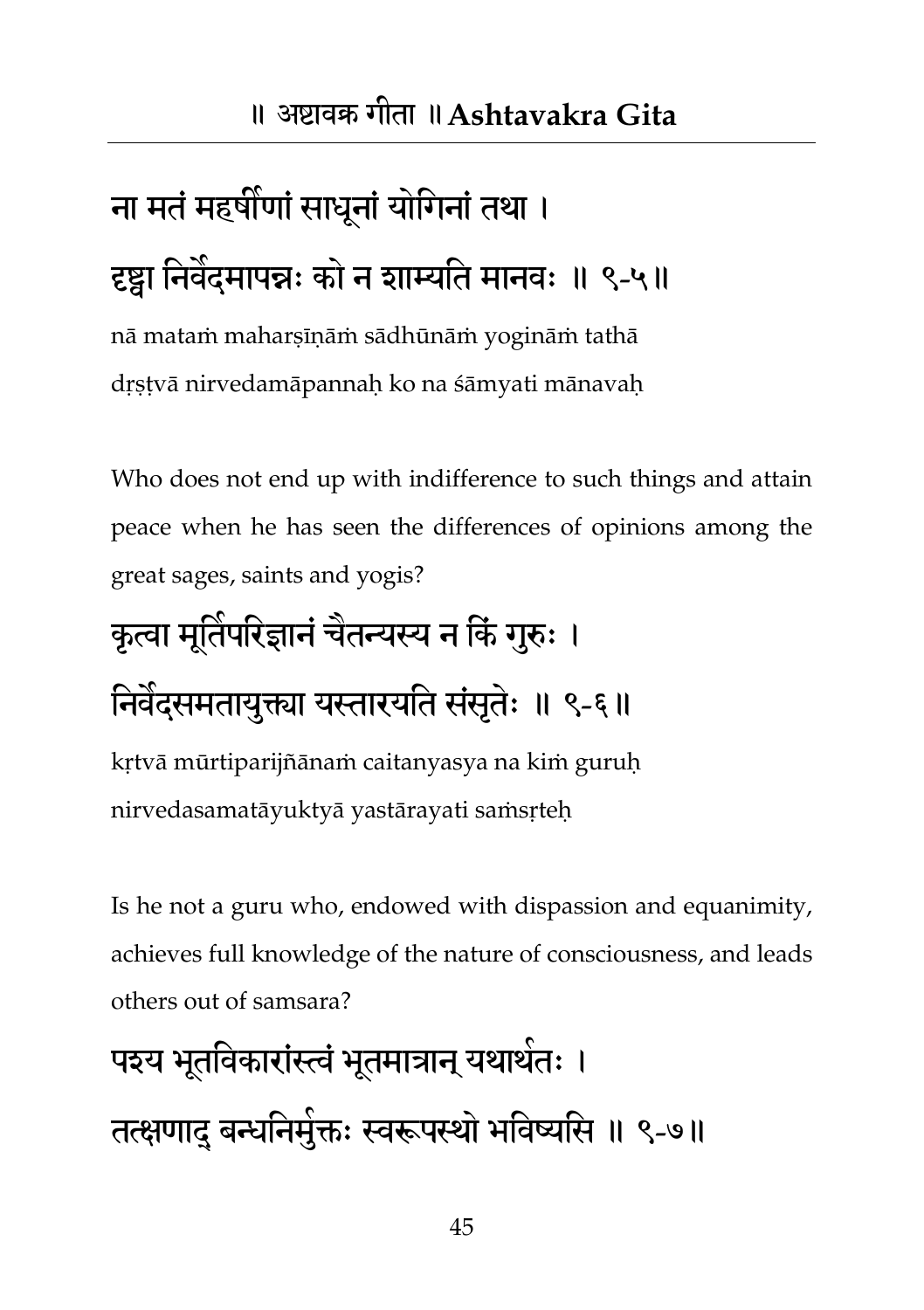## ना मतं महर्षीणां साधनां योगिनां तथा । दृष्ट्वा निवंदमापन्नः को न शाम्यति मानवः ॥ ९-५॥

nā mataṁ maharṣīṇāṁ sādhūnāṁ yogināṁ tathā dṛṣṭvā nirvedamāpannaḥ ko na śāmyati mānavaḥ

Who does not end up with indifference to such things and attain peace when he has seen the differences of opinions among the great sages, saints and yogis?

# कृत्वा मूर्तिपरिज्ञानं चैतन्यस्य न किं गुरुः । निवैदसमतायुक्त्या यस्तारयति संसृतेः ॥ ९-६॥

kṛtvā mūrtiparijñānaṁ caitanyasya na kiṁ guruḥ nirvedasamatāyuktyā yastārayati saṁsṛteḥ

Is he not a guru who, endowed with dispassion and equanimity, achieves full knowledge of the nature of consciousness, and leads others out of samsara?

# पश्य भूतविकारांस्त्वं भूतमात्रान् यथार्थतः । तत्क्षणाद् बन्धनिमुक्तः स्वरूपस्थो भविष्यसि ॥ ९-७॥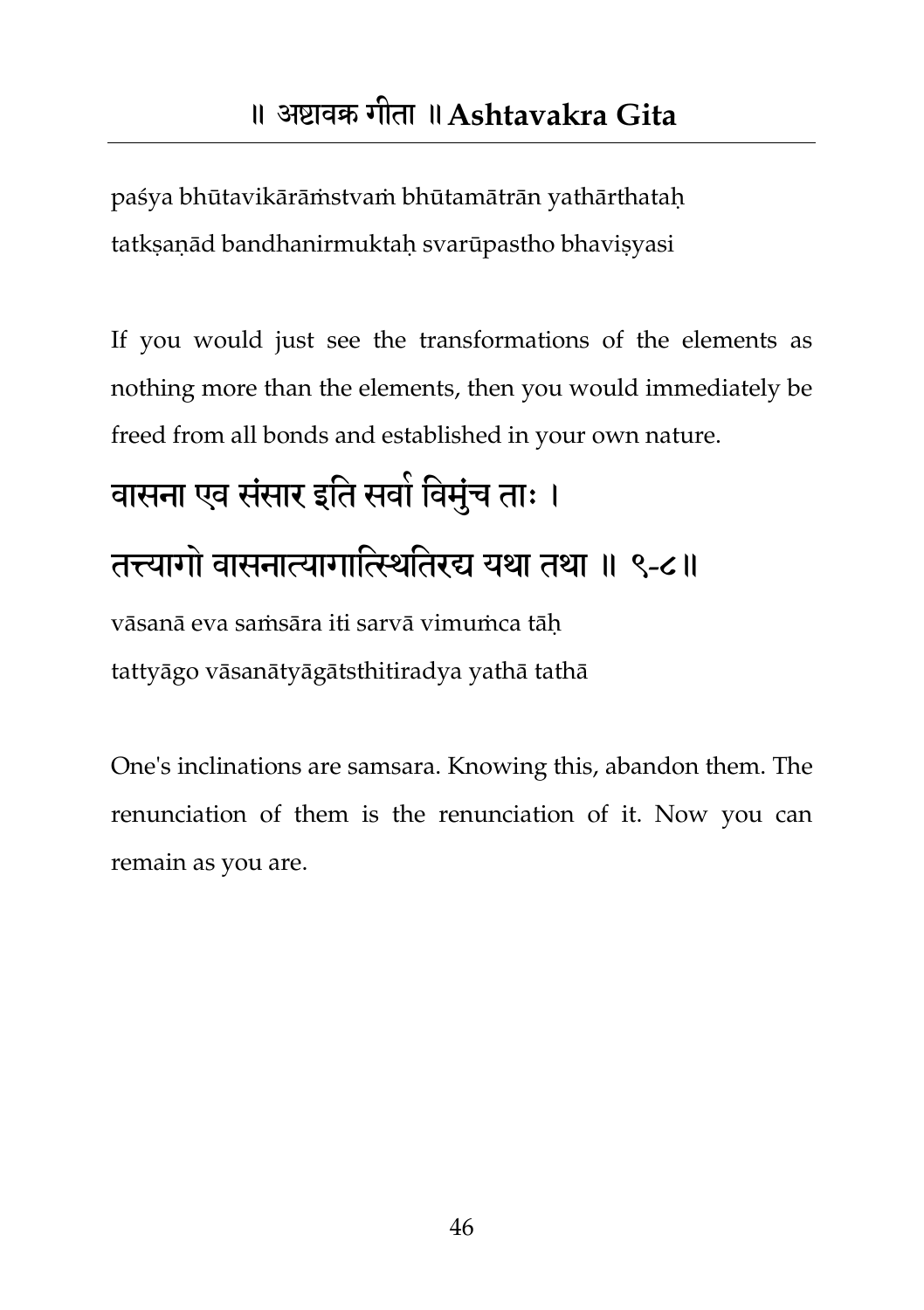paśya bhūtavikārāṁstvaṁ bhūtamātrān yathārthataḥ tatkṣaṇād bandhanirmuktaḥ svarūpastho bhaviṣyasi

If you would just see the transformations of the elements as nothing more than the elements, then you would immediately be freed from all bonds and established in your own nature.

## वासना एव संसार इति सवो विमुंच ताः । तत्त्यागो वासनात्यागातिततयर्द्य मथा तथा ॥ ९-८॥ vāsanā eva saṁsāra iti sarvā vimuṁca tāḥ tattyāgo vāsanātyāgātsthitiradya yathā tathā

One's inclinations are samsara. Knowing this, abandon them. The renunciation of them is the renunciation of it. Now you can remain as you are.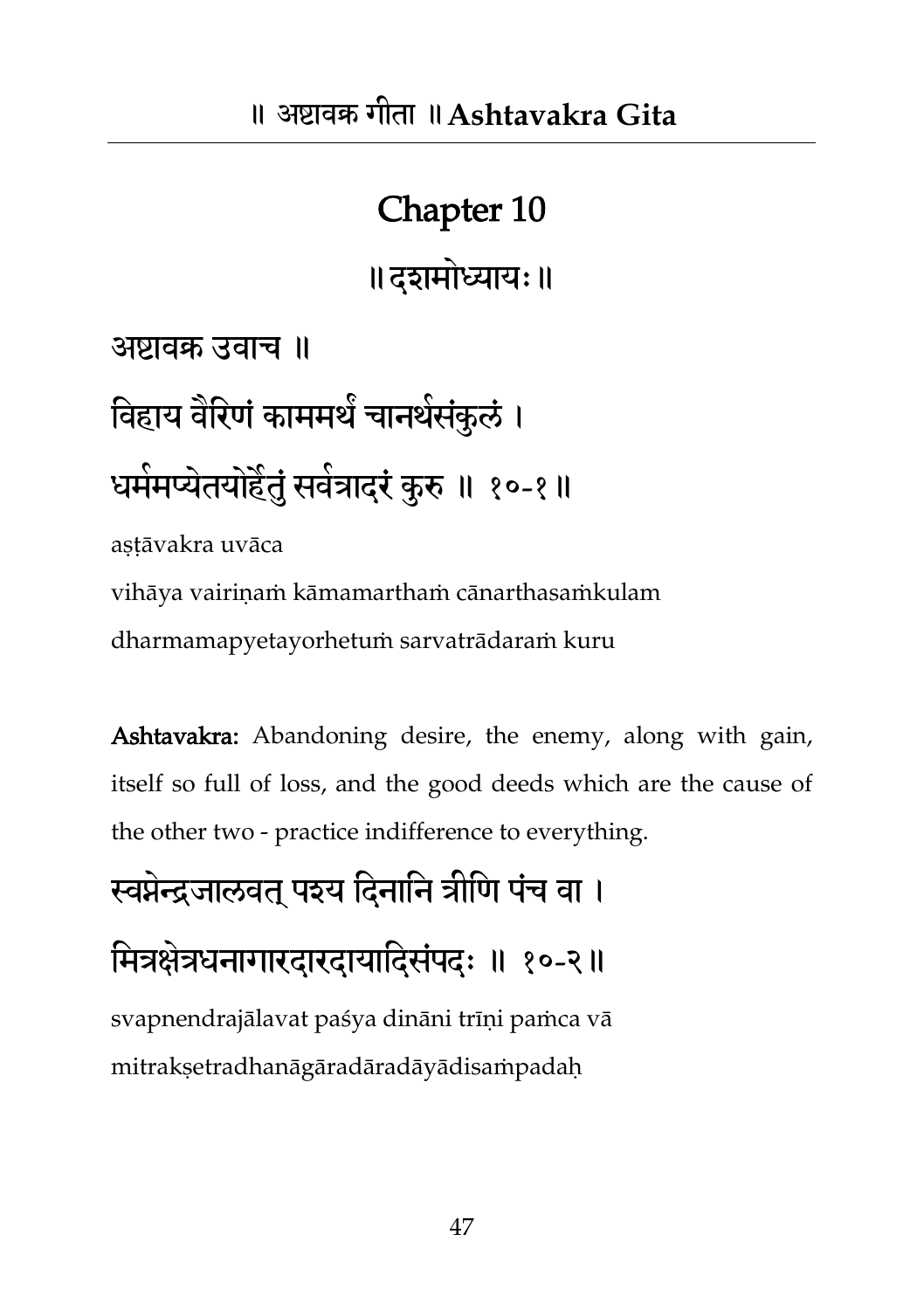॥दशभोध्याम्॥

अष्टावक्र उवाच ॥

विहाय वैरिणं काममर्थ चानथसंकुलं ।

### घर्ममप्येतयोहैतुं सर्वत्रादरं कुरु ॥ १०-१॥

aṣṭāvakra uvāca

vihāya vairiṇaṁ kāmamarthaṁ cānarthasaṁkulam dharmamapyetayorhetuṁ sarvatrādaraṁ kuru

Ashtavakra: Abandoning desire, the enemy, along with gain, itself so full of loss, and the good deeds which are the cause of the other two - practice indifference to everything.

स्वप्नेन्द्रजालवत पश्य दिनानि त्रीणि पंच वा ।

मित्रक्षेत्रधनागारदारदायादिसंपदः ॥ १०-२॥ svapnendrajālavat paśya dināni trīni pamca vā mitrakṣetradhanāgāradāradāyādisaṁpadaḥ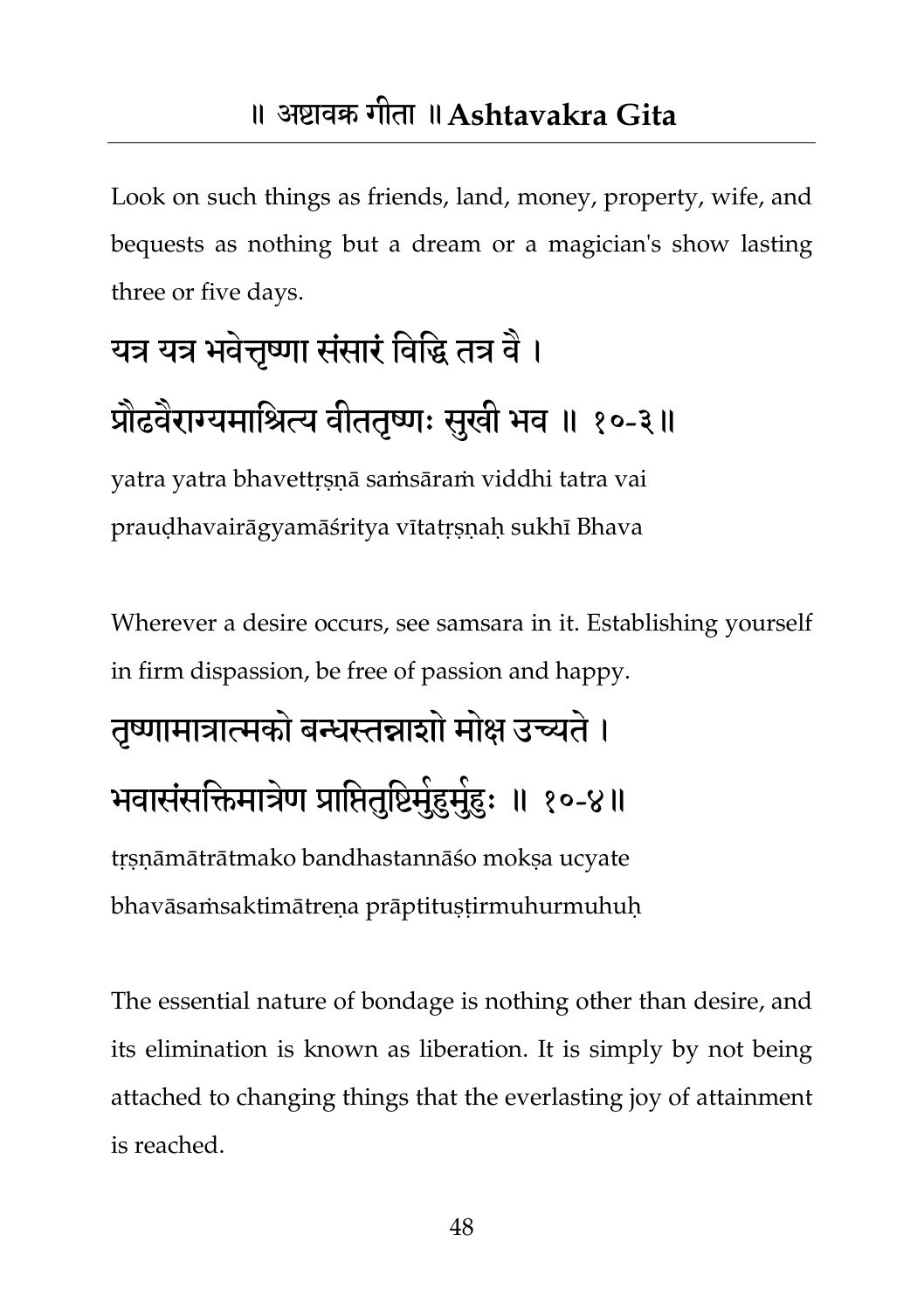Look on such things as friends, land, money, property, wife, and bequests as nothing but a dream or a magician's show lasting three or five days.

## यत्र यत्र भवेत्तृष्णा संसारं विद्धि तत्र वै । प्रौढवैराग्यमाश्रित्य वीततृष्णः सुखी भव ॥ १०-३॥

yatra yatra bhavettṛṣṇā saṁsāraṁ viddhi tatra vai praudhavairāgyamāśritya vītatrsnah sukhī Bhava

Wherever a desire occurs, see samsara in it. Establishing yourself in firm dispassion, be free of passion and happy.

तृष्णामात्रात्मको बन्धस्तन्नाशो मोक्ष उच्यते । भवासंसक्तिमात्रेण प्राप्तितुष्टिमुंहुमुंहुः ॥ १०-४॥ tṛṣṇāmātrātmako bandhastannāśo mokṣa ucyate bhavāsaṁsaktimātreṇa prāptituṣṭirmuhurmuhuḥ

The essential nature of bondage is nothing other than desire, and its elimination is known as liberation. It is simply by not being attached to changing things that the everlasting joy of attainment is reached.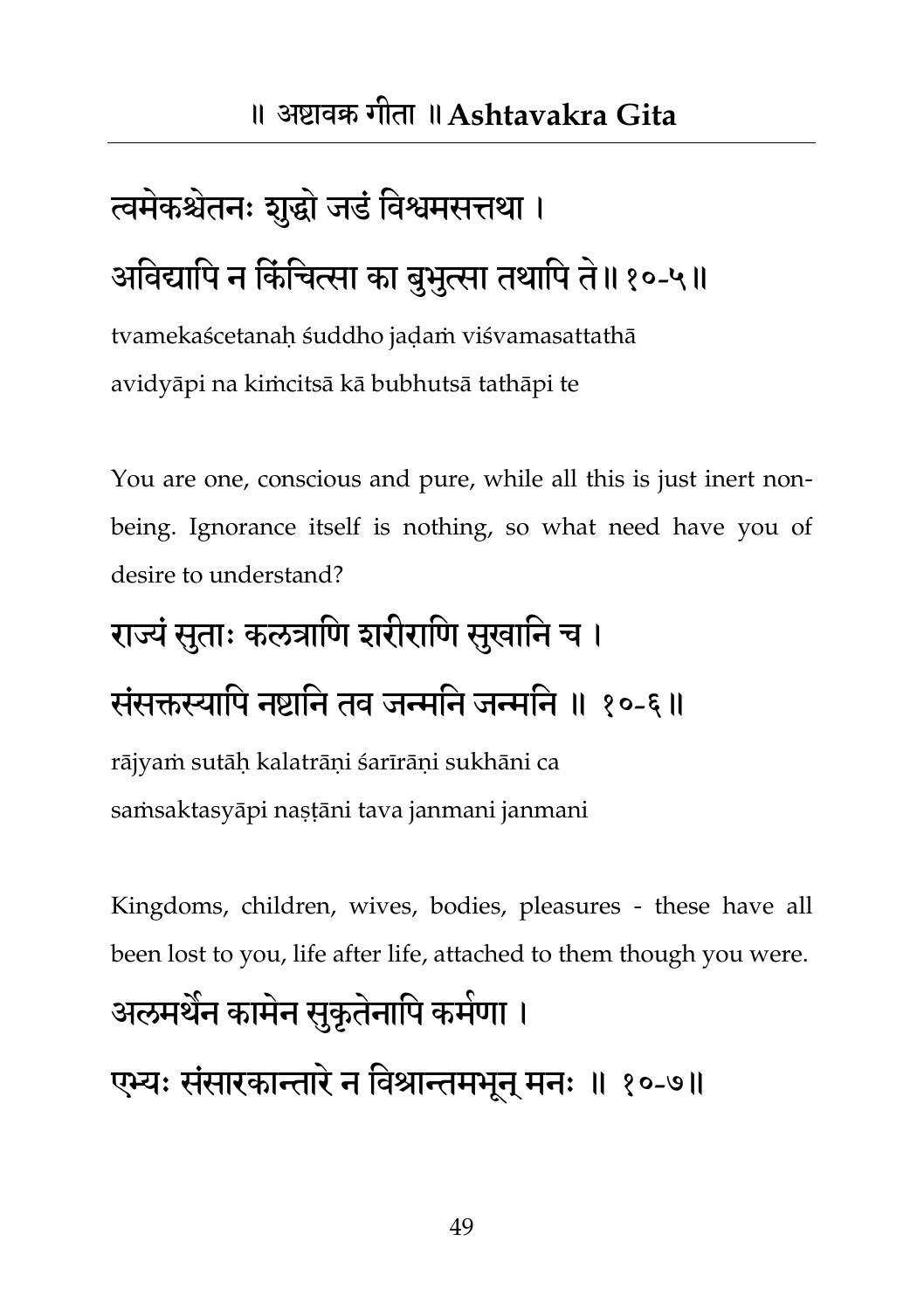# त्वमेकश्चेतनः शुद्धो जडं विश्वमसत्तथा । अविद्यापि न किंचित्सा का बुभुत्सा तथापि ते॥१०-५॥

tvamekaścetanaḥ śuddho jaḍaṁ viśvamasattathā avidyāpi na kiṁcitsā kā bubhutsā tathāpi te

You are one, conscious and pure, while all this is just inert nonbeing. Ignorance itself is nothing, so what need have you of desire to understand?

### राज्यं सुताः कलत्राणि शरीराणि सुखानि च ।

### संसक्तस्यापि नष्टानि तव जन्मनि जन्मनि ॥ १०-६॥

rājyaṁ sutāḥ kalatrāṇi śarīrāṇi sukhāni ca saṁsaktasyāpi naṣṭāni tava janmani janmani

Kingdoms, children, wives, bodies, pleasures - these have all been lost to you, life after life, attached to them though you were.

## अलमथैन कामेन सुकृतेनापि कमेणा ।

एभ्यः संसारकान्तारे न विश्रान्तमभून् मनः ॥ १०-७॥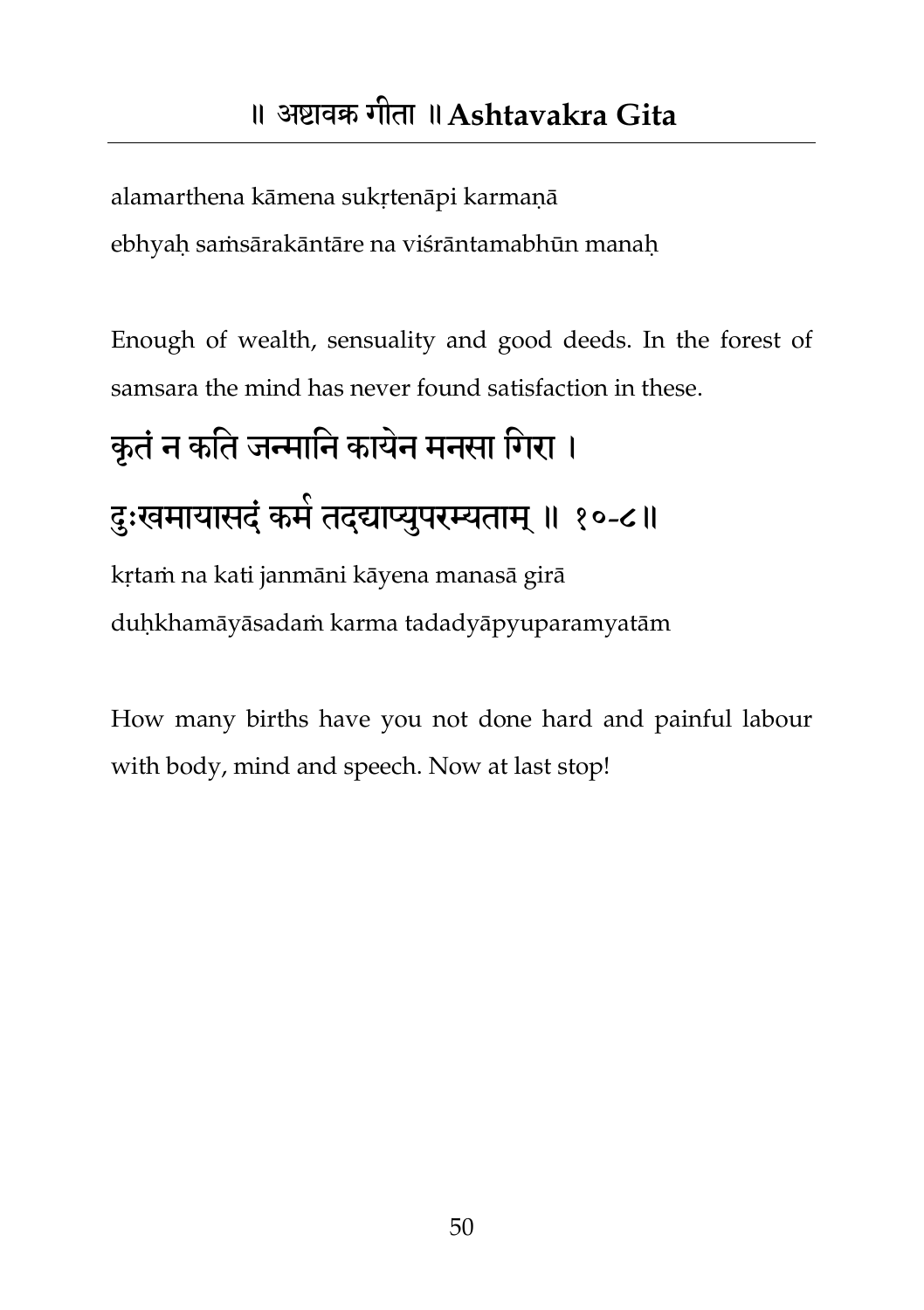alamarthena kāmena sukṛtenāpi karmaṇā ebhyaḥ saṁsārakāntāre na viśrāntamabhūn manaḥ

Enough of wealth, sensuality and good deeds. In the forest of samsara the mind has never found satisfaction in these.

# कृतं न कति जन्मानि कायेन मनसा गिरा । दुःखमायासदं कमे तदद्याप्युपरम्यताम् ॥ १०-८॥ kṛtaṁ na kati janmāni kāyena manasā girā

duḥkhamāyāsadaṁ karma tadadyāpyuparamyatām

How many births have you not done hard and painful labour with body, mind and speech. Now at last stop!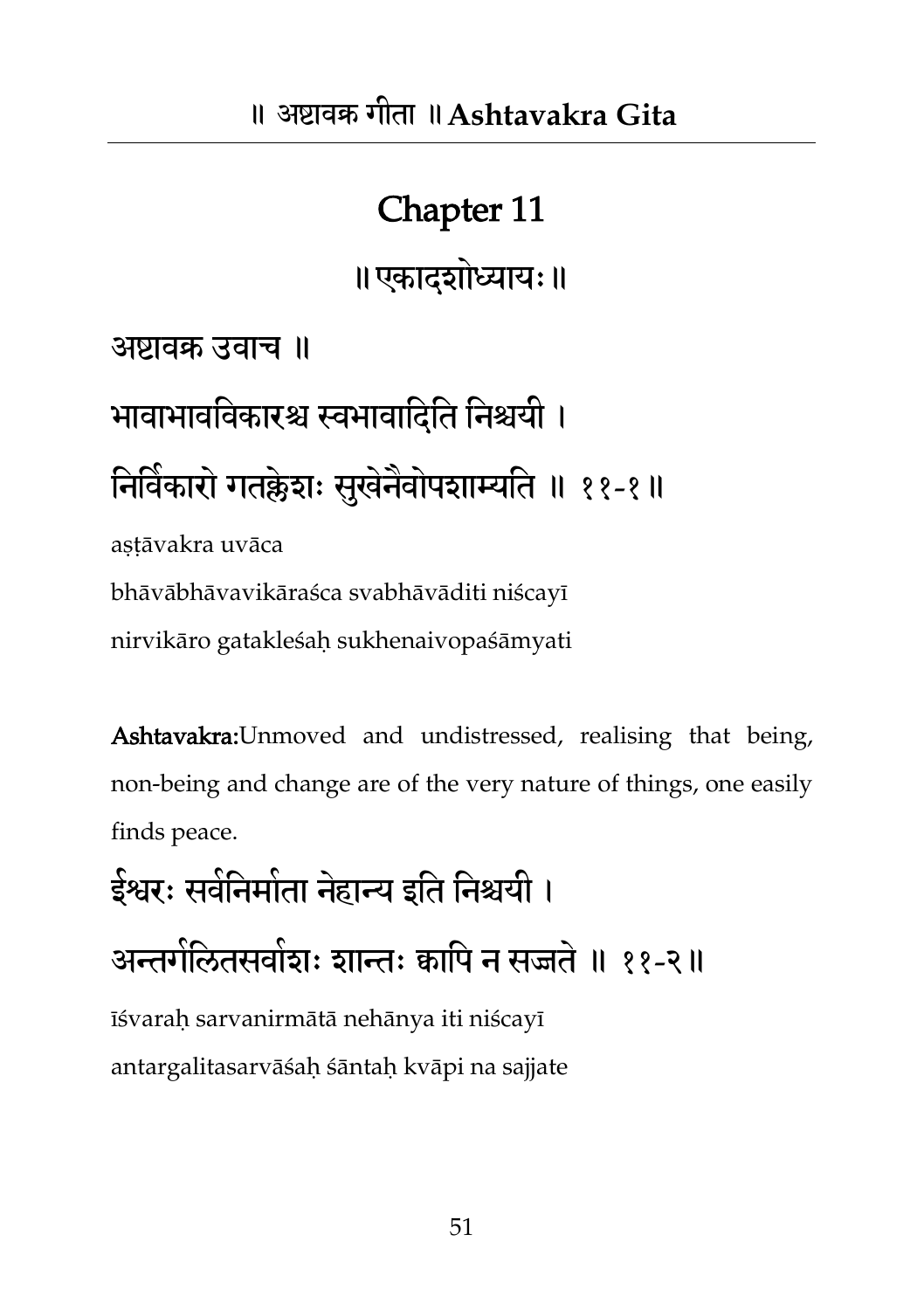॥एकादशोध्याम्॥

अष्टावक्र उवाच ॥

बावाबावतवकायश्च स्वबावातदतत तनश्चमी । निर्विकारो गतक्लेशः सुखेनैवोपशाम्यति ॥ ११-१॥

astāvakra uvāca bhāvābhāvavikāraśca svabhāvāditi niścayī nirvikāro gatakleśaḥ sukhenaivopaśāmyati

Ashtavakra: Unmoved and undistressed, realising that being, non-being and change are of the very nature of things, one easily finds peace.

इेश्वरः सर्वनिर्माता नेहान्य इति निश्चर्या । अन्तर्गलितसर्वाशः शान्तः क्वापि न सज्जतं ॥ ११-२॥ īśvaraḥ sarvanirmātā nehānya iti niścayī antargalitasarvāśaḥ śāntaḥ kvāpi na sajjate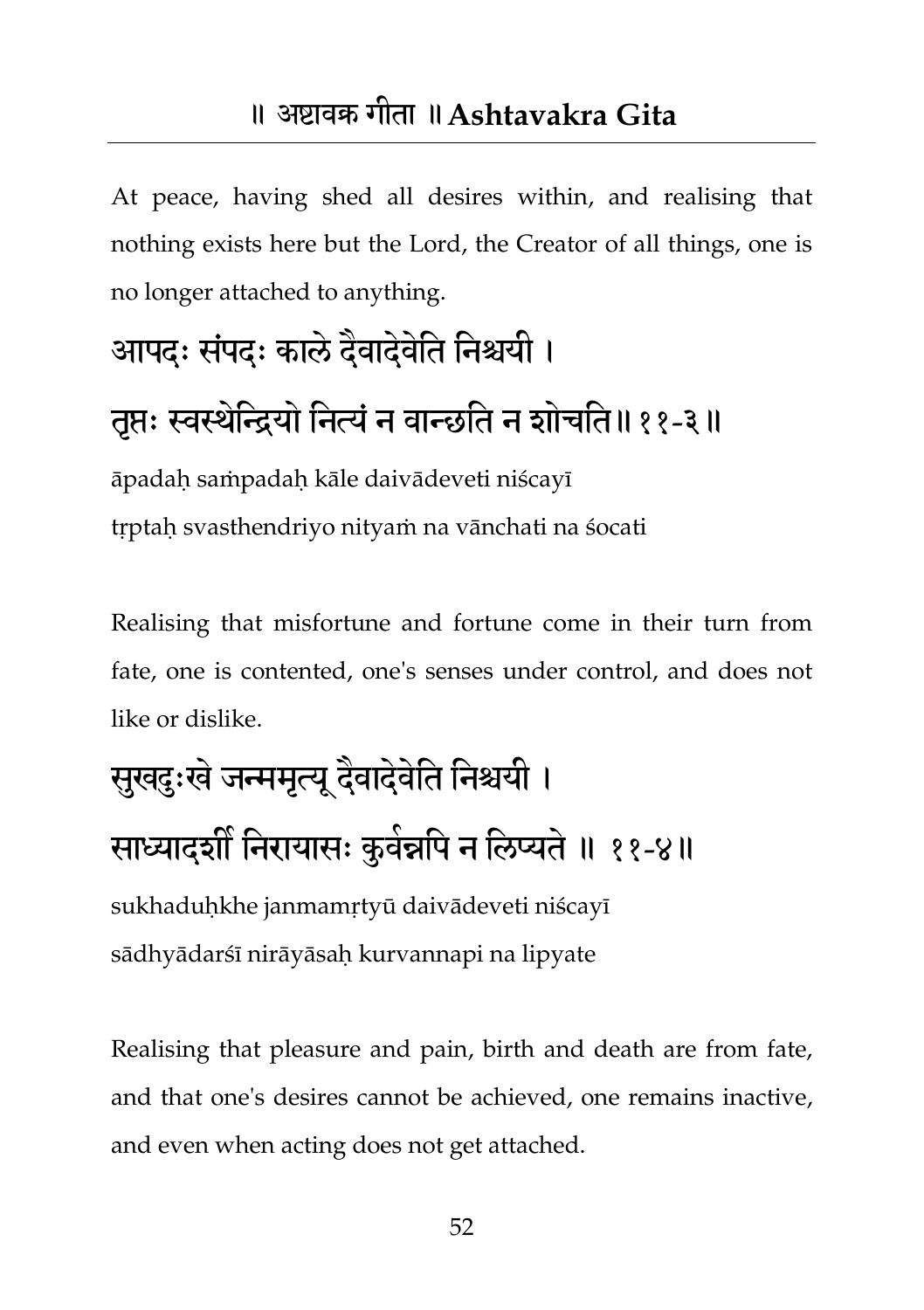#### ॥ अष्टावक्र गीता ॥**Ashtavakra Gita**

At peace, having shed all desires within, and realising that nothing exists here but the Lord, the Creator of all things, one is no longer attached to anything.

## आपदः संपदः काले दैवादेवीते निश्चयी ।

### तृप्तः स्वस्थेन्द्रियो नित्यं न वान्छति न शोचति॥११-३॥

āpadaḥ saṁpadaḥ kāle daivādeveti niścayī trptah svasthendriyo nityam na vānchati na śocati

Realising that misfortune and fortune come in their turn from fate, one is contented, one's senses under control, and does not like or dislike.

## सुखदुःखे जन्ममृत्यू दैवादेवेति निश्चयी । साध्यादशीं निरायासः कुवेन्नपि न लिप्यते ॥ ११-४॥

sukhaduḥkhe janmamṛtyū daivādeveti niścayī sādhyādarśī nirāyāsaḥ kurvannapi na lipyate

Realising that pleasure and pain, birth and death are from fate, and that one's desires cannot be achieved, one remains inactive, and even when acting does not get attached.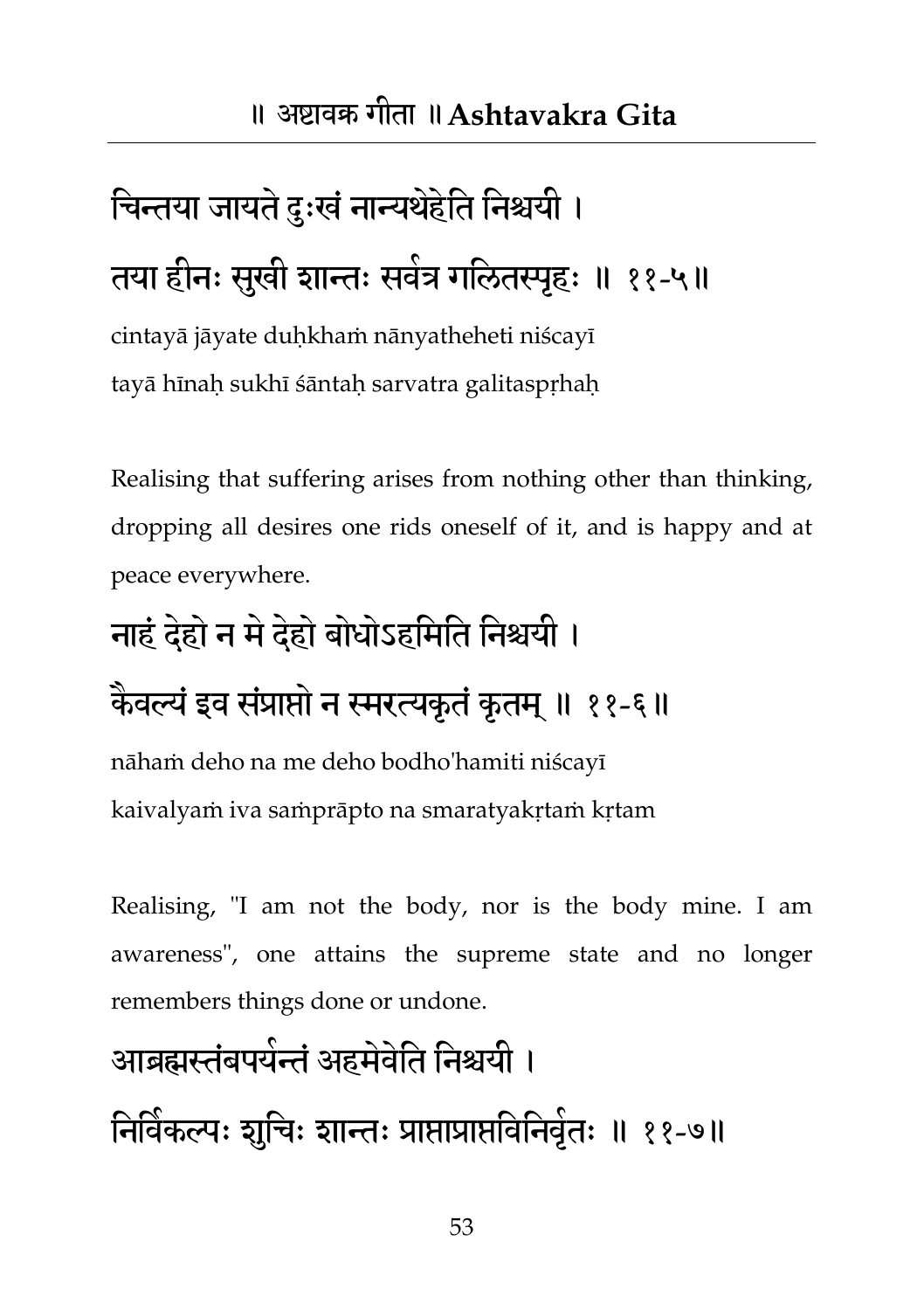# चिन्तया जायते दुःखं नान्यथेहेति निश्चयी । तया हीनः सुखी शान्तः सवेत्र गलितस्पृहः ॥ ११-५॥

cintayā jāyate duḥkhaṁ nānyatheheti niścayī tayā hīnah sukhī śāntah sarvatra galitasprhah

Realising that suffering arises from nothing other than thinking, dropping all desires one rids oneself of it, and is happy and at peace everywhere.

### नाहं दहेो न भेदहेो फोधोऽहतभतत तनश्चमी ।

### कैवल्यं इव संप्राप्तो न स्मरत्यकृतं कृतम् ॥ ११-६॥

nāhaṁ deho na me deho bodho'hamiti niścayī kaivalyaṁ iva saṁprāpto na smaratyakṛtaṁ kṛtam

Realising, "I am not the body, nor is the body mine. I am awareness", one attains the supreme state and no longer remembers things done or undone.

### आब्रह्मस्तंबपयन्तं अहमवेति निश्चयी ।

निर्विकल्पः शुचिः शान्तः प्राप्ताप्राप्तविनिवृतः ॥ ११-७॥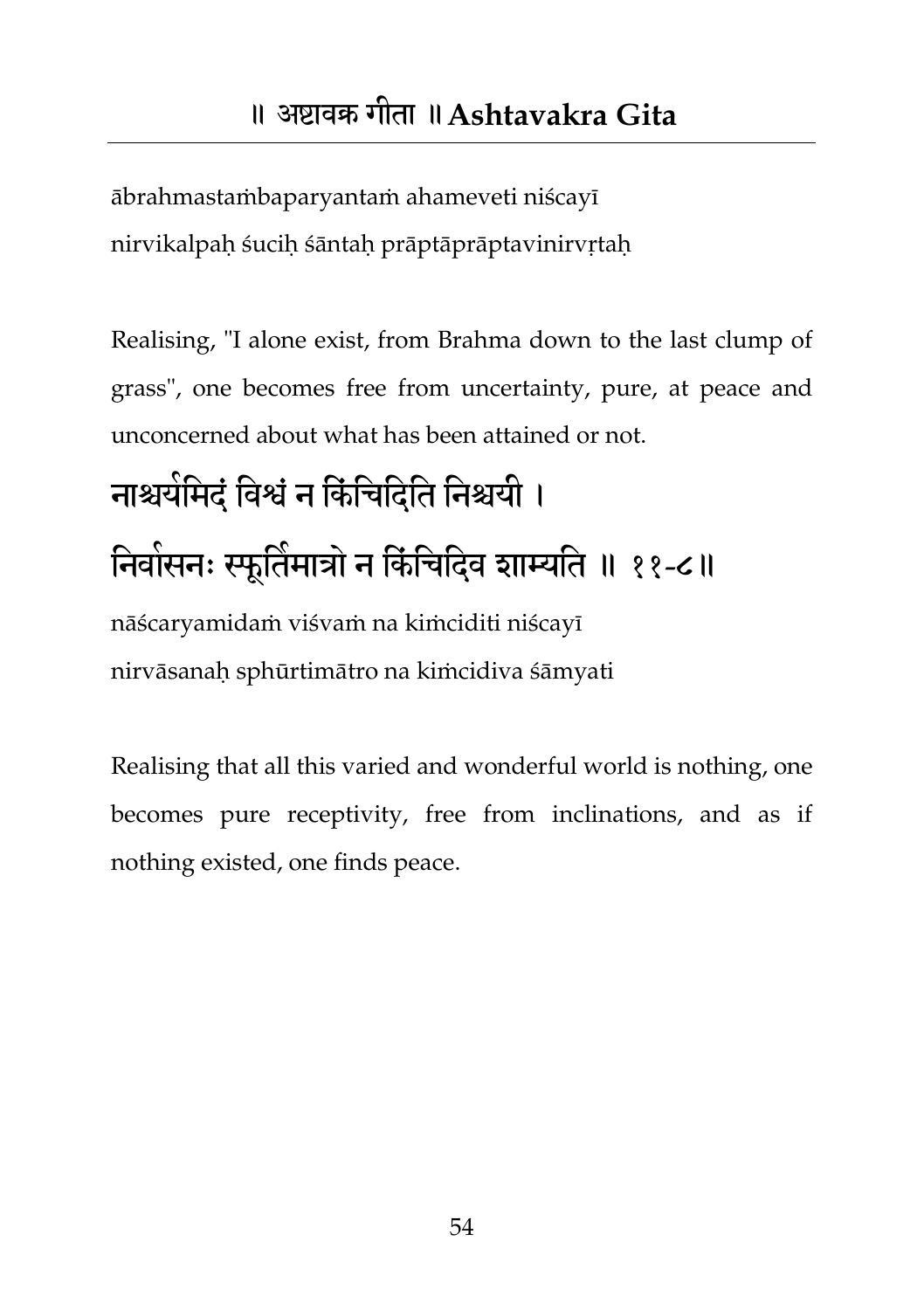ābrahmastaṁbaparyantaṁ ahameveti niścayī nirvikalpaḥ śuciḥ śāntaḥ prāptāprāptavinirvṛtaḥ

Realising, "I alone exist, from Brahma down to the last clump of grass", one becomes free from uncertainty, pure, at peace and unconcerned about what has been attained or not.

## नाश्चर्यमिदं विश्वं न किंचिदिति निश्चयी । निवासनः स्फूर्तिमात्रों न किंचिदिव शाम्यति ॥ ११-८॥ nāścaryamidaṁ viśvaṁ na kiṁciditi niścayī nirvāsanaḥ sphūrtimātro na kiṁcidiva śāmyati

Realising that all this varied and wonderful world is nothing, one becomes pure receptivity, free from inclinations, and as if nothing existed, one finds peace.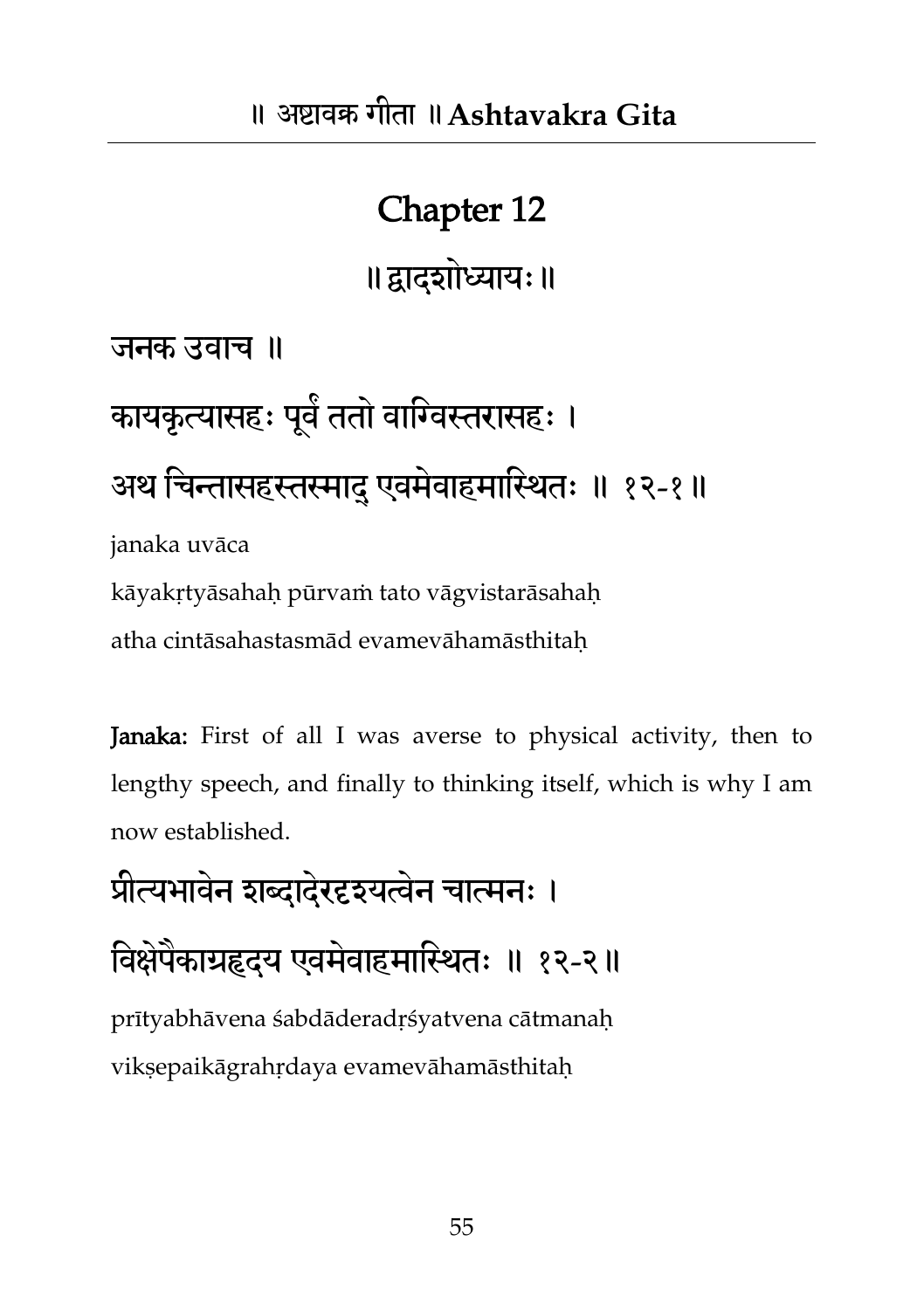॥द्वादशोध्याम्॥

जनक उवाच ॥

कायकृत्यासहः पूर्व ततो वाग्विस्तरासहः । अथ चिन्तासहस्तस्माद एवमेवाहमास्थितः ॥ १२-१॥ janaka uvāca kāyakṛtyāsahaḥ pūrvaṁ tato vāgvistarāsahaḥ

atha cintāsahastasmād evamevāhamāsthitaḥ

Janaka: First of all I was averse to physical activity, then to lengthy speech, and finally to thinking itself, which is why I am now established.

प्रीत्यभावेन शब्दादेरदृश्यत्वेन चात्मनः ।

विक्षेपैकाग्रहृदयं एवमेवाहमास्थितः ॥ १२-२॥

prītyabhāvena śabdāderadṛśyatvena cātmanaḥ vikṣepaikāgrahṛdaya evamevāhamāsthitaḥ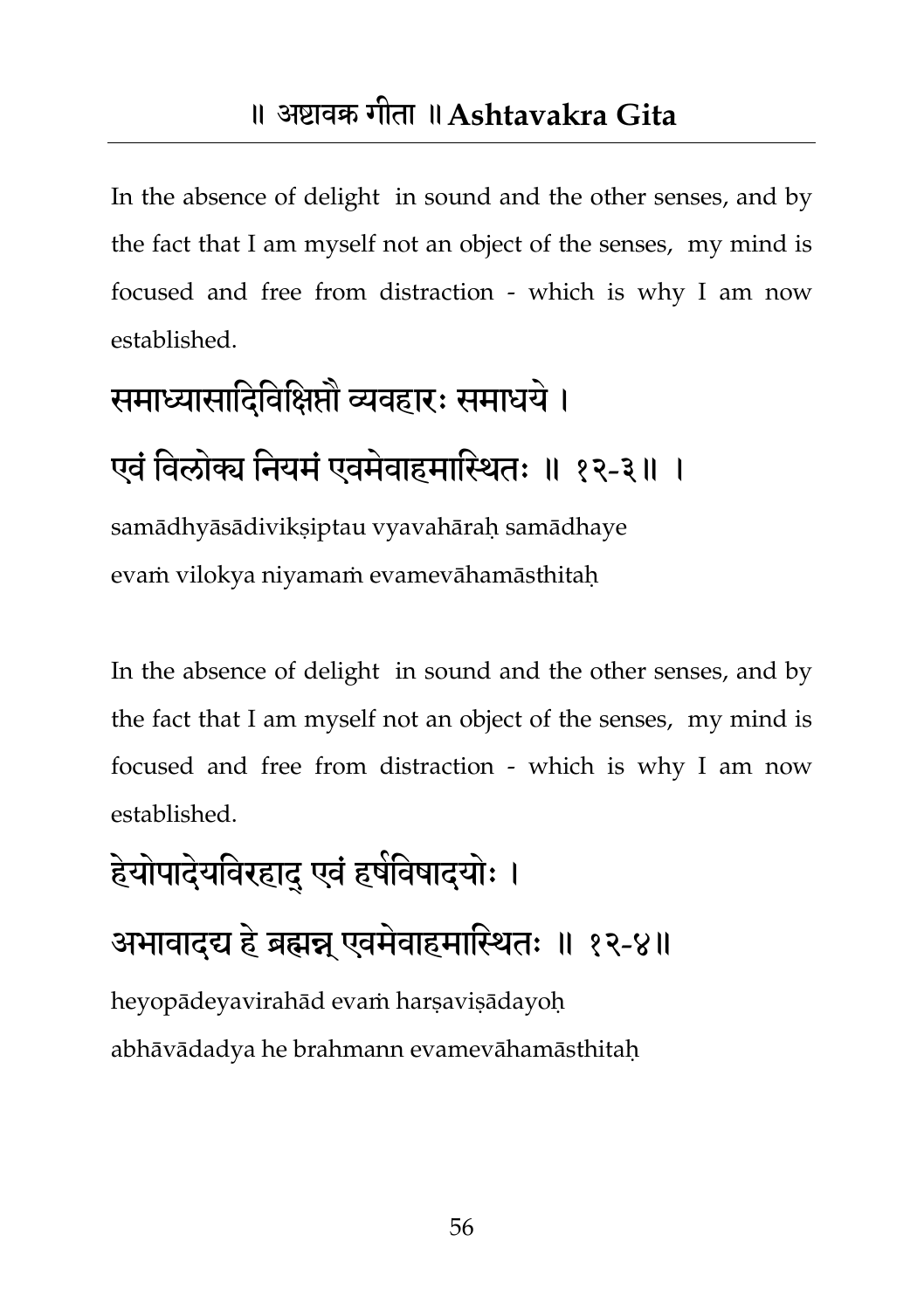In the absence of delight in sound and the other senses, and by the fact that I am myself not an object of the senses, my mind is focused and free from distraction - which is why I am now established.

# समाध्यासादिविक्षिप्तौ व्यवहारः समाधये । एवं विलोक्य नियमं एवमेवाहमास्थितः ॥ १२-३॥ ।

samādhyāsādiviksiptau vyavahārah samādhaye evaṁ vilokya niyamaṁ evamevāhamāsthitaḥ

In the absence of delight in sound and the other senses, and by the fact that I am myself not an object of the senses, my mind is focused and free from distraction - which is why I am now established.

## हेयोपादेयविरहादु एवं हर्षविषादयोः । अभावाद्द्य हे ब्रह्मन्न् एवमेवाहमास्थितः ॥ १२-४॥ heyopādeyavirahād evaṁ harṣaviṣādayoḥ abhāvādadya he brahmann evamevāhamāsthitaḥ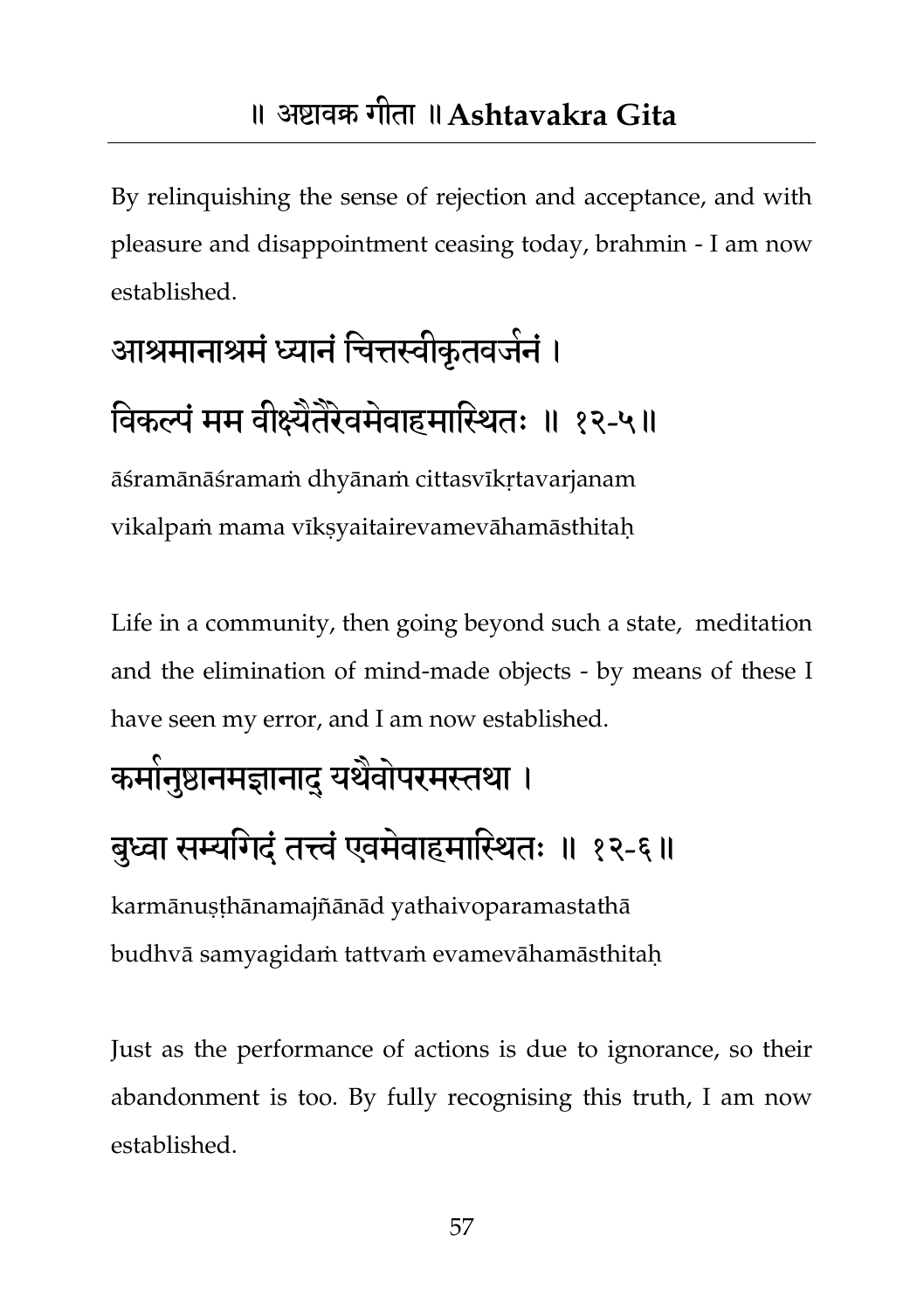By relinquishing the sense of rejection and acceptance, and with pleasure and disappointment ceasing today, brahmin - I am now established.

# आश्रमानाश्रमं ध्यानं चित्तस्वीकृतवजनं ।

### विकल्पं मम वीक्ष्येतेरेवमेवाहमास्थितः ॥ १२-५॥

āśramānāśramaṁ dhyānaṁ cittasvīkṛtavarjanam vikalpam mama vīksyaitairevamevāhamāsthitah

Life in a community, then going beyond such a state, meditation and the elimination of mind-made objects - by means of these I have seen my error, and I am now established.

## कमोनुष्ठानमज्ञानाद् यथैवोपरमस्तथा ।

### बुध्वा सम्यगिदं तत्त्वं एवमेवाहमास्थितः ॥ १२-६॥

karmānuṣṭhānamajñānād yathaivoparamastathā budhvā samyagidaṁ tattvaṁ evamevāhamāsthitaḥ

Just as the performance of actions is due to ignorance, so their abandonment is too. By fully recognising this truth, I am now established.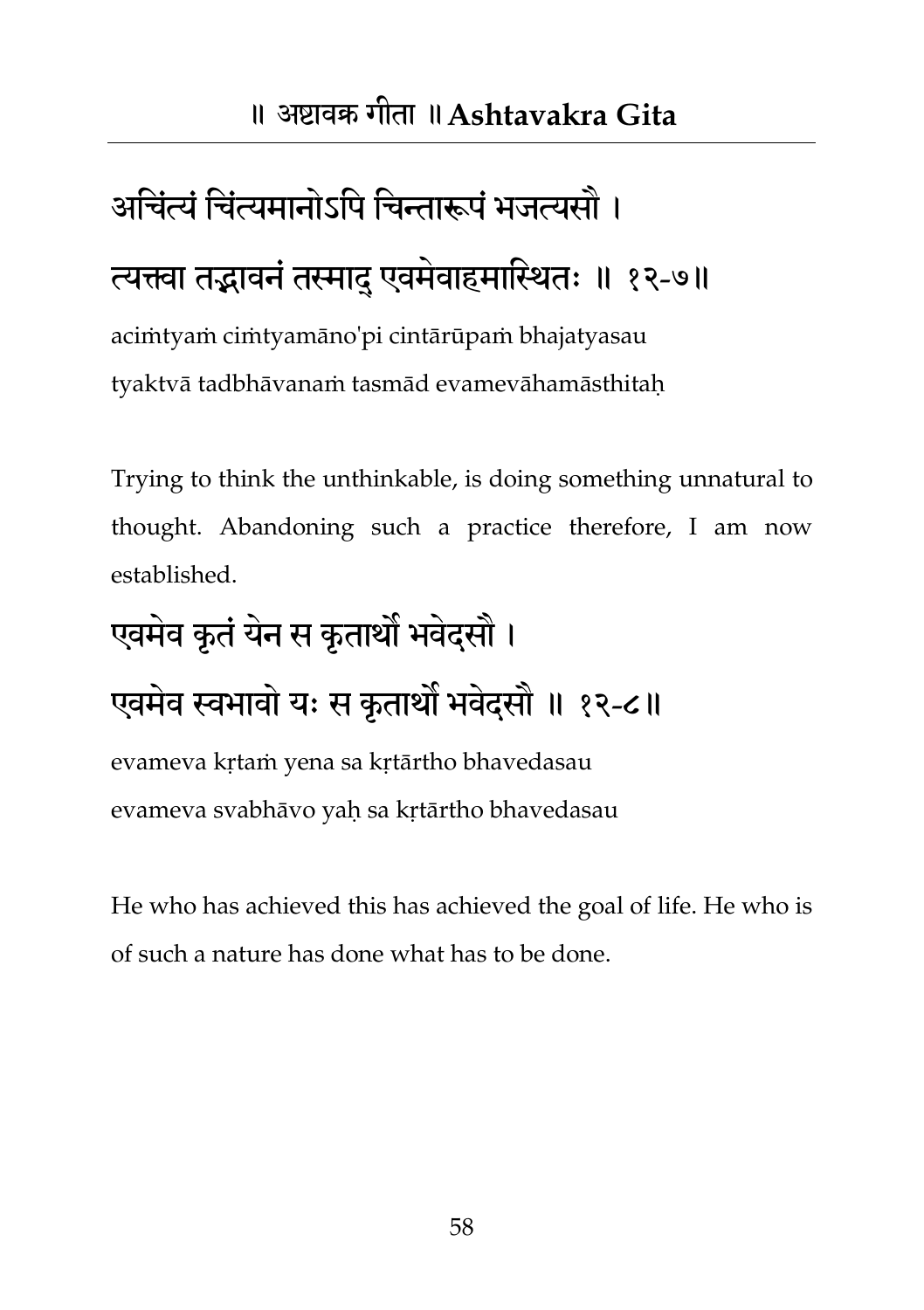# अचिंत्यं चिंत्यमानोऽपि चिन्तारूपं भजत्यसौ ।

### त्यक्त्वा तद्भावनं तस्मादु एवमेवाहमास्थितः ॥ १२-७॥

aciṁtyaṁ ciṁtyamāno'pi cintārūpaṁ bhajatyasau tyaktvā tadbhāvanaṁ tasmād evamevāhamāsthitaḥ

Trying to think the unthinkable, is doing something unnatural to thought. Abandoning such a practice therefore, I am now established.

## एवमेव कृतं येन स कृतार्थों भवेदसौ ।

### एवमेव स्वभावो यः स कृतार्थों भवेदसौ ॥ १२-८॥

evameva kṛtaṁ yena sa kṛtārtho bhavedasau evameva svabhāvo yaḥ sa kṛtārtho bhavedasau

He who has achieved this has achieved the goal of life. He who is of such a nature has done what has to be done.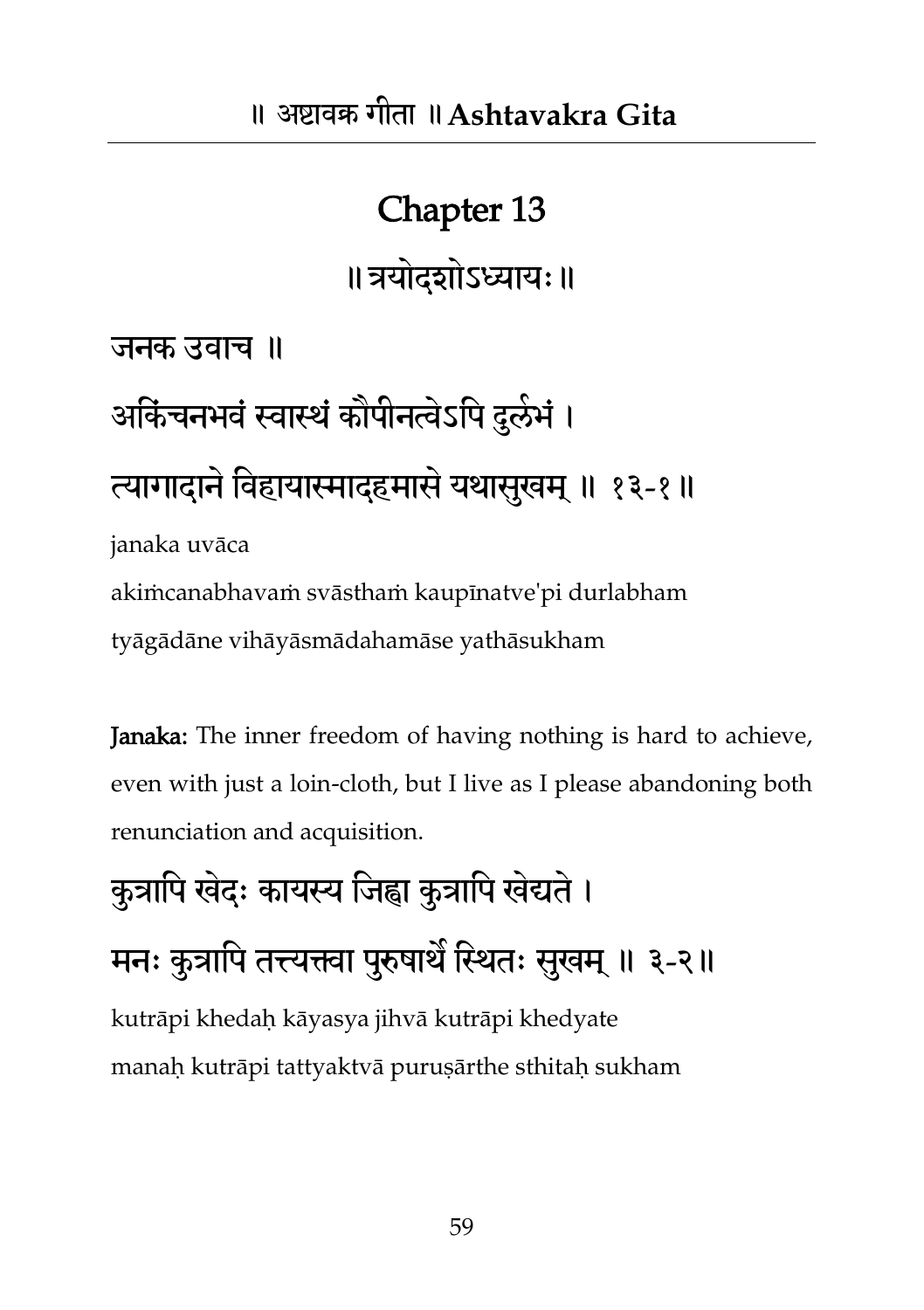॥त्रमोदशोऽध्याम्॥

जनक उवाच ॥

## आर्केचनभवं स्वास्थं कोपीनत्वेऽपि दुर्लभं । त्यागादाने विहायास्मादहमासे यथासुखम् ॥ १३-१॥ janaka uvāca

akiṁcanabhavaṁ svāsthaṁ kaupīnatve'pi durlabham tyāgādāne vihāyāsmādahamāse yathāsukham

Janaka: The inner freedom of having nothing is hard to achieve, even with just a loin-cloth, but I live as I please abandoning both renunciation and acquisition.

## कुत्रापि खेदः कायस्य जिह्वा कुत्रापि खेद्यते । मनः कुत्रापि तत्त्यक्त्वा पुरुषाथैं स्थितः सुखम् ॥ ३-२॥ kutrāpi khedaḥ kāyasya jihvā kutrāpi khedyate manaḥ kutrāpi tattyaktvā puruṣārthe sthitaḥ sukham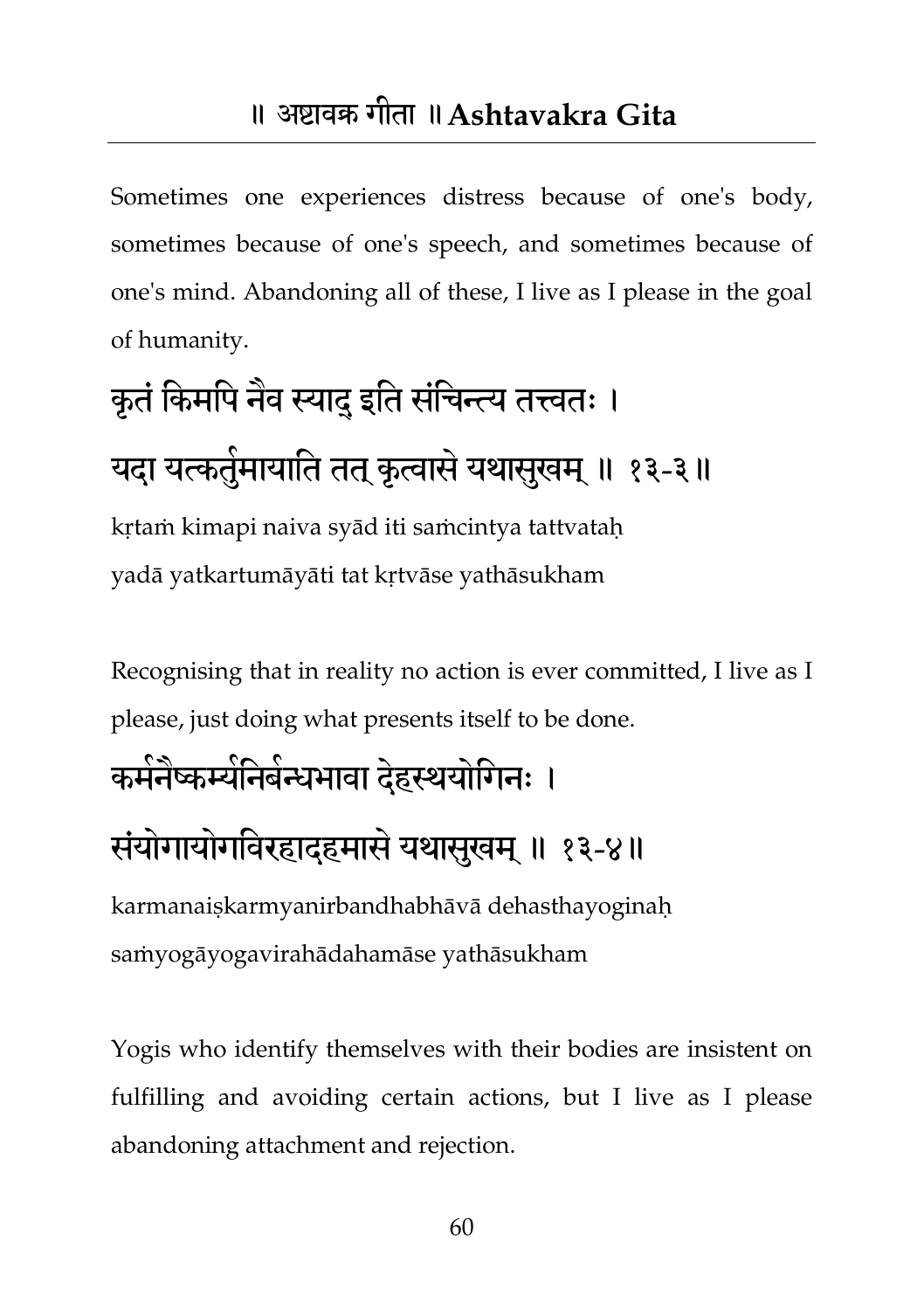#### ॥ अष्टावक्र गीता ॥**Ashtavakra Gita**

Sometimes one experiences distress because of one's body, sometimes because of one's speech, and sometimes because of one's mind. Abandoning all of these, I live as I please in the goal of humanity.

# कृतं किमपि नैव स्याद् इति संचिन्त्य तत्त्वतः । यदा यत्कतुंमायाति तत् कृत्वासे यथासुखम् ॥ १३-३॥

kṛtaṁ kimapi naiva syād iti saṁcintya tattvataḥ yadā yatkartumāyāti tat kṛtvāse yathāsukham

Recognising that in reality no action is ever committed, I live as I please, just doing what presents itself to be done.

### कर्मनेष्कर्म्यनिबन्धभावा देहस्थयोगिनः ।

### संयोगायोगविरहादहमासे यथासुखम् ॥ १३-४॥

karmanaiṣkarmyanirbandhabhāvā dehasthayoginaḥ saṁyogāyogavirahādahamāse yathāsukham

Yogis who identify themselves with their bodies are insistent on fulfilling and avoiding certain actions, but I live as I please abandoning attachment and rejection.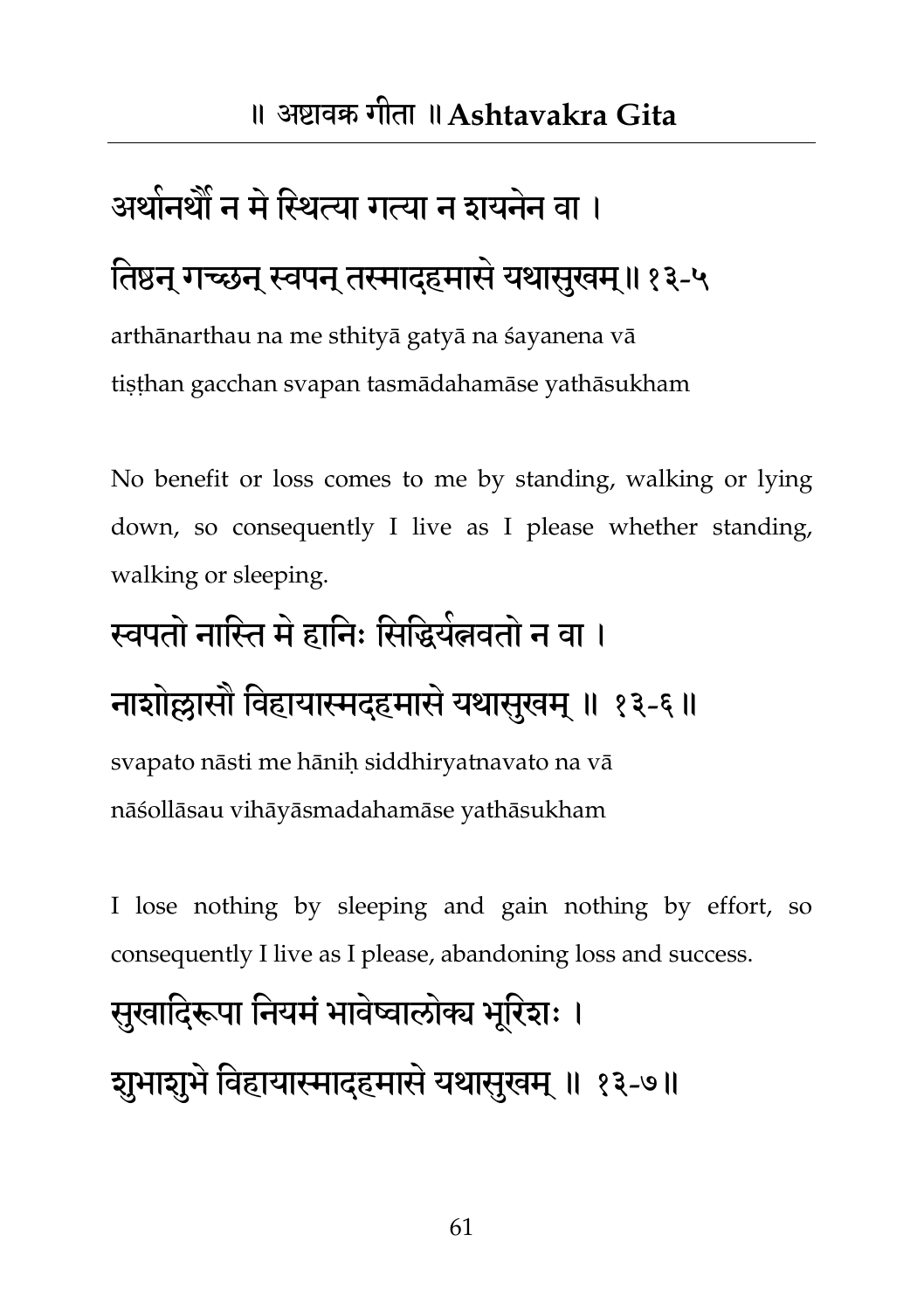### अर्थानथौं न में स्थित्या गत्या न शयनेन वा ।

### तिष्ठन् गच्छन् स्वपन् तस्माद्हमासे यथासुखम्॥१३-५

arthānarthau na me sthityā gatyā na śayanena vā tiṣṭhan gacchan svapan tasmādahamāse yathāsukham

No benefit or loss comes to me by standing, walking or lying down, so consequently I live as I please whether standing, walking or sleeping.

## स्वपतो नास्ति मे हानिः सिद्धियेलवतो न वा ।

### नाशोल्लासौ विहायास्मदहमासे यथासुखम् ॥ १३-६॥

svapato nāsti me hāniḥ siddhiryatnavato na vā nāśollāsau vihāyāsmadahamāse yathāsukham

I lose nothing by sleeping and gain nothing by effort, so consequently I live as I please, abandoning loss and success.

## सुखादिरूपा नियमं भावेष्वालोक्य भूरिशः । शुभाशुभे विहायास्मादहमासे यथासुखम् ॥ १३-७॥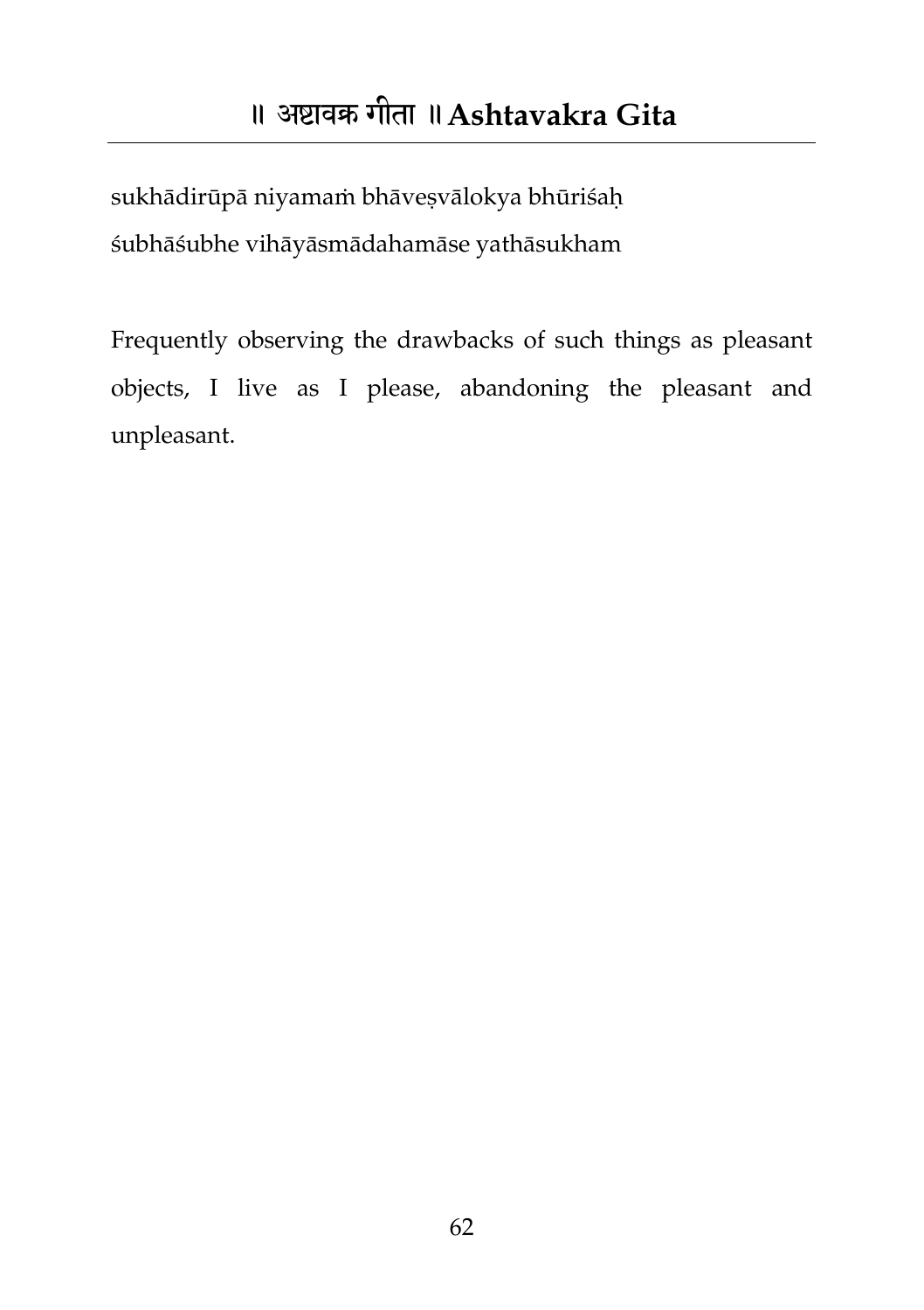sukhādirūpā niyamaṁ bhāveṣvālokya bhūriśaḥ śubhāśubhe vihāyāsmādahamāse yathāsukham

Frequently observing the drawbacks of such things as pleasant objects, I live as I please, abandoning the pleasant and unpleasant.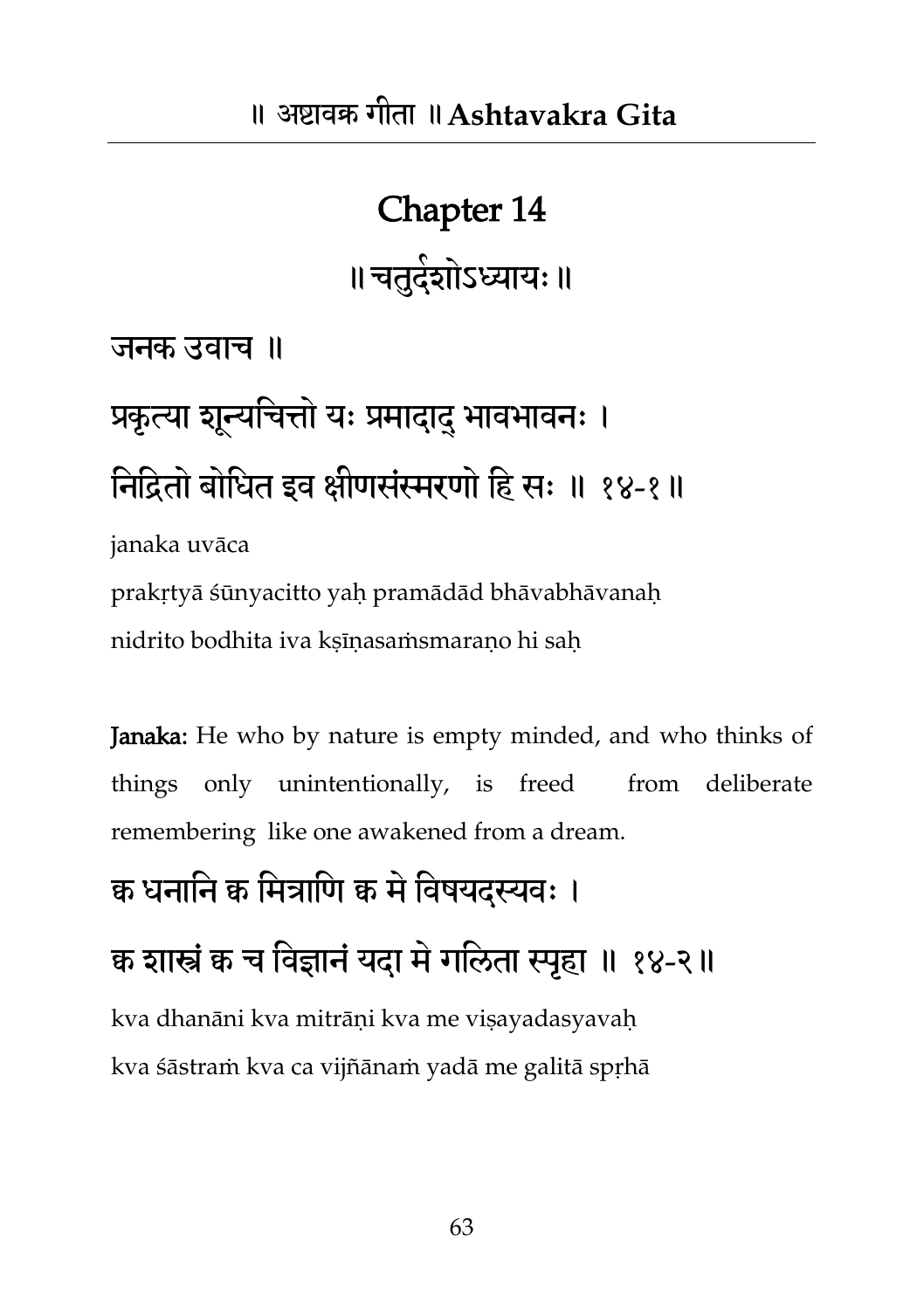## Chapter 14 ॥ चतुदंशोऽध्यायः ॥

जनक उवाच ॥

# प्रकृत्या शून्यचित्तो यः प्रमादादु भावभावनः । निद्रितो बोधित इव क्षीणसंस्मरणो हि सः ॥ १४-१॥

janaka uvāca

prakṛtyā śūnyacitto yaḥ pramādād bhāvabhāvanaḥ nidrito bodhita iva kṣīṇasaṁsmaraṇo hi saḥ

Janaka: He who by nature is empty minded, and who thinks of things only unintentionally, is freed from deliberate remembering like one awakened from a dream.

#### क्व धनानि क्व मित्राणि क्व मे विषयदस्यवः ।

क्व शास्त्रं क च विज्ञानं यदा मे गलिता स्पहा ॥ १४-२॥

kva dhanāni kva mitrāni kva me visayadasyavah kva śāstraṁ kva ca vijñānaṁ yadā me galitā spṛhā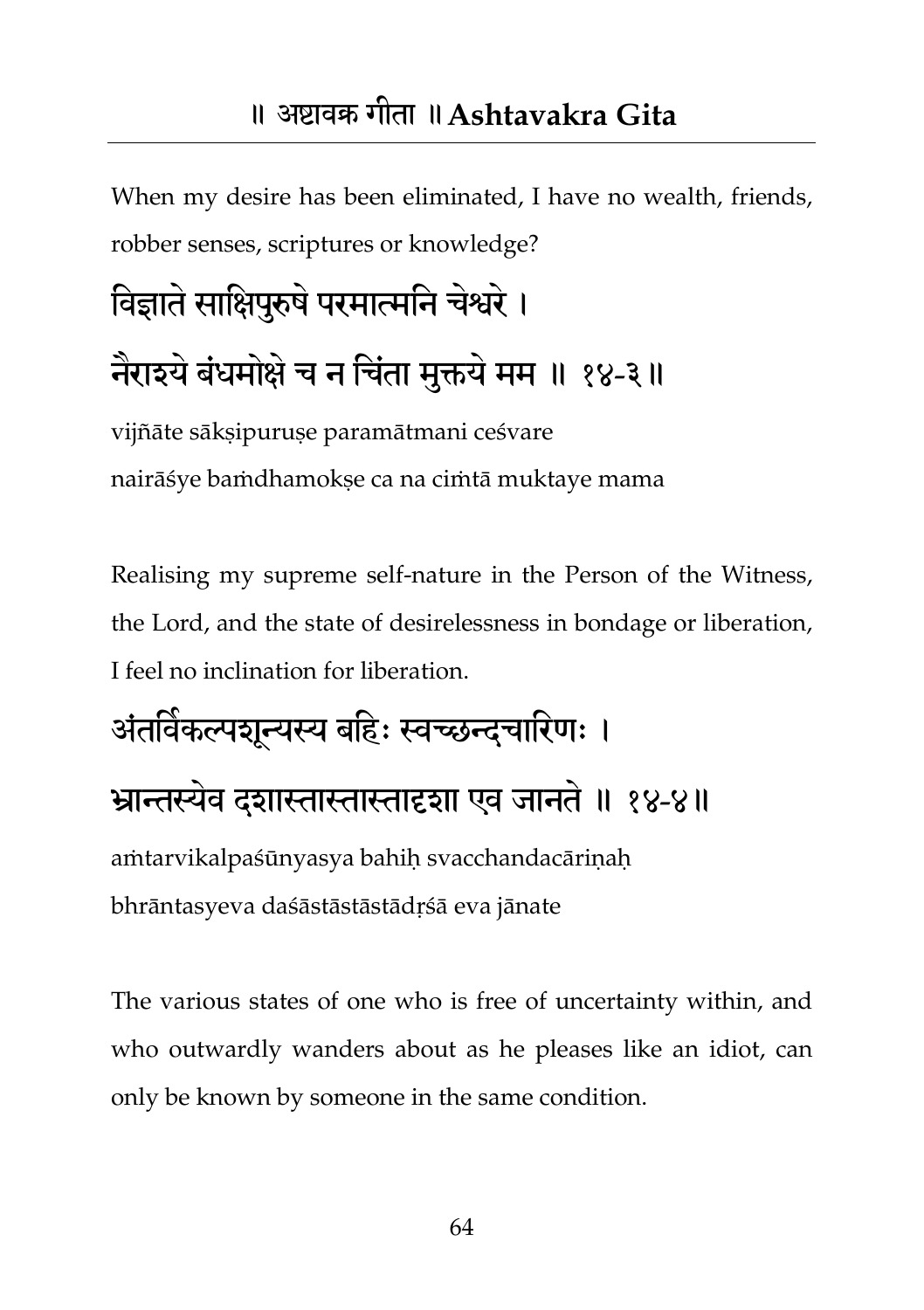#### ॥ अष्टावक्र गीता ॥**Ashtavakra Gita**

When my desire has been eliminated, I have no wealth, friends, robber senses, scriptures or knowledge?

# विज्ञाते साक्षिपुरुषे परमात्मनि चेश्वरे । नैराइये बंधमोक्षे च न चिंता मुक्तये मम ॥ १४-३॥

vijñāte sāksipuruse paramātmani ceśvare nairāśye baṁdhamokṣe ca na ciṁtā muktaye mama

Realising my supreme self-nature in the Person of the Witness, the Lord, and the state of desirelessness in bondage or liberation, I feel no inclination for liberation.

## अंतविकल्पशून्यस्य बहिः स्वच्छन्दचारिणः । भ्रान्तस्यवे दशास्तास्तास्तादृशा एव जानते॥ १४-४॥ aṁtarvikalpaśūnyasya bahiḥ svacchandacāriṇaḥ bhrāntasyeva daśāstāstāstādṛśā eva jānate

The various states of one who is free of uncertainty within, and who outwardly wanders about as he pleases like an idiot, can only be known by someone in the same condition.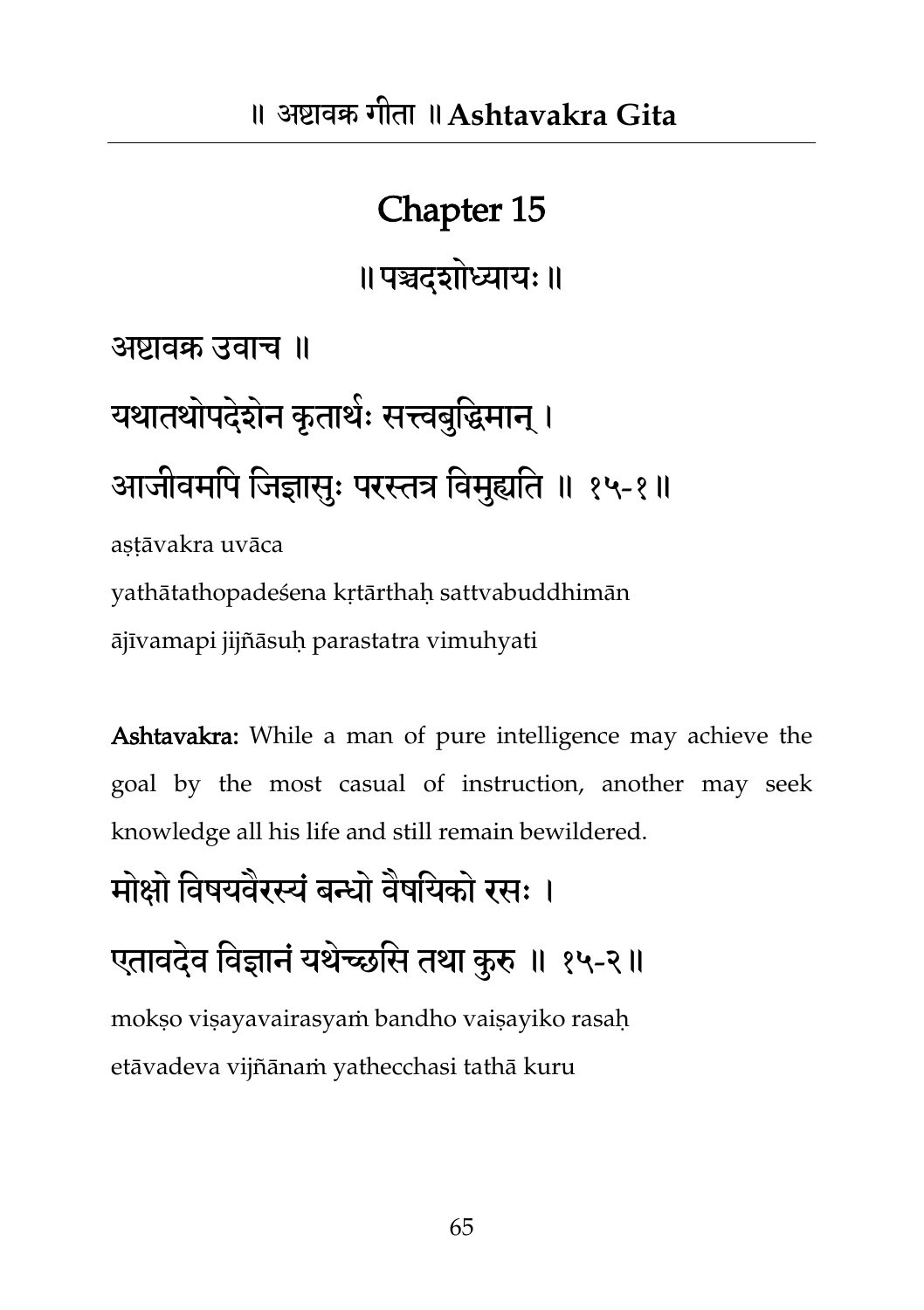॥ पञ्चदशोध्यायः ॥

अष्टावक्र उवाच ॥

यथातथोपदेशेन कृताथेः सत्त्वबुद्धिमान् । आजीवमपि जिज्ञासुः परस्तत्र विमुह्यति ॥ १५-१॥ astāvakra uvāca

yathātathopadeśena kṛtārthaḥ sattvabuddhimān ājīvamapi jijñāsuḥ parastatra vimuhyati

Ashtavakra: While a man of pure intelligence may achieve the goal by the most casual of instruction, another may seek knowledge all his life and still remain bewildered.

मोक्षो विषयवैरस्यं बन्धो वैषयिको रसः ।

एतावदेव विज्ञानं यथेच्छसि तथा कुरु ॥ १५-२॥

mokso visayavairasyam bandho vaisayiko rasah etāvadeva vijñānaṁ yathecchasi tathā kuru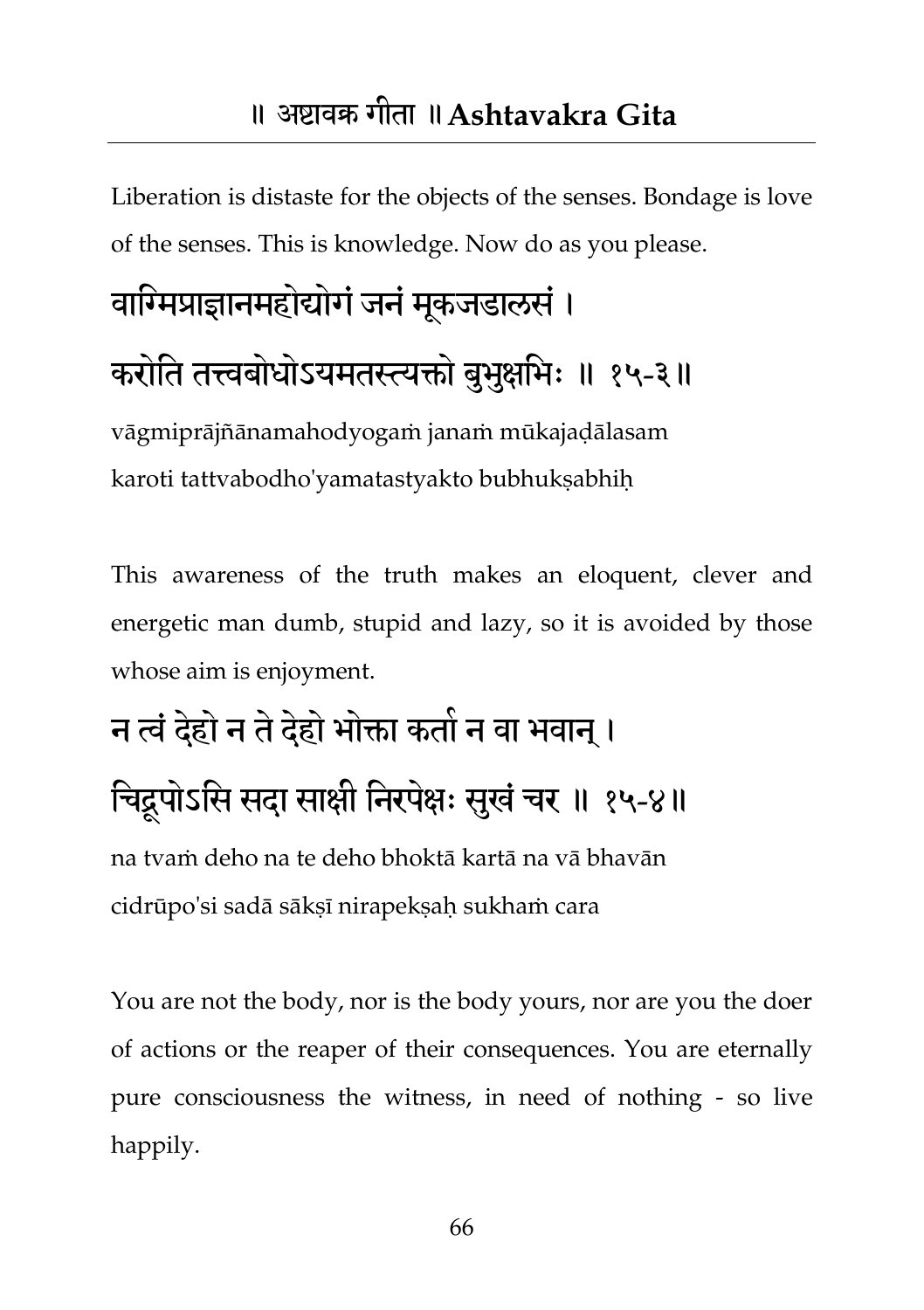Liberation is distaste for the objects of the senses. Bondage is love of the senses. This is knowledge. Now do as you please.

# वाग्मिप्राज्ञानमहोद्योगं जनं मूकजडालसं। करोति तत्त्वबोधोऽयमतस्त्यक्तो बुभुक्षभिः ॥ १५-३॥

vāgmiprājñānamahodyogaṁ janaṁ mūkajaḍālasam karoti tattvabodho'yamatastyakto bubhukṣabhiḥ

This awareness of the truth makes an eloquent, clever and energetic man dumb, stupid and lazy, so it is avoided by those whose aim is enjoyment.

## न त्वं देहो न ते देहो भोक्ता कतो न वा भवान् । चिद्रूपोऽसि सदा साक्षी निरपेक्षः सुखं चर ॥ १५-४॥ na tvaṁ deho na te deho bhoktā kartā na vā bhavān cidrūpo'si sadā sākṣī nirapekṣaḥ sukhaṁ cara

You are not the body, nor is the body yours, nor are you the doer of actions or the reaper of their consequences. You are eternally pure consciousness the witness, in need of nothing - so live happily.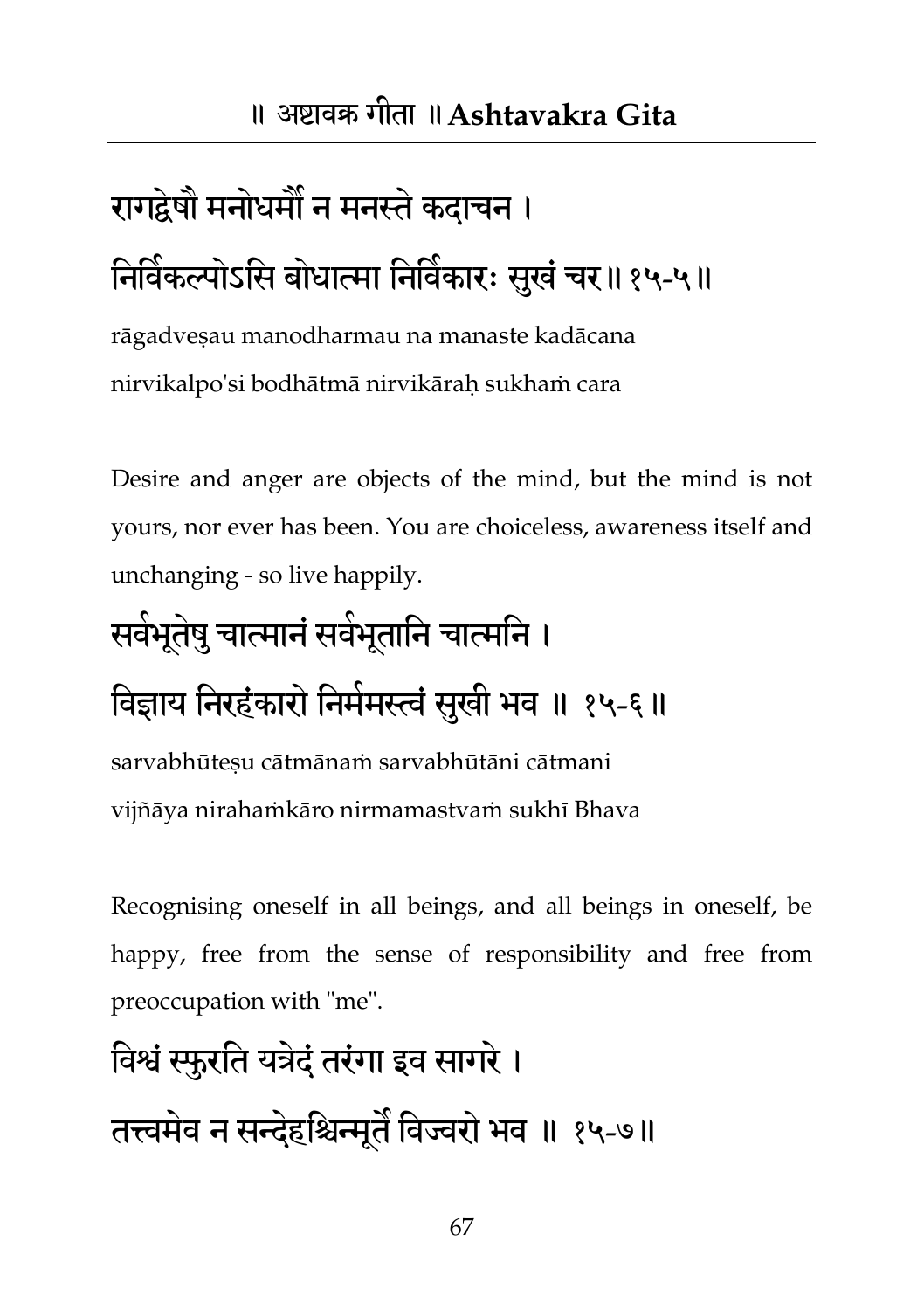# रागद्वेषौ मनोधर्मौ न मनस्ते कदाचन । निर्विकल्पोऽसि बोधात्मा निर्विकारः सुखं चर॥१५-५॥

rāgadveṣau manodharmau na manaste kadācana nirvikalpo'si bodhātmā nirvikāraḥ sukhaṁ cara

Desire and anger are objects of the mind, but the mind is not yours, nor ever has been. You are choiceless, awareness itself and unchanging - so live happily.

# सवेभूतेषु चात्मानं सर्वभूतानि चात्मनि । विज्ञाय निरहंकारो निमेमस्त्वं सुखी भव ॥ १५-६॥

sarvabhūtesu cātmānam sarvabhūtāni cātmani vijñāya nirahaṁkāro nirmamastvaṁ sukhī Bhava

Recognising oneself in all beings, and all beings in oneself, be happy, free from the sense of responsibility and free from preoccupation with "me".

## तवश्वंस्फुयतत मत्रदेंतयंगा इव सागये। तत्त्वमेव न सन्देहश्चिन्मूतै विज्वरो भव ॥ १५-७॥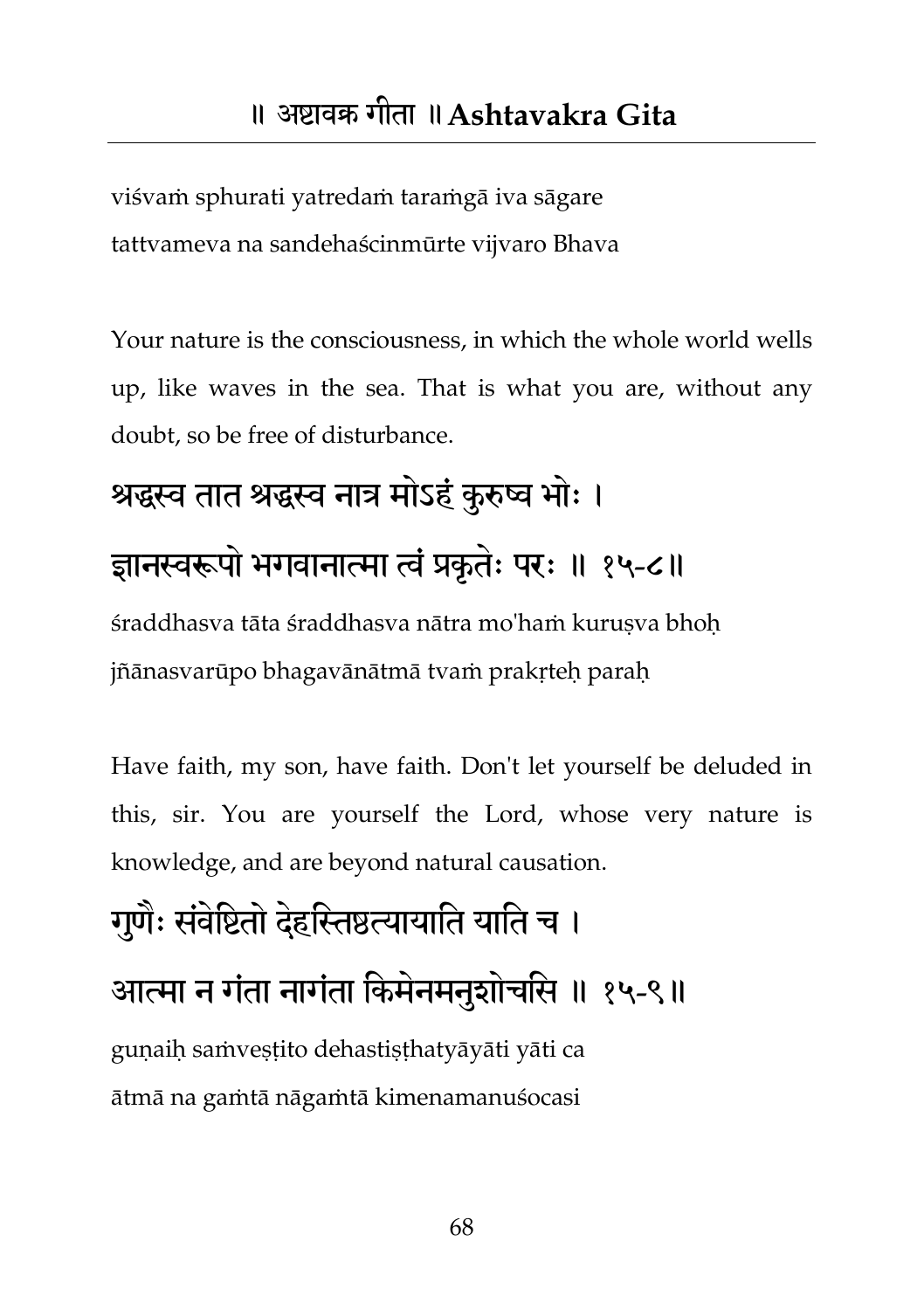viśvaṁ sphurati yatredaṁ taraṁgā iva sāgare tattvameva na sandehaścinmūrte vijvaro Bhava

Your nature is the consciousness, in which the whole world wells up, like waves in the sea. That is what you are, without any doubt, so be free of disturbance.

### श्रद्धस्व तात श्रद्धस्व नात्र मोऽहं कुरुष्व भोः ।

#### ज्ञानस्वरूपो भगवानात्मा त्वं प्रकृतेः परः ॥ १५-८॥

śraddhasva tāta śraddhasva nātra mo'haṁ kurusva bhoh jñānasvarūpo bhagavānātmā tvaṁ prakṛteḥ paraḥ

Have faith, my son, have faith. Don't let yourself be deluded in this, sir. You are yourself the Lord, whose very nature is knowledge, and are beyond natural causation.

## गुणैः संवेष्टितो देहस्तिष्ठत्यायाति याति च । आत्मा न गंता नागंता किमेनमनुशोचसि ॥ १५-९॥ guṇaiḥ saṁveṣṭito dehastiṣṭhatyāyāti yāti ca ātmā na gaṁtā nāgaṁtā kimenamanuśocasi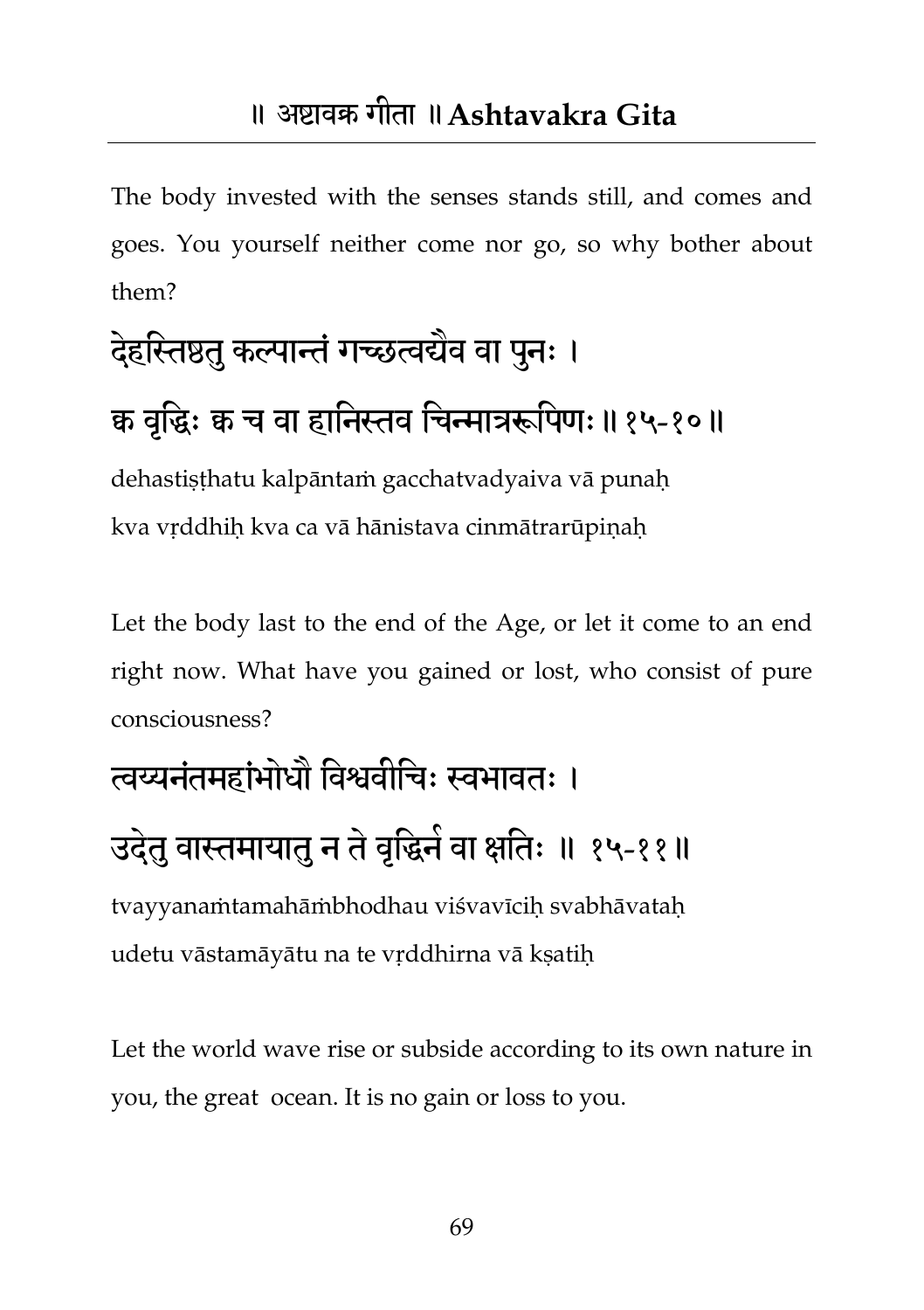The body invested with the senses stands still, and comes and goes. You yourself neither come nor go, so why bother about them?

# देहस्तिष्ठतु कल्पान्तं गच्छत्वद्येव वा पुनः ।

### क्व वृद्धिः क्व च वा हानिस्तव चिन्मात्ररूपिणः॥१५-१०॥

dehastiṣṭhatu kalpāntaṁ gacchatvadyaiva vā punaḥ kva vṛddhiḥ kva ca vā hānistava cinmātrarūpiṇaḥ

Let the body last to the end of the Age, or let it come to an end right now. What have you gained or lost, who consist of pure consciousness?

### त्वय्यनंतमहांभोधौ विश्ववीचि: स्वभावत: ।

### उदेतु वास्तमायातु न ते वृद्धिने वा क्षतिः ॥ १५-११॥

tvayyanaṁtamahāṁbhodhau viśvavīciḥ svabhāvataḥ udetu vāstamāyātu na te vṛddhirna vā kṣatiḥ

Let the world wave rise or subside according to its own nature in you, the great ocean. It is no gain or loss to you.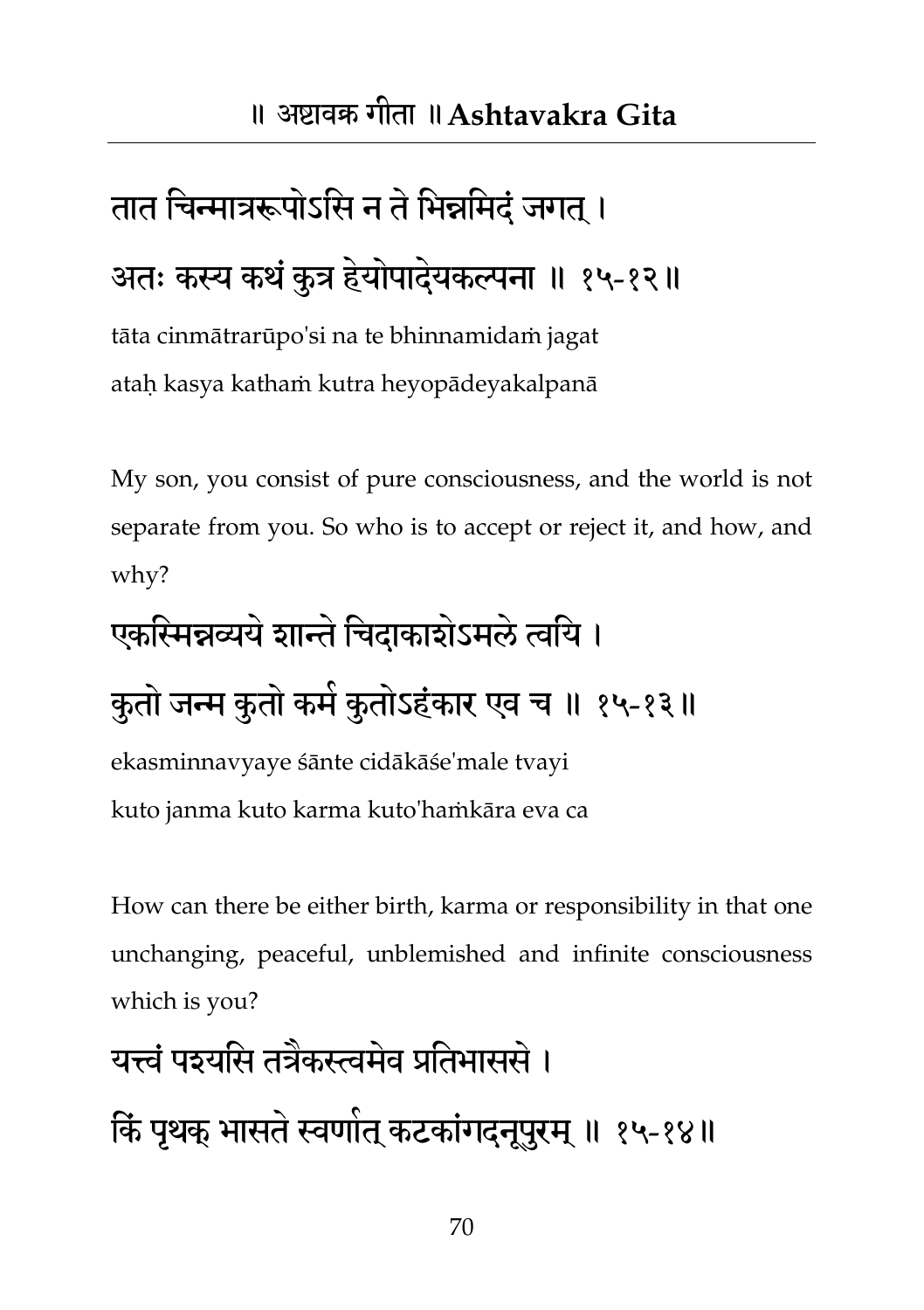## तात चिन्मात्ररूपोऽसि न ते भिन्नमिदं जगत् । अतः कस्य कथं कुत्र हेयोपादेयकल्पना ॥ १५-१२॥

tāta cinmātrarūpo'si na te bhinnamidaṁ jagat ataḥ kasya kathaṁ kutra heyopādeyakalpanā

My son, you consist of pure consciousness, and the world is not separate from you. So who is to accept or reject it, and how, and why?

### एकस्मिन्नव्यये शान्ते चिदाकाशेऽमले त्वयि ।

## कुतो जन्म कुतो कमे कुतोऽहंकार एव च ॥ १५-१३॥

ekasminnavyaye śānte cidākāśe'male tvayi kuto janma kuto karma kuto'haṁkāra eva ca

How can there be either birth, karma or responsibility in that one unchanging, peaceful, unblemished and infinite consciousness which is you?

### यत्त्वं पश्यसि तत्रैकस्त्वमेव प्रतिभाससे ।

किं पृथक् भासते स्वणोत् कटकांगदनूपुरम् ॥ १५-१४॥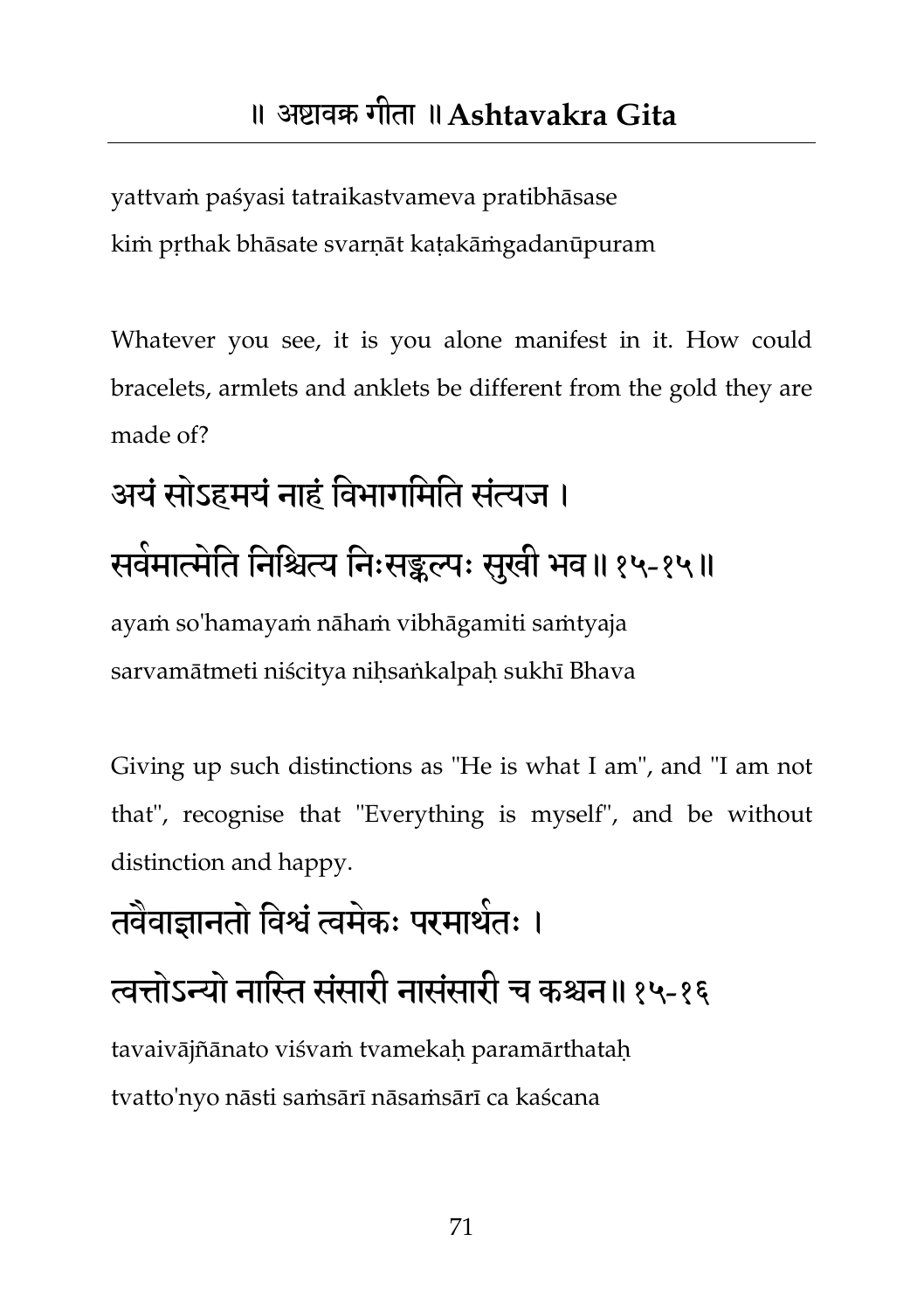yattvaṁ paśyasi tatraikastvameva pratibhāsase kiṁ pṛthak bhāsate svarṇāt kaṭakāṁgadanūpuram

Whatever you see, it is you alone manifest in it. How could bracelets, armlets and anklets be different from the gold they are made of?

# अयं सोऽहमयं नाहं विभागमिति संत्यज । सर्वमात्मेति निश्चित्य निःसङ्कल्पः सुखी भव॥१५-१५॥

ayaṁ so'hamayaṁ nāhaṁ vibhāgamiti saṁtyaja sarvamātmeti niścitya nihsaṅkalpah sukhī Bhava

Giving up such distinctions as "He is what I am", and "I am not that", recognise that "Everything is myself", and be without distinction and happy.

## तवैवाज्ञानतो विश्वं त्वमेकः परमार्थतः ।

### त्वत्तोऽन्यो नास्ति संसारी नासंसारी च कश्चन॥१५-१६

tavaivājñānato viśvaṁ tvamekaḥ paramārthataḥ tvatto'nyo nāsti saṁsārī nāsaṁsārī ca kaścana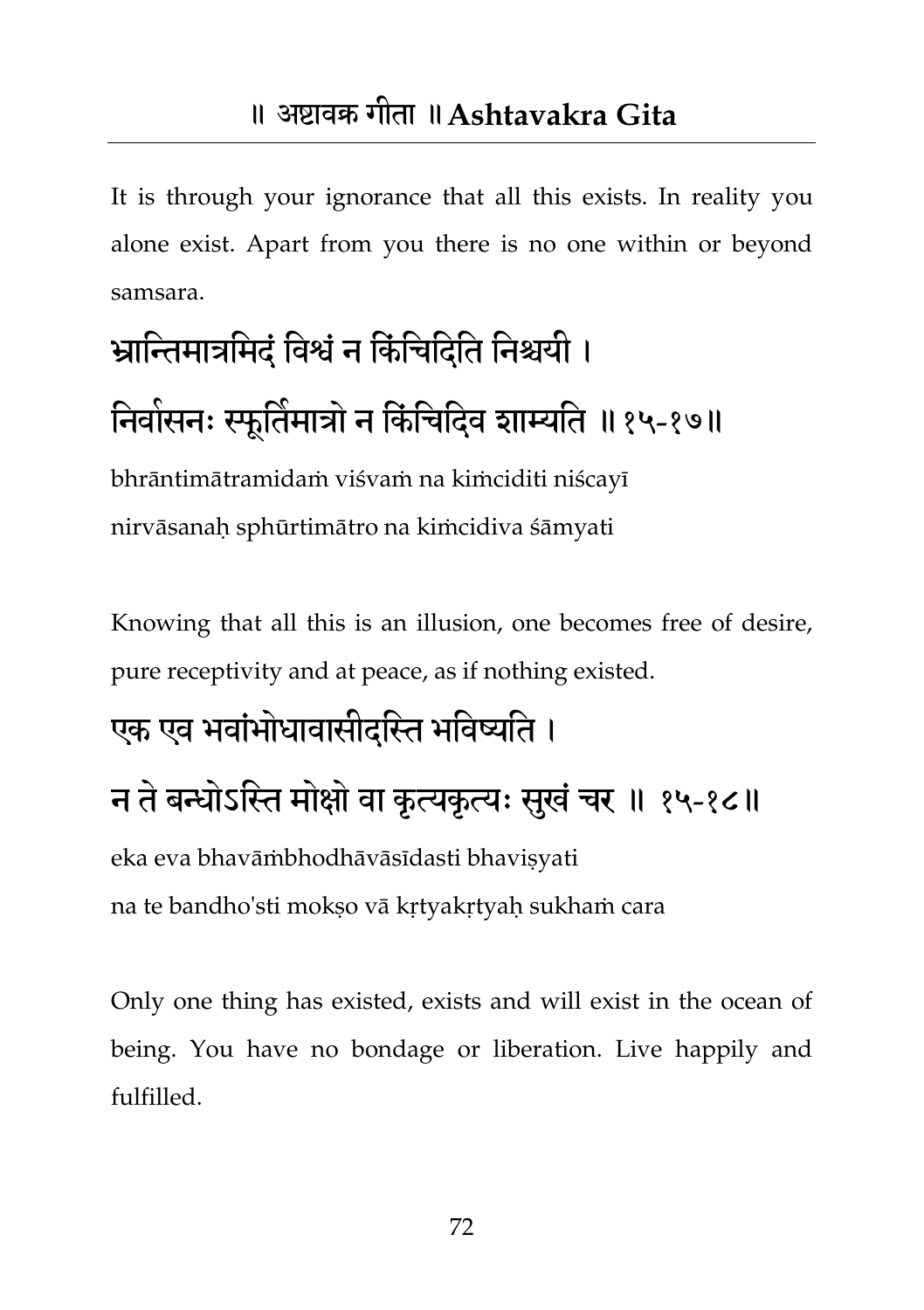It is through your ignorance that all this exists. In reality you alone exist. Apart from you there is no one within or beyond samsara.

## भ्रातन्तभात्रतभदंतवश्वंन तकंतचतदतत तनश्चमी । निवासनः स्फूर्तिमात्रों न किंचिदिव शाम्यति ॥१५-१७॥

bhrāntimātramidaṁ viśvaṁ na kiṁciditi niścayī nirvāsanaḥ sphūrtimātro na kiṁcidiva śāmyati

Knowing that all this is an illusion, one becomes free of desire, pure receptivity and at peace, as if nothing existed.

#### एक एव भवांभोधावासीदस्ति भविष्यति ।

## न ते बन्धोऽस्ति मोक्षो वा कृत्यकृत्यः सुखं चर ॥ १५-१८॥

eka eva bhavāṁbhodhāvāsīdasti bhaviṣyati

na te bandho'sti mokṣo vā kṛtyakṛtyaḥ sukhaṁ cara

Only one thing has existed, exists and will exist in the ocean of being. You have no bondage or liberation. Live happily and fulfilled.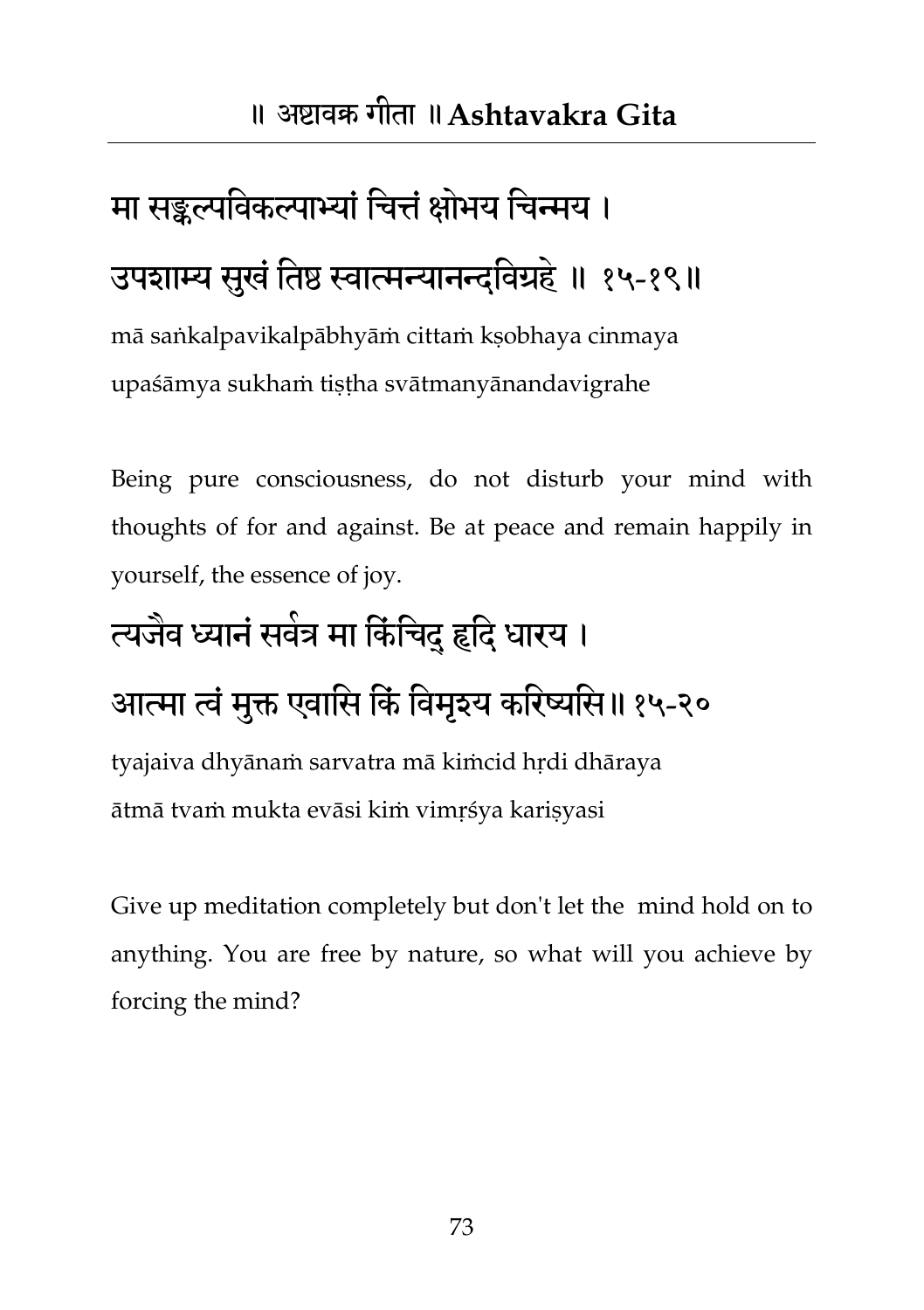## मा सङ्कल्पविकल्पाभ्यां चित्तं क्षोभय चिन्मय । उपशाम्य सुखं तिष्ठ स्वात्मन्यानन्दविग्रहे ॥ १५-१९॥

mā saṅkalpavikalpābhyāṁ cittaṁ kṣobhaya cinmaya upaśāmya sukhaṁ tiṣṭha svātmanyānandavigrahe

Being pure consciousness, do not disturb your mind with thoughts of for and against. Be at peace and remain happily in yourself, the essence of joy.

#### त्यजैव ध्यानं सर्वत्र मा किंचिद् हृदि धारय ।

#### आत्मा त्वं मुक्त एवासि किं विमृश्य करिष्यसि॥१५-२०

tyajaiva dhyānaṁ sarvatra mā kiṁcid hṛdi dhāraya ātmā tvaṁ mukta evāsi kiṁ vimṛśya kariṣyasi

Give up meditation completely but don't let the mind hold on to anything. You are free by nature, so what will you achieve by forcing the mind?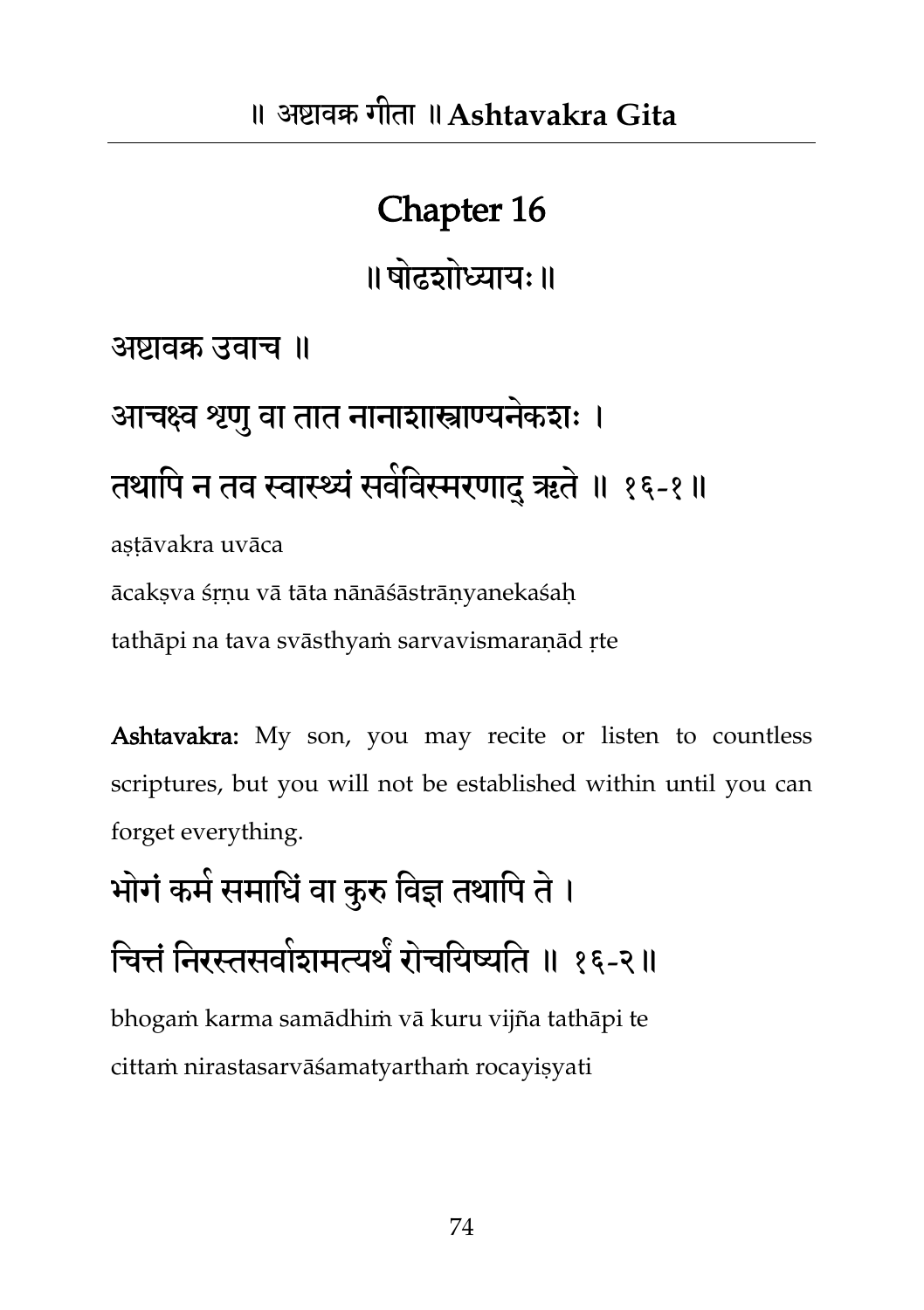#### Chapter 16

॥षोढशोध्याम्॥

अष्टावक्र उवाच ॥

आचक्ष्व श्रणु वा तात नानाशास्त्राण्यनेकशः । तथापि न तव स्वास्थ्यं सर्वविस्मरणादु ऋते ॥ १६-१॥ astāvakra uvāca

ācakṣva śṛṇu vā tāta nānāśāstrāṇyanekaśaḥ

tathāpi na tava svāsthyaṁ sarvavismaraṇād ṛte

Ashtavakra: My son, you may recite or listen to countless scriptures, but you will not be established within until you can forget everything.

भोगं कमे समाधिं वा कुरु विज्ञ तथापि ते ।

चित्तं निरस्तसवोशमत्यर्थं रोचयिष्यति ॥ १६-२॥

bhogaṁ karma samādhiṁ vā kuru vijña tathāpi te cittaṁ nirastasarvāśamatyarthaṁ rocayiṣyati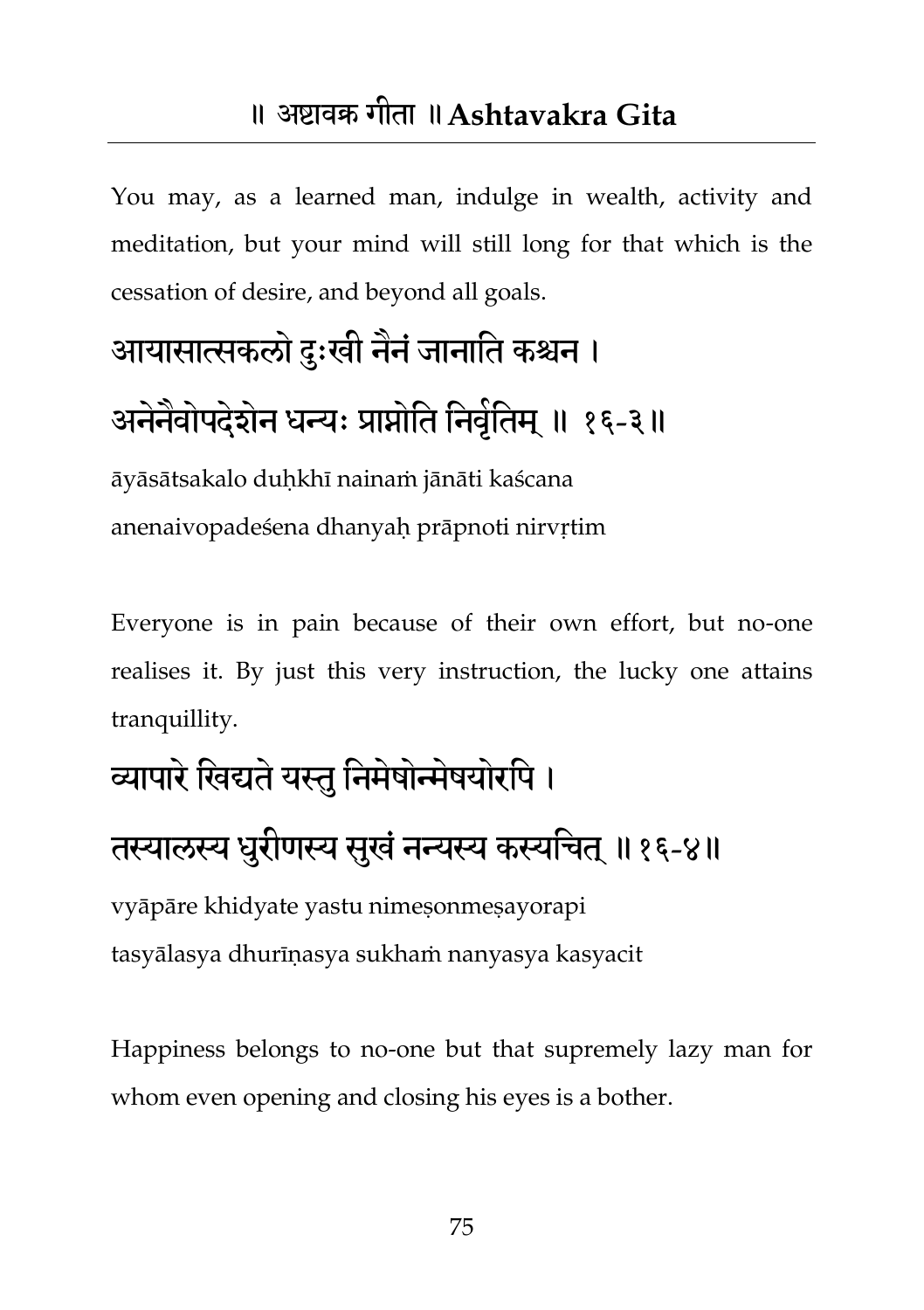#### ॥ अष्टावक्र गीता ॥**Ashtavakra Gita**

You may, as a learned man, indulge in wealth, activity and meditation, but your mind will still long for that which is the cessation of desire, and beyond all goals.

## आयासात्सकलो दुःखी नैनं जानाति कश्चन । अनेनैवोपदेशेन धन्यः प्राप्नोति निर्वृतिम् ॥ १६-३॥

āyāsātsakalo duḥkhī nainaṁ jānāti kaścana anenaivopadeśena dhanyah prāpnoti nirvrtim

Everyone is in pain because of their own effort, but no-one realises it. By just this very instruction, the lucky one attains tranquillity.

#### व्यापारे खिद्यते यस्तु निमेषोन्मेषयोरपि ।

#### तस्यालस्य धुरीणस्य सुखं नन्यस्य कस्यचित् ॥१६-४॥

vyāpāre khidyate yastu nimeṣonmeṣayorapi tasyālasya dhurīṇasya sukhaṁ nanyasya kasyacit

Happiness belongs to no-one but that supremely lazy man for whom even opening and closing his eyes is a bother.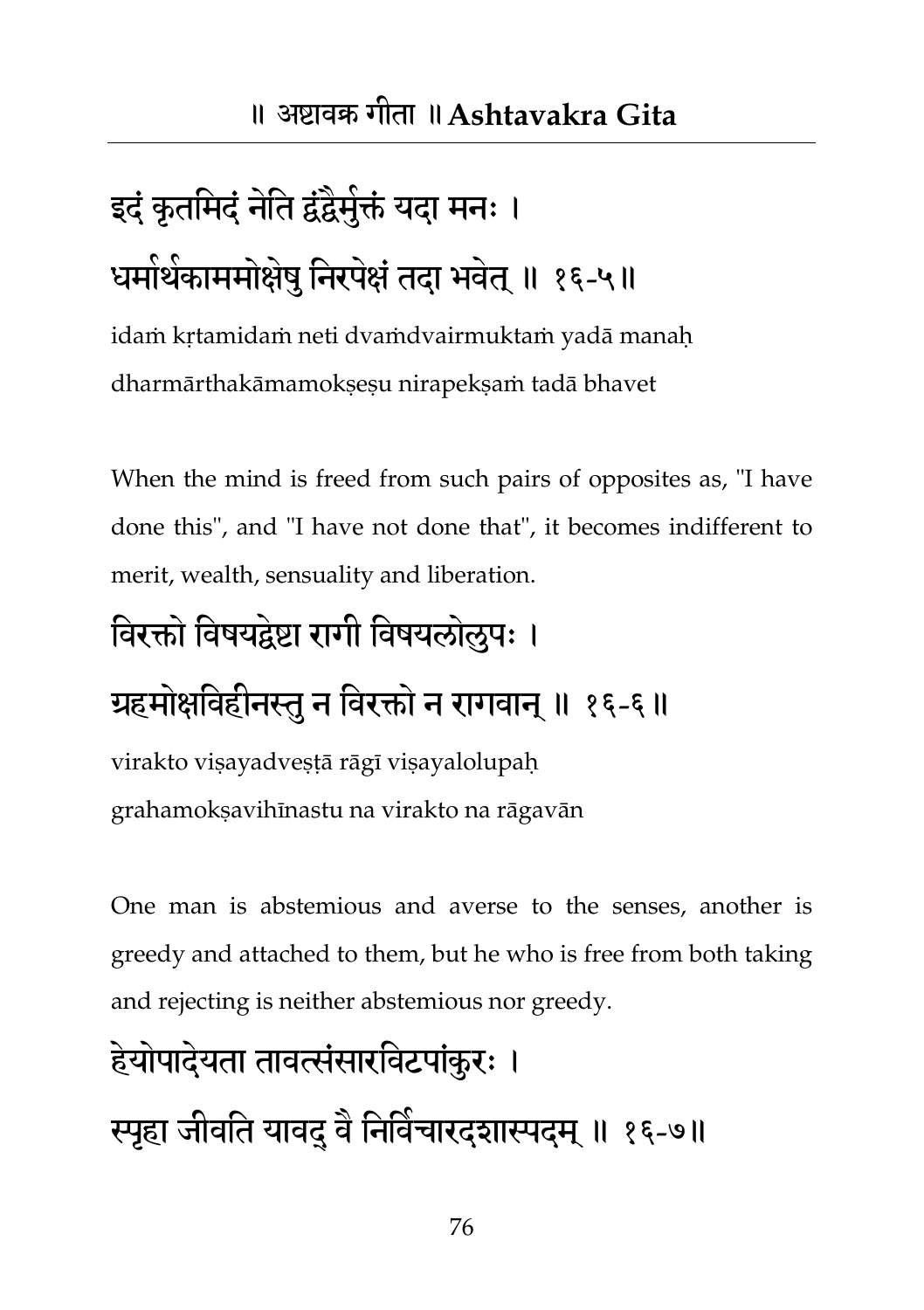## इदं कृतमिदं नेति द्वंद्वैमुक्तं यदा मनः । धर्मार्थकाममोक्षेषु निरपेक्षं तदा भवेत् ॥ १६-५॥

idaṁ kṛtamidaṁ neti dvaṁdvairmuktaṁ yadā manaḥ dharmārthakāmamokṣeṣu nirapekṣaṁ tadā bhavet

When the mind is freed from such pairs of opposites as, "I have done this", and "I have not done that", it becomes indifferent to merit, wealth, sensuality and liberation.

#### विरक्तो विषयद्वेष्टा रागी विषयलोलुपः ।

#### ग्रहमोक्षविहीनस्तु न विरक्तो न रागवान् ॥ १६-६॥

virakto viṣayadveṣṭā rāgī viṣayalolupaḥ grahamokṣavihīnastu na virakto na rāgavān

One man is abstemious and averse to the senses, another is greedy and attached to them, but he who is free from both taking and rejecting is neither abstemious nor greedy.

## हेयोपादेयता तावत्संसारविटपांकरः । स्पृहा जीवति यावद् वै निर्विचारदशास्पदम् ॥ १६-७॥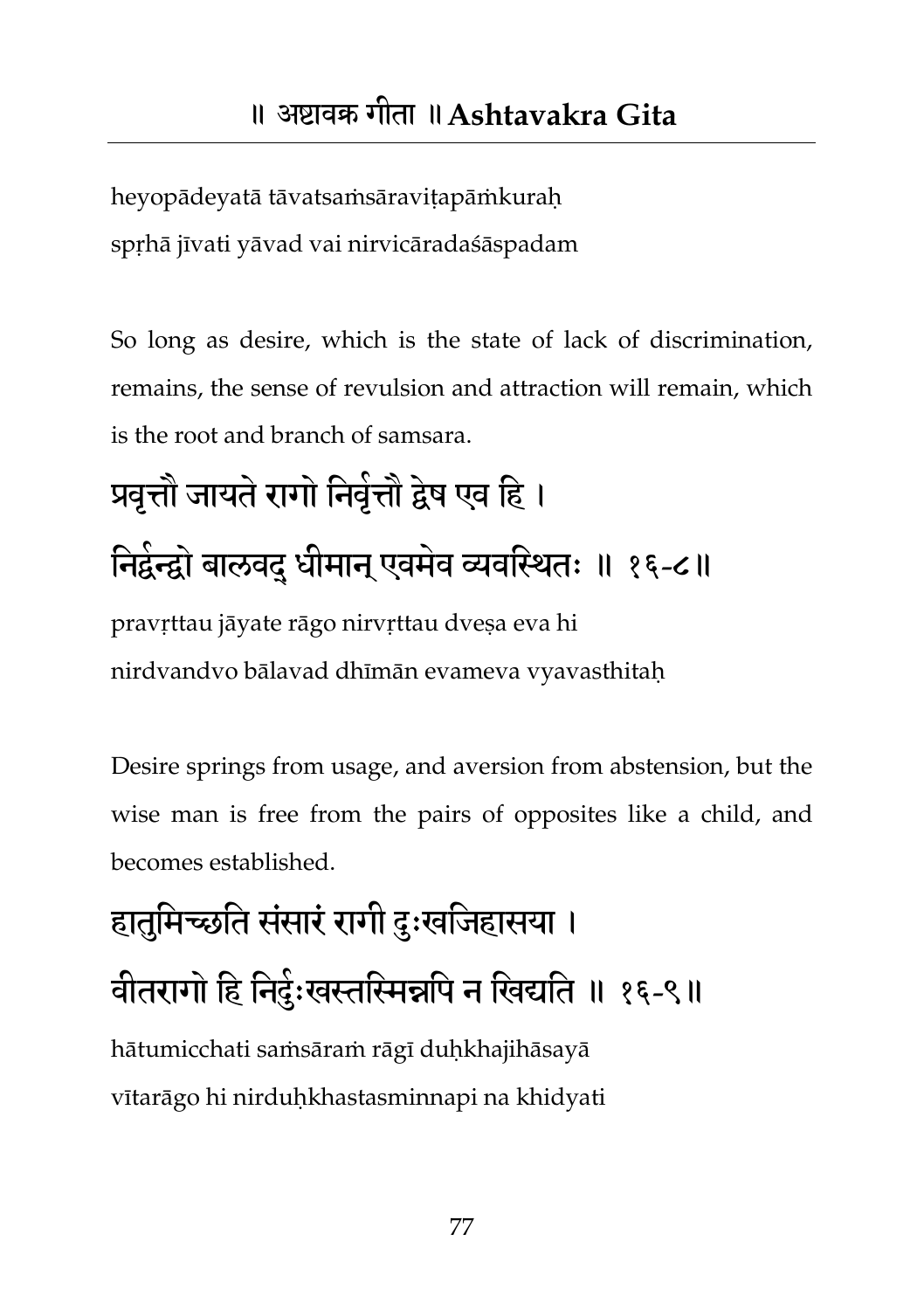heyopādeyatā tāvatsaṁsāraviṭapāṁkuraḥ spṛhā jīvati yāvad vai nirvicāradaśāspadam

So long as desire, which is the state of lack of discrimination, remains, the sense of revulsion and attraction will remain, which is the root and branch of samsara.

## प्रवृत्तौ जायते रागो निर्वृत्तौ द्वेष एव हि । निर्द्वन्द्वो बालवद् धीमान् एवमेव व्यवस्थितः ॥ १६-८॥ pravṛttau jāyate rāgo nirvṛttau dveṣa eva hi nirdvandvo bālavad dhīmān evameva vyavasthitaḥ

Desire springs from usage, and aversion from abstension, but the wise man is free from the pairs of opposites like a child, and becomes established.

### हातुमिच्छति संसारं रागी दुःखजिहासया । वीतरागों हि निर्दुःखस्तस्मिन्नपि न खिद्यति ॥ १६-९॥ hātumicchati saṁsāraṁ rāgī duḥkhajihāsayā vītarāgo hi nirduḥkhastasminnapi na khidyati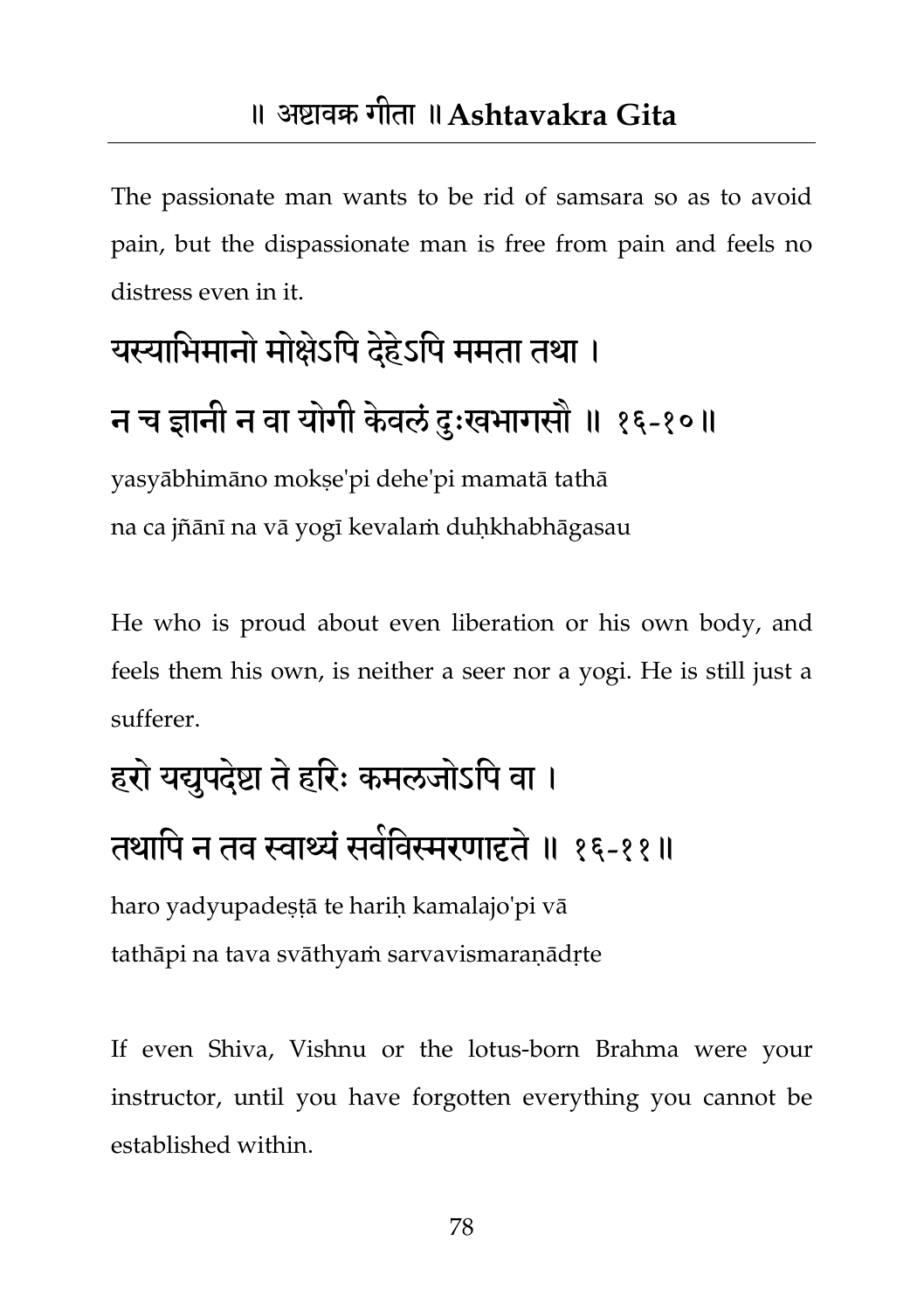The passionate man wants to be rid of samsara so as to avoid pain, but the dispassionate man is free from pain and feels no distress even in it.

## यस्याभिमानो मोक्षेऽपि देहेऽपि ममता तथा । न च ज्ञानी न वा योगी केवलं दुःखभागसौ ॥ १६-१०॥

yasyābhimāno mokṣe'pi dehe'pi mamatā tathā na ca jñānī na vā yogī kevalaṁ duḥkhabhāgasau

He who is proud about even liberation or his own body, and feels them his own, is neither a seer nor a yogi. He is still just a sufferer.

## हरो यद्युपदे़ष्टा ते हरिः कमलजोऽपि वा । तथापि न तव स्वार्थ्यं सर्वविस्मरणादृते ॥ १६-११॥

haro yadyupadeṣṭā te hariḥ kamalajo'pi vā tathāpi na tava svāthyaṁ sarvavismaraṇādṛte

If even Shiva, Vishnu or the lotus-born Brahma were your instructor, until you have forgotten everything you cannot be established within.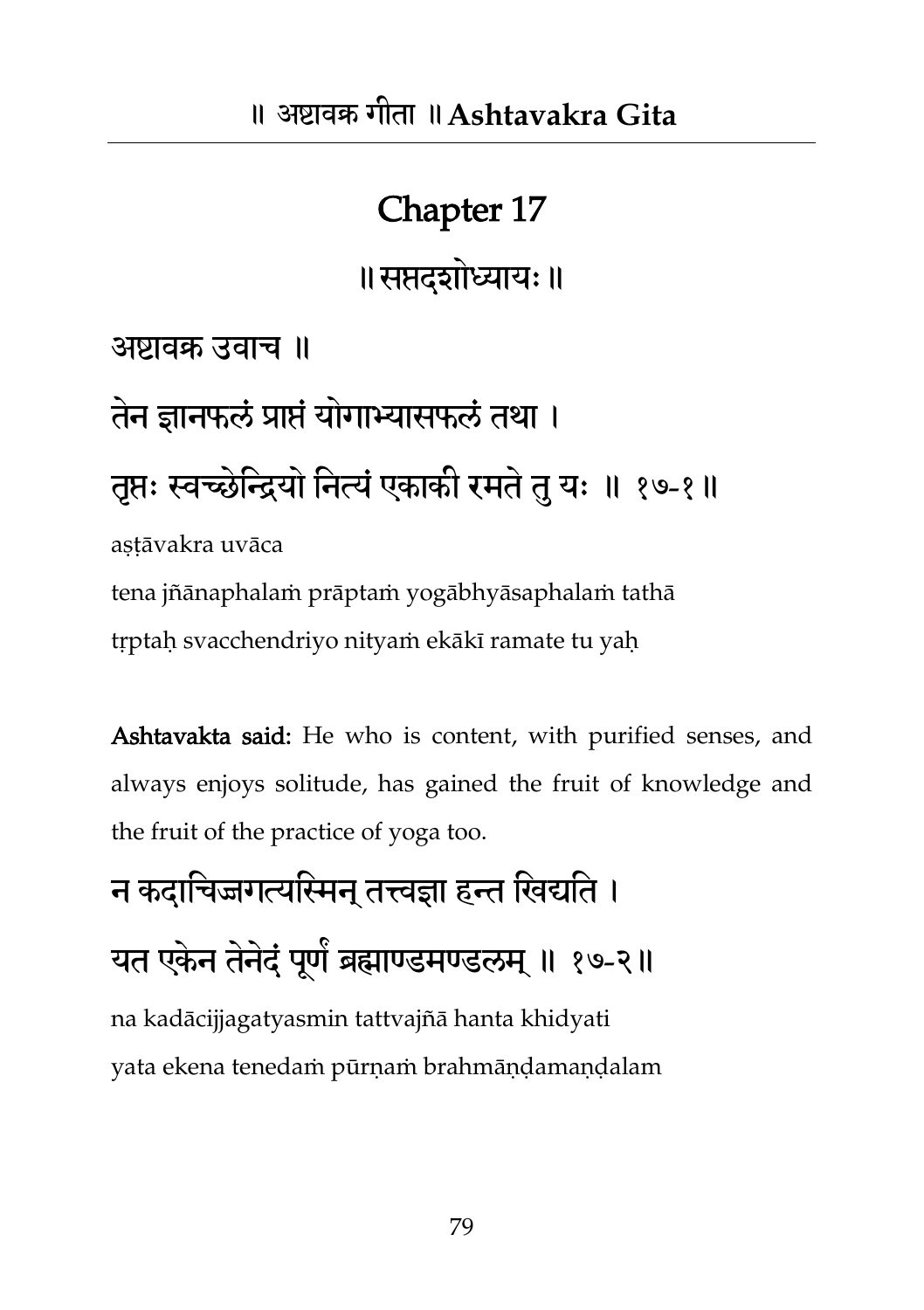#### Chapter 17

॥सप्तदशोध्याम्॥

अष्टावक्र उवाच ॥

## तेन ज्ञानफलं प्राप्तं योगाभ्यासफलं तथा । त्तप्तः स्वच्छेन्द्रियो नित्यं एकाकी रमते तु यः ॥ १७-१॥ astāvakra uvāca

tena jñānaphalaṁ prāptaṁ yogābhyāsaphalaṁ tathā tṛptaḥ svacchendriyo nityaṁ ekākī ramate tu yaḥ

Ashtavakta said: He who is content, with purified senses, and always enjoys solitude, has gained the fruit of knowledge and the fruit of the practice of yoga too.

न कदाचिज्जगत्यस्मिन तत्त्वज्ञा हन्त खिद्यति । यत एकेन तेनेदं पूर्णं ब्रह्माण्डमण्डलम् ॥ १७-२॥ na kadācijjagatyasmin tattvajñā hanta khidyati yata ekena tenedaṁ pūrṇaṁ brahmāṇḍamaṇḍalam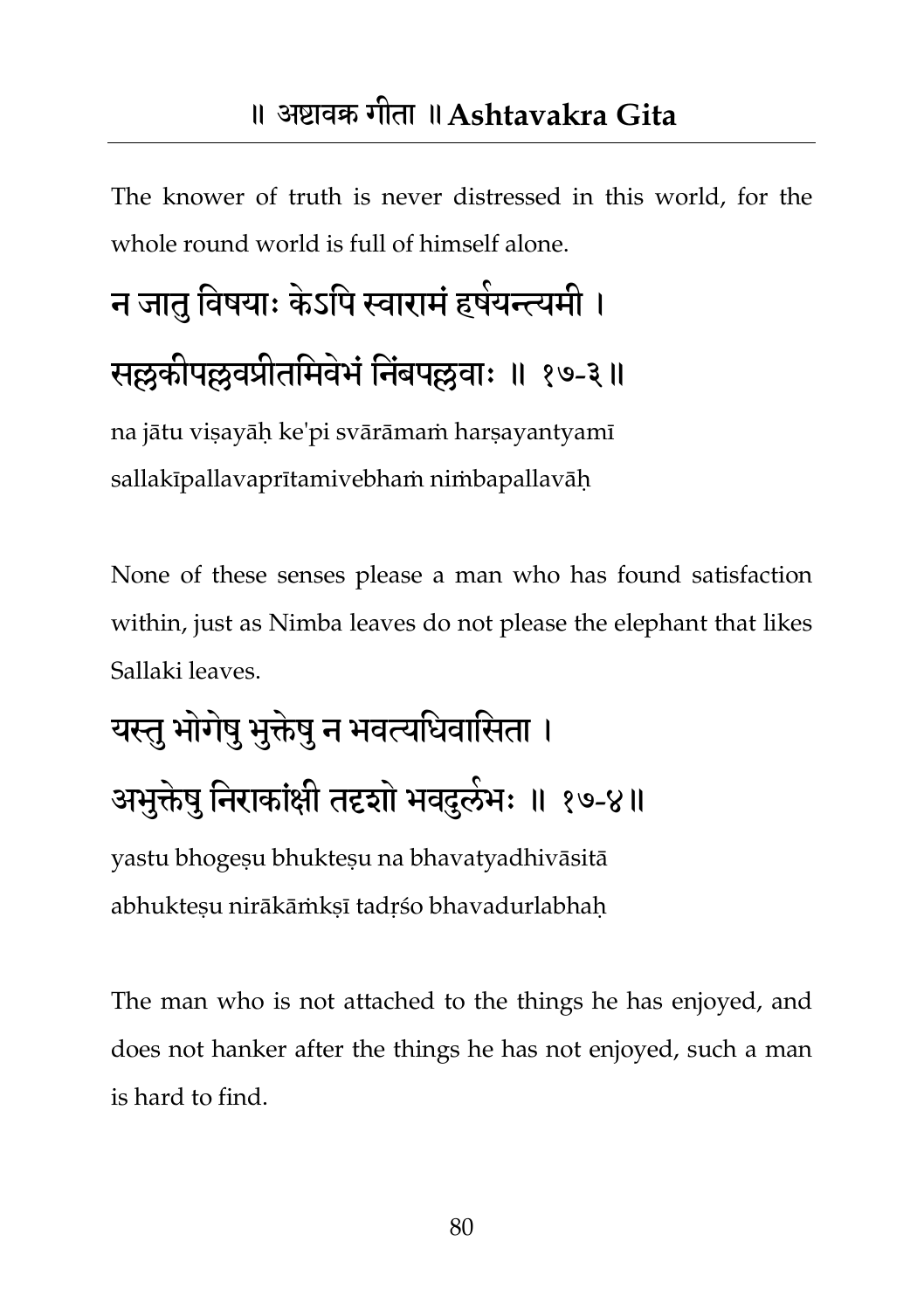The knower of truth is never distressed in this world, for the whole round world is full of himself alone.

### न जातु विषयाः केऽपि स्वारामं हषेयन्त्यमी । सल्लकीपल्लवप्रीतमिवेभं निंबपल्लवाः ॥ १७-३॥ na jātu visayāh ke'pi svārāmam harsayantyamī sallakīpallavaprītamivebhaṁ niṁbapallavāḥ

None of these senses please a man who has found satisfaction within, just as Nimba leaves do not please the elephant that likes Sallaki leaves.

## यस्तु भोगेषु भुक्तेषु न भवत्यधिवासिता । अभुक्तेषु निराकांक्षी तदृशो भवदुलंभः ॥ १७-४॥ yastu bhogeṣu bhukteṣu na bhavatyadhivāsitā

abhuktesu nirākāṁksī tadrśo bhavadurlabhah

The man who is not attached to the things he has enjoyed, and does not hanker after the things he has not enjoyed, such a man is hard to find.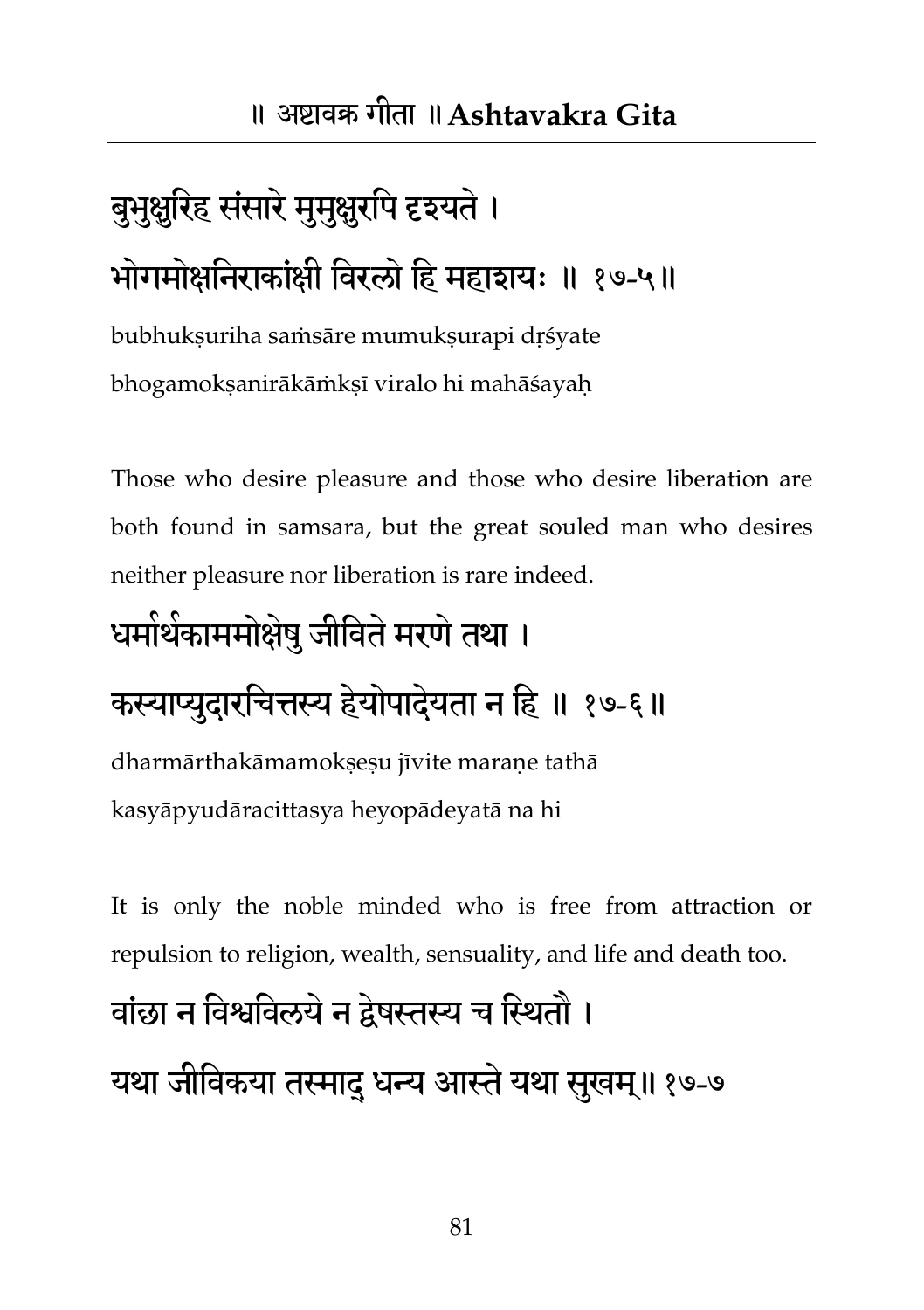## बुभुक्षुरिह संसारे मुमुक्षुरपि दृश्यते । भोगमोक्षनिराकांक्षी विरलो हि महाशयः ॥ १७-५॥

bubhukṣuriha saṁsāre mumukṣurapi dṛśyate bhogamokṣanirākāṁkṣī viralo hi mahāśayaḥ

Those who desire pleasure and those who desire liberation are both found in samsara, but the great souled man who desires neither pleasure nor liberation is rare indeed.

### धमोर्थकाममोक्षेषु जीविते मरणे तथा ।

#### कस्याप्युदारचित्तस्य हेयोपादेयता न हि ॥ १७-६॥

dharmārthakāmamokṣeṣu jīvite maraṇe tathā kasyāpyudāracittasya heyopādeyatā na hi

It is only the noble minded who is free from attraction or repulsion to religion, wealth, sensuality, and life and death too.

#### वांछा न विश्वविलये न द्वेषस्तस्य च स्थितौ ।

यथा जीविकया तस्मादु धन्य आस्ते यथा सुखम्॥१७-७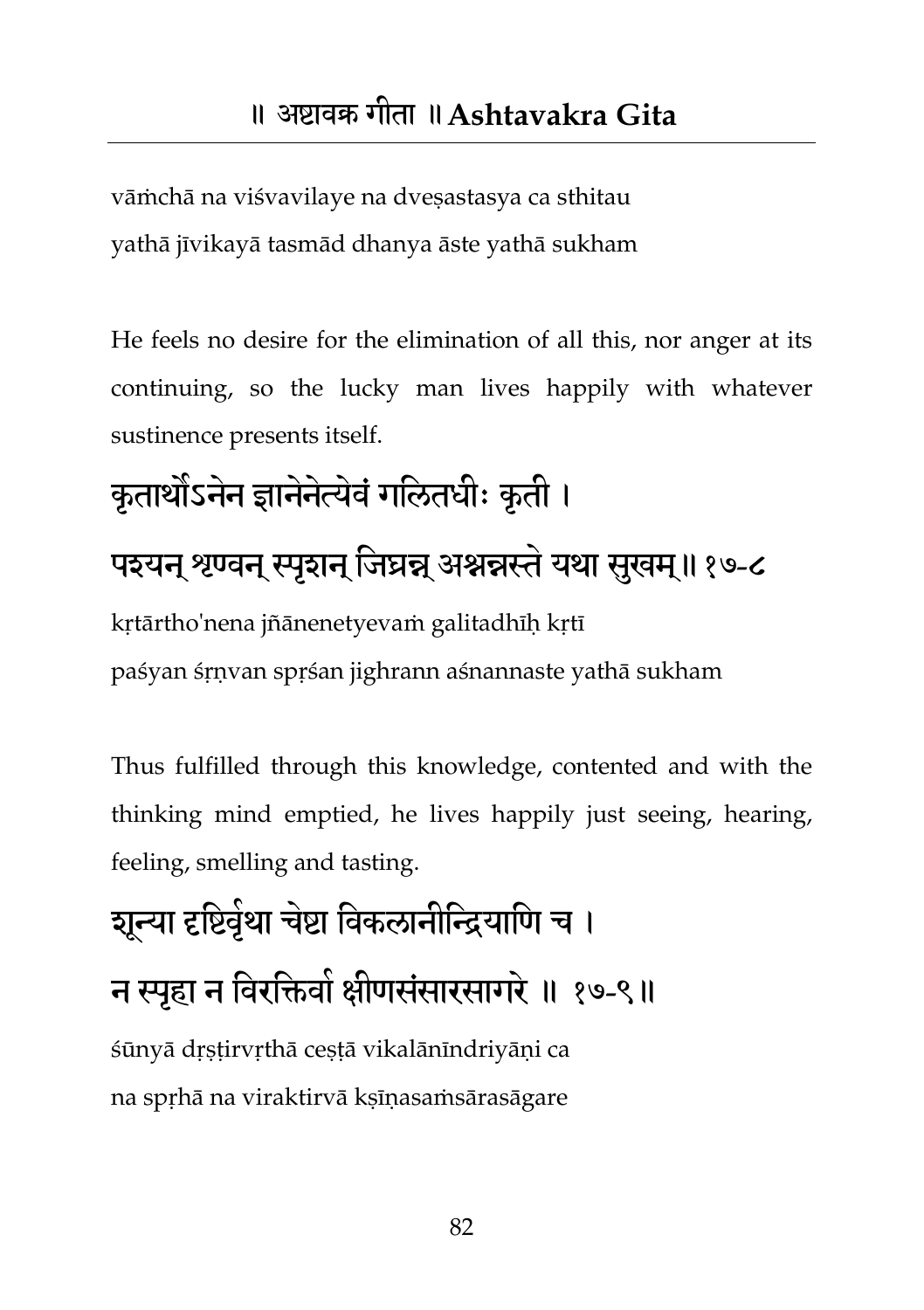vāṁchā na viśvavilaye na dveṣastasya ca sthitau yathā jīvikayā tasmād dhanya āste yathā sukham

He feels no desire for the elimination of all this, nor anger at its continuing, so the lucky man lives happily with whatever sustinence presents itself.

### कृतार्थोऽनेन ज्ञानेनेत्येवं गलितधीः कृती । पइयन् श्रण्वन् स्पृशन् जिघ्रन्न् अश्नन्नस्ते यथा सुखम्॥१७-८ kṛtārtho'nena jñānenetyevaṁ galitadhīḥ kṛtī paśyan śṛṇvan spṛśan jighrann aśnannaste yathā sukham

Thus fulfilled through this knowledge, contented and with the thinking mind emptied, he lives happily just seeing, hearing, feeling, smelling and tasting.

## शून्या दृष्टिवृंथा चेष्टा विकलानीन्द्रियाणि च । न स्पृहा न विरक्तिवो क्षीणसंसारसागरे ॥ १७-९॥ śūnyā dṛṣṭirvṛthā ceṣṭā vikalānīndriyāṇi ca na spṛhā na viraktirvā kṣīṇasaṁsārasāgare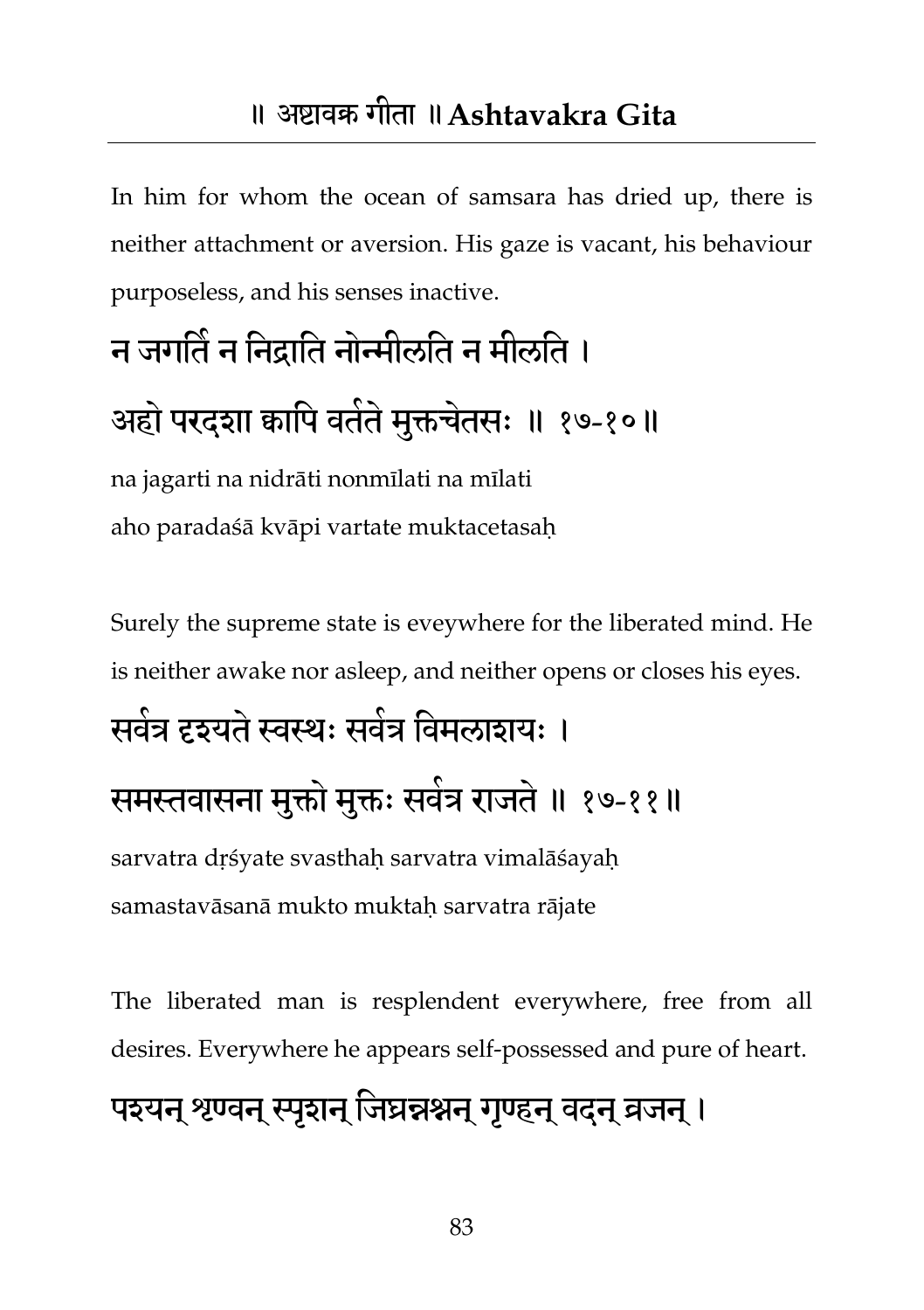#### ॥ अष्टावक्र गीता ॥**Ashtavakra Gita**

In him for whom the ocean of samsara has dried up, there is neither attachment or aversion. His gaze is vacant, his behaviour purposeless, and his senses inactive.

## न जगति न निद्राति नोन्मीलति न मीलति । अहो परदशा कापि वर्तते मुक्तचेतसः ॥ १७-१०॥

na jagarti na nidrāti nonmīlati na mīlati aho paradaśā kvāpi vartate muktacetasaḥ

Surely the supreme state is eveywhere for the liberated mind. He is neither awake nor asleep, and neither opens or closes his eyes.

# सर्वत्र दृश्यते स्वस्थः सर्वत्र विमलाशयः ।

समस्तवासना मुक्तो मुक्तः सर्वत्र राजते ॥ १७-११॥

sarvatra drśyate svasthaḥ sarvatra vimalāśayaḥ samastavāsanā mukto muktaḥ sarvatra rājate

The liberated man is resplendent everywhere, free from all desires. Everywhere he appears self-possessed and pure of heart.

#### पश्यन् श्रण्वन् स्पृशन् जिघ्रन्नश्नन् गृण्हन् वदुन् व्रजन् ।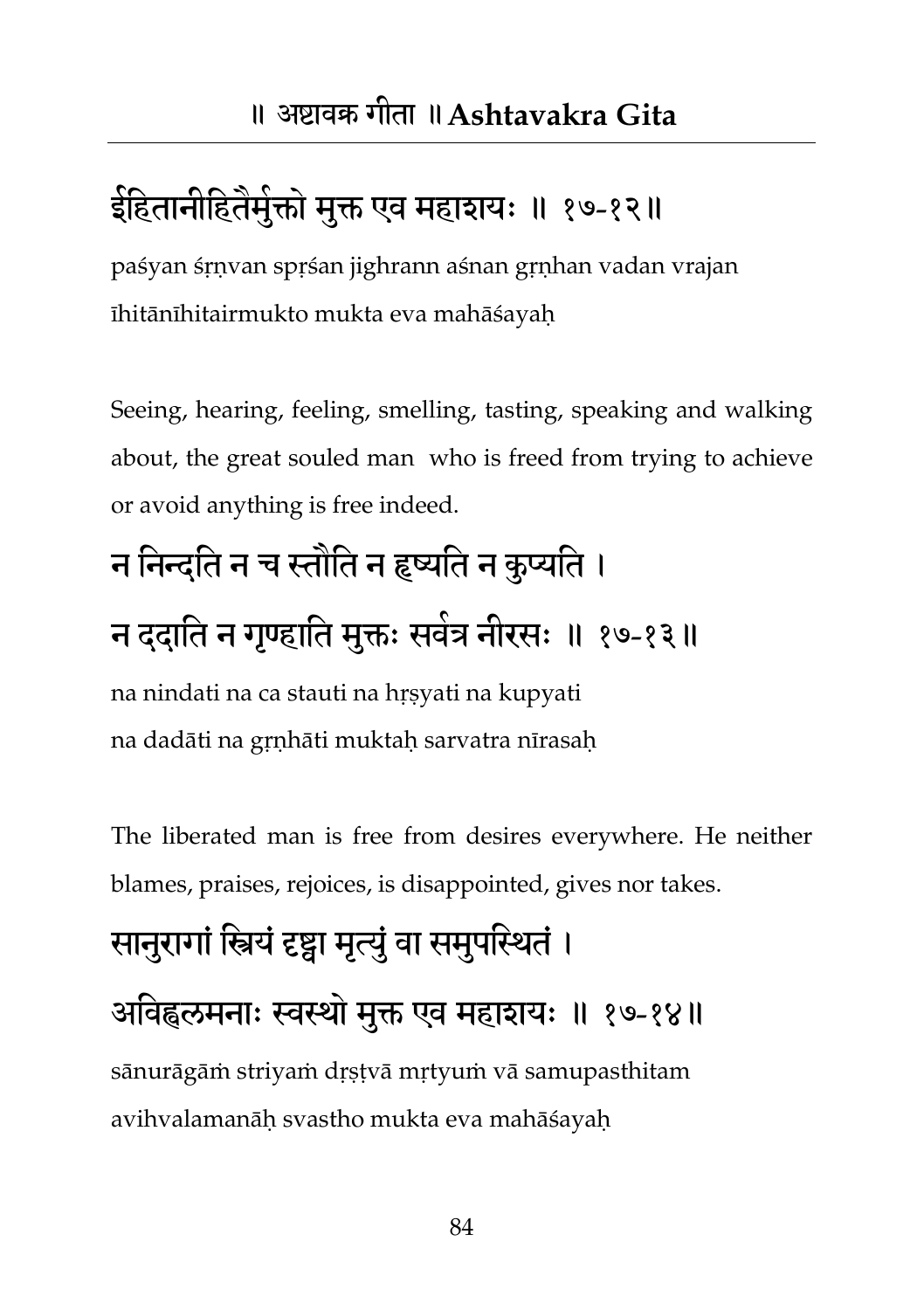#### इेहितानीहितैमुक्तो मुक्त एव महाशयः ॥ १७-१२॥

paśyan śṛṇvan spṛśan jighrann aśnan gṛṇhan vadan vrajan īhitānīhitairmukto mukta eva mahāśayaḥ

Seeing, hearing, feeling, smelling, tasting, speaking and walking about, the great souled man who is freed from trying to achieve or avoid anything is free indeed.

# न निन्दति न च स्तौति न हृष्यति न कृप्यति ।

#### न ददाति न गृण्हाति मुक्तः सवेत्र नीरसः ॥ १७-१३॥

na nindati na ca stauti na hṛṣyati na kupyati na dadāti na gṛṇhāti muktaḥ sarvatra nīrasaḥ

The liberated man is free from desires everywhere. He neither blames, praises, rejoices, is disappointed, gives nor takes.

### सानुरागां स्त्रियं दृष्ट्वा मृत्युं वा समुपस्थितं । अविह्वलमनाः स्वस्थो मुक्त एव महाशयः ॥ १७-१४॥ sānurāgāṁ striyaṁ dṛṣṭvā mṛtyuṁ vā samupasthitam avihvalamanāḥ svastho mukta eva mahāśayaḥ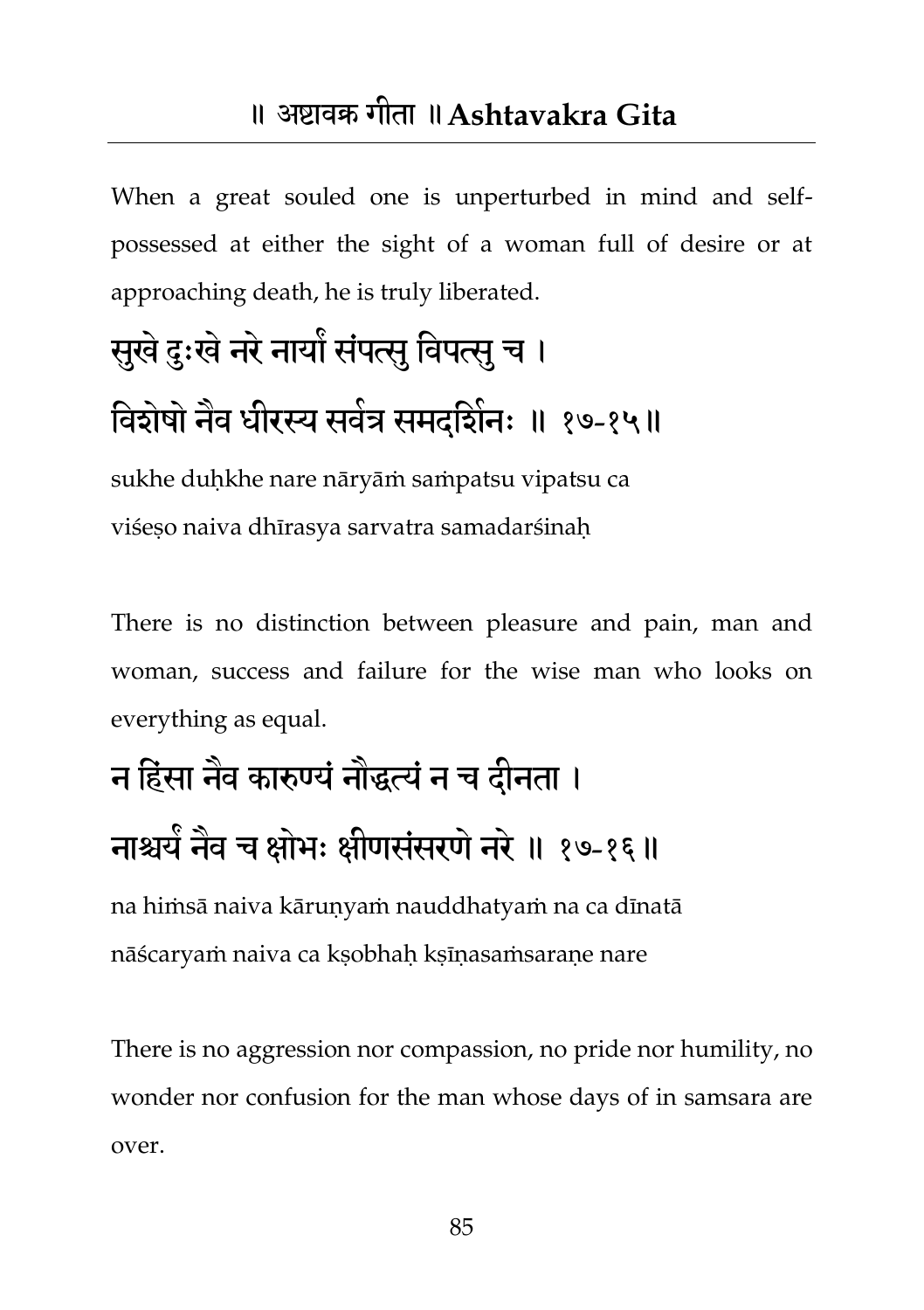#### ॥ अष्टावक्र गीता ॥**Ashtavakra Gita**

When a great souled one is unperturbed in mind and selfpossessed at either the sight of a woman full of desire or at approaching death, he is truly liberated.

## सुखे दुःखे नरे नायों संपत्सु विपत्सु च । विशेषों नैव धीरस्य सर्वत्र समद्दिनिः ॥ १७-१५॥

sukhe duḥkhe nare nāryāṁ saṁpatsu vipatsu ca viśeso naiva dhīrasya sarvatra samadarśinah

There is no distinction between pleasure and pain, man and woman, success and failure for the wise man who looks on everything as equal.

## न हिंसा नैव कारुण्यं नौद्धत्यं न च दीनता । नाश्चर्य नैव च क्षोभः क्षीणसंसरणं नरे ॥ १७-१६॥

na hiṁsā naiva kāruṇyaṁ nauddhatyaṁ na ca dīnatā nāścaryaṁ naiva ca kṣobhaḥ kṣīṇasaṁsaraṇe nare

There is no aggression nor compassion, no pride nor humility, no wonder nor confusion for the man whose days of in samsara are over.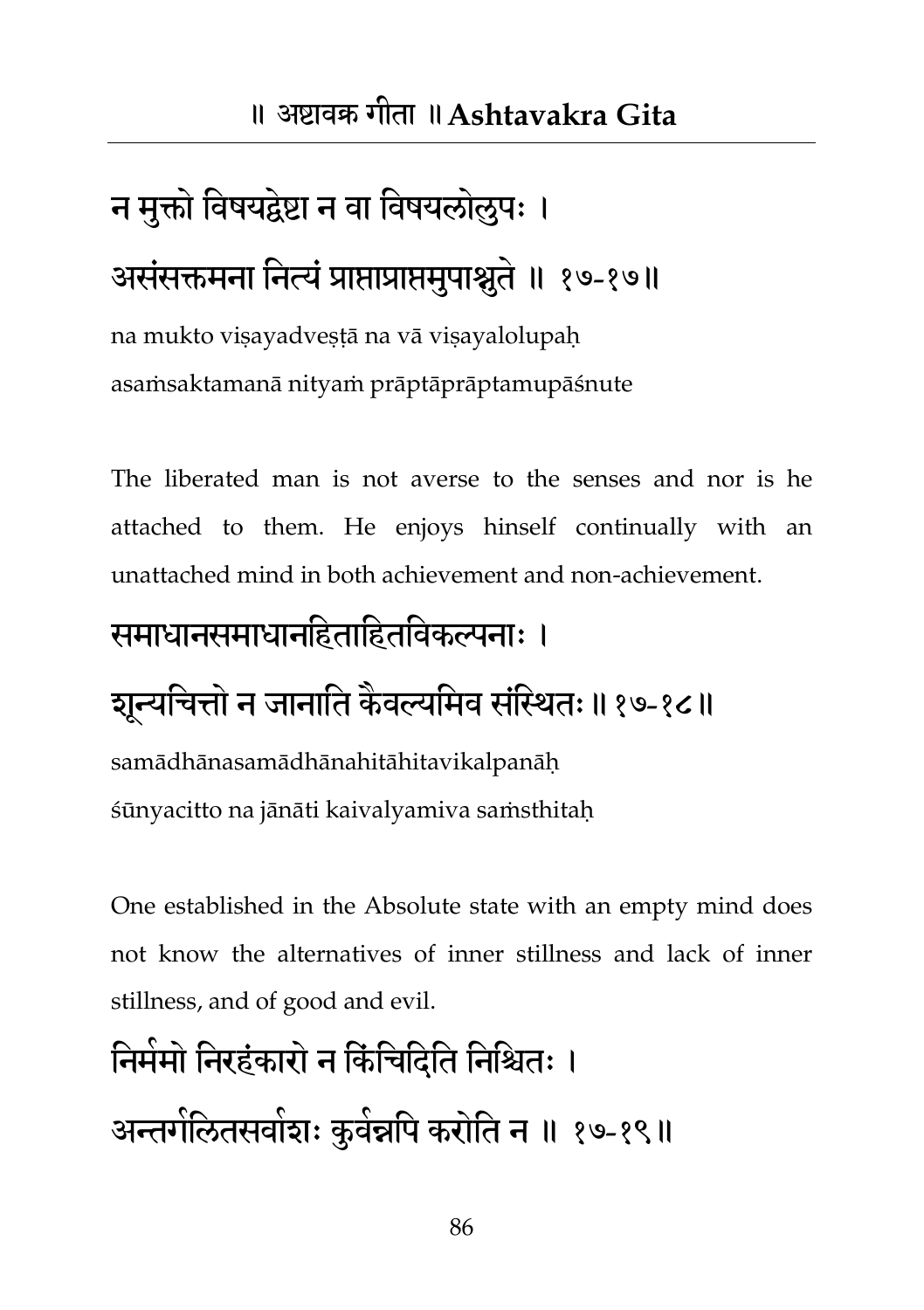## न मुक्तो विषयद्वेष्टा न वा विषयलोलुपः । असंसक्तमना नित्यं प्राप्ताप्राप्तमुपाश्नुते ॥ १७-१७॥

na mukto viṣayadveṣṭā na vā viṣayalolupaḥ asaṁsaktamanā nityaṁ prāptāprāptamupāśnute

The liberated man is not averse to the senses and nor is he attached to them. He enjoys hinself continually with an unattached mind in both achievement and non-achievement.

#### समाधानसमाधानहिताहितविकल्पनाः ।

#### शून्यचित्तो न जानाति कैवल्यमिव संस्थितः ॥ १७-१८॥

samādhānasamādhānahitāhitavikalpanāḥ śūnyacitto na jānāti kaivalyamiva saṁsthitaḥ

One established in the Absolute state with an empty mind does not know the alternatives of inner stillness and lack of inner stillness, and of good and evil.

#### निर्ममो निरहंकारो न किंचिदिति निश्चितः ।

अन्तर्गलितसवांशः कुवंन्नपि करोति न ॥ १७-१९॥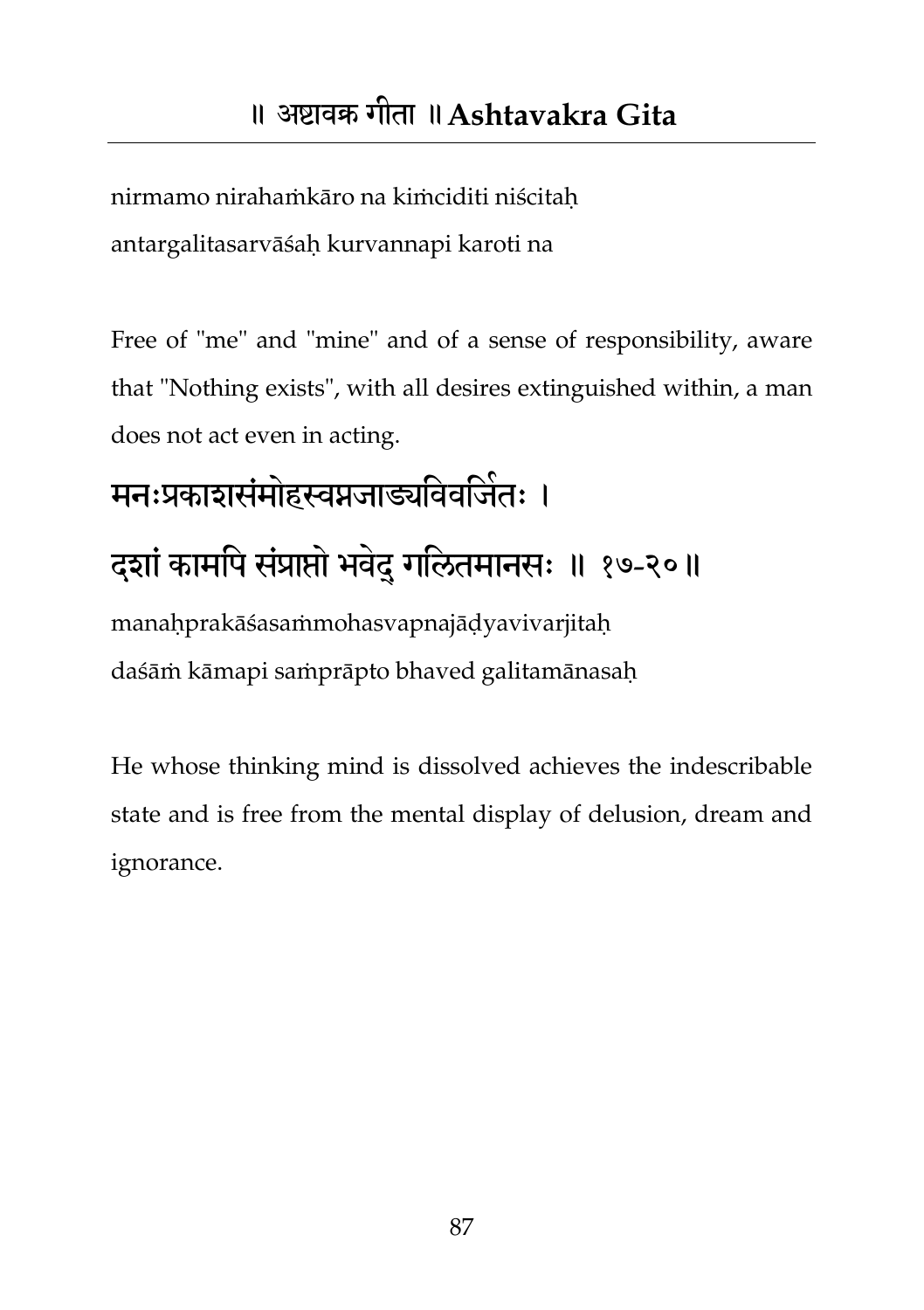nirmamo nirahaṁkāro na kiṁciditi niścitaḥ antargalitasarvāśaḥ kurvannapi karoti na

Free of "me" and "mine" and of a sense of responsibility, aware that "Nothing exists", with all desires extinguished within, a man does not act even in acting.

# मनःप्रकाशसंमोहस्वप्नजाड्यविवर्जितः । दशां कामपि संप्राप्तो भवेदु गलितमानसः ॥ १७-२०॥

manaḥprakāśasaṁmohasvapnajāḍyavivarjitaḥ daśāṁ kāmapi saṁprāpto bhaved galitamānasaḥ

He whose thinking mind is dissolved achieves the indescribable state and is free from the mental display of delusion, dream and ignorance.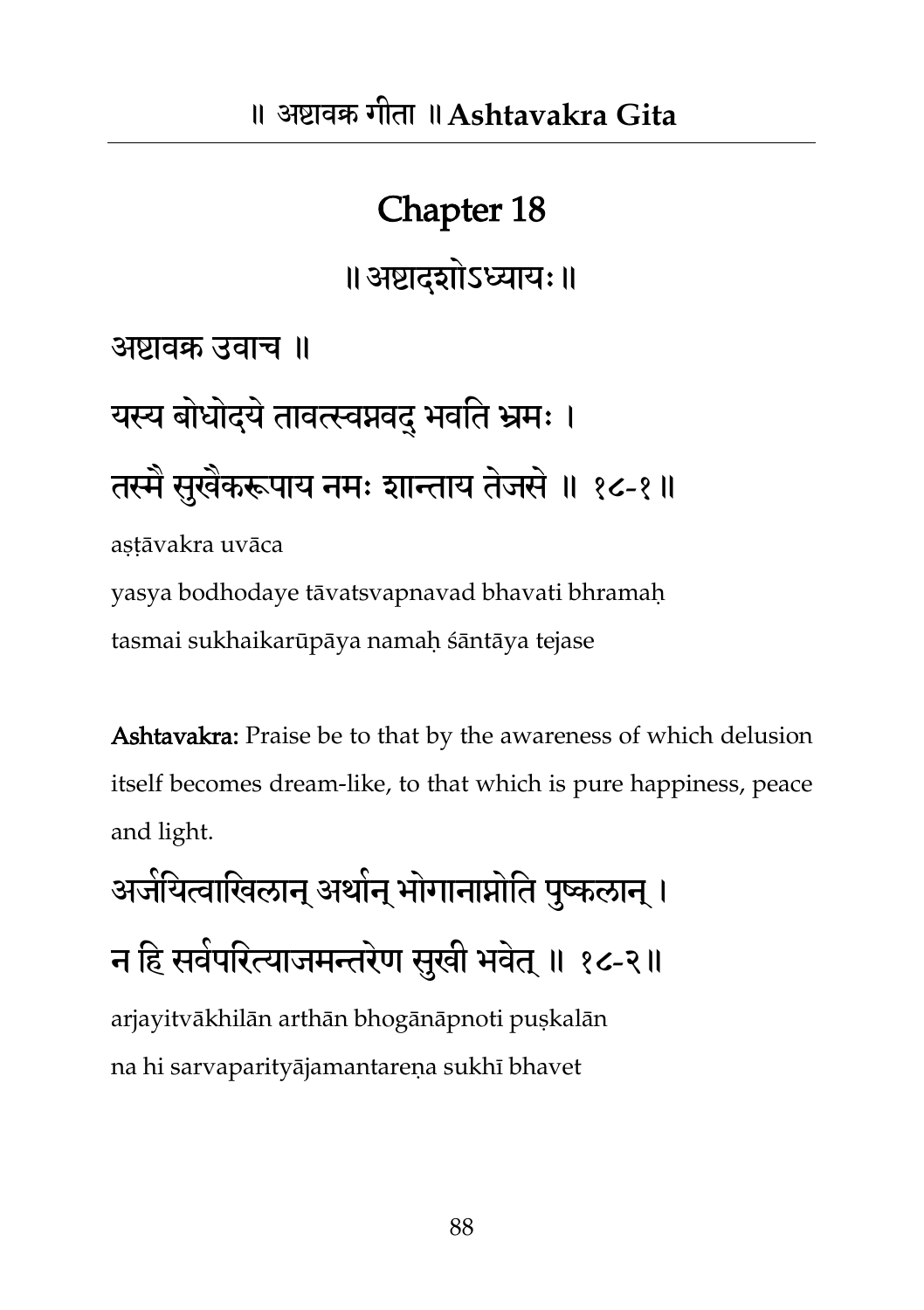#### Chapter 18

॥अष्टादशोऽध्याम्॥

अष्टावक्र उवाच ॥

## यस्य बोधोद्ये तावत्स्वप्नवदु भवति भ्रमः । तस्मै सुखैकरूपाय नमः शान्ताय तेजसे ॥ १८-१॥ astāvakra uvāca

yasya bodhodaye tāvatsvapnavad bhavati bhramaḥ tasmai sukhaikarūpāya namaḥ śāntāya tejase

Ashtavakra: Praise be to that by the awareness of which delusion itself becomes dream-like, to that which is pure happiness, peace and light.

अजेयित्वाखिलान् अर्थान् भोगानाप्नोति पुष्कलान् । न हि सर्वपरित्याजमन्तरेण सुखी भवेत् ॥ १८-२॥ arjayitvākhilān arthān bhogānāpnoti puṣkalān na hi sarvaparityājamantareṇa sukhī bhavet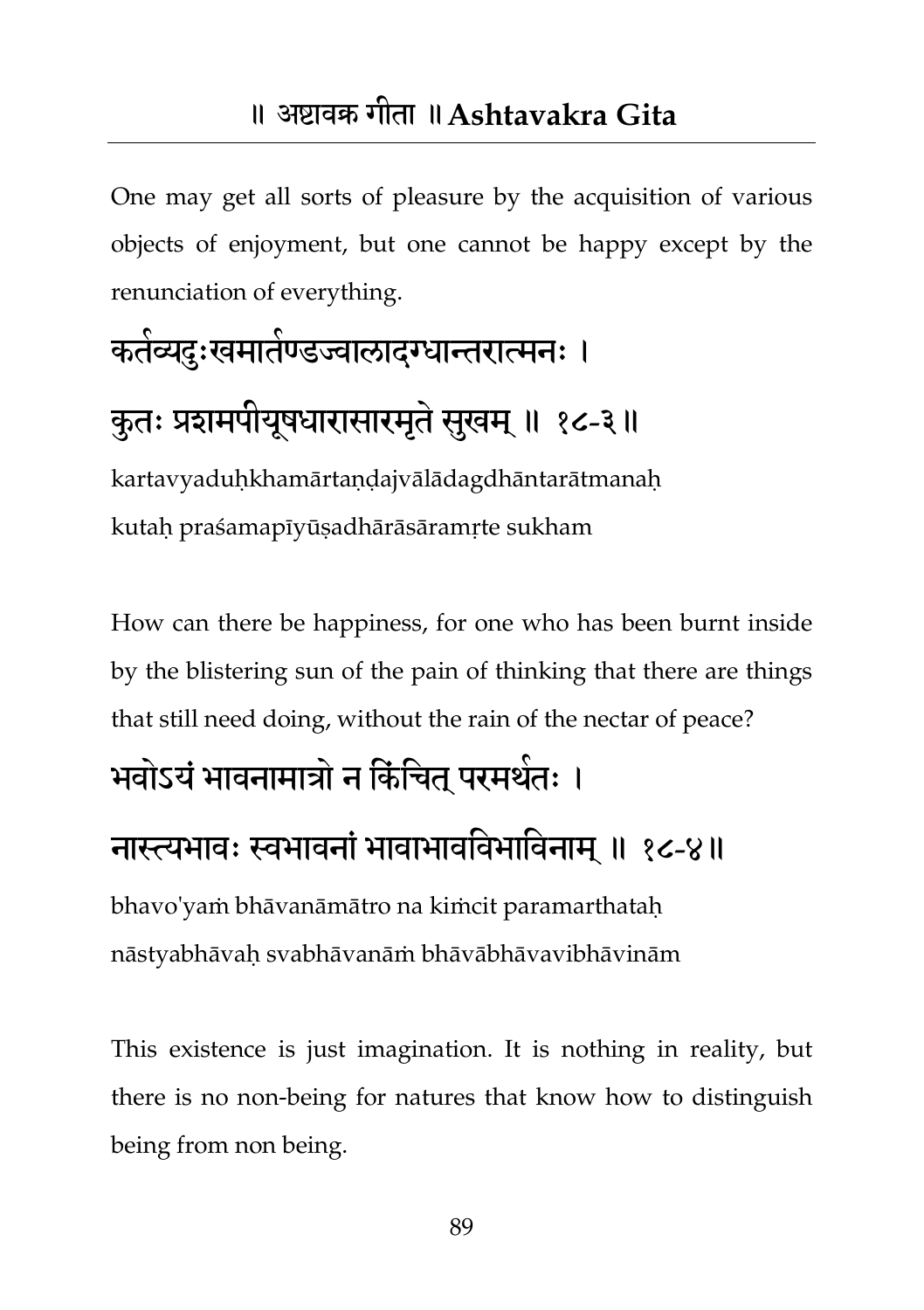One may get all sorts of pleasure by the acquisition of various objects of enjoyment, but one cannot be happy except by the renunciation of everything.

## कर्तव्यदुःखमातेण्डज्वालादग्धान्तरात्मनः । कुतः प्रशमपीयूषधारासारमृते सुखम् ॥ १८-३॥

kartavyaduḥkhamārtaṇḍajvālādagdhāntarātmanaḥ kutaḥ praśamapīyūṣadhārāsāramṛte sukham

How can there be happiness, for one who has been burnt inside by the blistering sun of the pain of thinking that there are things that still need doing, without the rain of the nectar of peace?

#### भवोऽयं भावनामात्रो न किंचित् परमथेतः ।

#### नास्त्यभावः स्वभावनां भावाभावविभाविनाम् ॥ १८-४॥

bhavo'yaṁ bhāvanāmātro na kiṁcit paramarthataḥ nāstyabhāvaḥ svabhāvanāṁ bhāvābhāvavibhāvinām

This existence is just imagination. It is nothing in reality, but there is no non-being for natures that know how to distinguish being from non being.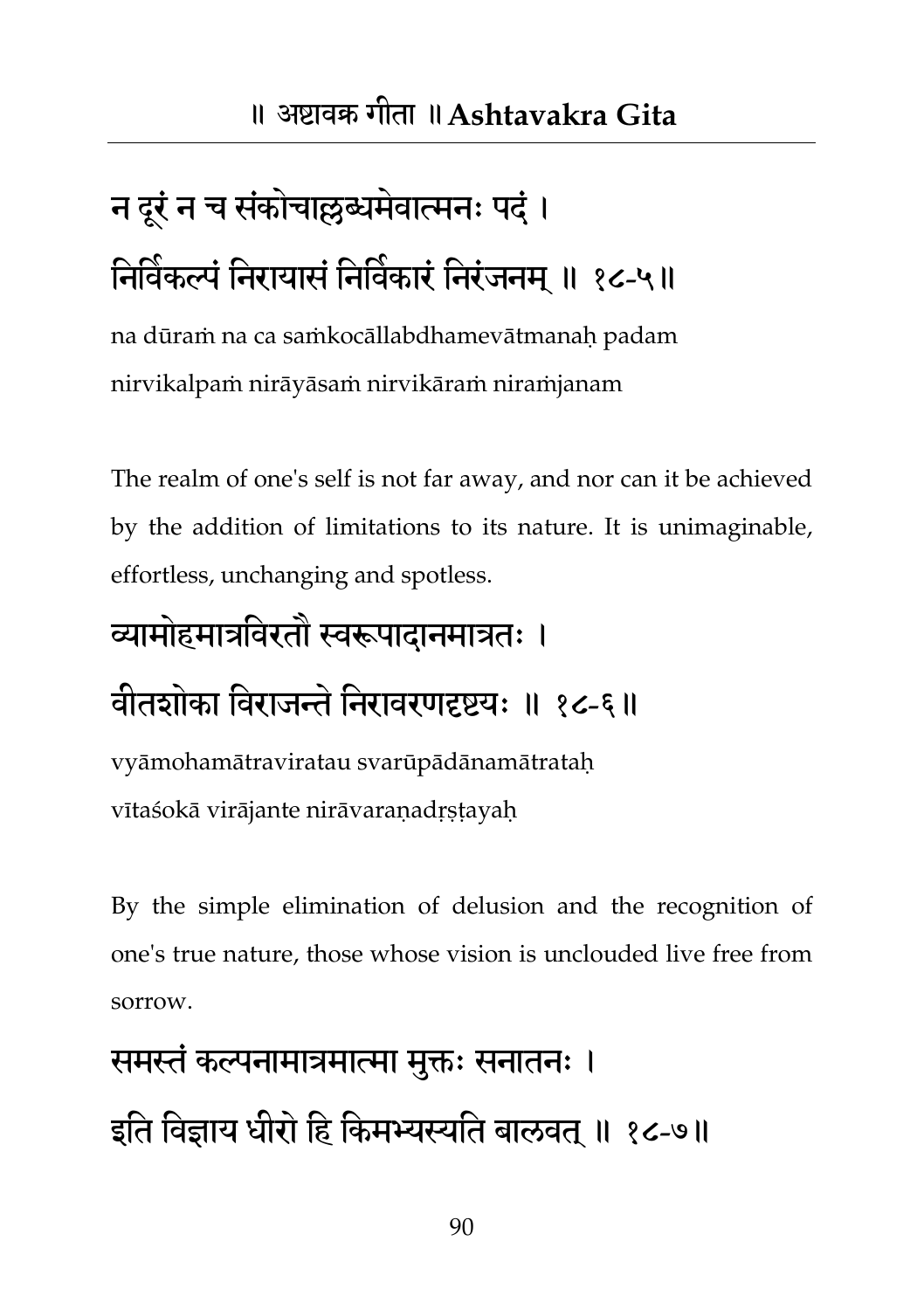## न दूरं न च संकोचाल्लब्धमेवात्मनः पदं। निविकल्पं निरायासं निर्विकारं निरंजनम् ॥ १८-५॥

na dūraṁ na ca saṁkocāllabdhamevātmanaḥ padam nirvikalpaṁ nirāyāsaṁ nirvikāraṁ niraṁjanam

The realm of one's self is not far away, and nor can it be achieved by the addition of limitations to its nature. It is unimaginable, effortless, unchanging and spotless.

#### व्यामोहमात्रविरतौ स्वरूपादानमात्रतः ।

#### वीतशोका विराजन्ते निरावरणदृष्टयः ॥ १८-६॥

vyāmohamātraviratau svarūpādānamātrataḥ vītaśokā virājante nirāvaraṇadṛṣṭayaḥ

By the simple elimination of delusion and the recognition of one's true nature, those whose vision is unclouded live free from sorrow.

## समस्तं कल्पनामात्रमात्मा मुक्तः सनातनः ।

इति विज्ञाय धीरो हि किमभ्यस्यति बालवत ॥ १८-७॥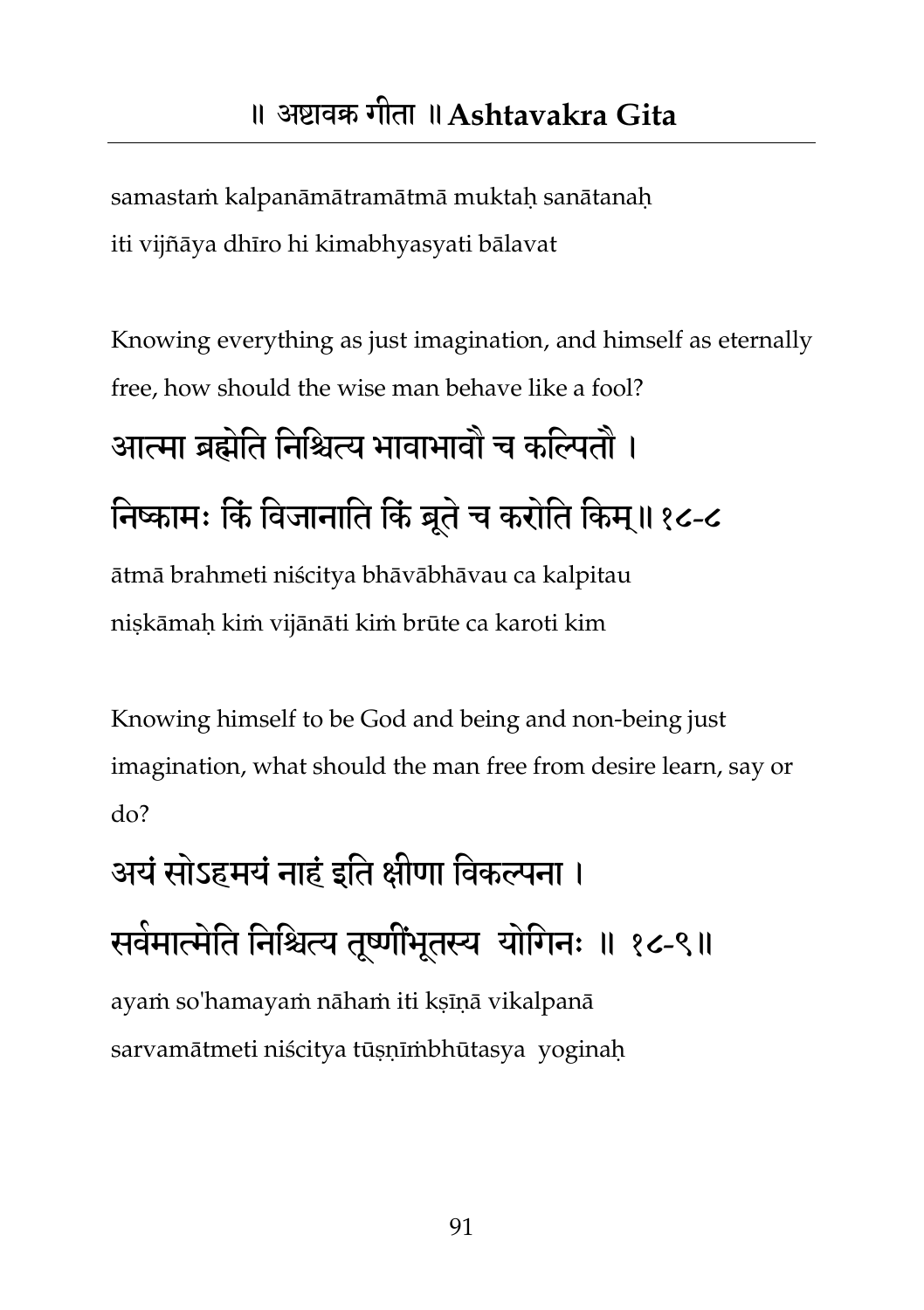samastam kalpanāmātramātmā muktaḥ sanātanaḥ iti vijñāya dhīro hi kimabhyasyati bālavat

Knowing everything as just imagination, and himself as eternally free, how should the wise man behave like a fool?

## आत्मा ब्रह्मतेत तनतश्चत्य बावाबावौ च कतितौ । निष्कामः किं विजानाति किं बूते च करोति किम्॥१८-८

ātmā brahmeti niścitya bhāvābhāvau ca kalpitau niṣkāmaḥ kiṁ vijānāti kiṁ brūte ca karoti kim

Knowing himself to be God and being and non-being just imagination, what should the man free from desire learn, say or do?

अयं सोऽहमयं नाहं इति क्षीणा विकल्पना । सर्वमात्मेति निश्चित्य तूर्ष्णौभूतस्य योगिनः ॥ १८-९॥ ayaṁ so'hamayaṁ nāhaṁ iti kṣīṇā vikalpanā sarvamātmeti niścitya tūṣṇīṁbhūtasya yoginaḥ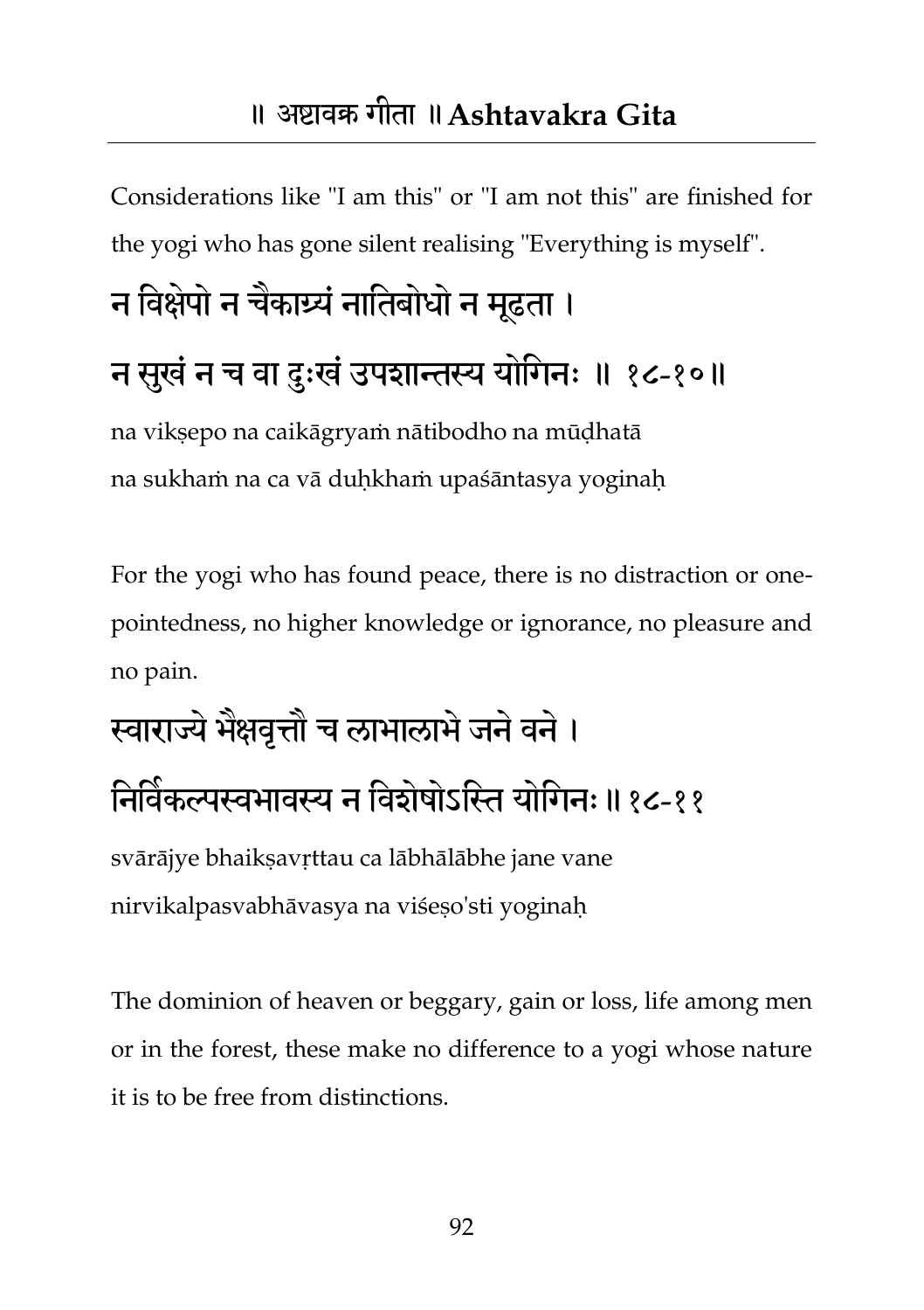#### ॥ अष्टावक्र गीता ॥**Ashtavakra Gita**

Considerations like "I am this" or "I am not this" are finished for the yogi who has gone silent realising "Everything is myself".

## न विक्षेपों न चैकार्घ्यं नातिबोधों न मूढता । न सुखं न च वा दुःखं उपशान्तस्य योगिनः ॥ १८-१०॥

na vikṣepo na caikāgryaṁ nātibodho na mūḍhatā na sukhaṁ na ca vā duḥkhaṁ upaśāntasya yoginaḥ

For the yogi who has found peace, there is no distraction or onepointedness, no higher knowledge or ignorance, no pleasure and no pain.

## स्वाराज्यं भैक्षवृत्तौ च लाभालाभं जनं वनं ।

#### निर्विकल्पस्वभावस्य न विशेषोऽस्ति योगिनः॥१८-११

svārājye bhaikṣavṛttau ca lābhālābhe jane vane nirvikalpasvabhāvasya na viśeṣo'sti yoginaḥ

The dominion of heaven or beggary, gain or loss, life among men or in the forest, these make no difference to a yogi whose nature it is to be free from distinctions.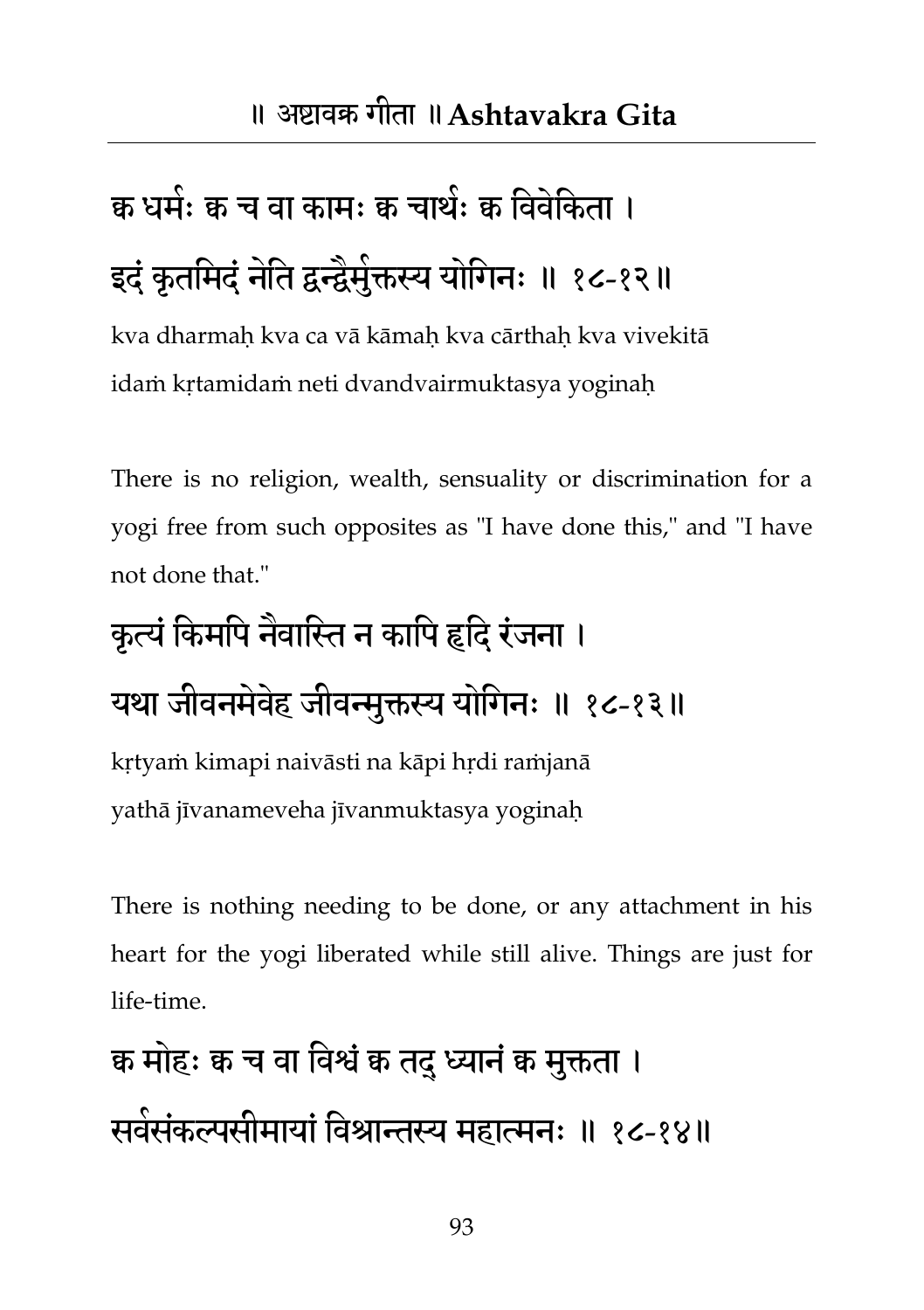## क्व धर्मः क च वा कामः क चाथंः क विवंकिता । इदं कृतमिदं नेति द्वन्द्वैमुक्तस्य योगिनः ॥ १८-१२॥

kva dharmaḥ kva ca vā kāmaḥ kva cārthaḥ kva vivekitā idaṁ kṛtamidaṁ neti dvandvairmuktasya yoginaḥ

There is no religion, wealth, sensuality or discrimination for a yogi free from such opposites as "I have done this," and "I have not done that."

### कृत्यं किमपि नैवास्ति न कापि हृदि रंजना ।

#### यथा जीवनमेवेह जीवन्मुक्तस्य योगिनः ॥ १८-१३॥

kṛtyaṁ kimapi naivāsti na kāpi hṛdi raṁjanā yathā jīvanameveha jīvanmuktasya yoginaḥ

There is nothing needing to be done, or any attachment in his heart for the yogi liberated while still alive. Things are just for life-time.

## क्व मोहः क्व च वा विश्वं क्व तदु ध्यानं क्व मुक्तता । सर्वसंकल्पसीमायां विश्रान्तस्य महात्मनः ॥ १८-१४॥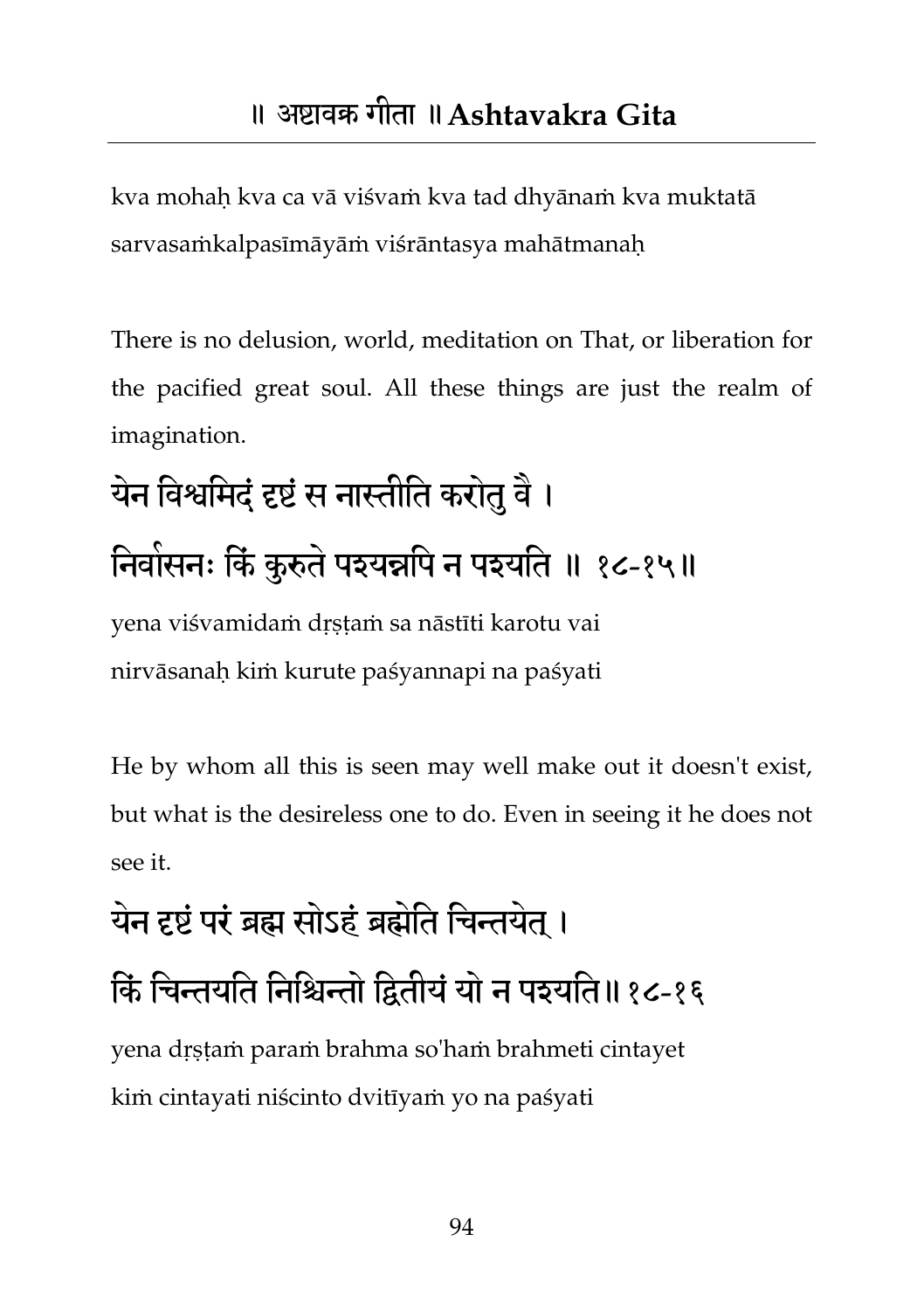kva mohaḥ kva ca vā viśvaṁ kva tad dhyānaṁ kva muktatā sarvasaṁkalpasīmāyāṁ viśrāntasya mahātmanaḥ

There is no delusion, world, meditation on That, or liberation for the pacified great soul. All these things are just the realm of imagination.

## येन विश्वमिदं दृष्टं स नास्तीति करोतु वै । निवासनः किं कुरुते पश्यन्नपि न पश्यति ॥ १८-१५॥

yena viśvamidaṁ dṛṣṭaṁ sa nāstīti karotu vai nirvāsanaḥ kiṁ kurute paśyannapi na paśyati

He by whom all this is seen may well make out it doesn't exist, but what is the desireless one to do. Even in seeing it he does not see it.

#### येन दृष्टं परं ब्रह्म सोऽहं ब्रह्मेति चिन्तयेत ।

#### किं चिन्तयति निश्चिन्तो द्वितीयं यो न पइयति॥१८-१६

yena dṛṣṭaṁ paraṁ brahma so'haṁ brahmeti cintayet kiṁ cintayati niścinto dvitīyaṁ yo na paśyati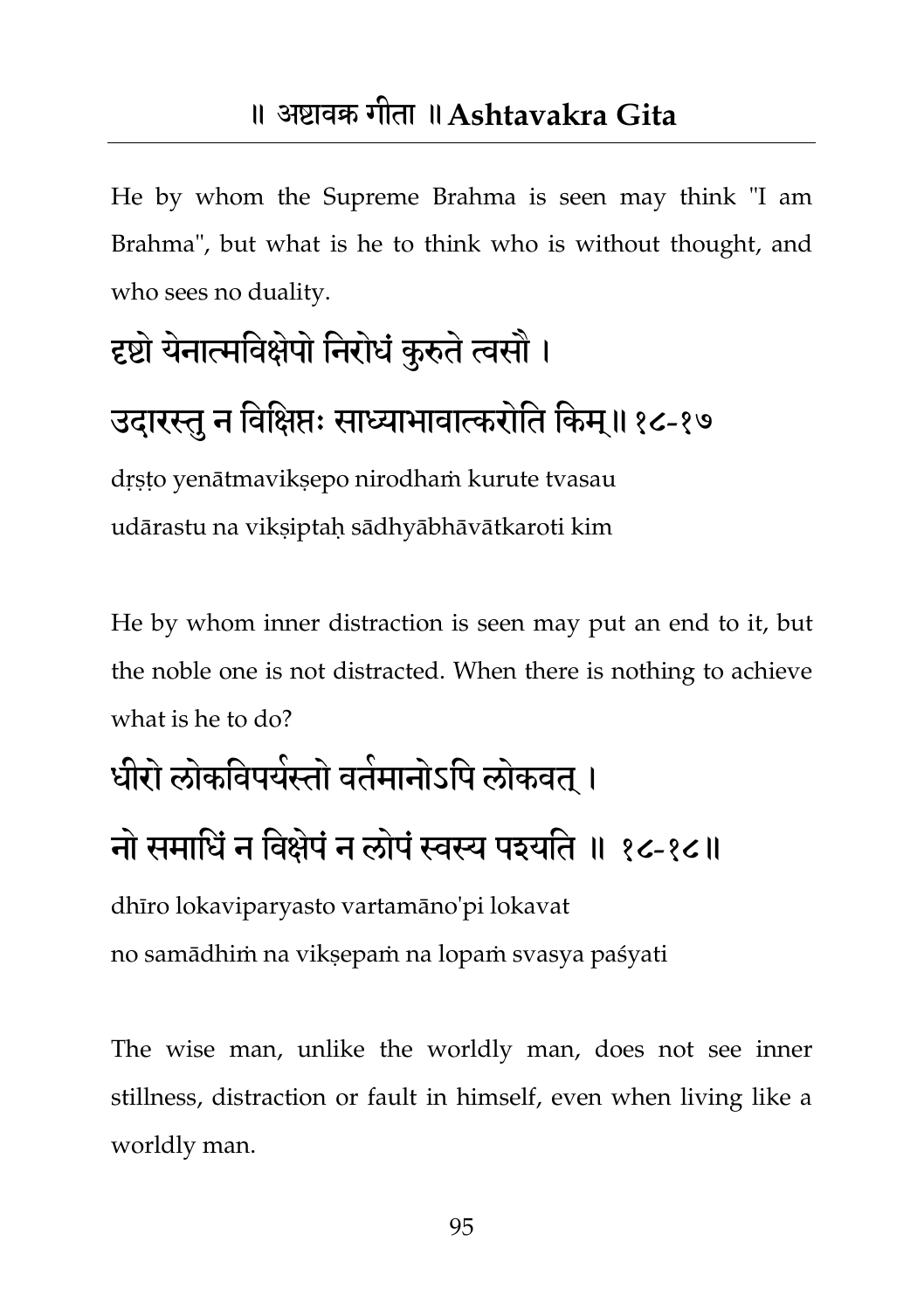He by whom the Supreme Brahma is seen may think "I am Brahma", but what is he to think who is without thought, and who sees no duality.

### दृष्टो येनात्मविक्षेपो निरोधं कुरुते त्वसौ ।

#### उदारस्तु न विक्षिप्तः साध्याभावात्करोति किम्॥१८-१७

dṛṣṭo yenātmavikṣepo nirodhaṁ kurute tvasau udārastu na viksiptah sādhyābhāvātkaroti kim

He by whom inner distraction is seen may put an end to it, but the noble one is not distracted. When there is nothing to achieve what is he to do?

#### धीरो लोकविपयेस्तो वर्तमानोऽपि लोकवत् ।

#### नो समाधिं न विक्षेपं न लोपं स्वस्य पश्यति ॥ १८-१८॥

dhīro lokaviparyasto vartamāno'pi lokavat no samādhiṁ na vikṣepaṁ na lopaṁ svasya paśyati

The wise man, unlike the worldly man, does not see inner stillness, distraction or fault in himself, even when living like a worldly man.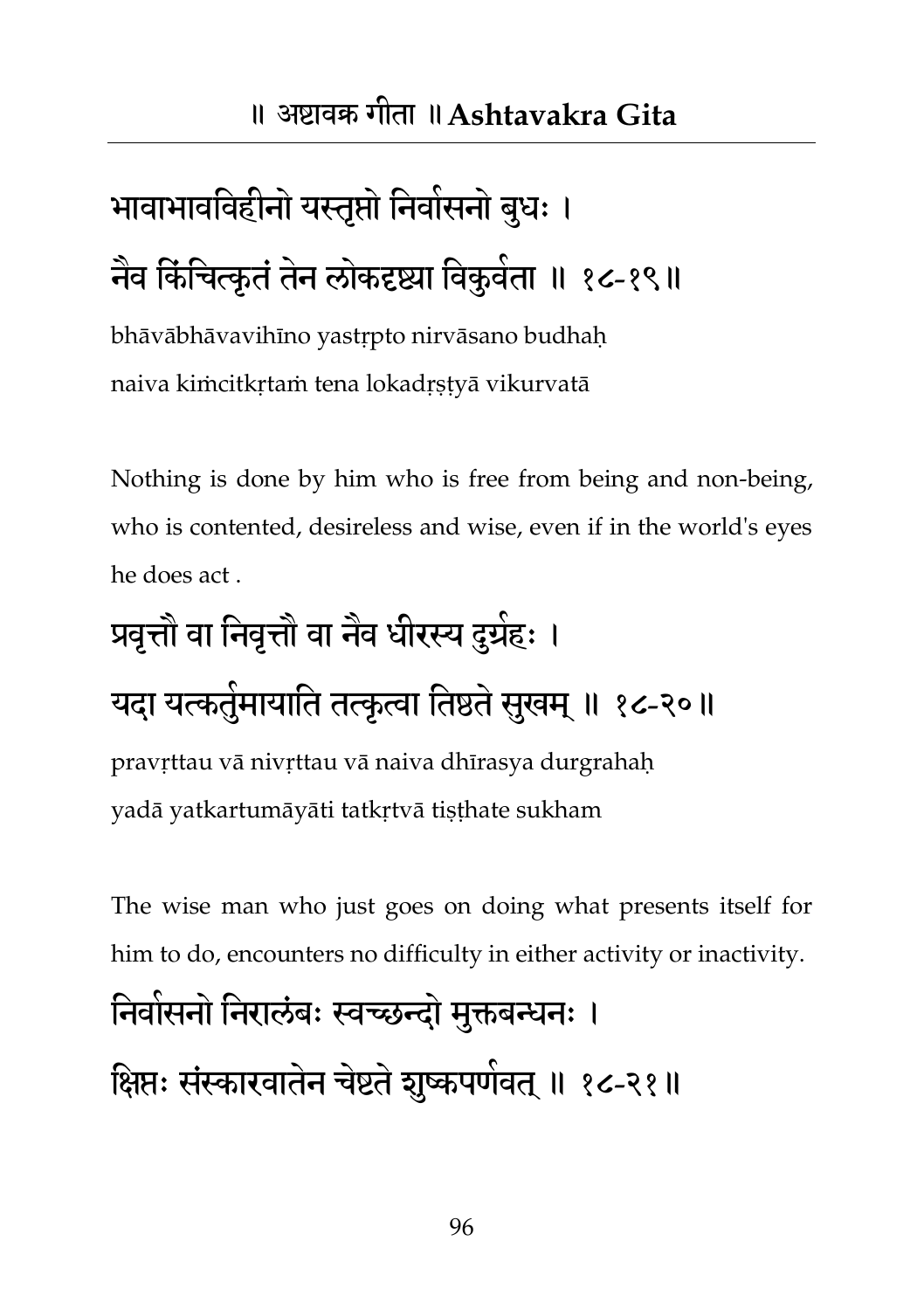## भावाभावविहीनो यस्तृप्तो निर्वासनो बुधः । नैव किंचित्कृतं तेन लोकदृष्ट्या विकुवेता ॥ १८-१९॥

bhāvābhāvavihīno yastṛpto nirvāsano budhaḥ naiva kiṁcitkṛtaṁ tena lokadṛṣṭyā vikurvatā

Nothing is done by him who is free from being and non-being, who is contented, desireless and wise, even if in the world's eyes he does act .

## प्रवृत्तौ वा निवृत्तौ वा नैव धीरस्य दुग्रेहः ।

#### यदा यत्कतुंमायाति तत्कृत्वा तिष्ठते सुखम् ॥ १८-२०॥

pravṛttau vā nivṛttau vā naiva dhīrasya durgrahaḥ yadā yatkartumāyāti tatkṛtvā tiṣṭhate sukham

The wise man who just goes on doing what presents itself for him to do, encounters no difficulty in either activity or inactivity.

## निवासनो निरालंबः स्वच्छन्दो मुक्तबन्धनः । क्षिप्तः संस्कारवातेन चेष्टते शुष्कपणेवत् ॥ १८-२१॥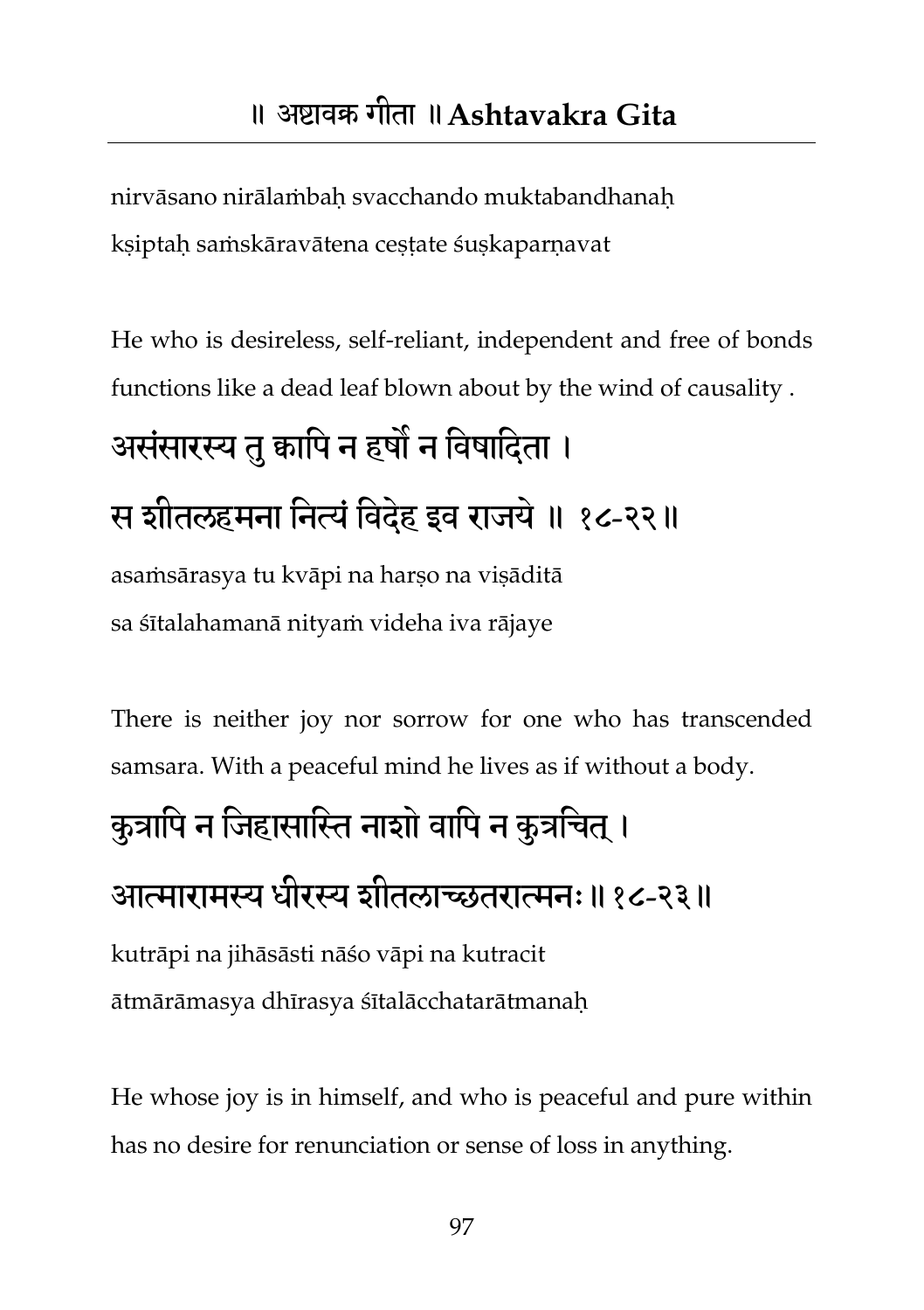nirvāsano nirālaṁbah svacchando muktabandhanah ksiptah saṁskāravātena cestate śuskaparnavat

He who is desireless, self-reliant, independent and free of bonds functions like a dead leaf blown about by the wind of causality .

#### असंसारस्य तु कापि न हर्षो न विषादिता ।

#### स शीतरहभना तनत्यंतवदहे इव याजमे॥ १८-२२॥

asamsārasya tu kvāpi na harso na visāditā sa śītalahamanā nityaṁ videha iva rājaye

There is neither joy nor sorrow for one who has transcended samsara. With a peaceful mind he lives as if without a body.

## कुत्रापि न जिहासास्ति नाशो वापि न कुत्रचित् ।

#### आत्मायाभस्य धीयस्य शीतराच्छतयात्मन्॥१८-२३॥

kutrāpi na jihāsāsti nāśo vāpi na kutracit ātmārāmasya dhīrasya śītalācchatarātmanaḥ

He whose joy is in himself, and who is peaceful and pure within has no desire for renunciation or sense of loss in anything.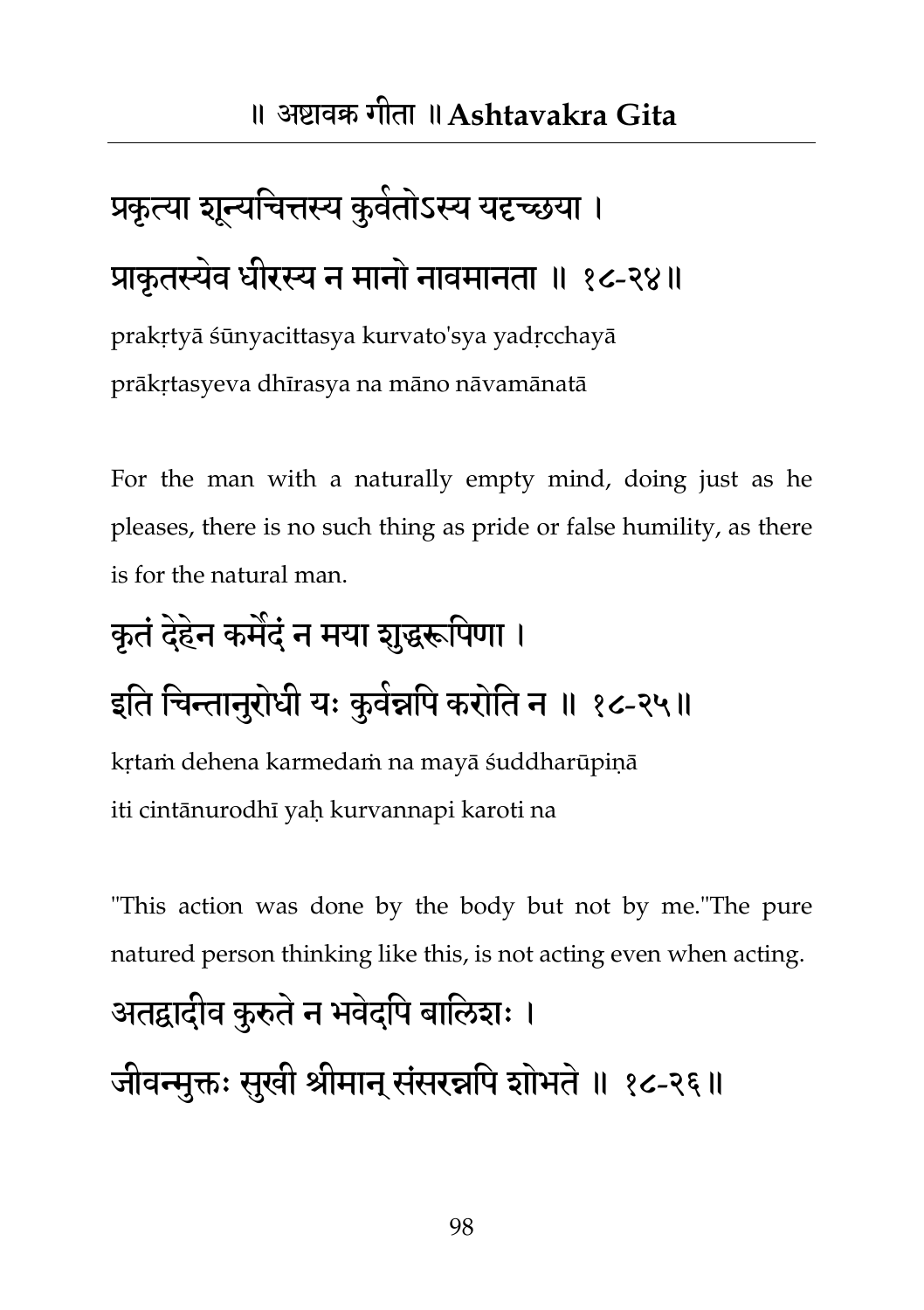## प्रकृत्या शून्यचित्तस्य कुवेतोऽस्य यद्दच्छया । प्राकृतस्यवे धीयस्य न भानो नावभानता ॥ १८-२४॥

prakṛtyā śūnyacittasya kurvato'sya yadṛcchayā prākṛtasyeva dhīrasya na māno nāvamānatā

For the man with a naturally empty mind, doing just as he pleases, there is no such thing as pride or false humility, as there is for the natural man.

## कृतं देहेन कमैदं न मया शुद्धरूपिणा । इति चिन्तानुरोधी यः कुवेन्नपि करोति न ॥ १८-२५॥

kṛtaṁ dehena karmedaṁ na mayā śuddharūpiṇā iti cintānurodhī yaḥ kurvannapi karoti na

"This action was done by the body but not by me."The pure natured person thinking like this, is not acting even when acting.

#### अतद्वादीव कुरुते न भवेदपि बालिशः ।

जीवन्मुक्तः सुखी श्रीमान् संसरन्नपि शोभते ॥ १८-२६॥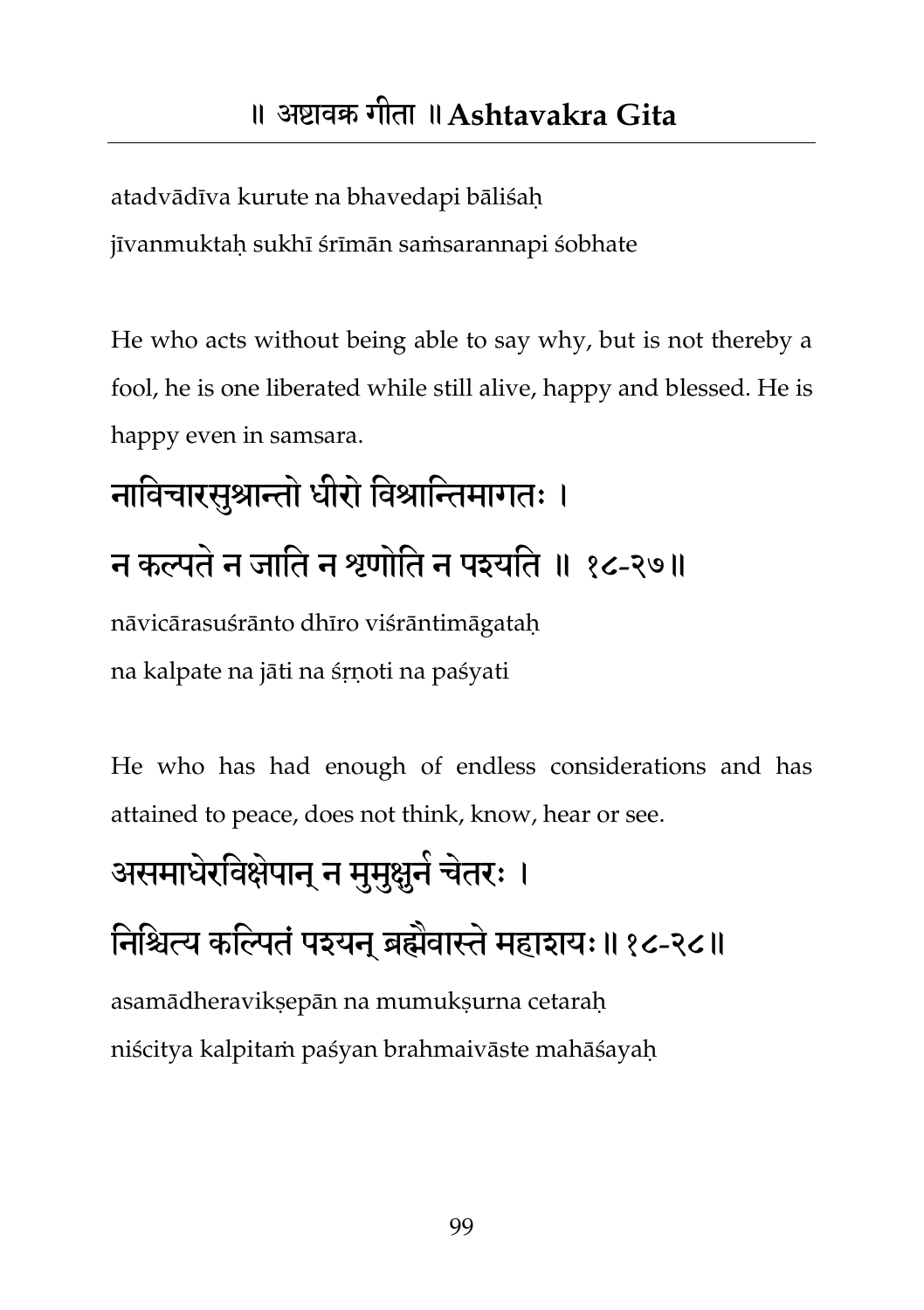atadvādīva kurute na bhavedapi bāliśaḥ

jīvanmuktaḥ sukhī śrīmān saṁsarannapi śobhate

He who acts without being able to say why, but is not thereby a fool, he is one liberated while still alive, happy and blessed. He is happy even in samsara.

## नाविचारसुश्रान्तो धीरो विश्रान्तिमागतः । न कल्पते न जाति न श्रणोति न पश्यति ॥ १८-२७॥

nāvicārasuśrānto dhīro viśrāntimāgataḥ na kalpate na jāti na śṛṇoti na paśyati

He who has had enough of endless considerations and has attained to peace, does not think, know, hear or see.

## असमाधेरविक्षेपान् न मुमुक्षुने चेतरः । निश्चित्य कल्पितं पश्यन् ब्रह्मेवास्ते महाशयः॥१८-२८॥ asamādheravikṣepān na mumukṣurna cetaraḥ

niścitya kalpitaṁ paśyan brahmaivāste mahāśayaḥ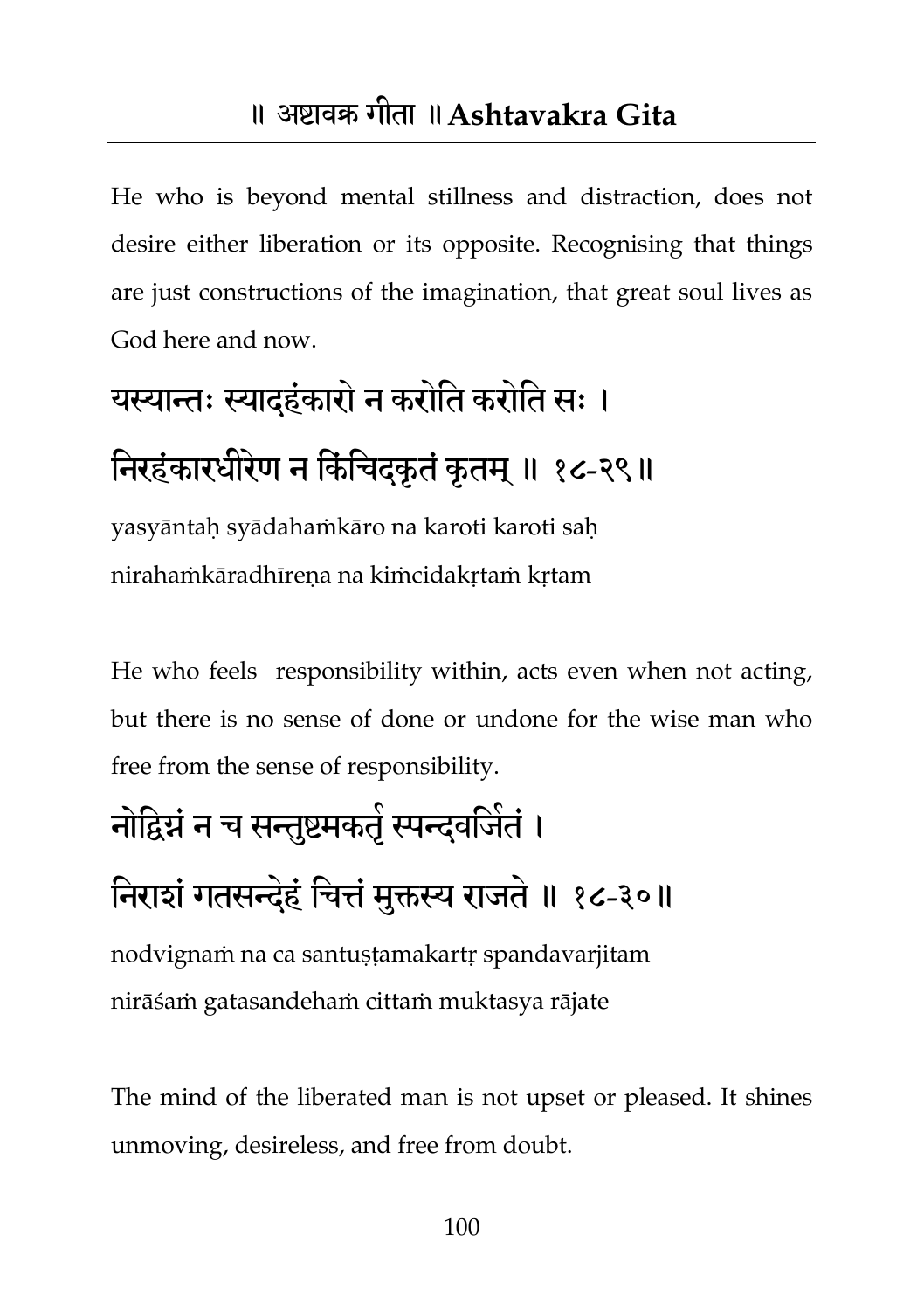He who is beyond mental stillness and distraction, does not desire either liberation or its opposite. Recognising that things are just constructions of the imagination, that great soul lives as God here and now.

## यस्यान्तः स्यादहंकारो न करोति करोति सः । निरहंकारघीरेण न किंचिदकृतं कृतम् ॥ १८-२९॥

yasyāntaḥ syādahaṁkāro na karoti karoti saḥ nirahaṁkāradhīreṇa na kiṁcidakṛtaṁ kṛtam

He who feels responsibility within, acts even when not acting, but there is no sense of done or undone for the wise man who free from the sense of responsibility.

## नोद्विग्नं न च सन्तुष्टमकतृं स्पन्दवजितं । निराशं गतसन्देहं चित्तं मुक्तस्य राजते ॥ १८-३०॥

nodvignaṁ na ca santuṣṭamakartṛ spandavarjitam nirāśaṁ gatasandehaṁ cittaṁ muktasya rājate

The mind of the liberated man is not upset or pleased. It shines unmoving, desireless, and free from doubt.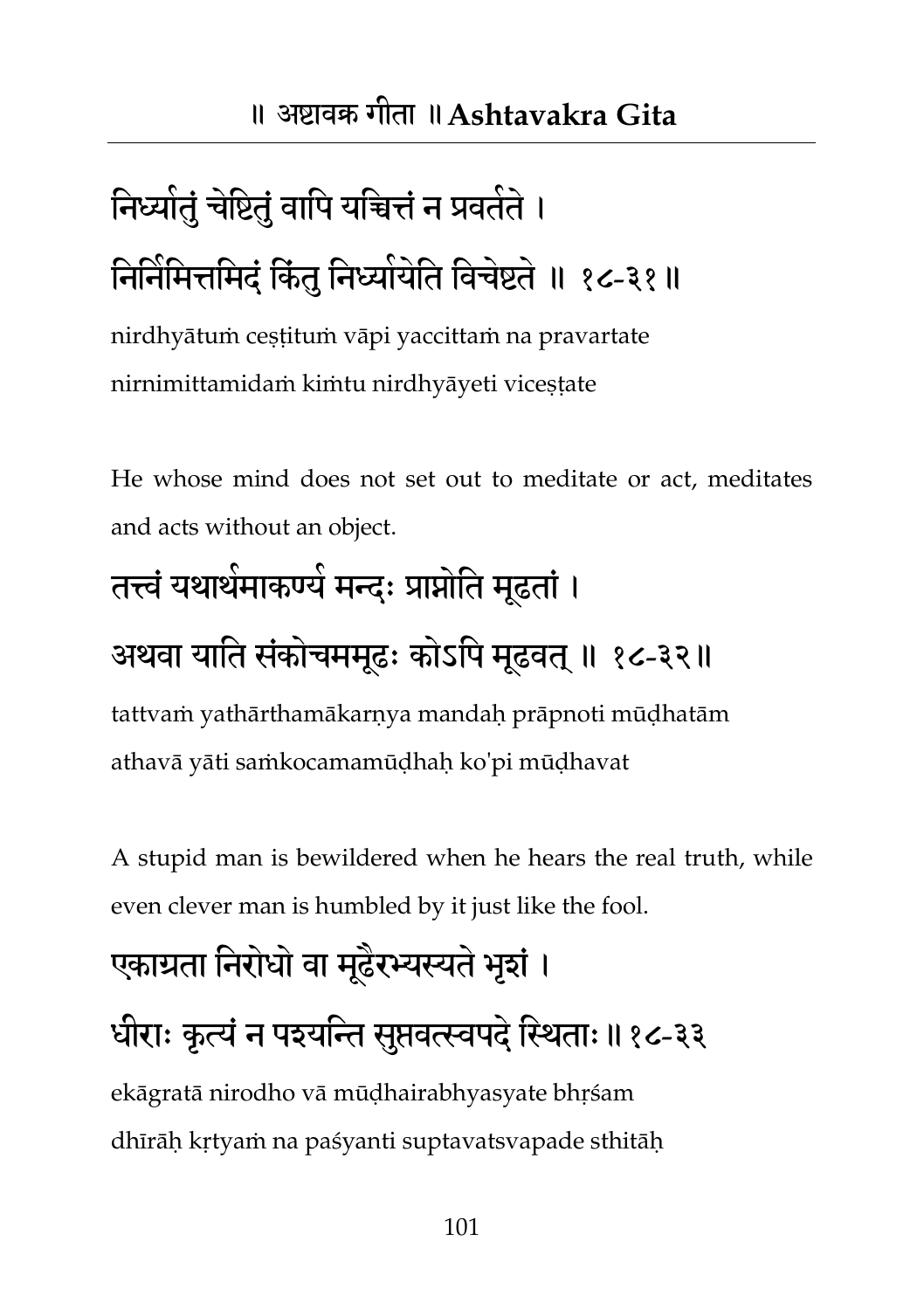## निध्याेतुं चेष्टितुं वापि यचित्तं न प्रवतेते । निर्निर्मित्तमिद्ं किंतु निध्योयेति विचेष्टते ॥ १८-३१॥

nirdhyātuṁ ceṣṭituṁ vāpi yaccittaṁ na pravartate nirnimittamidaṁ kiṁtu nirdhyāyeti viceṣṭate

He whose mind does not set out to meditate or act, meditates and acts without an object.

## तत्त्वं यथार्थमाकण्यं मन्दः प्राप्नोति मूढतां ।

#### अथवा याति संकोचममूढः कोऽपि मूढवत् ॥ १८-३२॥

tattvaṁ yathārthamākarṇya mandaḥ prāpnoti mūḍhatām athavā yāti saṁkocamamūḍhaḥ ko'pi mūḍhavat

A stupid man is bewildered when he hears the real truth, while even clever man is humbled by it just like the fool.

### एकाग्रता निरोधो वा मूढैरभ्यस्यते भृशं । धीराः कृत्यं न पइयन्ति सुप्तवत्स्वपदे स्थिताः॥१८-३३

ekāgratā nirodho vā mūḍhairabhyasyate bhṛśam dhīrāḥ kṛtyaṁ na paśyanti suptavatsvapade sthitāḥ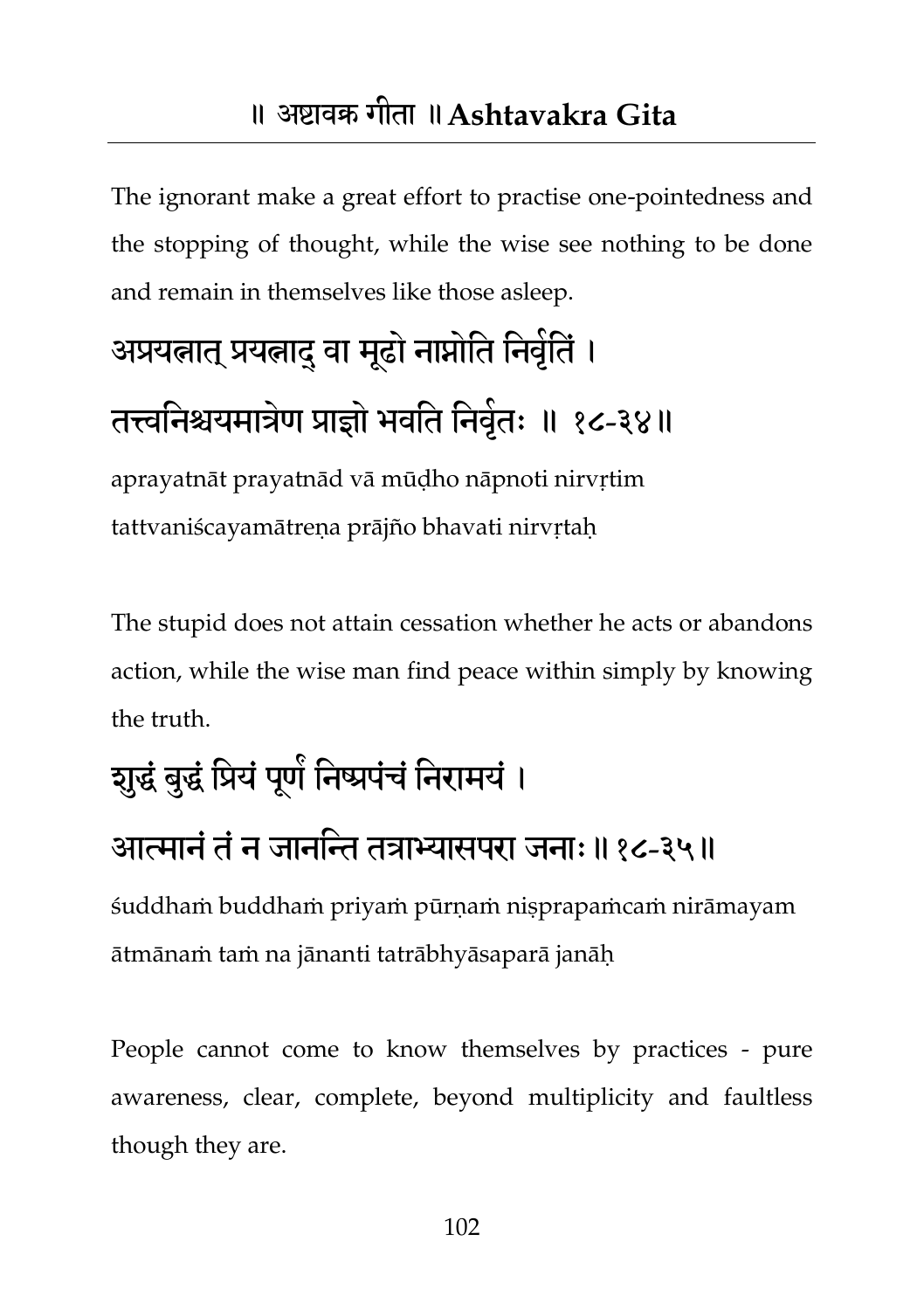The ignorant make a great effort to practise one-pointedness and the stopping of thought, while the wise see nothing to be done and remain in themselves like those asleep.

## अप्रयत्नात् प्रयत्नाद् वा मूढो नाप्नोति निर्वृतिं । तत्त्वनिश्चयमात्रेण प्राज्ञो भवति निवृतः ॥ १८-३४॥

aprayatnāt prayatnād vā mūḍho nāpnoti nirvṛtim tattvaniścayamātrena prājño bhavati nirvrtah

The stupid does not attain cessation whether he acts or abandons action, while the wise man find peace within simply by knowing the truth.

#### शुद्धं बुद्धं प्रियं पूर्णं निष्प्रपंचं निरामयं ।

#### आत्मानं तं न जानन्ति तत्राभ्यासपरा जनाः॥१८-३५॥

śuddhaṁ buddhaṁ priyaṁ pūrṇaṁ niṣprapaṁcaṁ nirāmayam ātmānaṁ taṁ na jānanti tatrābhyāsaparā janāḥ

People cannot come to know themselves by practices - pure awareness, clear, complete, beyond multiplicity and faultless though they are.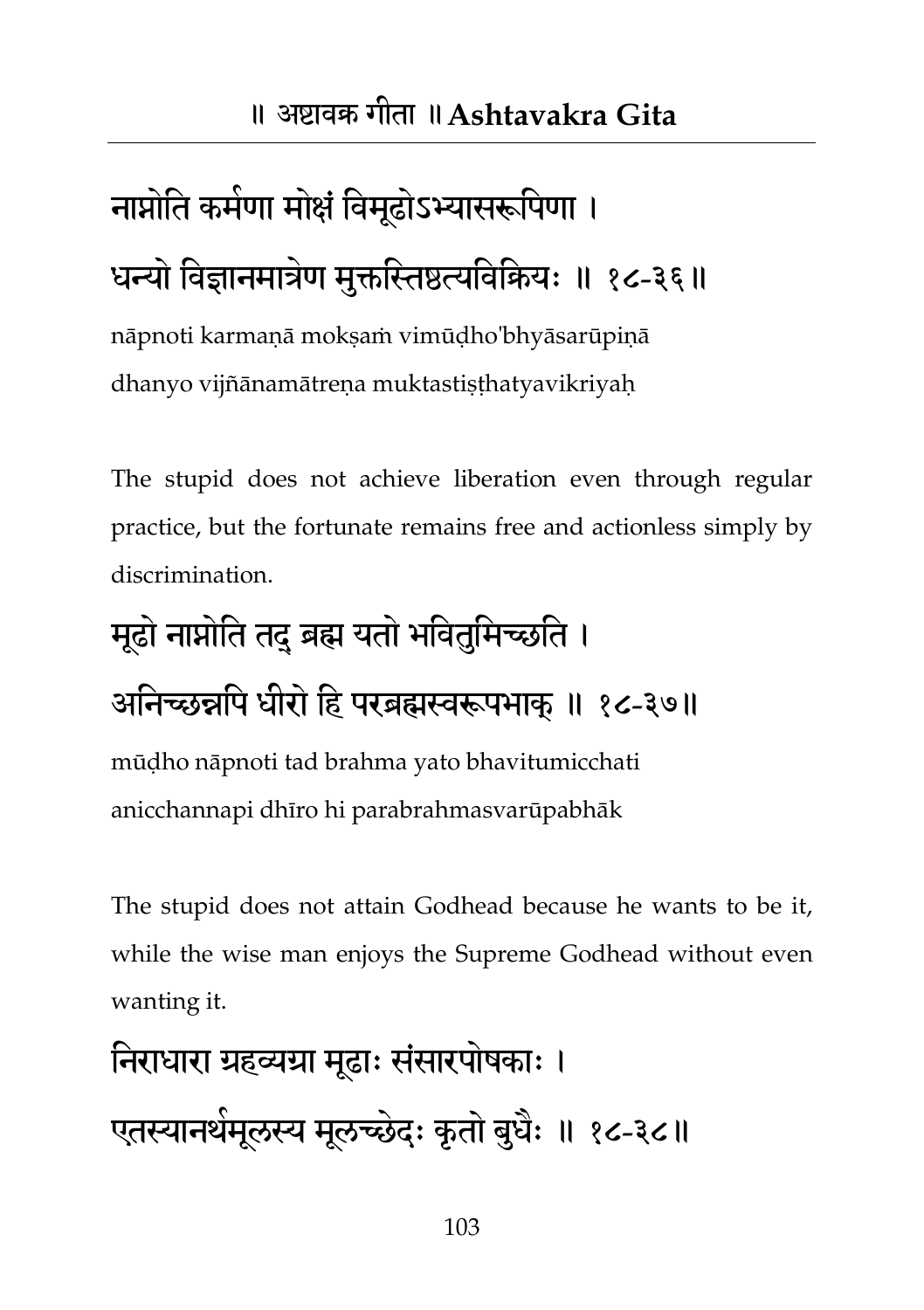## नाप्नोति कर्मणा मोक्षं विमूढोऽभ्यासरूपिणा । धन्यो विज्ञानमात्रेण मुक्तस्तिष्ठत्यविकियः ॥ १८-३६॥

nāpnoti karmaṇā mokṣaṁ vimūḍho'bhyāsarūpiṇā dhanyo vijñānamātreṇa muktastiṣṭhatyavikriyaḥ

The stupid does not achieve liberation even through regular practice, but the fortunate remains free and actionless simply by discrimination.

# मूढो नाप्नोति तदु ब्रह्म यतो भवितुमिच्छति । अनिच्छन्नपि धीरो हि परब्रह्मस्वरूपभाक् ॥ १८-३७॥

mūḍho nāpnoti tad brahma yato bhavitumicchati anicchannapi dhīro hi parabrahmasvarūpabhāk

The stupid does not attain Godhead because he wants to be it, while the wise man enjoys the Supreme Godhead without even wanting it.

## निराधारा ग्रहव्यग्रा मूढाः संसारपोषकाः । एतस्यानथंमूलस्य मूलच्छेदः कृतो बुधैः ॥ १८-३८॥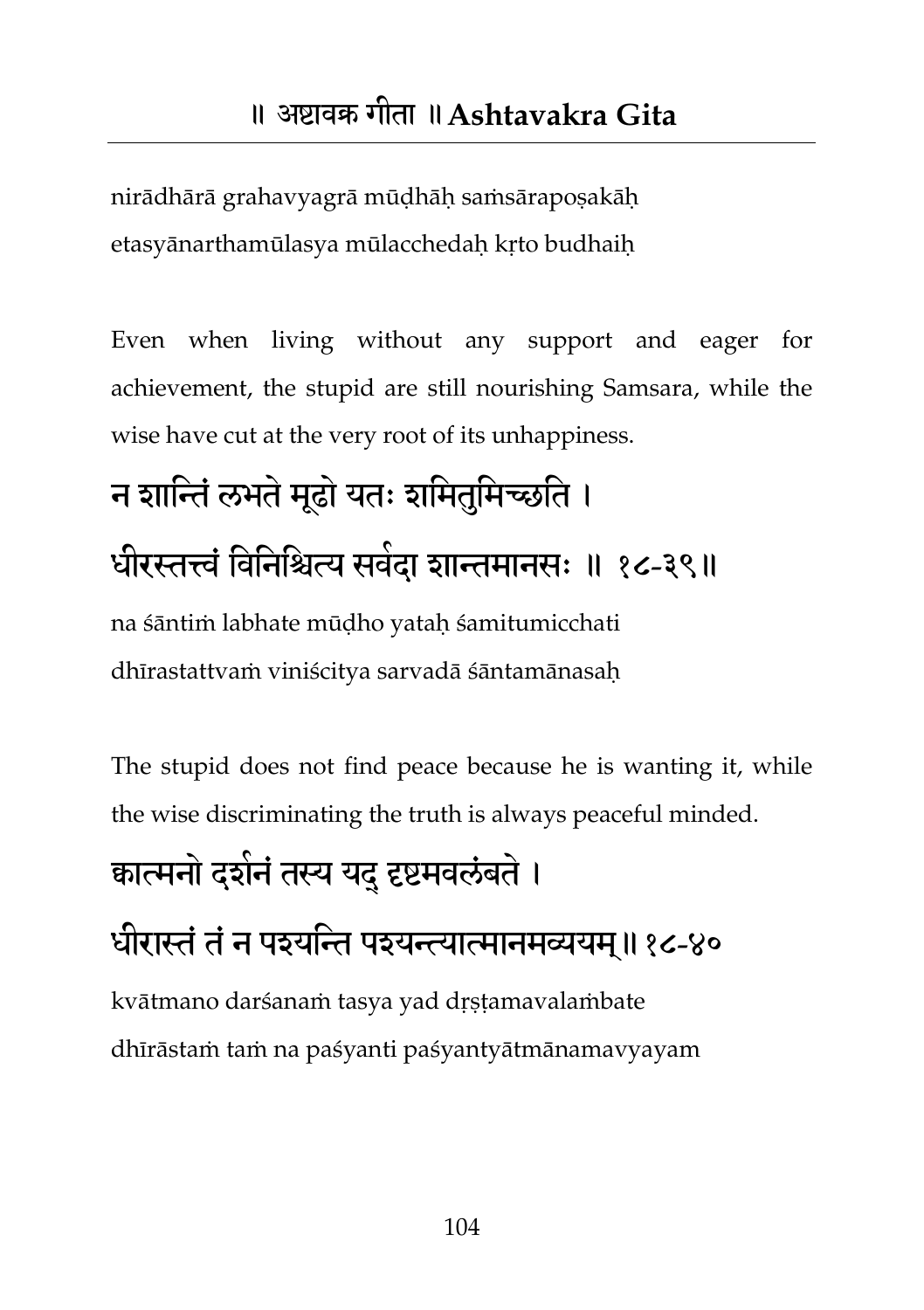nirādhārā grahavyagrā mūḍhāḥ saṁsārapoṣakāḥ etasyānarthamūlasya mūlacchedaḥ kṛto budhaiḥ

Even when living without any support and eager for achievement, the stupid are still nourishing Samsara, while the wise have cut at the very root of its unhappiness.

### न शान्तिं लभते मूढो यतः शमितुमिच्छति । धीरस्तत्त्वं विनिश्चित्य सर्वदा शान्तमानसः ॥ १८-३९॥ na śāntiṁ labhate mūḍho yataḥ śamitumicchati dhīrastattvaṁ viniścitya sarvadā śāntamānasaḥ

The stupid does not find peace because he is wanting it, while the wise discriminating the truth is always peaceful minded.

#### कात्मनो दर्शनं तस्य यदु दृष्टमवलंबते ।

#### धीरास्तं तं न पइयन्ति पइयन्त्यात्मानमव्ययम्॥१८-४०

kvātmano darśanaṁ tasya yad dṛṣṭamavalaṁbate dhīrāstaṁ taṁ na paśyanti paśyantyātmānamavyayam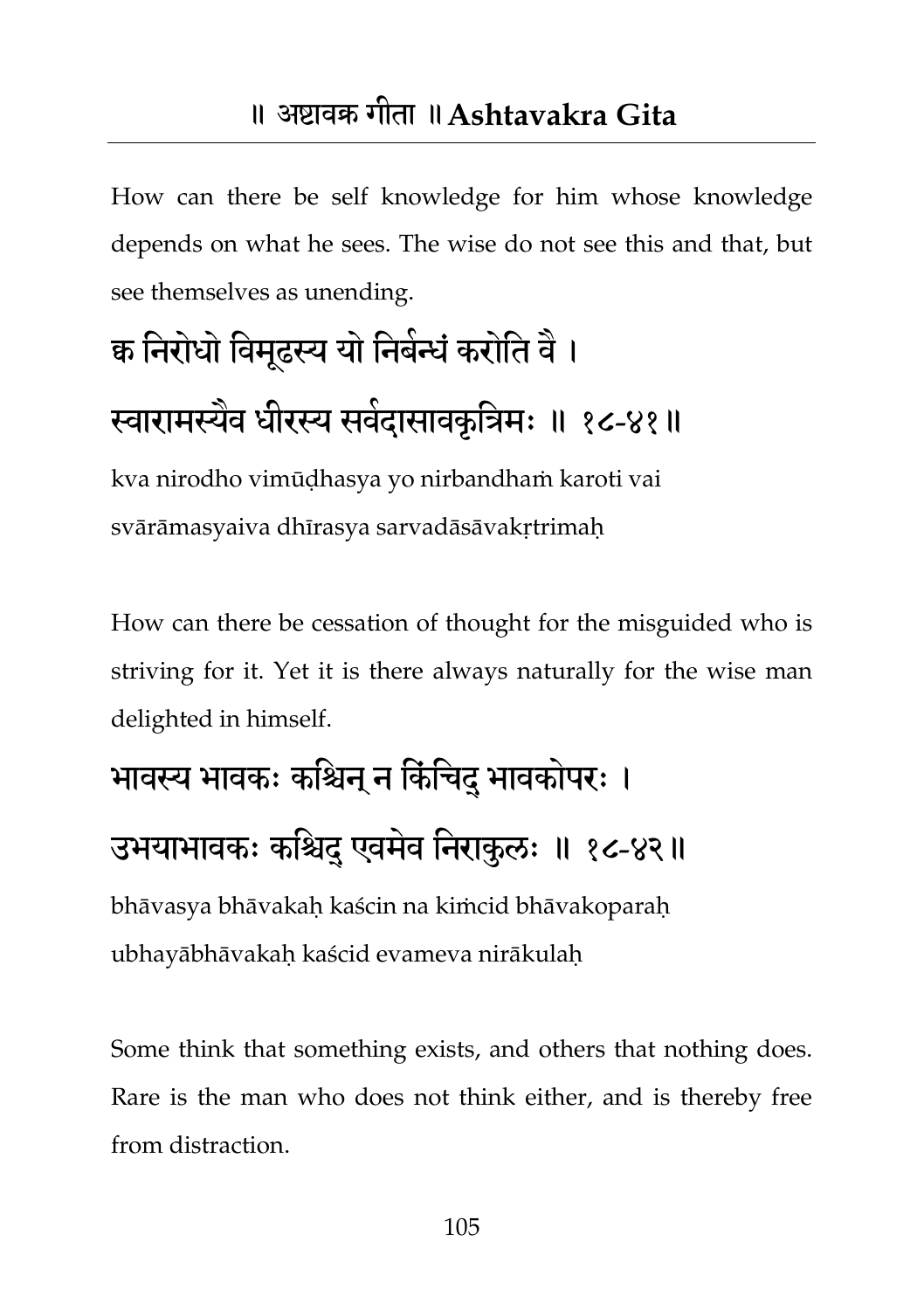How can there be self knowledge for him whose knowledge depends on what he sees. The wise do not see this and that, but see themselves as unending.

## क्व निरोधो विमूढस्य यो निबेन्धें करोति वै । स्वारामस्यैव धीरस्य सर्वदासावकृत्रिमः ॥ १८-४१॥

kva nirodho vimūḍhasya yo nirbandhaṁ karoti vai svārāmasyaiva dhīrasya sarvadāsāvakrtrimah

How can there be cessation of thought for the misguided who is striving for it. Yet it is there always naturally for the wise man delighted in himself.

## भावस्य भावकः कश्चिन् न किंचिदु भावकोपरः ।

#### उभयाभावकः कश्चिदु एवमेव निराकुलः ॥ १८-४२॥

bhāvasya bhāvakaḥ kaścin na kiṁcid bhāvakoparaḥ ubhayābhāvakaḥ kaścid evameva nirākulaḥ

Some think that something exists, and others that nothing does. Rare is the man who does not think either, and is thereby free from distraction.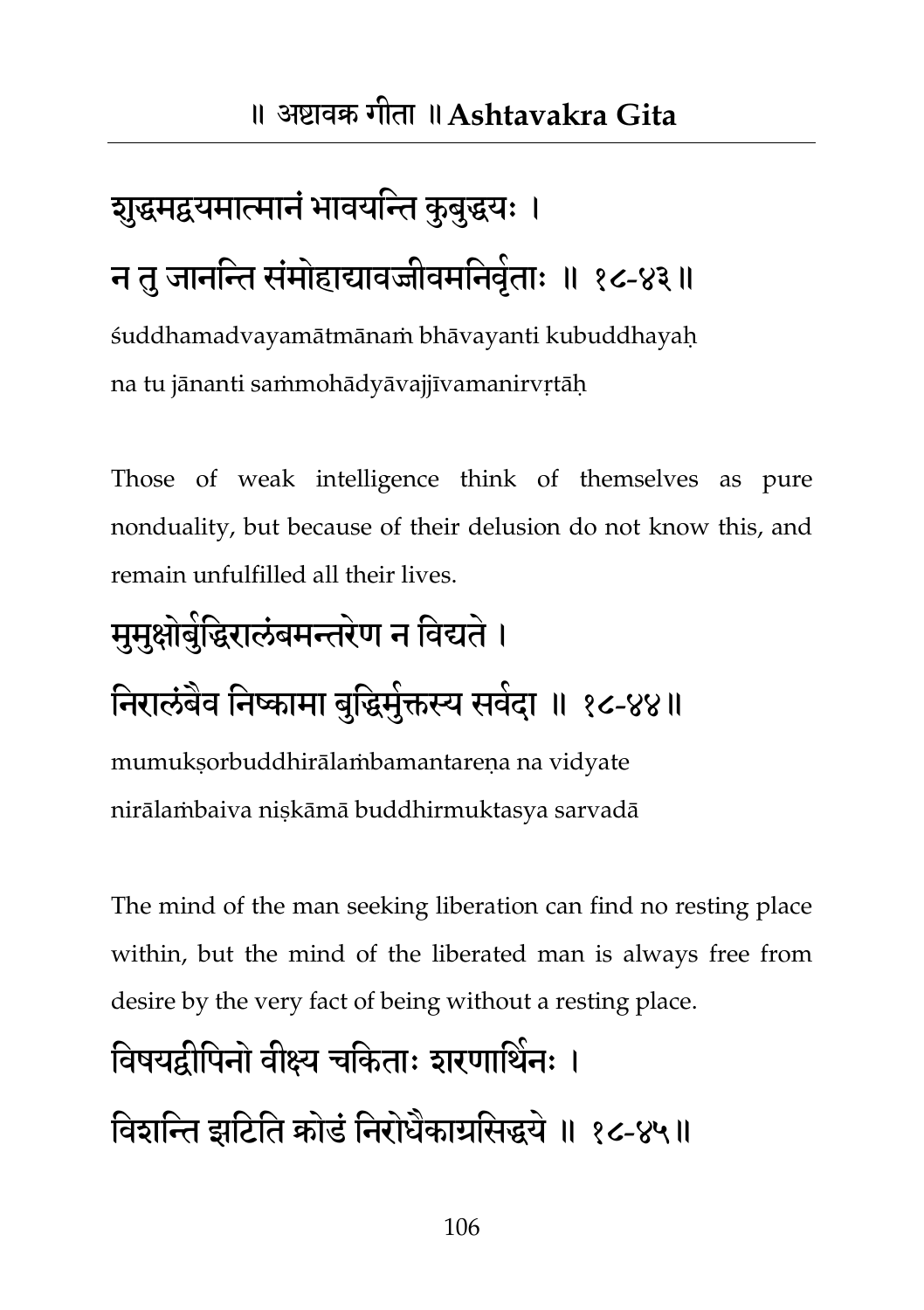## शुद्धमद्वयमात्मानं भावयन्ति कुबुद्धयः । न तु जानन्ति संमोहाद्यावज्जीवमनिवृंताः ॥ १८-४३॥ śuddhamadvayamātmānaṁ bhāvayanti kubuddhayaḥ

na tu jānanti saṁmohādyāvajjīvamanirvṛtāḥ

Those of weak intelligence think of themselves as pure nonduality, but because of their delusion do not know this, and remain unfulfilled all their lives.

## मुमुक्षोर्बुद्धिरालंबमन्तरेण न विद्यते । निरालंबेव निष्कामा बुद्धिमुक्तस्य सवेदा ॥ १८-४४॥

mumukṣorbuddhirālaṁbamantareṇa na vidyate nirālaṁbaiva niṣkāmā buddhirmuktasya sarvadā

The mind of the man seeking liberation can find no resting place within, but the mind of the liberated man is always free from desire by the very fact of being without a resting place.

#### विषयद्वीपिनो वीक्ष्य चकिताः शरणार्थिनः ।

विशन्ति झटिति कोर्ड निरोधैकार्यासेद्धये ॥ १८-४५॥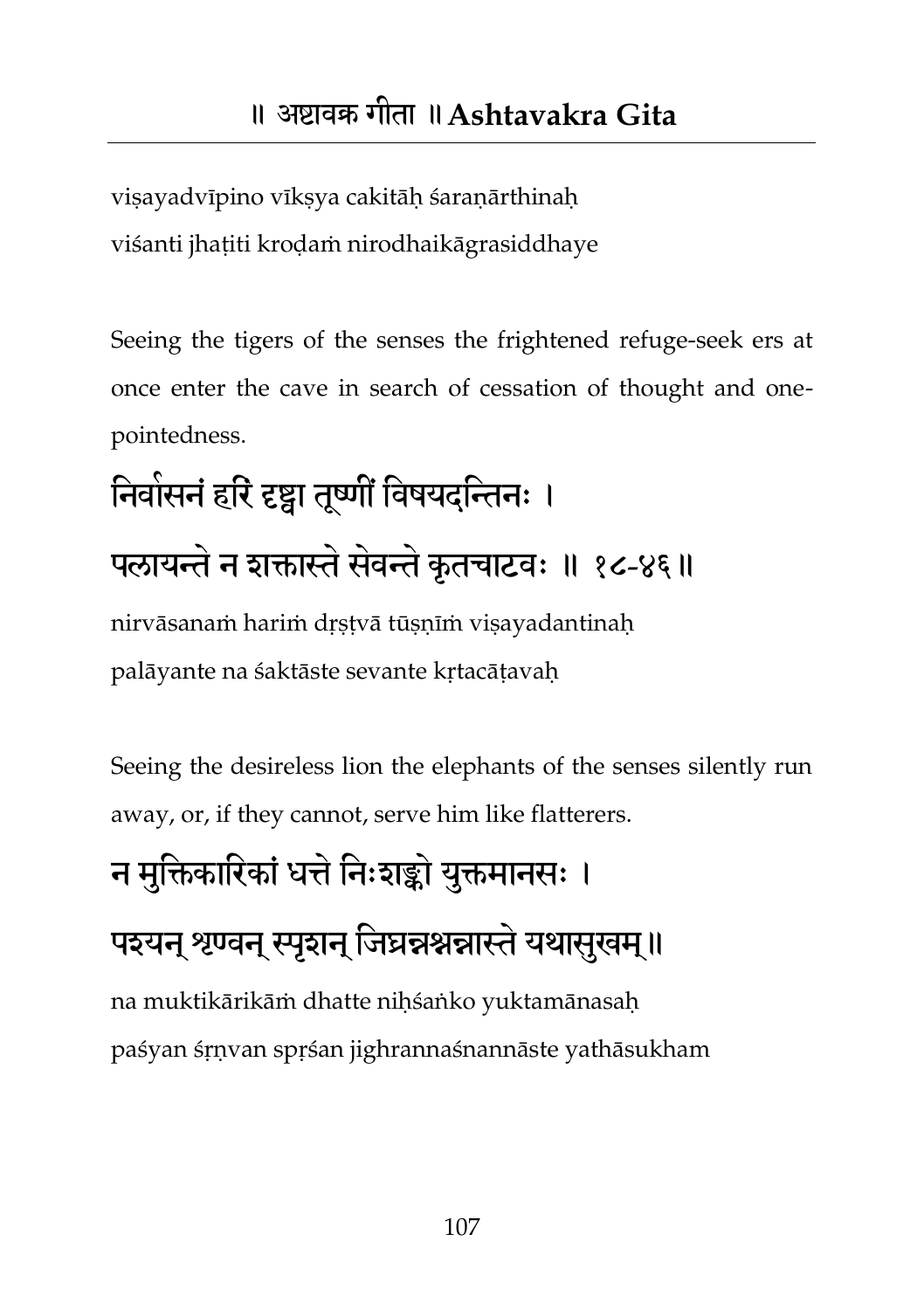viṣayadvīpino vīkṣya cakitāḥ śaraṇārthinaḥ viśanti jhaṭiti kroḍaṁ nirodhaikāgrasiddhaye

Seeing the tigers of the senses the frightened refuge-seek ers at once enter the cave in search of cessation of thought and onepointedness.

### निर्वासनं हरि दृष्ट्वा तूर्ष्णौं विषयदन्तिनः । पलायन्ते न शक्तास्ते सेवन्ते कृतचाटवः ॥ १८-४६॥ nirvāsanaṁ hariṁ drstvā tūsnīm visayadantinah palāyante na śaktāste sevante kṛtacāṭavaḥ

Seeing the desireless lion the elephants of the senses silently run away, or, if they cannot, serve him like flatterers.

## न मक्तिकारिकां धत्ते निःशङ्को यक्तमानसः । पइयन् श्रण्वन् स्पृशन् जिघ्रन्नश्नन्नास्ते यथासुखम्॥

na muktikārikāṁ dhatte niḥśaṅko yuktamānasaḥ paśyan śṛṇvan spṛśan jighrannaśnannāste yathāsukham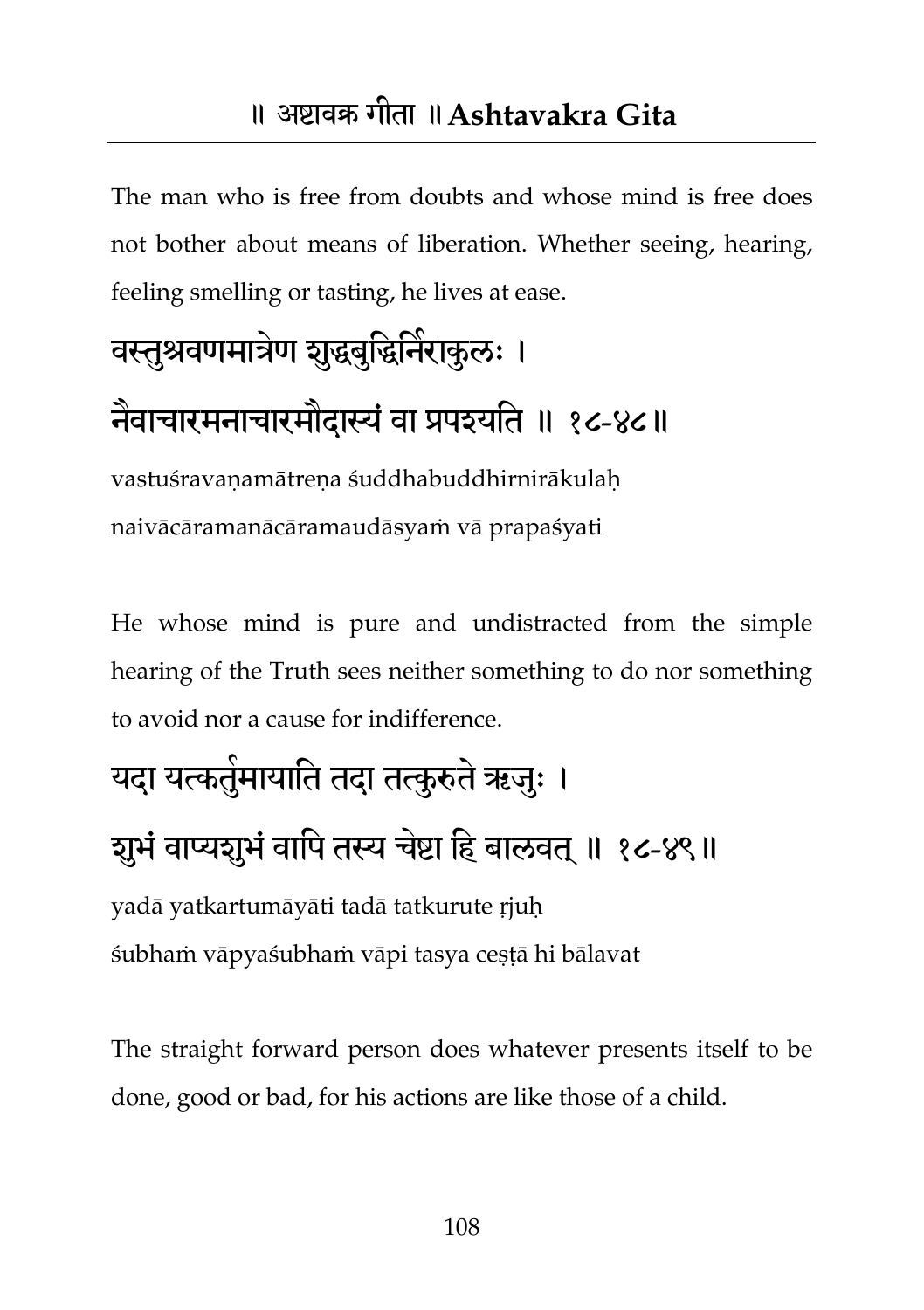The man who is free from doubts and whose mind is free does not bother about means of liberation. Whether seeing, hearing, feeling smelling or tasting, he lives at ease.

# वस्तुश्रवणमात्रेण शुद्धबुद्धिनैराकुलः ।

नैवाचारमनाचारमौदास्यं वा प्रपश्यति ॥ १८-४८॥

vastuśravaṇamātreṇa śuddhabuddhirnirākulaḥ naivācāramanācāramaudāsyaṁ vā prapaśyati

He whose mind is pure and undistracted from the simple hearing of the Truth sees neither something to do nor something to avoid nor a cause for indifference.

## यदा यत्कतुंमायाति तदा तत्कुरुते ऋजुः । शुभं वाप्यशुभं वापि तस्य चेष्टा हि बालवत् ॥ १८-४९॥

yadā yatkartumāyāti tadā tatkurute ṛjuḥ śubhaṁ vāpyaśubhaṁ vāpi tasya ceṣṭā hi bālavat

The straight forward person does whatever presents itself to be done, good or bad, for his actions are like those of a child.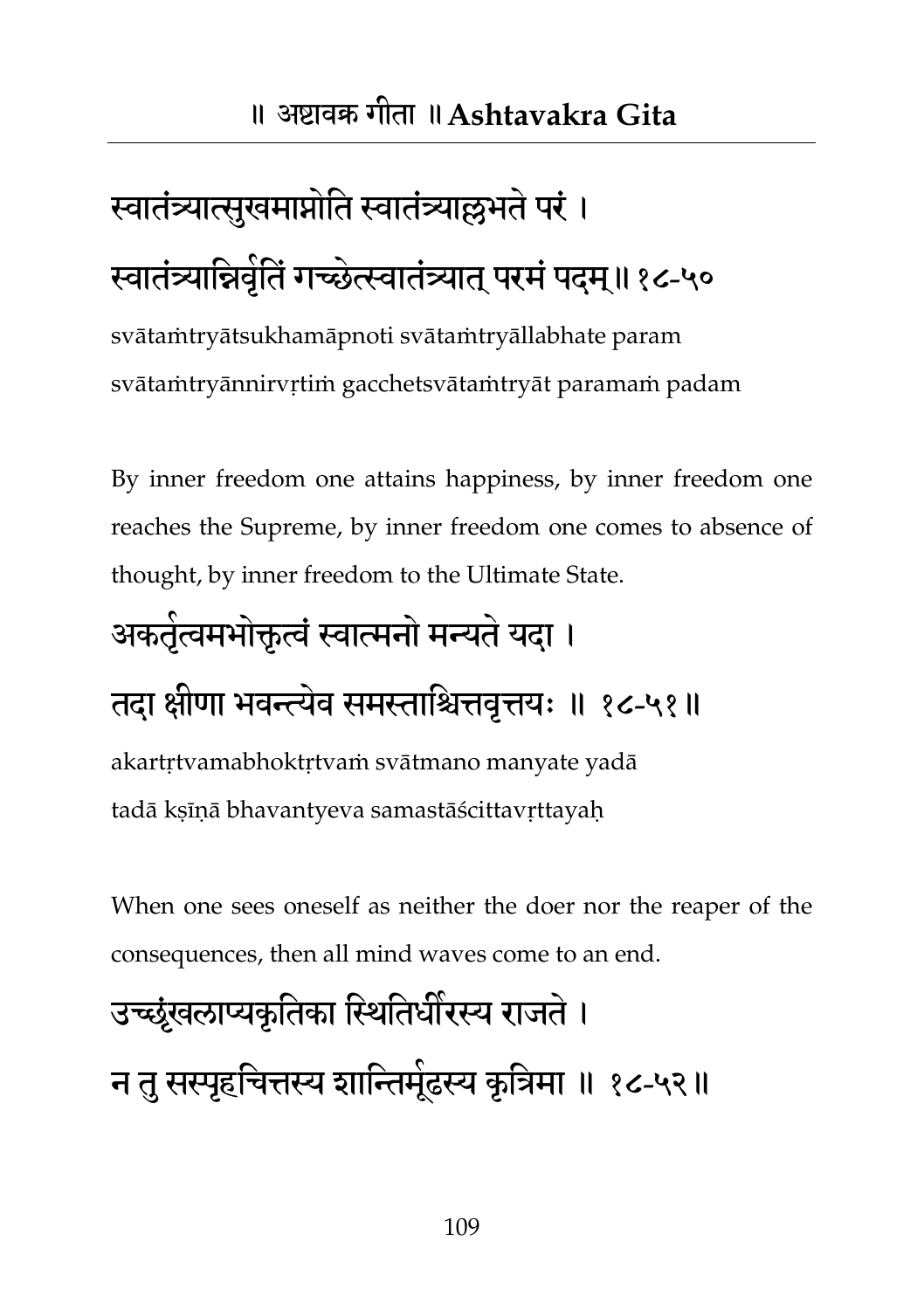## स्वातंत्र्यात्सुखमाप्नोति स्वातंत्र्याल्लभते परं । स्वातंत्र्यान्निवृतिं गच्छेत्स्वातंत्र्यात् परमं पदम्॥१८-५०

svātaṁtryātsukhamāpnoti svātaṁtryāllabhate param svātaṁtryānnirvṛtiṁ gacchetsvātaṁtryāt paramaṁ padam

By inner freedom one attains happiness, by inner freedom one reaches the Supreme, by inner freedom one comes to absence of thought, by inner freedom to the Ultimate State.

### अकतृंत्वमभोक्तृत्वं स्वात्मनो मन्यतं यदा ।

#### तदा क्षीणा भवन्त्येव समस्ताश्चित्तवृत्तयः ॥ १८-५१॥

akartṛtvamabhoktṛtvaṁ svātmano manyate yadā tadā kṣīṇā bhavantyeva samastāścittavṛttayaḥ

When one sees oneself as neither the doer nor the reaper of the consequences, then all mind waves come to an end.

## उच्छृंखराप्यकृततका तस्थततधीयस्य याजते। न तु सस्पृहचित्तस्य शान्तिमूेढस्य कृत्रिमा ॥ १८-५२॥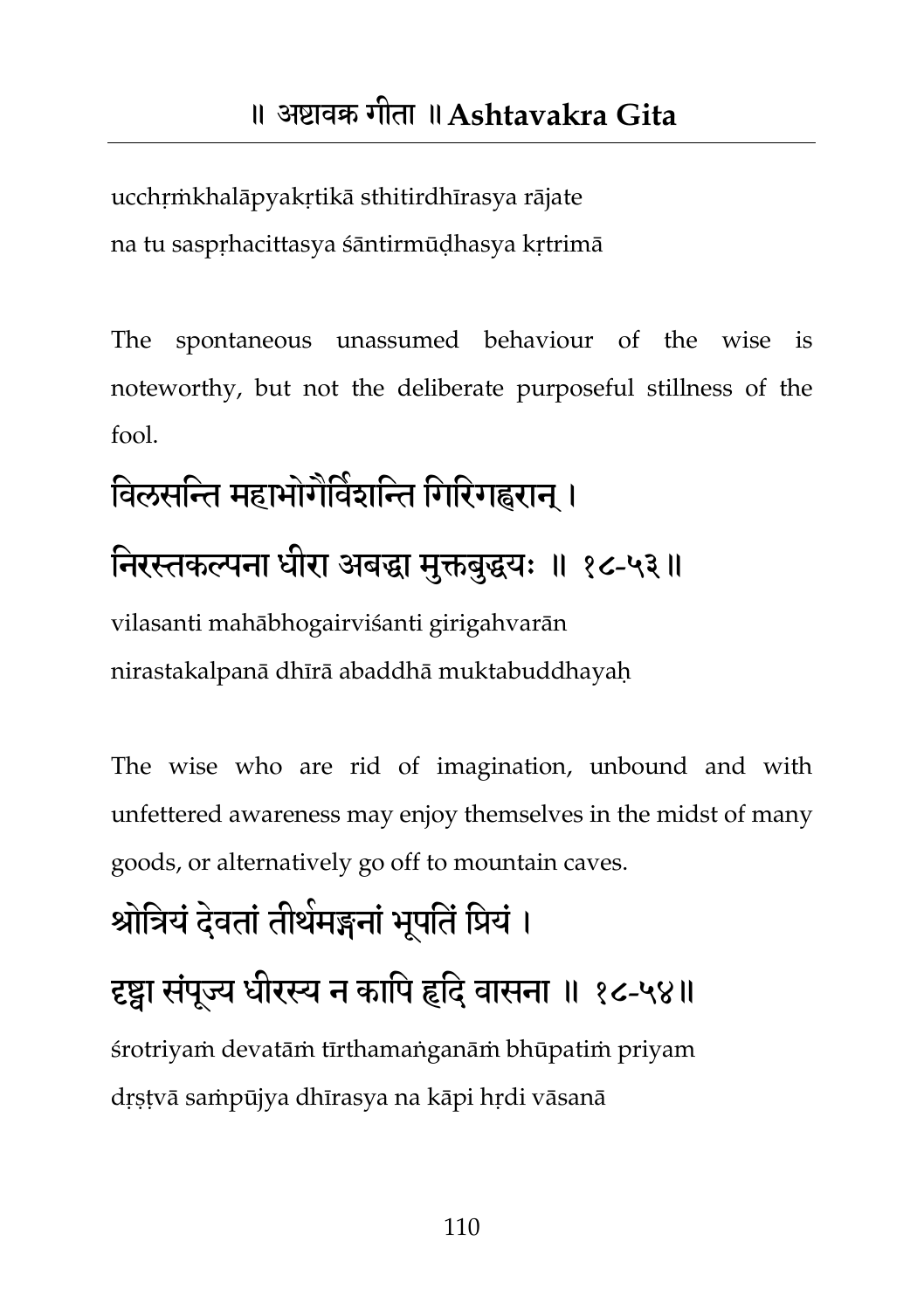ucchṛṁkhalāpyakṛtikā sthitirdhīrasya rājate na tu saspṛhacittasya śāntirmūḍhasya kṛtrimā

The spontaneous unassumed behaviour of the wise is noteworthy, but not the deliberate purposeful stillness of the fool.

## विलसन्ति महाभोगेविंशन्ति गिरिगह्वरान् । निरस्तकल्पना धीरा अबद्धा मुक्तबुद्धयः ॥ १८-५३॥ vilasanti mahābhogairviśanti girigahvarān

nirastakalpanā dhīrā abaddhā muktabuddhayaḥ

The wise who are rid of imagination, unbound and with unfettered awareness may enjoy themselves in the midst of many goods, or alternatively go off to mountain caves.

### श्रोत्रियं देवतां तीर्थमङ्गनां भूपतिं प्रियं ।

#### दृष्ट्वा संपूज्य धीरस्य न कापि हृदि वासना ॥ १८-५४॥

śrotriyaṁ devatāṁ tīrthamaṅganāṁ bhūpatiṁ priyam dṛṣṭvā saṁpūjya dhīrasya na kāpi hṛdi vāsanā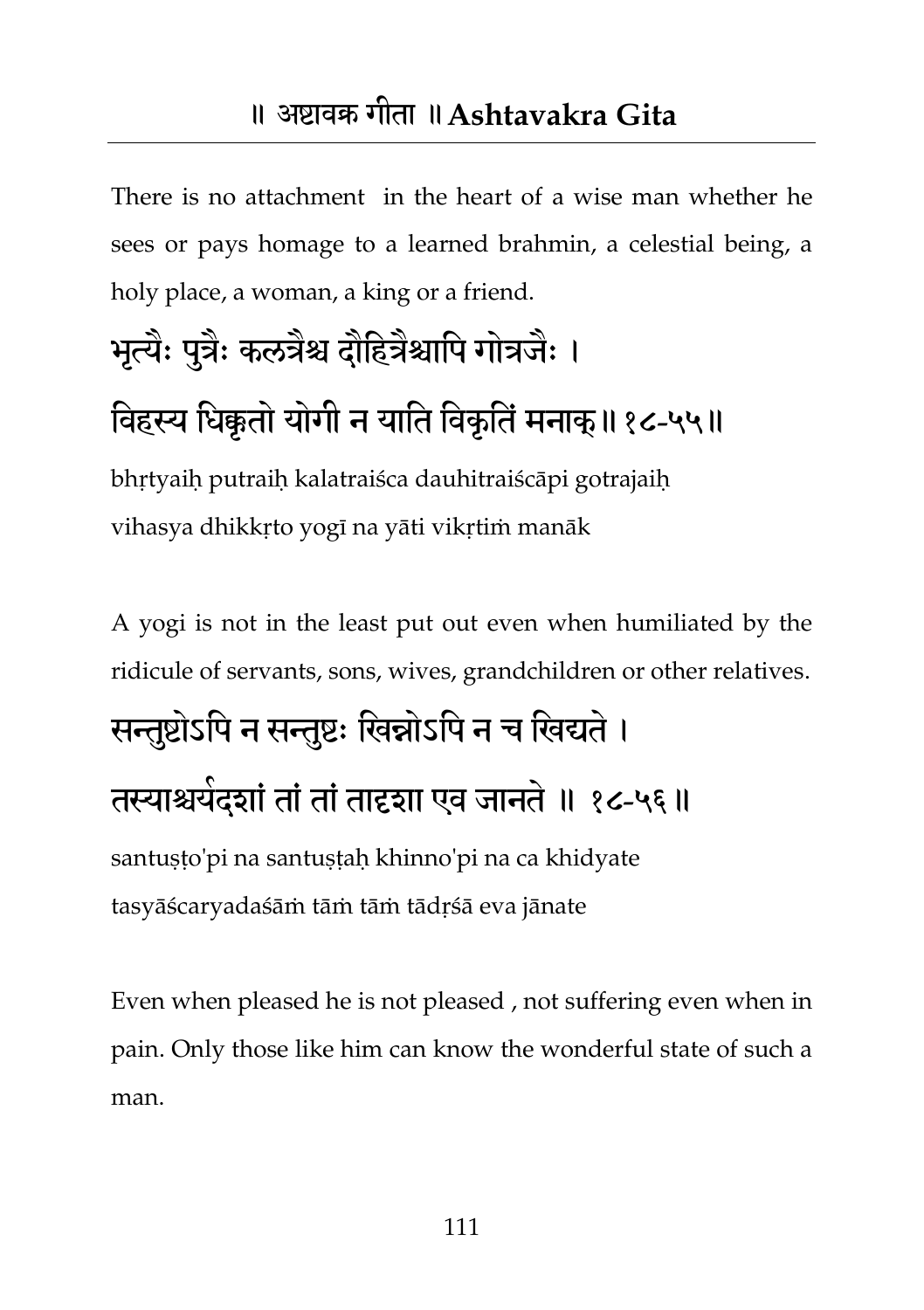There is no attachment in the heart of a wise man whether he sees or pays homage to a learned brahmin, a celestial being, a holy place, a woman, a king or a friend.

### भृत्यैः पुत्रैः कलत्रैश्च दौद्दित्रैश्चापि गोत्रजैः ।

#### विहस्य धिक्कृतो योगी न याति विकृतिं मनाक् ॥ १८-५५॥

bhṛtyaiḥ putraiḥ kalatraiśca dauhitraiścāpi gotrajaiḥ vihasya dhikkṛto yogī na yāti vikṛtiṁ manāk

A yogi is not in the least put out even when humiliated by the ridicule of servants, sons, wives, grandchildren or other relatives.

## सन्तुष्टोऽपि न सन्तुष्टः खिन्नोऽपि न च खिद्यते । तस्याश्चर्यदश्ां तां तां तादृशा एव जानते ॥ १८-५६॥

santuṣṭo'pi na santuṣṭaḥ khinno'pi na ca khidyate tasyāścaryadaśāṁ tāṁ tāṁ tādṛśā eva jānate

Even when pleased he is not pleased , not suffering even when in pain. Only those like him can know the wonderful state of such a man.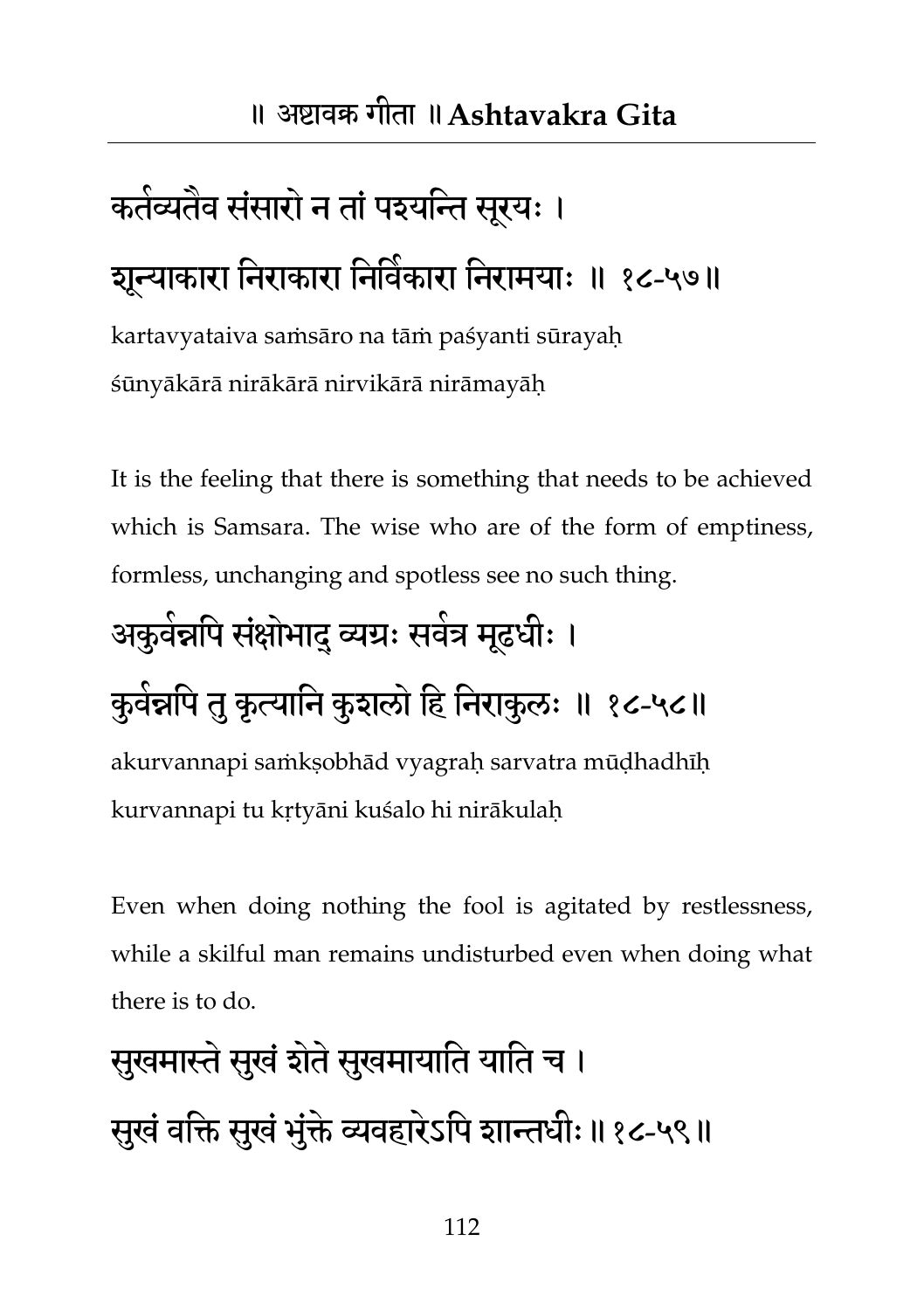## कतंव्यतेव संसारों न तां पइयन्ति सूरयः । शून्याकारा निराकारा निर्वेकारा निरामयाः ॥ १८-५७॥

kartavyataiva saṁsāro na tāṁ paśyanti sūrayaḥ śūnyākārā nirākārā nirvikārā nirāmayāḥ

It is the feeling that there is something that needs to be achieved which is Samsara. The wise who are of the form of emptiness, formless, unchanging and spotless see no such thing.

## अकुवंन्नपि संक्षोभाद् व्यग्रः सवंत्र मूढधीः ।

### कुवंन्नपि तु कृत्यानि कुशलो हि निराकुलः ॥ १८-५८॥

akurvannapi saṁkṣobhād vyagraḥ sarvatra mūḍhadhīḥ kurvannapi tu kṛtyāni kuśalo hi nirākulaḥ

Even when doing nothing the fool is agitated by restlessness, while a skilful man remains undisturbed even when doing what there is to do.

## सुखमास्ते सुखं शेते सुखमायाति याति च । सुखं वक्ति सुखं भुंक्ते व्यवहारेऽपि शान्तधीः॥१८-५९॥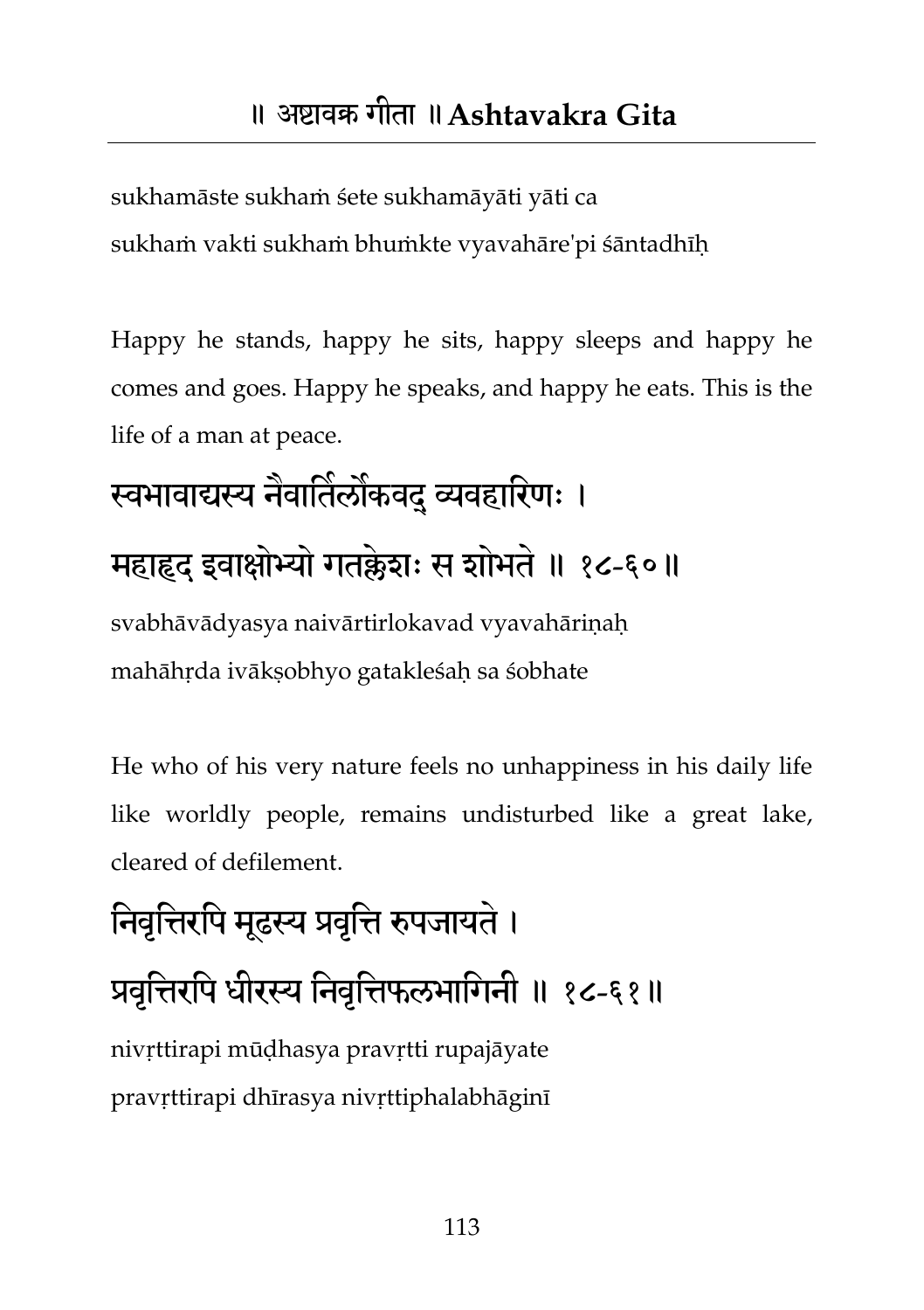sukhamāste sukhaṁ śete sukhamāyāti yāti ca sukhaṁ vakti sukhaṁ bhuṁkte vyavahāre'pi śāntadhīḥ

Happy he stands, happy he sits, happy sleeps and happy he comes and goes. Happy he speaks, and happy he eats. This is the life of a man at peace.

# स्वभावाद्यस्य नैवार्तिलौकवद् व्यवहारिणः । महाहृद इवाक्षोभ्यो गतक्लेशः स शोभते ॥ १८-६०॥

svabhāvādyasya naivārtirlokavad vyavahārinah mahāhṛda ivākṣobhyo gatakleśaḥ sa śobhate

He who of his very nature feels no unhappiness in his daily life like worldly people, remains undisturbed like a great lake, cleared of defilement.

# निवृत्तिरपि मूढस्य प्रवृत्ति रुपजायते ।

#### प्रवृत्तिरपि धीरस्य निवृत्तिफलभागिनी ॥ १८-६१॥

nivṛttirapi mūḍhasya pravṛtti rupajāyate pravṛttirapi dhīrasya nivṛttiphalabhāginī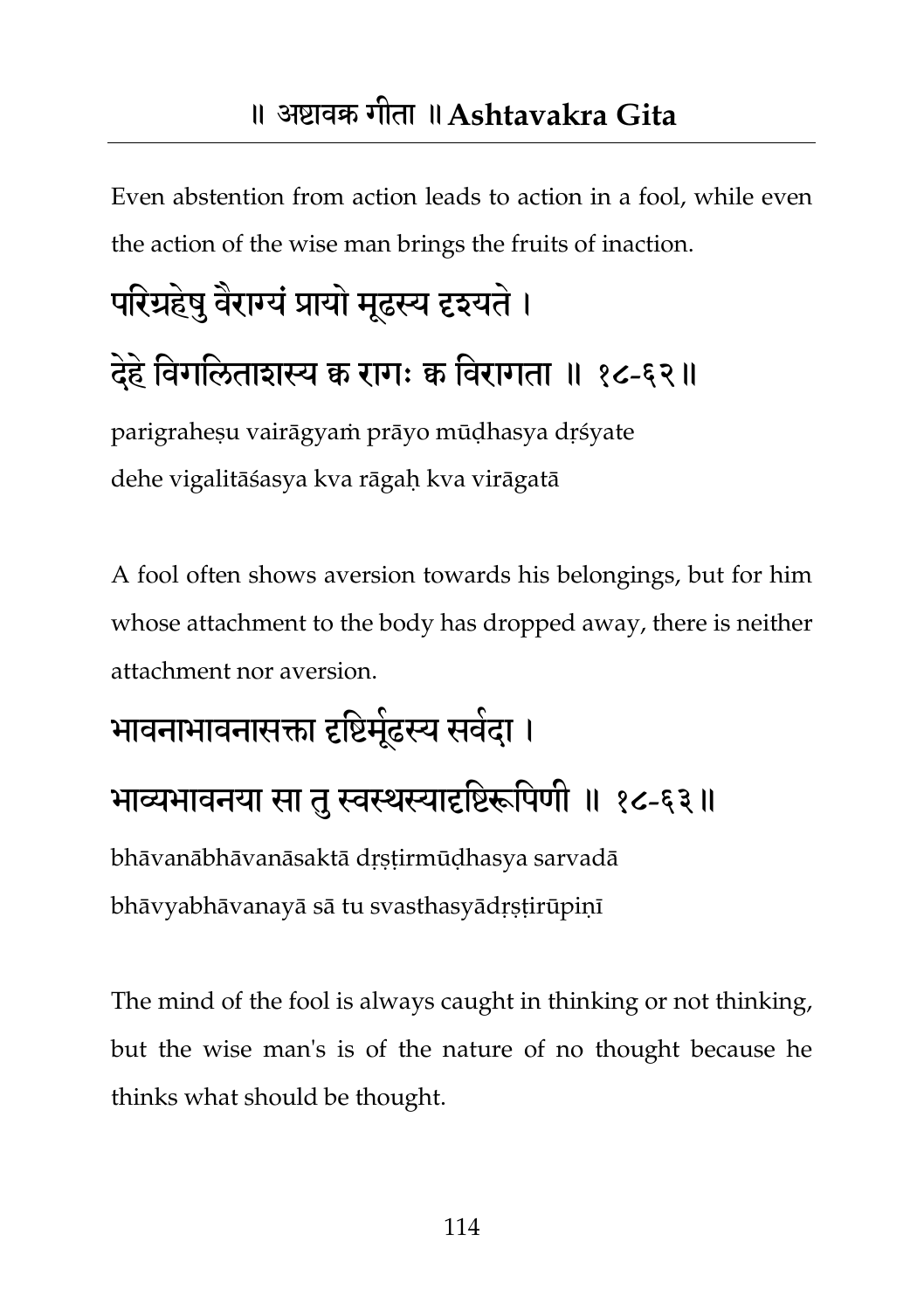Even abstention from action leads to action in a fool, while even the action of the wise man brings the fruits of inaction.

# परिग्रहेषु वैराग्यै प्रायो मूढस्य दृइयते । देहे विगलिताशस्य क रागः क विरागता ॥ १८-६२॥

parigrahesu vairāgyam prāyo mūdhasya drśyate dehe vigalitāśasya kva rāgaḥ kva virāgatā

A fool often shows aversion towards his belongings, but for him whose attachment to the body has dropped away, there is neither attachment nor aversion.

### भावनाभावनासक्ता दृष्टिमूंढस्य सर्वदा ।

#### भाव्यभावनया सा तु स्वस्थस्यादृष्टिरूपिणी ॥ १८-६३॥

bhāvanābhāvanāsaktā dṛṣṭirmūḍhasya sarvadā bhāvyabhāvanayā sā tu svasthasyādṛṣṭirūpiṇī

The mind of the fool is always caught in thinking or not thinking, but the wise man's is of the nature of no thought because he thinks what should be thought.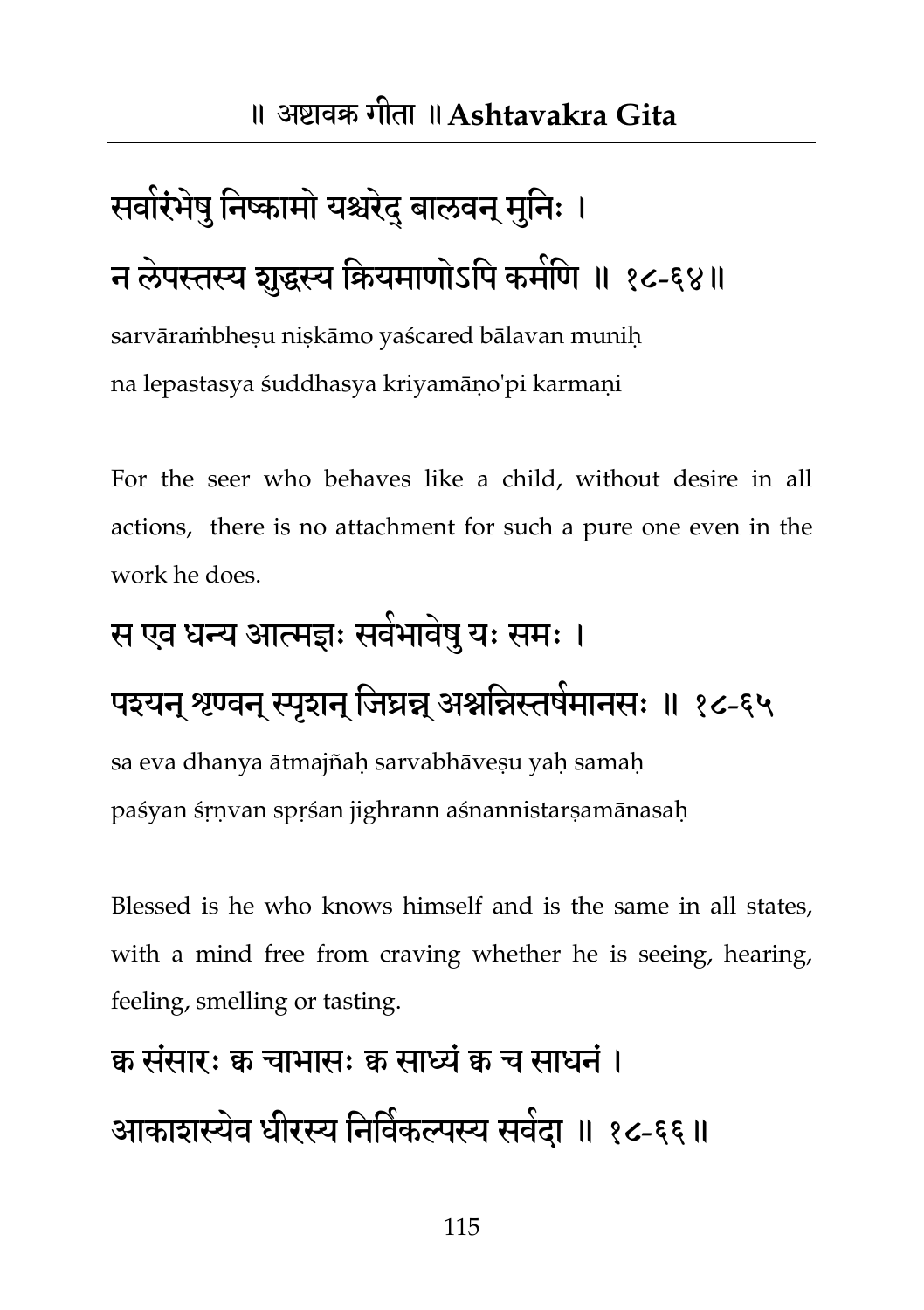## सवारंभेषु निष्कामो यश्चरेद् बालवन् मुनिः । न लेपस्तस्य शुद्धस्य कियमाणोऽपि कर्माणे ॥ १८-६४॥

sarvāraṁbheṣu niṣkāmo yaścared bālavan muniḥ na lepastasya śuddhasya kriyamāṇo'pi karmaṇi

For the seer who behaves like a child, without desire in all actions, there is no attachment for such a pure one even in the work he does.

#### स एव धन्य आत्मज्ञः सर्वभावेषु यः समः ।

#### पश्यन् श्रण्वन् स्पृशन् जिघ्रन्न् अश्नन्निस्तर्षमानसः ॥ १८-६५

sa eva dhanya ātmajñaḥ sarvabhāveṣu yaḥ samaḥ paśyan śṛṇvan spṛśan jighrann aśnannistarṣamānasaḥ

Blessed is he who knows himself and is the same in all states, with a mind free from craving whether he is seeing, hearing, feeling, smelling or tasting.

## क्व संसारः क्व चाभासः क्व साध्यं क्व च साधनं । आकाशस्येव धीरस्य निर्विकल्पस्य सर्वदा ॥ १८-६६॥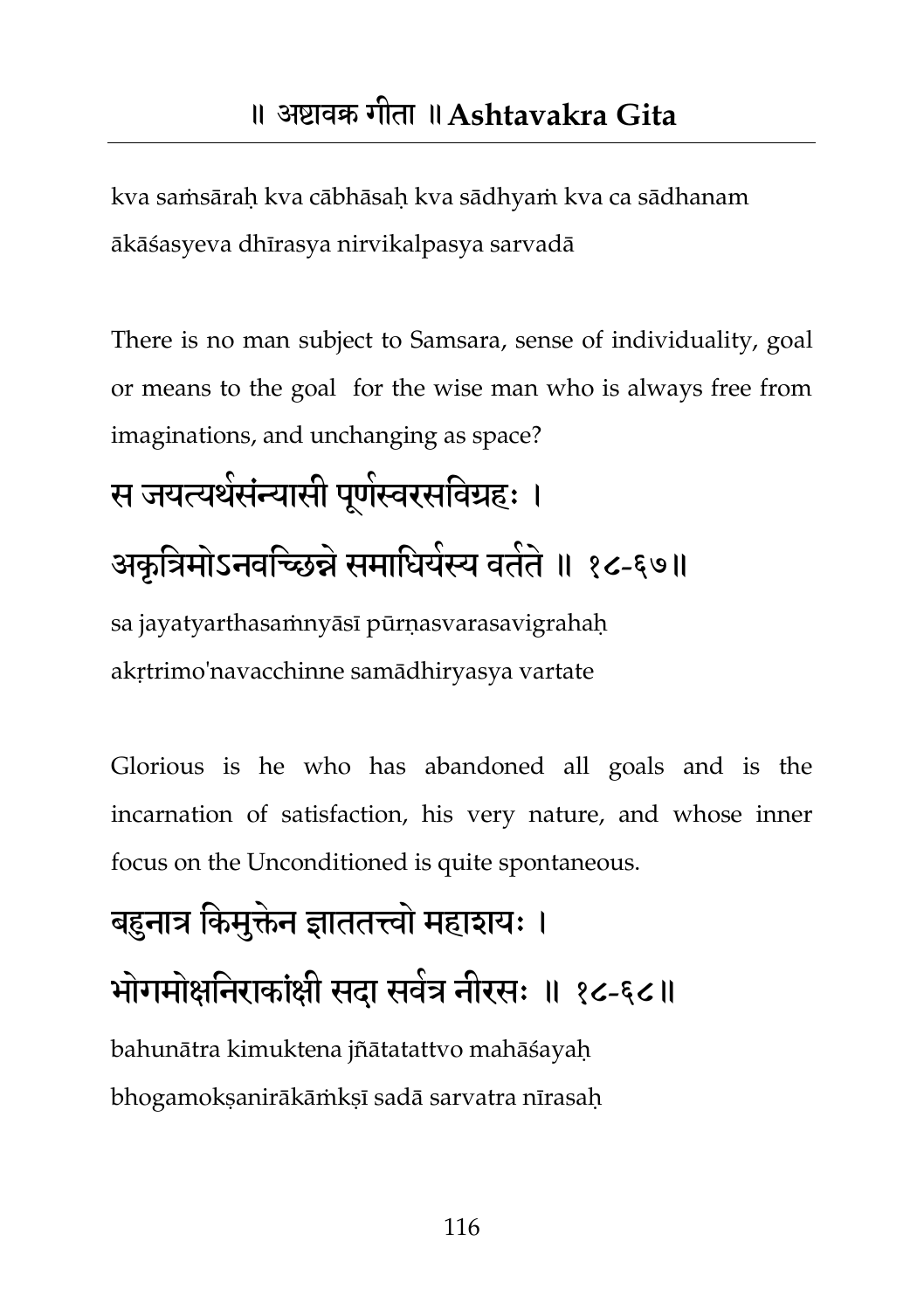kva saṁsāraḥ kva cābhāsaḥ kva sādhyaṁ kva ca sādhanam ākāśasyeva dhīrasya nirvikalpasya sarvadā

There is no man subject to Samsara, sense of individuality, goal or means to the goal for the wise man who is always free from imaginations, and unchanging as space?

## स जयत्यर्थसंन्यासी पूर्णस्वरसविग्रहः । अकृत्रिमोऽनवच्छिन्ने समाधियस्य वर्तते ॥ १८-६७॥ sa jayatyarthasamnyāsī pūrnasvarasavigrahah

akṛtrimo'navacchinne samādhiryasya vartate

Glorious is he who has abandoned all goals and is the incarnation of satisfaction, his very nature, and whose inner focus on the Unconditioned is quite spontaneous.

## बहुनात्र किमुक्तेन ज्ञाततत्त्वो महाशयः । भोगमोक्षनिराकांक्षी सदा सर्वत्र नीरसः ॥ १८-६८॥ bahunātra kimuktena jñātatattvo mahāśayaḥ bhogamokṣanirākāṁkṣī sadā sarvatra nīrasaḥ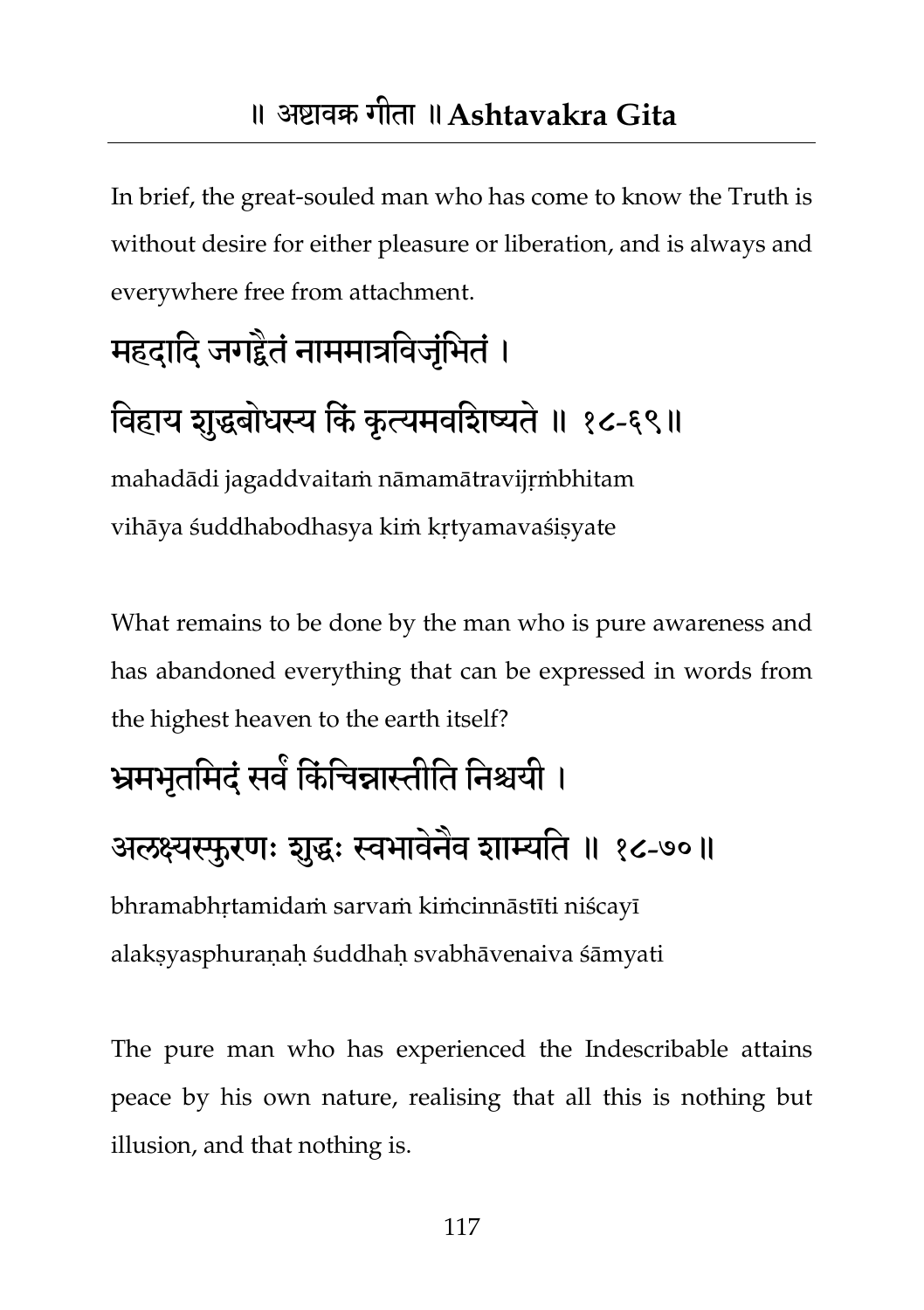In brief, the great-souled man who has come to know the Truth is without desire for either pleasure or liberation, and is always and everywhere free from attachment.

## महदादि जगद्दैतं नाममात्रविजृभितं ।

#### विहाय शुद्धबोधस्य किं कृत्यमवशिष्यते ॥ १८-६९॥

mahadādi jagaddvaitaṁ nāmamātravijṛṁbhitam vihāya śuddhabodhasya kiṁ kṛtyamavaśiṣyate

What remains to be done by the man who is pure awareness and has abandoned everything that can be expressed in words from the highest heaven to the earth itself?

#### भ्रमभृतमिदं सर्वे किंचिन्नास्तीति निश्चयी ।

#### अलक्ष्यस्फुरणः शुद्धः स्वभावेनैव शाम्यति ॥ १८-७०॥

bhramabhṛtamidaṁ sarvaṁ kiṁcinnāstīti niścayī alakṣyasphuraṇaḥ śuddhaḥ svabhāvenaiva śāmyati

The pure man who has experienced the Indescribable attains peace by his own nature, realising that all this is nothing but illusion, and that nothing is.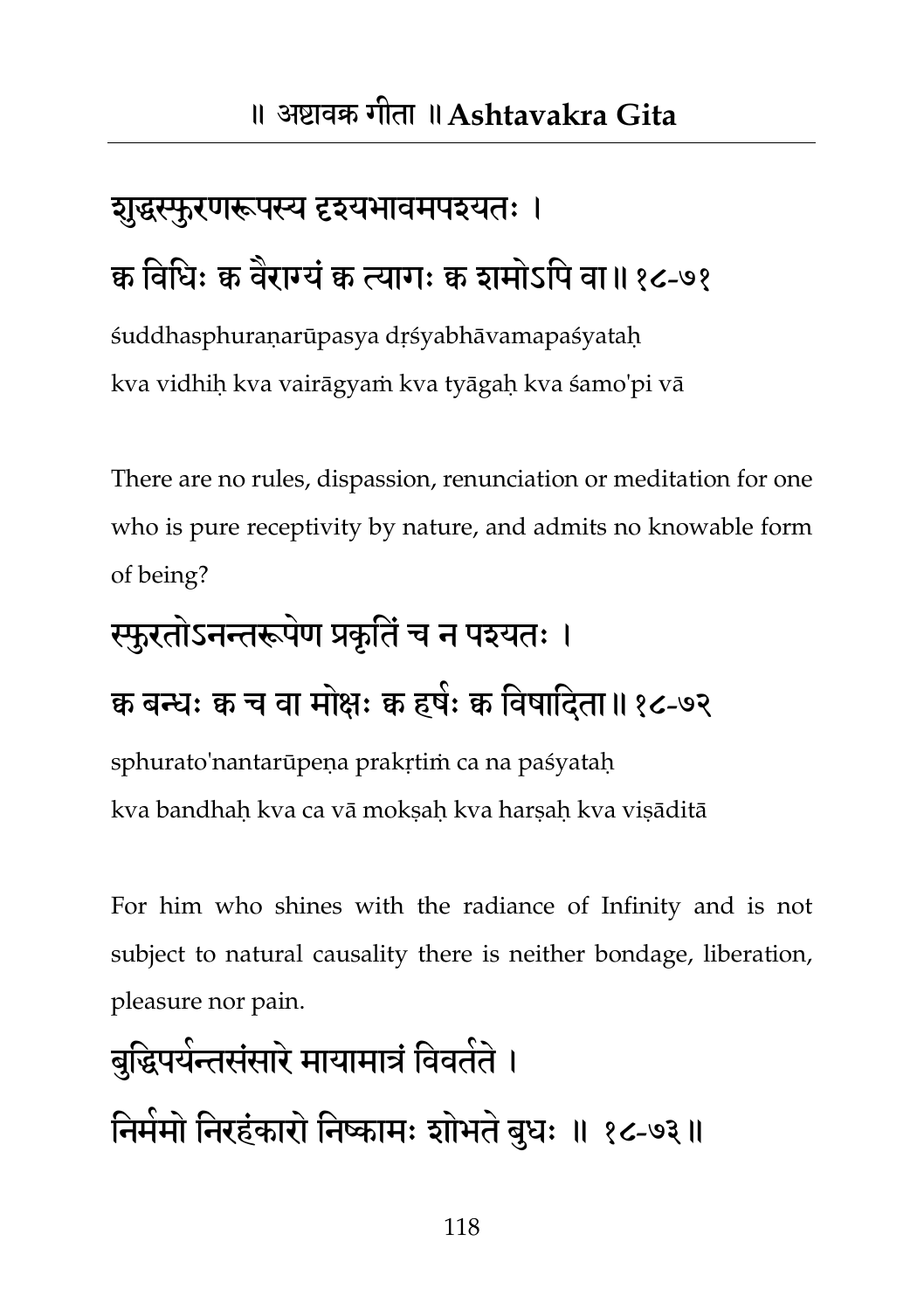## शुद्धस्फुरणरूपस्य दृश्यभावमपश्यतः । क विधिः क वैराग्यं क त्यागः क शमोऽपि वा॥१८-७१

śuddhasphuraṇarūpasya dṛśyabhāvamapaśyataḥ kva vidhiḥ kva vairāgyaṁ kva tyāgaḥ kva śamo'pi vā

There are no rules, dispassion, renunciation or meditation for one who is pure receptivity by nature, and admits no knowable form of being?

#### स्फुरतोऽनन्तरूपेण प्रकृतिं च न पश्यतः ।

#### क्व बन्धः क्व च वा मोक्षः क्व हषंः क्व विषादिता॥ १८-७२

sphurato'nantarūpeṇa prakṛtiṁ ca na paśyataḥ kva bandhaḥ kva ca vā mokṣaḥ kva harṣaḥ kva viṣāditā

For him who shines with the radiance of Infinity and is not subject to natural causality there is neither bondage, liberation, pleasure nor pain.

## बुद्धिपर्यन्तसंसारे मायामात्रं विवतेते । निमेमो निरहंकारो निष्कामः शोभते बुधः ॥ १८-७३॥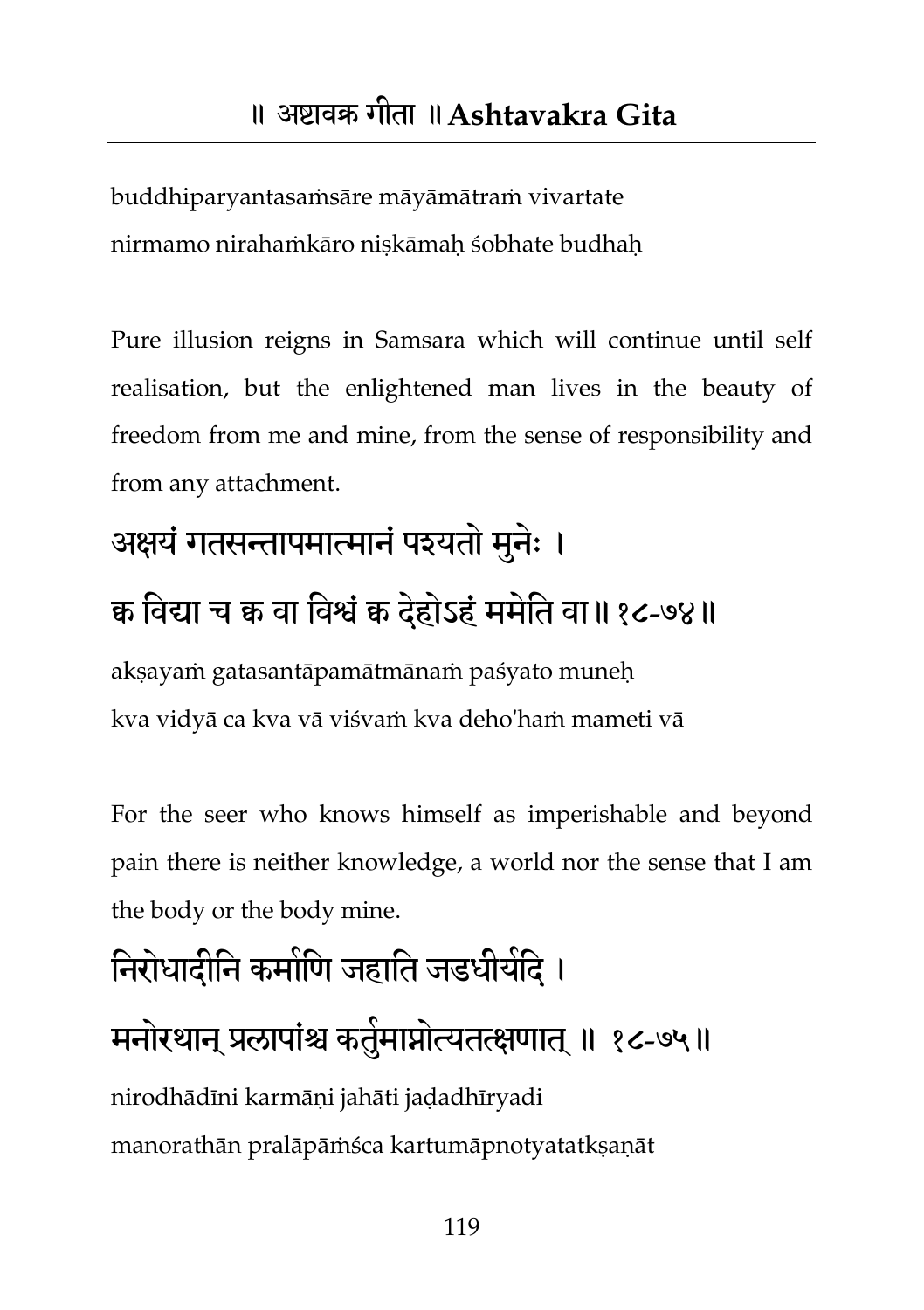buddhiparyantasaṁsāre māyāmātraṁ vivartate nirmamo nirahaṁkāro niskāmah śobhate budhah

Pure illusion reigns in Samsara which will continue until self realisation, but the enlightened man lives in the beauty of freedom from me and mine, from the sense of responsibility and from any attachment.

#### अक्षयं गतसन्तापमात्मानं पश्यतो मुनेः ।

#### क्व तवर्द्या च क्व वा तवश्वंक्व दहेोऽहंभभतेत वा॥१८-७४॥

aksayaṁ gatasantāpamātmānaṁ paśyato muneh kva vidyā ca kva vā viśvaṁ kva deho'haṁ mameti vā

For the seer who knows himself as imperishable and beyond pain there is neither knowledge, a world nor the sense that I am the body or the body mine.

## निरोधादीनि कमोणि जहाति जडधीयदि । मनोरथान् प्रलापांश्च कर्तुमाप्नोत्यतत्क्षणात् ॥ १८-७५॥ nirodhādīni karmāṇi jahāti jaḍadhīryadi manorathān pralāpāṁśca kartumāpnotyatatkṣaṇāt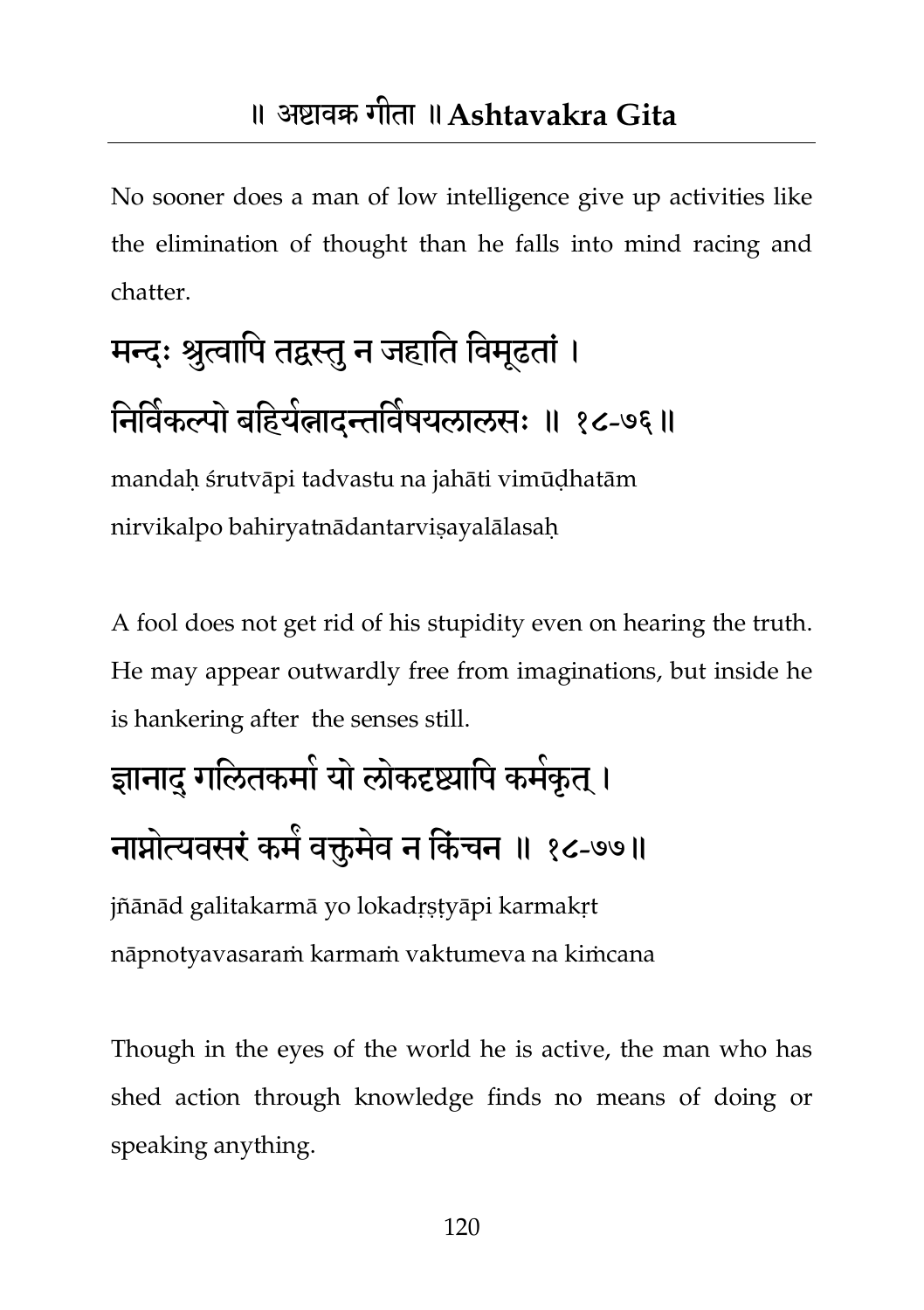No sooner does a man of low intelligence give up activities like the elimination of thought than he falls into mind racing and chatter.

## मन्दः श्रुत्वापि तद्वस्तु न जहाति विमूढतां। निर्विकल्पो बहियेलादन्तविषयलालसः ॥ १८-७६॥

mandaḥ śrutvāpi tadvastu na jahāti vimūḍhatām nirvikalpo bahiryatnādantarvisayalālasah

A fool does not get rid of his stupidity even on hearing the truth. He may appear outwardly free from imaginations, but inside he is hankering after the senses still.

## ज्ञानाद् गलितकमो यो लोकदृष्ट्यापि कमेकृत् । नाप्नोत्यवसरं कमें वक्तुमेव न किंचन ॥ १८-७७॥

jñānād galitakarmā yo lokadṛṣṭyāpi karmakṛt nāpnotyavasaraṁ karmaṁ vaktumeva na kiṁcana

Though in the eyes of the world he is active, the man who has shed action through knowledge finds no means of doing or speaking anything.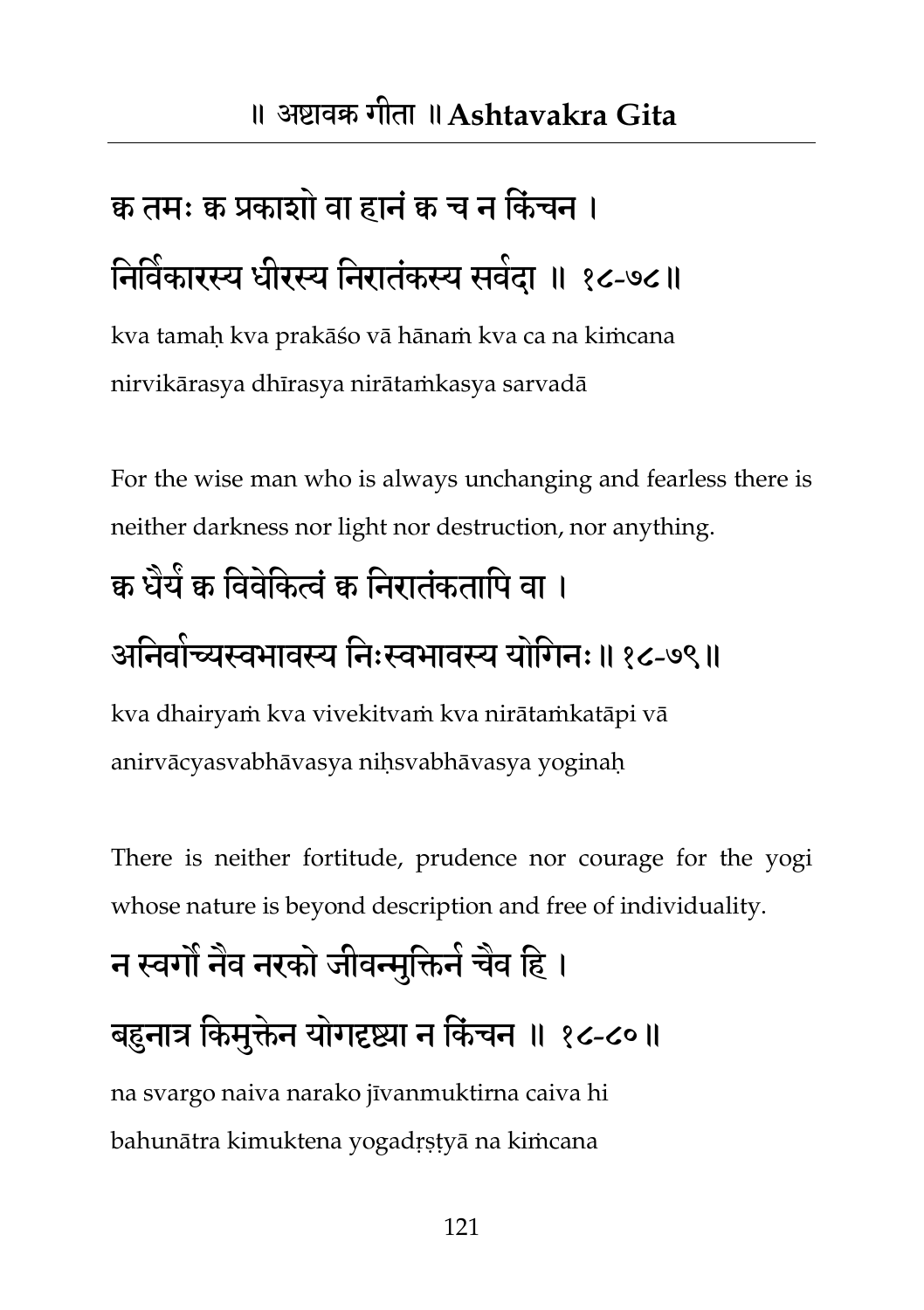## क्व तमः क्व प्रकाशो वा हानं क च न किंचन । निर्विकारस्य धीरस्य निरातंकस्य सर्वदा ॥ १८-७८॥

kva tamaḥ kva prakāśo vā hānaṁ kva ca na kiṁcana nirvikārasya dhīrasya nirātaṁkasya sarvadā

For the wise man who is always unchanging and fearless there is neither darkness nor light nor destruction, nor anything.

### क्व धैर्य क विवंकित्वं क निरातंकतापि वा ।

### आनेवांच्यस्वभावस्य निःस्वभावस्य योगिनः॥ १८-७९॥

kva dhairyaṁ kva vivekitvaṁ kva nirātaṁkatāpi vā anirvācyasvabhāvasya niḥsvabhāvasya yoginaḥ

There is neither fortitude, prudence nor courage for the yogi whose nature is beyond description and free of individuality.

## न स्वगौ नैव नरको जीवन्मुक्तिने चैव हि । बहुनात्र किमुक्तेन योगदृष्ट्या न किंचन ॥ १८-८०॥

na svargo naiva narako jīvanmuktirna caiva hi bahunātra kimuktena yogadṛṣṭyā na kiṁcana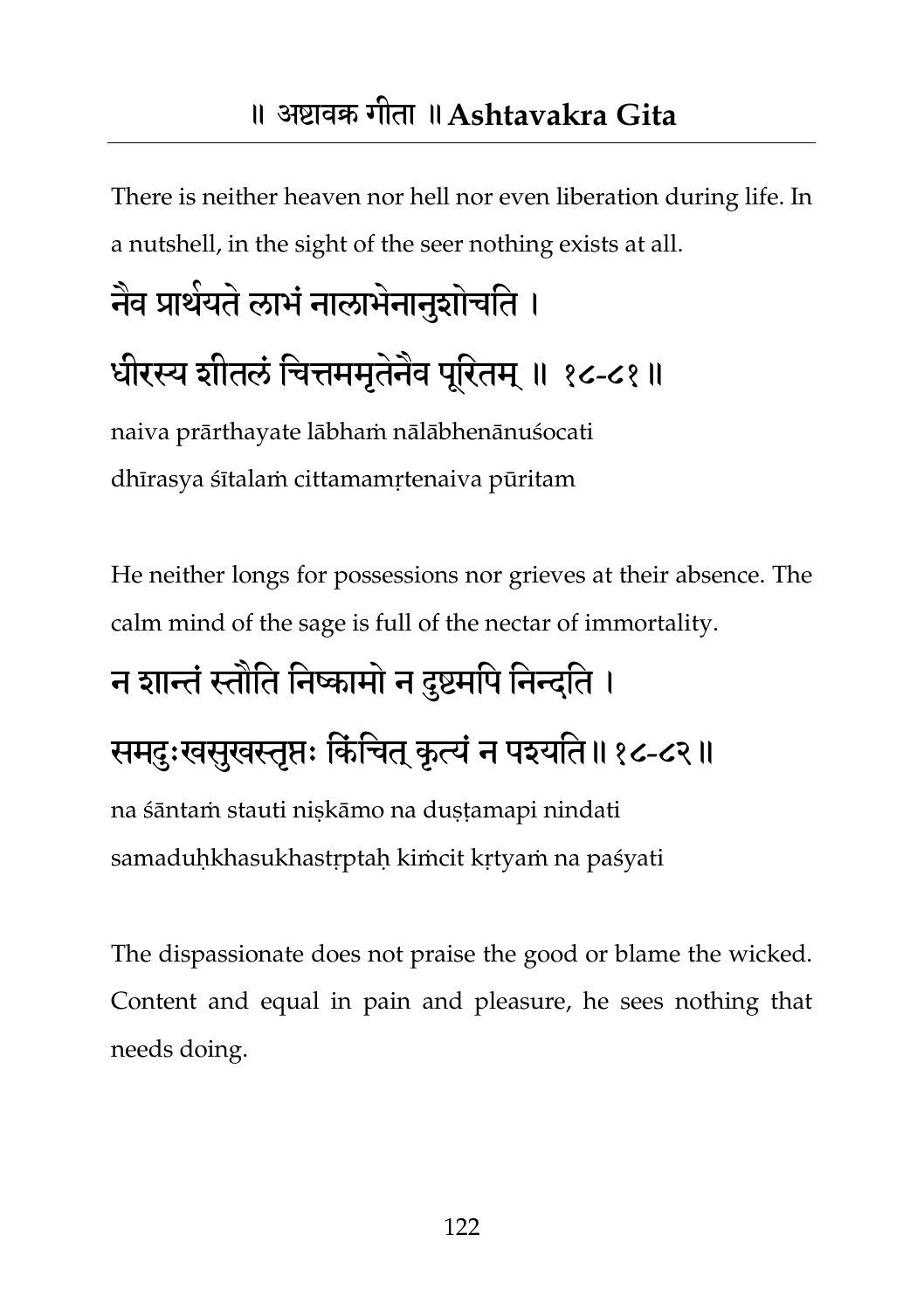#### ॥ अष्टावक्र गीता ॥**Ashtavakra Gita**

There is neither heaven nor hell nor even liberation during life. In a nutshell, in the sight of the seer nothing exists at all.

# नेव प्रार्थयते लाभे नालाभेनानुशोचति । धीरस्य शीतलं चित्तममृतेनैव पूरितम् ॥ १८-८१॥

naiva prārthayate lābhaṁ nālābhenānuśocati dhīrasya śītalaṁ cittamamṛtenaiva pūritam

He neither longs for possessions nor grieves at their absence. The calm mind of the sage is full of the nectar of immortality.

# न शान्तं स्तौति निष्कामो न दुष्टमपि निन्दति ।

#### समदुःखसूखस्तृप्तः किंचित् कृत्यं न पश्यति॥१८-८२॥

na śāntaṁ stauti niṣkāmo na duṣṭamapi nindati samaduḥkhasukhastṛptaḥ kiṁcit kṛtyaṁ na paśyati

The dispassionate does not praise the good or blame the wicked. Content and equal in pain and pleasure, he sees nothing that needs doing.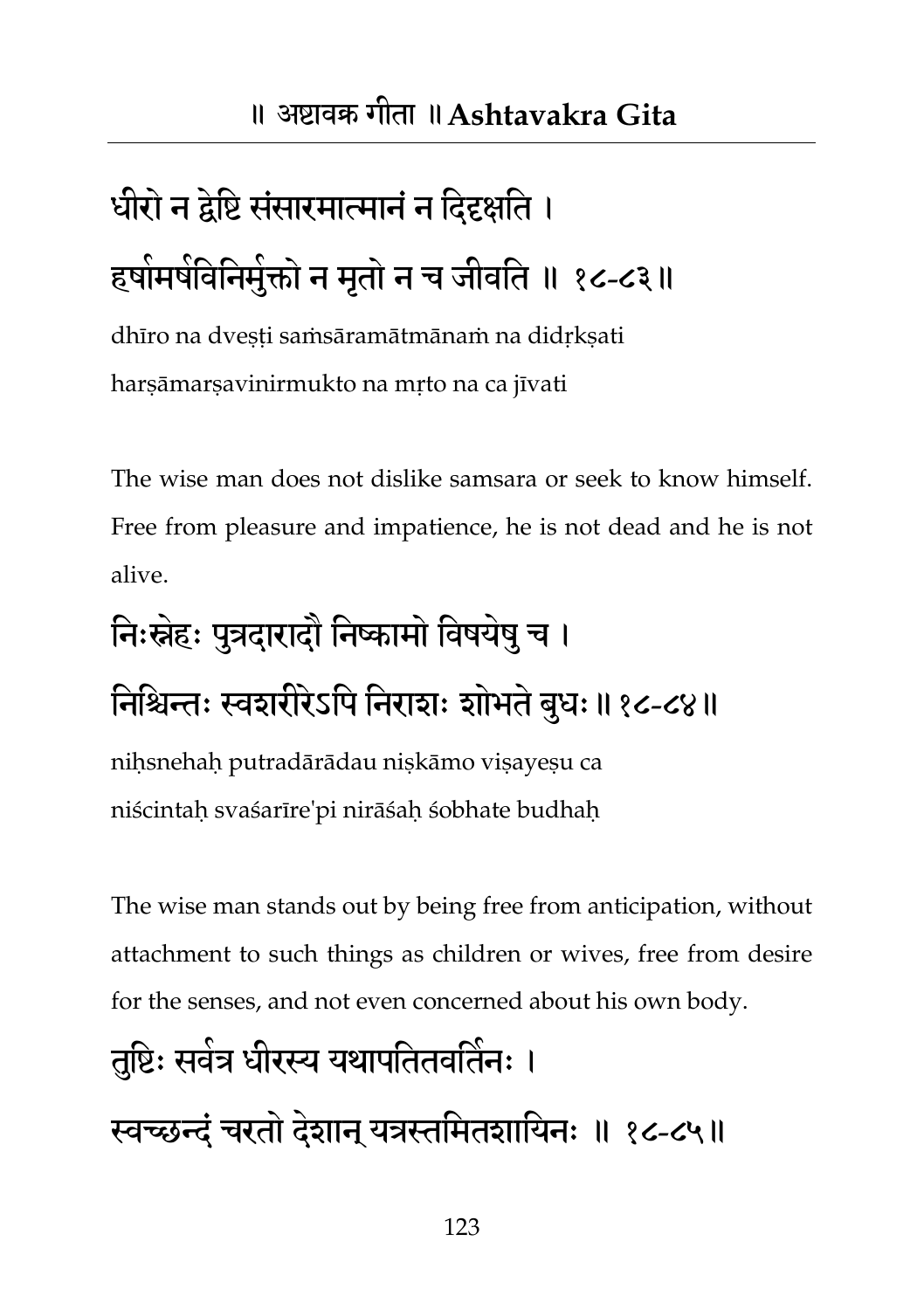## धीरो न द्वेष्टि संसारमात्मानं न दिदृक्षति । हषोमर्षविनिमुक्तो न मृतो न च जीवति ॥ १८-८३॥

dhīro na dvesti samsāramātmānam na didrksati harṣāmarṣavinirmukto na mṛto na ca jīvati

The wise man does not dislike samsara or seek to know himself. Free from pleasure and impatience, he is not dead and he is not alive.

### त्तिःस्नेहः पुत्रदारादौ निष्कामो विषयेषु च ।

निश्चिन्तः स्वशरीरेऽपि निराशः शोभते बुधः॥१८-८४॥

niḥsnehaḥ putradārādau niṣkāmo viṣayeṣu ca niścintaḥ svaśarīre'pi nirāśaḥ śobhate budhaḥ

The wise man stands out by being free from anticipation, without attachment to such things as children or wives, free from desire for the senses, and not even concerned about his own body.

# तुष्टिः सवेत्र धीरस्य यथापतितवर्तिनः ।

स्वच्छन्दं चरतो देशान् यत्रस्तमितशायिनः ॥ १८-८५॥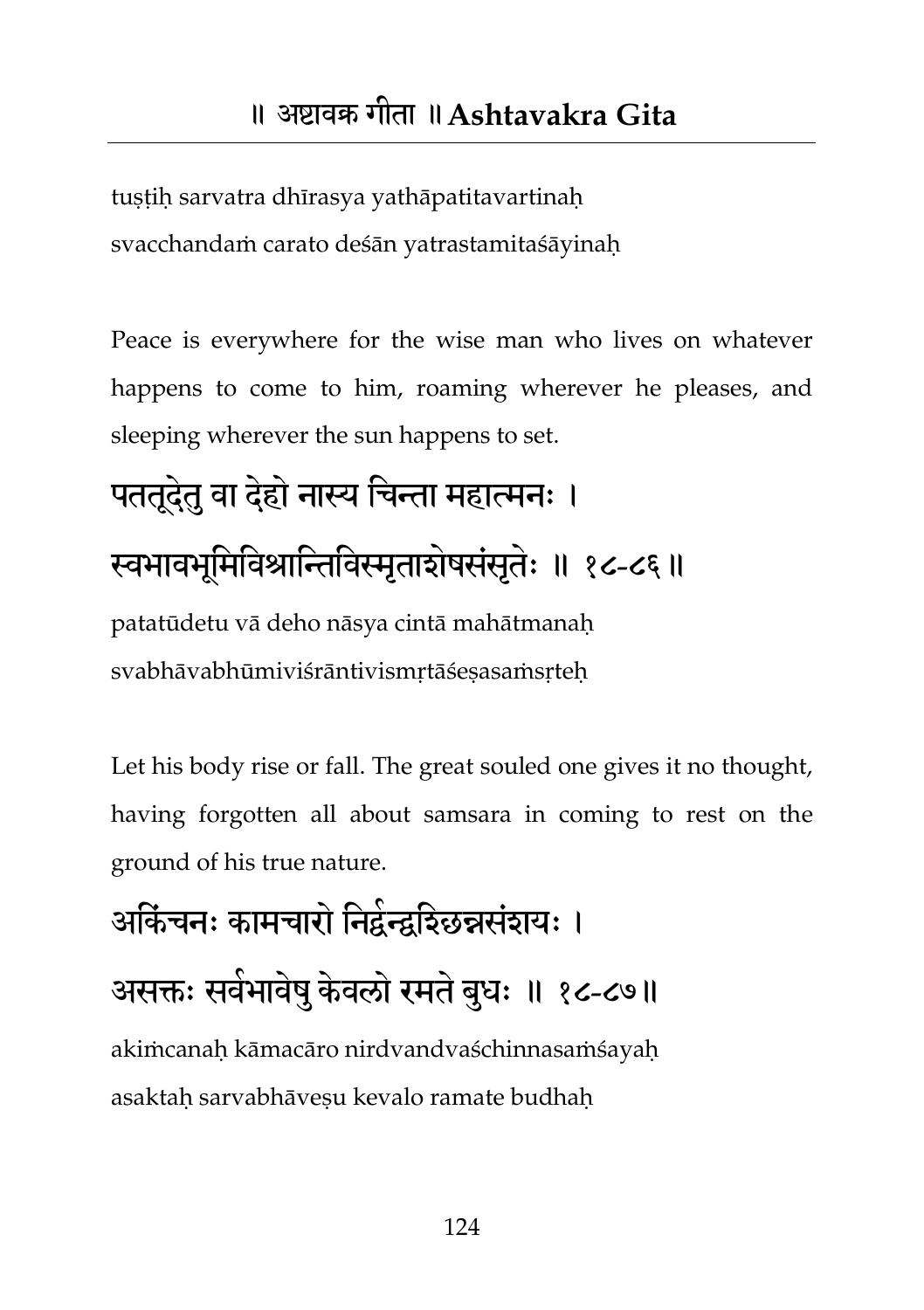tuṣṭiḥ sarvatra dhīrasya yathāpatitavartinaḥ svacchandaṁ carato deśān yatrastamitaśāyinaḥ

Peace is everywhere for the wise man who lives on whatever happens to come to him, roaming wherever he pleases, and sleeping wherever the sun happens to set.

## पततूदेतु वा देहो नास्य चिन्ता महात्मनः । स्वभावभूमिविश्रान्तिविस्मृताशेषसंसृतेः ॥ १८-८६॥ patatūdetu vā deho nāsya cintā mahātmanaḥ svabhāvabhūmiviśrāntivismrtāśesasaṁsrteh

Let his body rise or fall. The great souled one gives it no thought, having forgotten all about samsara in coming to rest on the ground of his true nature.

आर्केचनः कामचारो निर्द्वन्द्वर्श्छिन्नसंशयः । असक्तः सर्वभावेषु केवलो रमते बुधः ॥ १८-८७॥ akiṁcanaḥ kāmacāro nirdvandvaśchinnasaṁśayaḥ asaktah sarvabhāvesu kevalo ramate budhah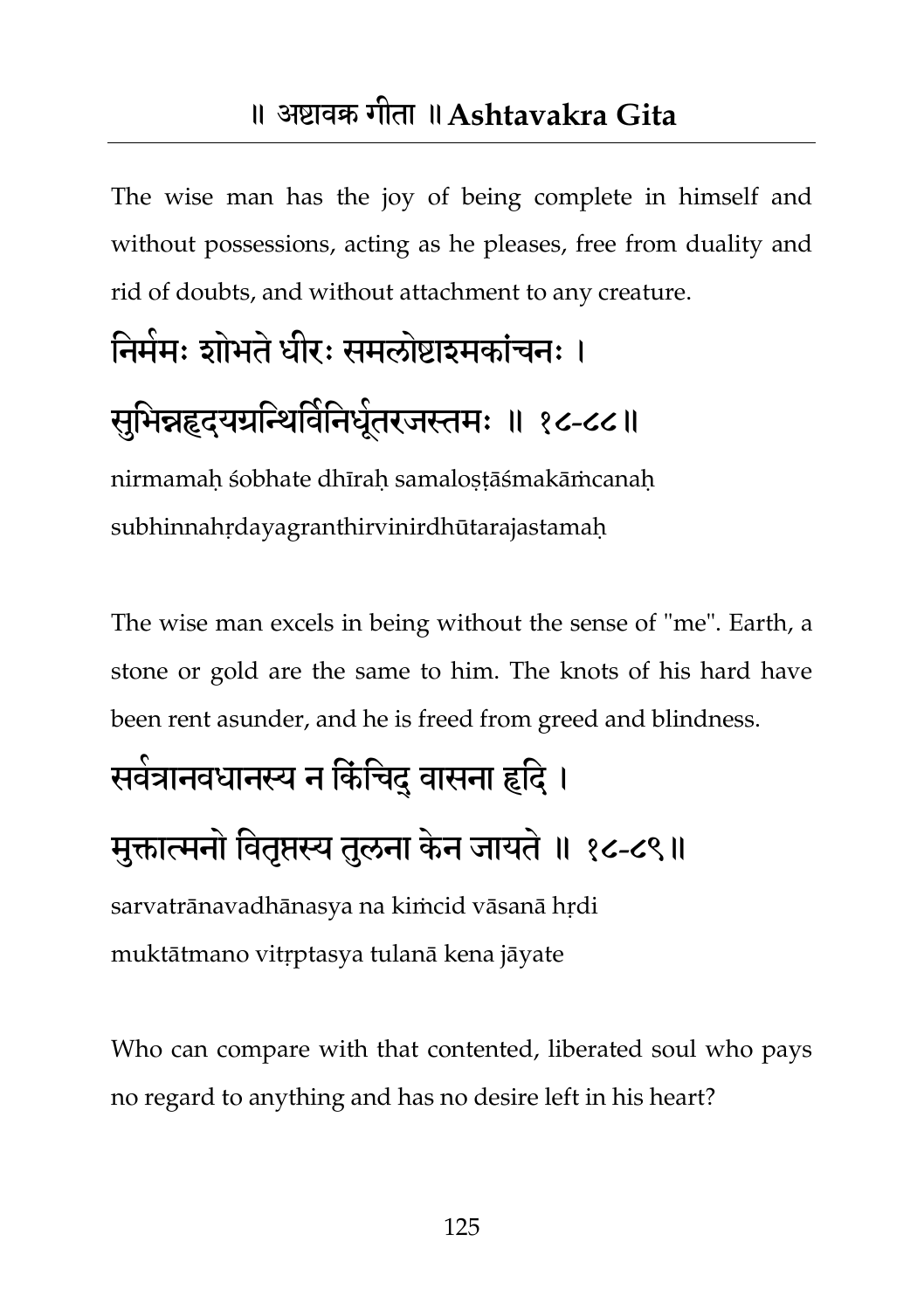The wise man has the joy of being complete in himself and without possessions, acting as he pleases, free from duality and rid of doubts, and without attachment to any creature.

## निर्ममः शोभते धीरः समलोष्टाइमकांचनः ।

#### सुभिन्नहृदयग्रन्थिविनिधूंतरजस्तमः ॥ १८-८८॥

nirmamaḥ śobhate dhīraḥ samaloṣṭāśmakāṁcanaḥ subhinnahṛdayagranthirvinirdhūtarajastamaḥ

The wise man excels in being without the sense of "me". Earth, a stone or gold are the same to him. The knots of his hard have been rent asunder, and he is freed from greed and blindness.

#### सर्वत्रानवधानस्य न किंचिद् वासना हृदि ।

#### मुक्तात्मनो वितृप्तस्य तुलना केन जायते ॥ १८-८९॥

sarvatrānavadhānasya na kiṁcid vāsanā hṛdi muktātmano vitṛptasya tulanā kena jāyate

Who can compare with that contented, liberated soul who pays no regard to anything and has no desire left in his heart?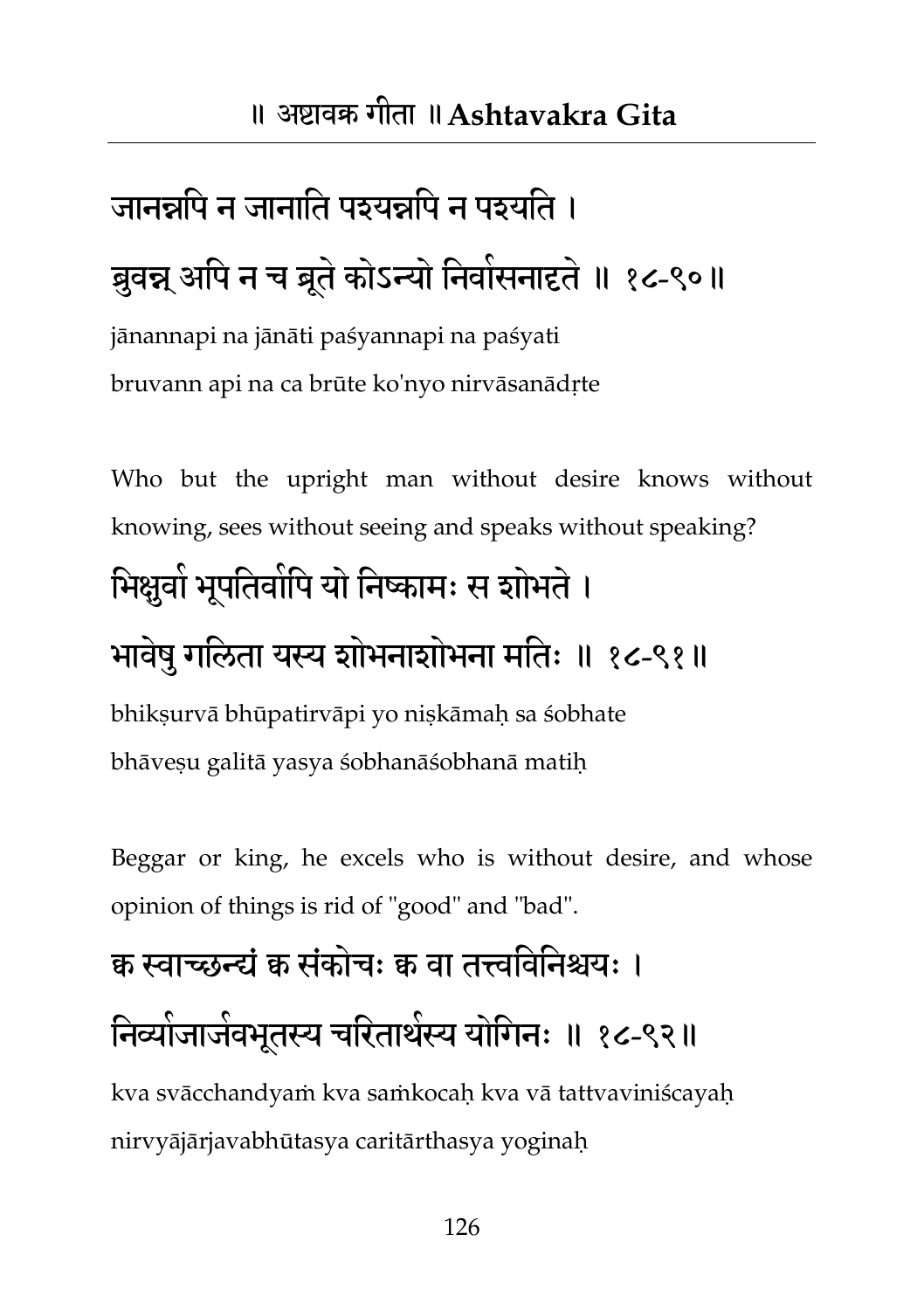## जानन्नपि न जानाति पश्यन्नपि न पश्यति । ब्रुवन्न् अपि न च ब्रूते कोऽन्यो निवासनादृते ॥ १८-९०॥

jānannapi na jānāti paśyannapi na paśyati bruvann api na ca brūte ko'nyo nirvāsanādṛte

Who but the upright man without desire knows without knowing, sees without seeing and speaks without speaking?

#### भिक्षुवो भूपतिवोपि यो निष्कामः स शोभते ।

#### भावेषु गलिता यस्य शोभनाशोभना मतिः ॥ १८-९१॥

bhikṣurvā bhūpatirvāpi yo niṣkāmaḥ sa śobhate bhāveṣu galitā yasya śobhanāśobhanā matiḥ

Beggar or king, he excels who is without desire, and whose opinion of things is rid of "good" and "bad".

## क्व स्वाच्छन्द्यं क्व संकोचः क्व वा तत्त्वविनिश्चयः । निव्यांजाजेवभूतस्य चरितार्थस्य योगिनः ॥ १८-९२॥

kva svācchandyaṁ kva saṁkocaḥ kva vā tattvaviniścayaḥ nirvyājārjavabhūtasya caritārthasya yoginaḥ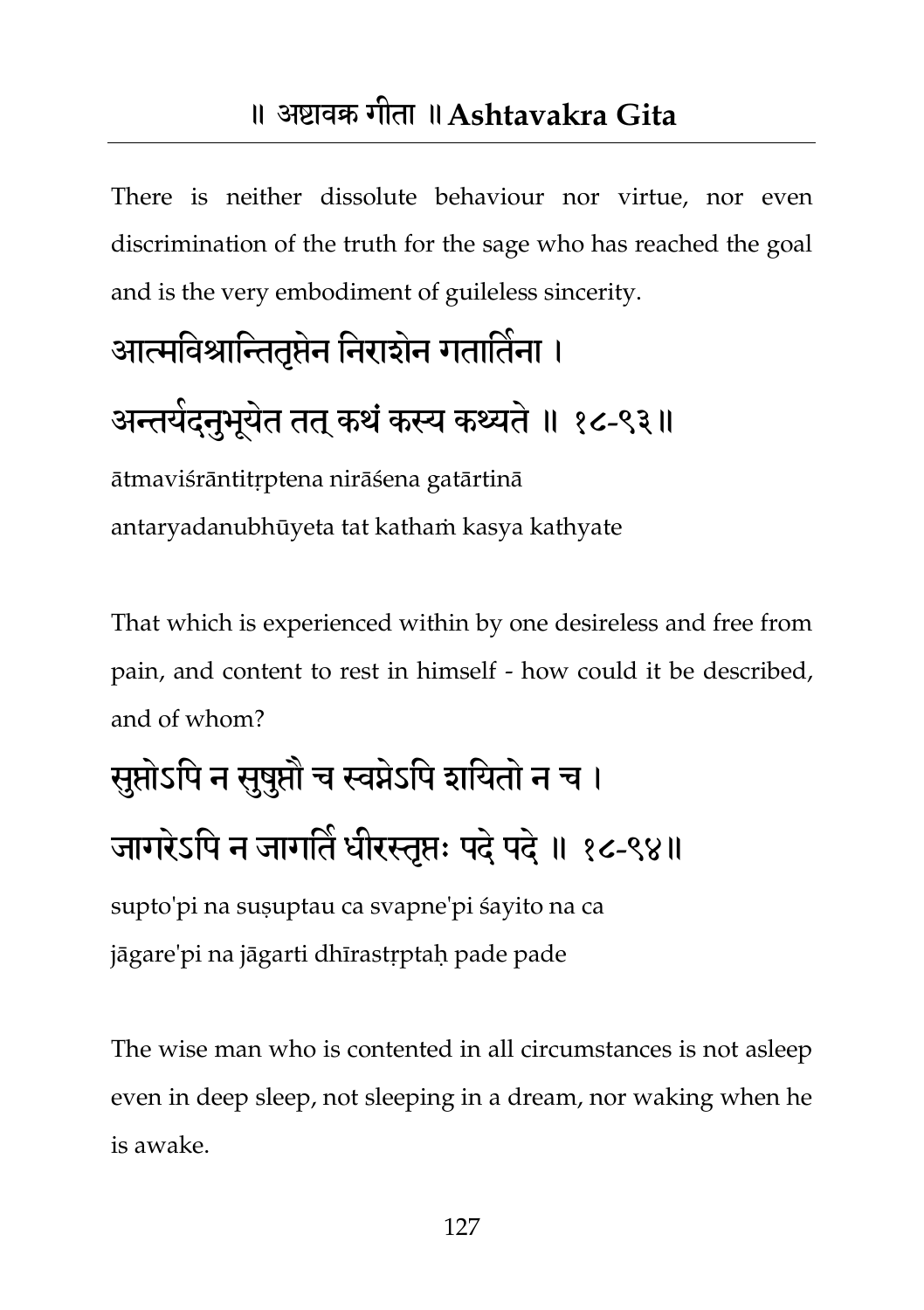#### ॥ अष्टावक्र गीता ॥**Ashtavakra Gita**

There is neither dissolute behaviour nor virtue, nor even discrimination of the truth for the sage who has reached the goal and is the very embodiment of guileless sincerity.

## आत्मविश्रान्तितृप्तेन निरार्शन गतातिना । अन्तयेदनुभूयेत तत् कथं कस्य कथ्यते ॥ १८-९३॥

ātmaviśrāntitṛptena nirāśena gatārtinā antaryadanubhūyeta tat kathaṁ kasya kathyate

That which is experienced within by one desireless and free from pain, and content to rest in himself - how could it be described, and of whom?

## सुप्तोऽपि न सुषुप्तौ च स्वप्नेऽपि शयितो न च । जागरेऽपि न जागति धीरस्तृप्तः पदं पदं ॥ १८-९४॥

supto'pi na suṣuptau ca svapne'pi śayito na ca jāgare'pi na jāgarti dhīrastṛptaḥ pade pade

The wise man who is contented in all circumstances is not asleep even in deep sleep, not sleeping in a dream, nor waking when he is awake.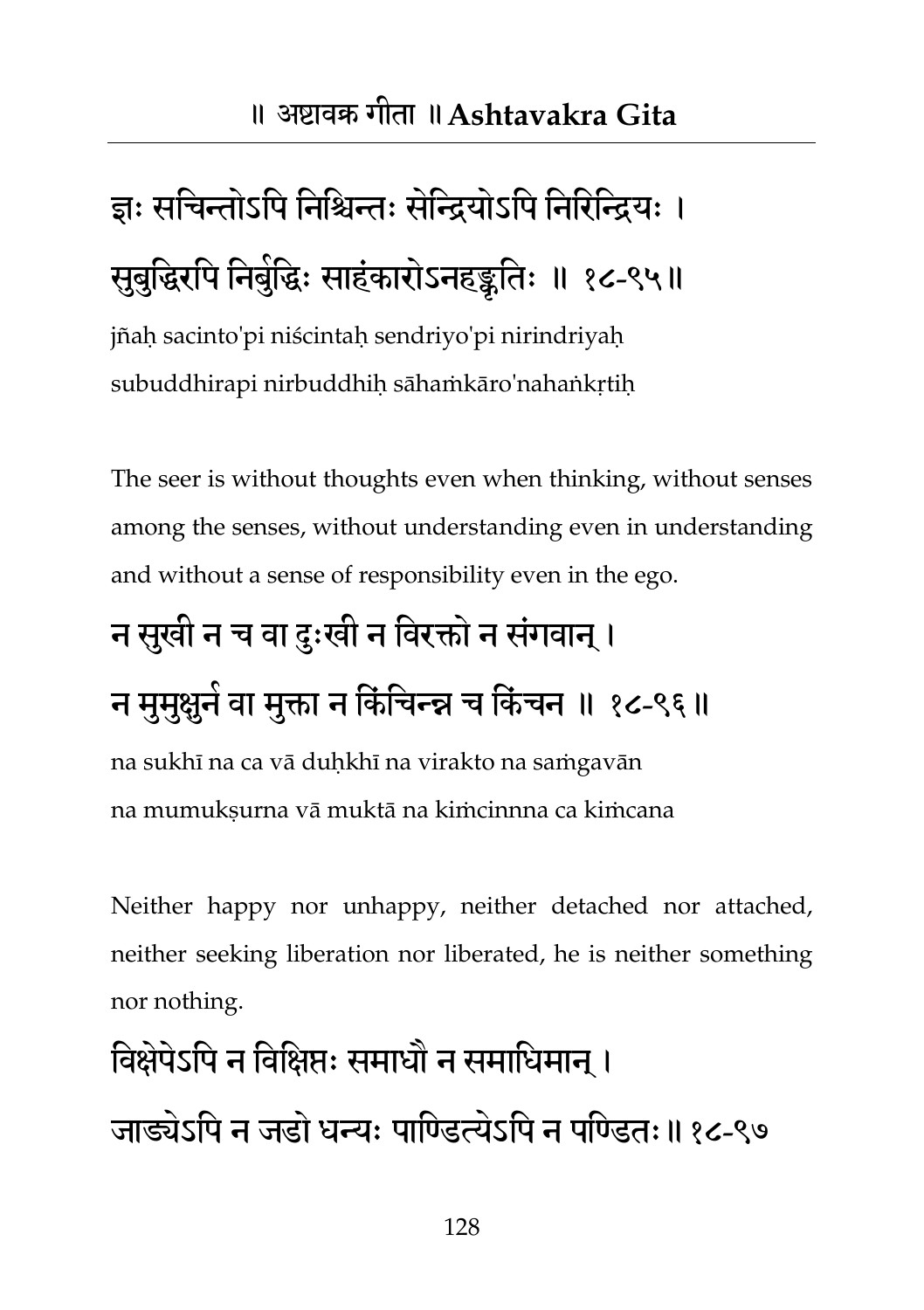## ज्ञः सचिन्तोऽपि निश्चिन्तः सेन्द्रियोऽपि निरिन्द्रियः । सुबुद्धिरपि निर्बुद्धिः साहंकारोऽनहङ्कृतिः ॥ १८-९५॥

jñaḥ sacinto'pi niścintaḥ sendriyo'pi nirindriyaḥ subuddhirapi nirbuddhih sāhaṁkāro'nahaṅkrtih

The seer is without thoughts even when thinking, without senses among the senses, without understanding even in understanding and without a sense of responsibility even in the ego.

## न सुखी न च वा दुःखी न विरक्तो न संगवान् । न मुमुक्षुने वा मुक्ता न किंचिन्न्न च किंचन ॥ १८-९६॥ na sukhī na ca vā duḥkhī na virakto na saṁgavān

na mumukṣurna vā muktā na kiṁcinnna ca kiṁcana

Neither happy nor unhappy, neither detached nor attached, neither seeking liberation nor liberated, he is neither something nor nothing.

### विक्षेपेऽपि न विक्षिप्तः समाधौ न समाधिमान ।

जाड्येऽपि न जडो धन्यः पाण्डित्येऽपि न पण्डितः॥१८-९७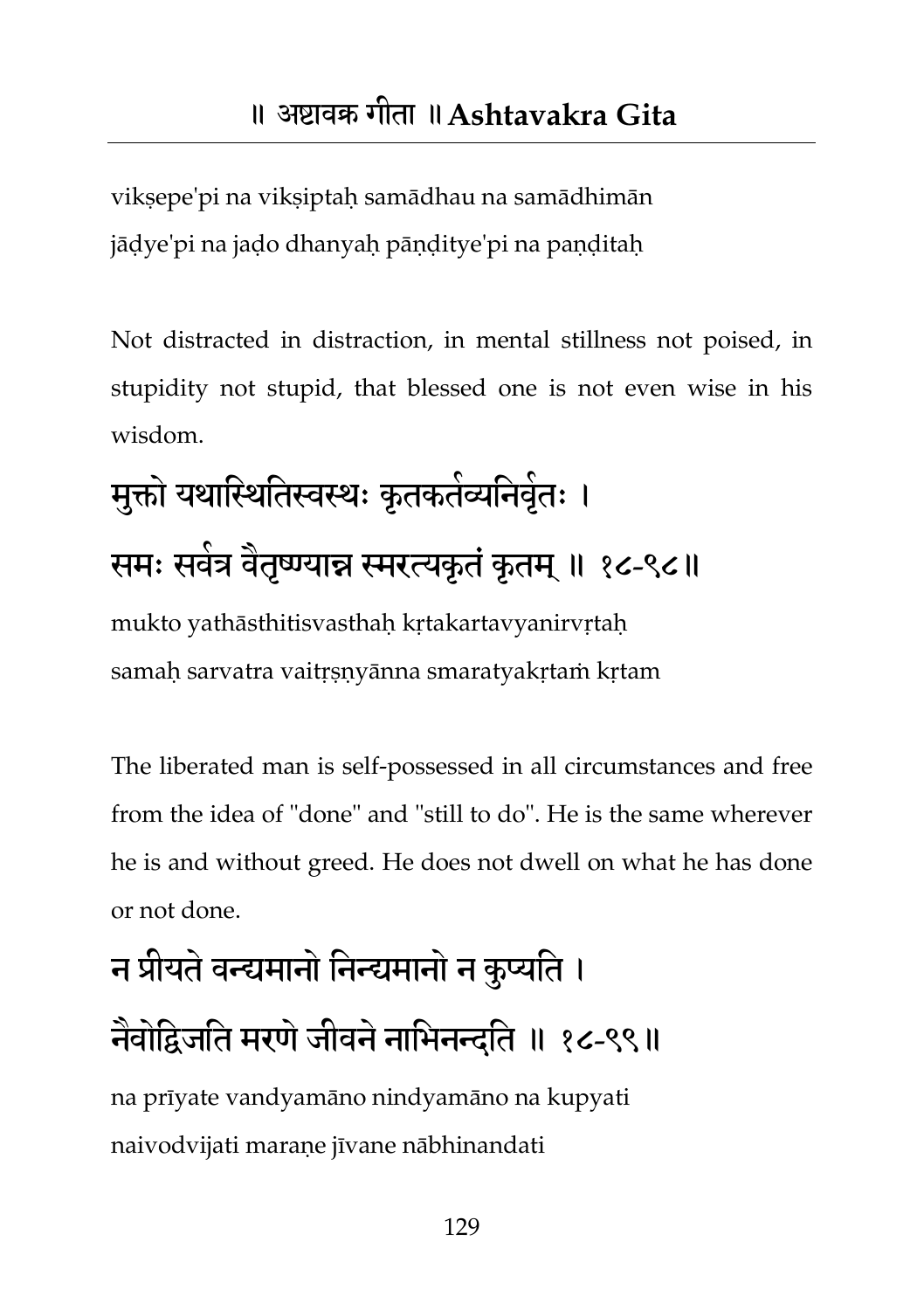vikṣepe'pi na vikṣiptaḥ samādhau na samādhimān jāḍye'pi na jaḍo dhanyaḥ pāṇḍitye'pi na paṇḍitaḥ

Not distracted in distraction, in mental stillness not poised, in stupidity not stupid, that blessed one is not even wise in his wisdom.

मुक्तो यथास्थितिस्वस्थः कृतकतंव्यनिवृंतः । समः सर्वत्र वैतृष्ण्यान्न स्मरत्यकृतं कृतम् ॥ १८-९८॥ mukto yathāsthitisvasthaḥ kṛtakartavyanirvṛtaḥ samah sarvatra vaitrsnyānna smaratyakrtam krtam

The liberated man is self-possessed in all circumstances and free from the idea of "done" and "still to do". He is the same wherever he is and without greed. He does not dwell on what he has done or not done.

# न प्रीमतेवन्द्यभानो तनन्द्यभानो न कुप्यतत । नवाद्विजति मरणे जीवने नाभिनन्दति ॥ १८-९९॥

na prīyate vandyamāno nindyamāno na kupyati naivodvijati maraṇe jīvane nābhinandati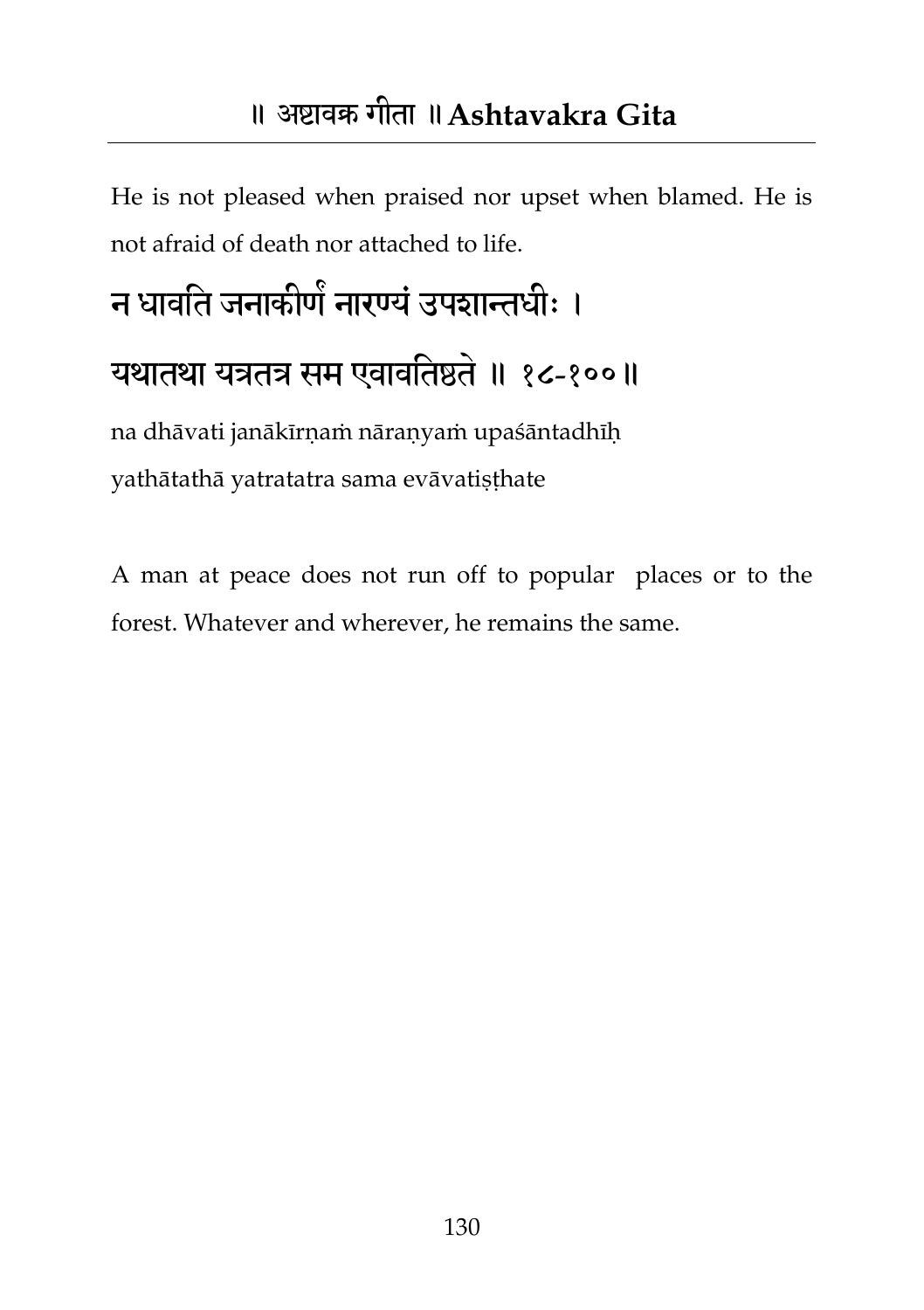#### ॥ अष्टावक्र गीता ॥**Ashtavakra Gita**

He is not pleased when praised nor upset when blamed. He is not afraid of death nor attached to life.

## न धावति जनाकीणे नारण्यं उपशान्तधीः । मथातथा मत्रतत्र सभ एवावततष्ठते॥ १८-१००॥ na dhāvati janākīrnam nāranyam upaśāntadhīh

yathātathā yatratatra sama evāvatiṣṭhate

A man at peace does not run off to popular places or to the forest. Whatever and wherever, he remains the same.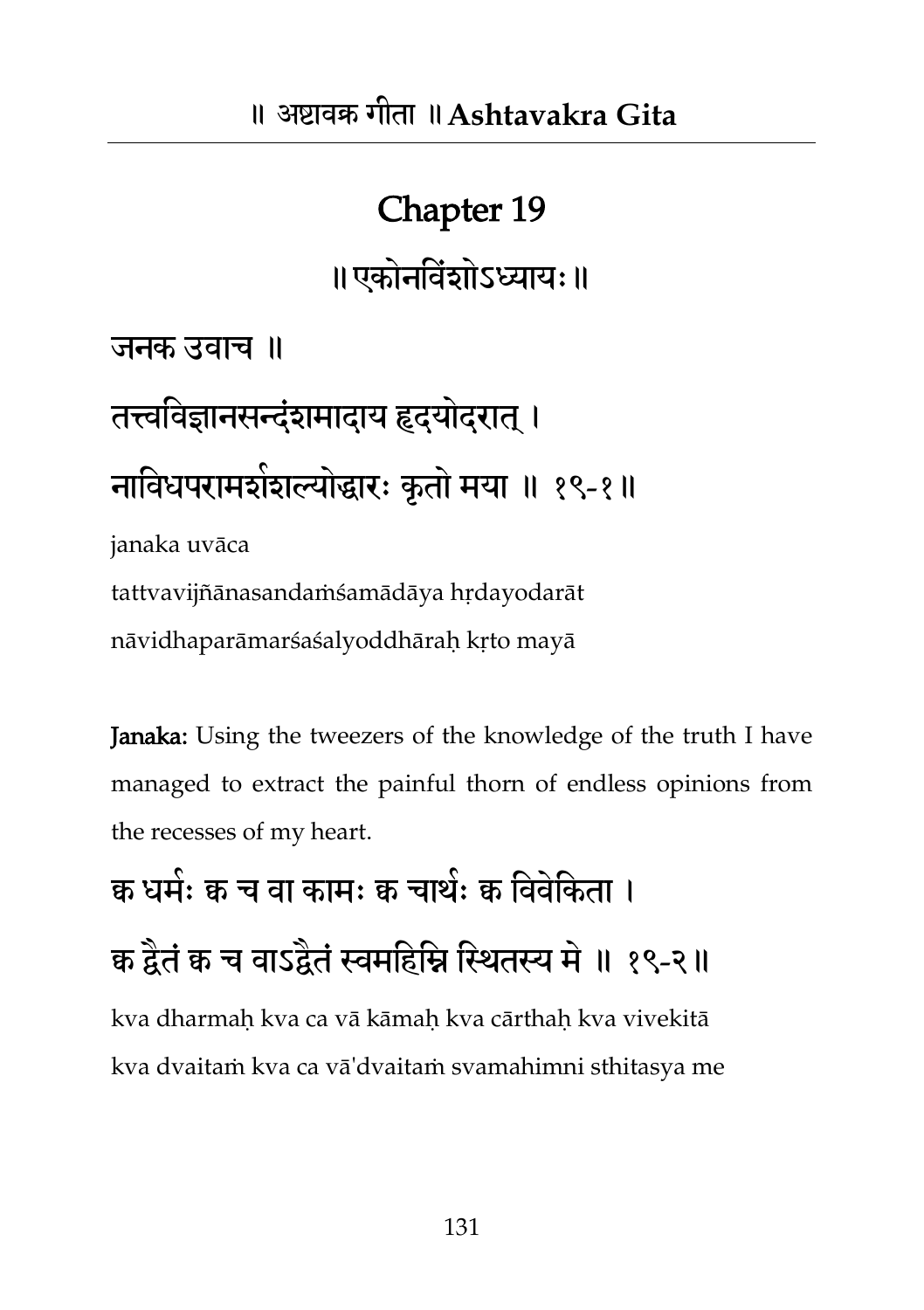#### Chapter 19

॥एकोनविंशोऽध्यायः॥

जनक उवाच ॥

तत्त्वविज्ञानसन्दंशमादाय हृदयोदरात् । नाविधपरामशंशल्योद्धारः कृतो मया ॥ १९-१॥ janaka uvāca

tattvavijñānasandaṁśamādāya hṛdayodarāt nāvidhaparāmarśaśalyoddhāraḥ kṛto mayā

Janaka: Using the tweezers of the knowledge of the truth I have managed to extract the painful thorn of endless opinions from the recesses of my heart.

क्व धर्मः क च वा कामः क चाथंः क विवंकिता । क द्वैतं क च वाऽद्वैतं स्वमहिम्नि स्थितस्य मे ॥ १९-२॥ kva dharmaḥ kva ca vā kāmaḥ kva cārthaḥ kva vivekitā kva dvaitaṁ kva ca vā'dvaitaṁ svamahimni sthitasya me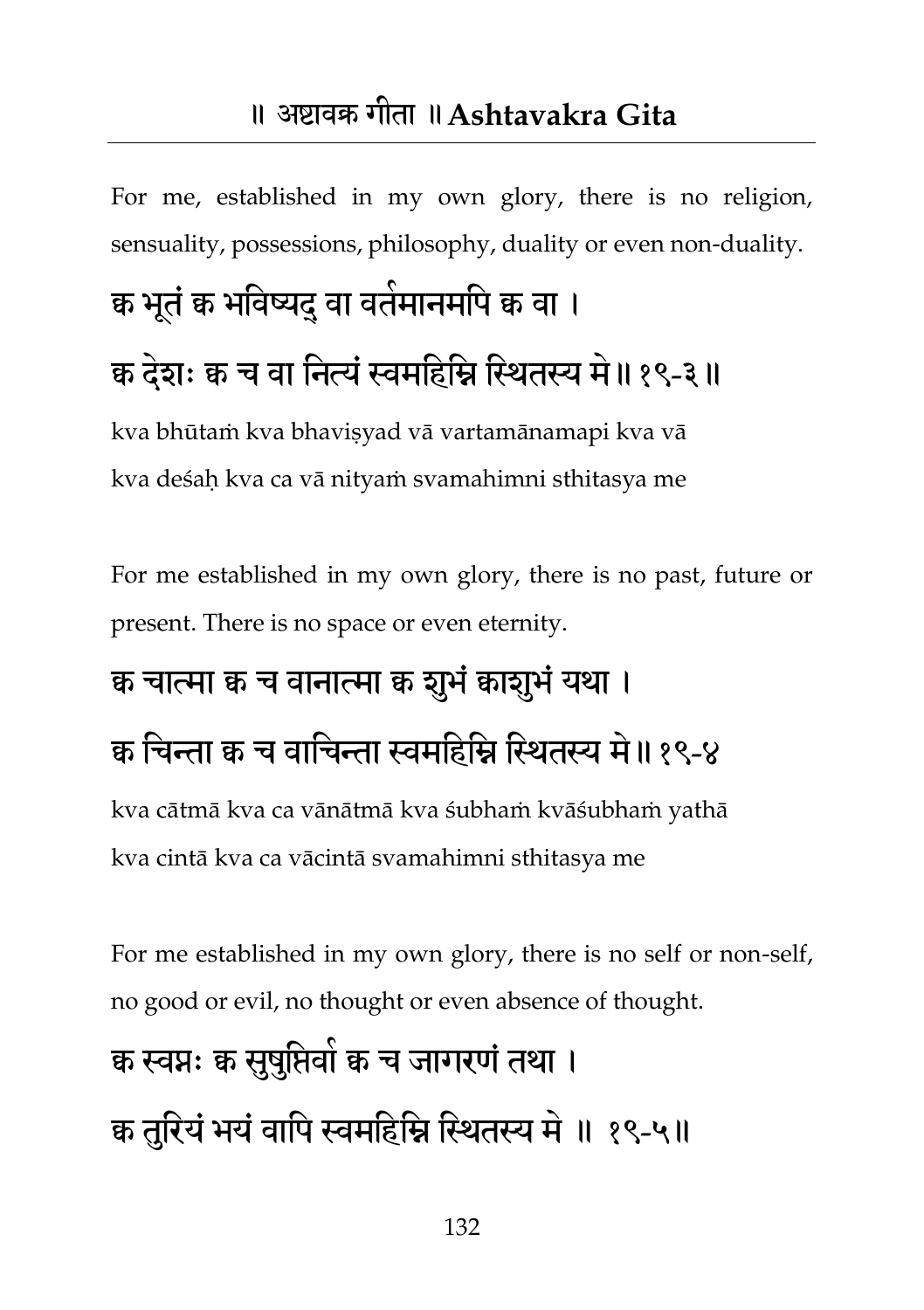For me, established in my own glory, there is no religion, sensuality, possessions, philosophy, duality or even non-duality.

### क्व भूतं क भविष्यद् वा वर्तमानमपि क वा ।

#### क्व देशः क्व च वा नित्यं स्वमहिम्नि स्थितस्य मे॥१९-३॥

kva bhūtam kva bhavisyad vā vartamānamapi kva vā kva deśaḥ kva ca vā nityaṁ svamahimni sthitasya me

For me established in my own glory, there is no past, future or present. There is no space or even eternity.

#### क्व चात्मा क्व च वानात्मा क्व शूभं क्वाशुभं यथा ।

#### क चिन्ता क च वाचिन्ता स्वमहिम्नि स्थितस्य मे॥ १९-४

kva cātmā kva ca vānātmā kva śubhaṁ kvāśubhaṁ yathā kva cintā kva ca vācintā svamahimni sthitasya me

For me established in my own glory, there is no self or non-self, no good or evil, no thought or even absence of thought.

## क्व स्वप्नः क सुषुप्तिवो क च जागरणं तथा । क तुरियं भयं वापि स्वमहिम्नि स्थितस्य मे ॥ १९-५॥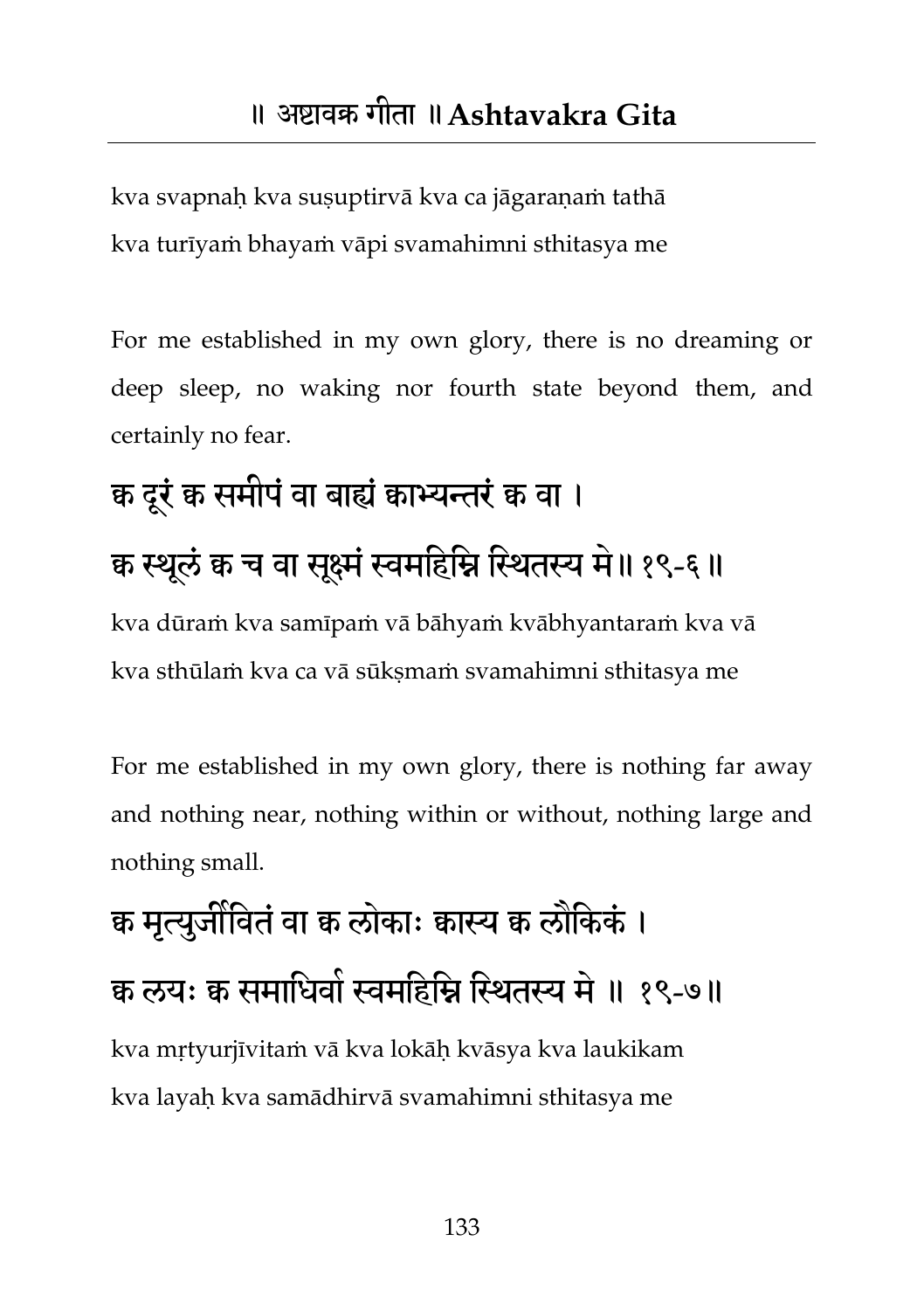kva svapnaḥ kva suṣuptirvā kva ca jāgaraṇaṁ tathā kva turīyaṁ bhayaṁ vāpi svamahimni sthitasya me

For me established in my own glory, there is no dreaming or deep sleep, no waking nor fourth state beyond them, and certainly no fear.

# क्व दूरं क्व समीपं वा बाह्यं क्वाभ्यन्तरं क्व वा । क्व स्थूलं क च वा सूक्ष्मं स्वमहिम्नि स्थितस्य मे ॥ १९-६ ॥

kva dūraṁ kva samīpaṁ vā bāhyaṁ kvābhyantaraṁ kva vā kva sthūlam kva ca vā sūksmam svamahimni sthitasya me

For me established in my own glory, there is nothing far away and nothing near, nothing within or without, nothing large and nothing small.

## क्व मृत्युर्जीवितं वा क्व लोकाः क्वास्य क्व लौकिकं । क लयः क समाधिवों स्वमहिम्नि स्थितस्य में ॥ १९-७॥ kva mṛtyurjīvitaṁ vā kva lokāḥ kvāsya kva laukikam kva layaḥ kva samādhirvā svamahimni sthitasya me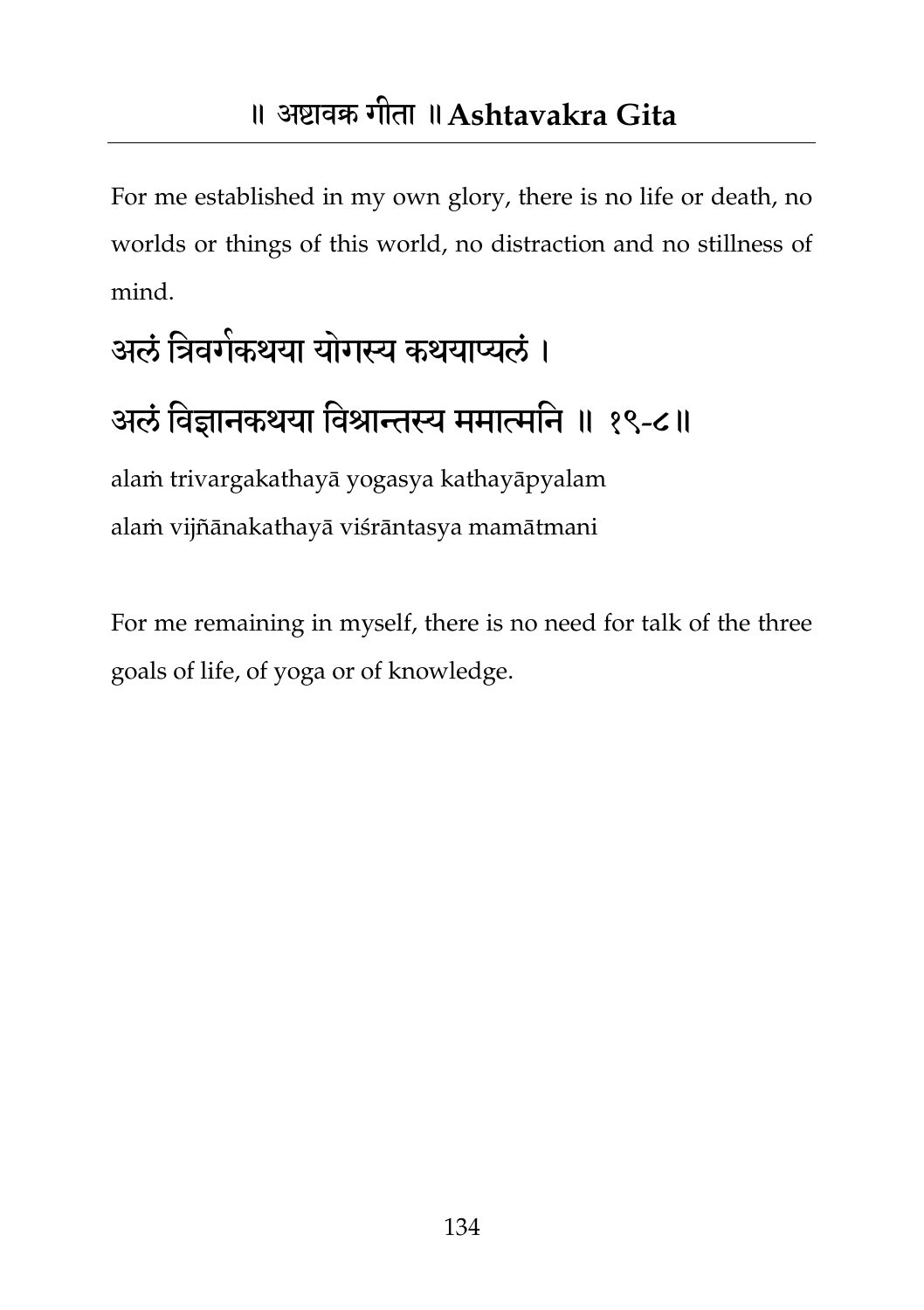For me established in my own glory, there is no life or death, no worlds or things of this world, no distraction and no stillness of mind.

# अलं त्रिवगेकथया योगस्य कथयाप्यलं । अलं विज्ञानकथया विश्रान्तस्य ममात्मनि ॥ १९-८॥

alaṁ trivargakathayā yogasya kathayāpyalam alaṁ vijñānakathayā viśrāntasya mamātmani

For me remaining in myself, there is no need for talk of the three goals of life, of yoga or of knowledge.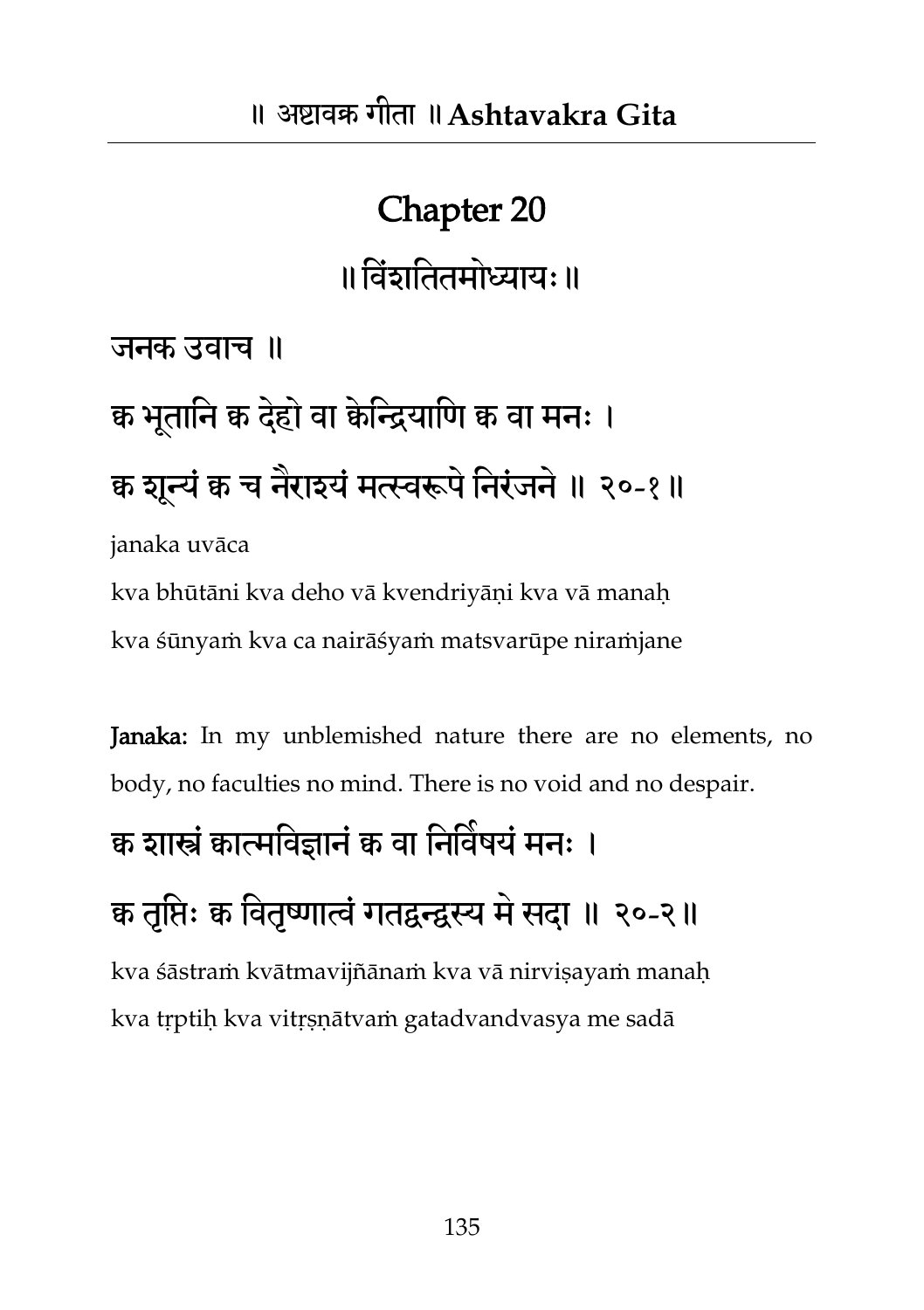## Chapter 20 ॥ विंशतितमोध्यायः ॥

जनक उवाच ॥

# क्व भूतानि क देहो वा केन्द्रियाणि क वा मनः । क्व शून्यं क च नेराश्यं मत्स्वरूपं निरंजनं ॥ २०-१॥

janaka uvāca

kva bhūtāni kva deho vā kvendriyāṇi kva vā manaḥ kva śūnyaṁ kva ca nairāśyaṁ matsvarūpe niraṁjane

Janaka: In my unblemished nature there are no elements, no body, no faculties no mind. There is no void and no despair.

#### क्व शास्त्रं कात्मविज्ञानं क वा निर्विषयं मनः ।

#### क्व तृप्तिः क्व वितृष्णात्वं गतद्वन्द्वस्य मे सदा ॥ २०-२॥

kva śāstraṁ kvātmavijñānaṁ kva vā nirvisayaṁ manah kva tṛptiḥ kva vitṛṣṇātvaṁ gatadvandvasya me sadā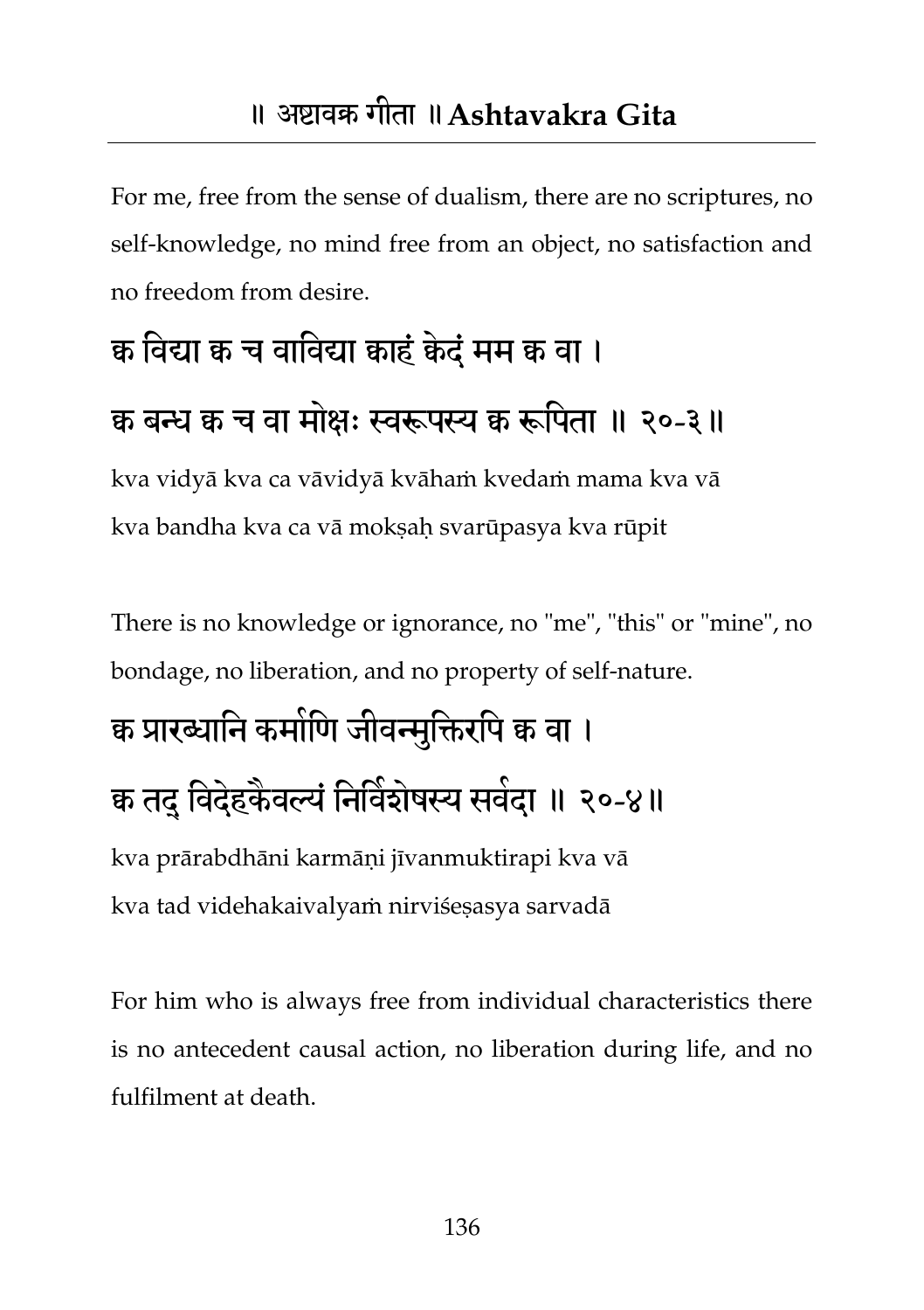For me, free from the sense of dualism, there are no scriptures, no self-knowledge, no mind free from an object, no satisfaction and no freedom from desire.

#### क्व तवर्द्या क्व च वातवर्द्या क्वाहंक्वेदंभभ क्व वा ।

#### क बन्ध क च वा मोक्षः स्वरूपस्य क रूपिता ॥ २०-३॥

kva vidyā kva ca vāvidyā kvāhaṁ kvedaṁ mama kva vā kva bandha kva ca vā moksah svarūpasya kva rūpit

There is no knowledge or ignorance, no "me", "this" or "mine", no bondage, no liberation, and no property of self-nature.

#### क्व प्रारब्धानि कमोणि जीवन्मुक्तिरपि क वा ।

#### क तदु विदेहकैवल्यं निर्विशेषस्य सर्वदा ॥ २०-४॥

kva prārabdhāni karmāṇi jīvanmuktirapi kva vā kva tad videhakaivalyaṁ nirviśeṣasya sarvadā

For him who is always free from individual characteristics there is no antecedent causal action, no liberation during life, and no fulfilment at death.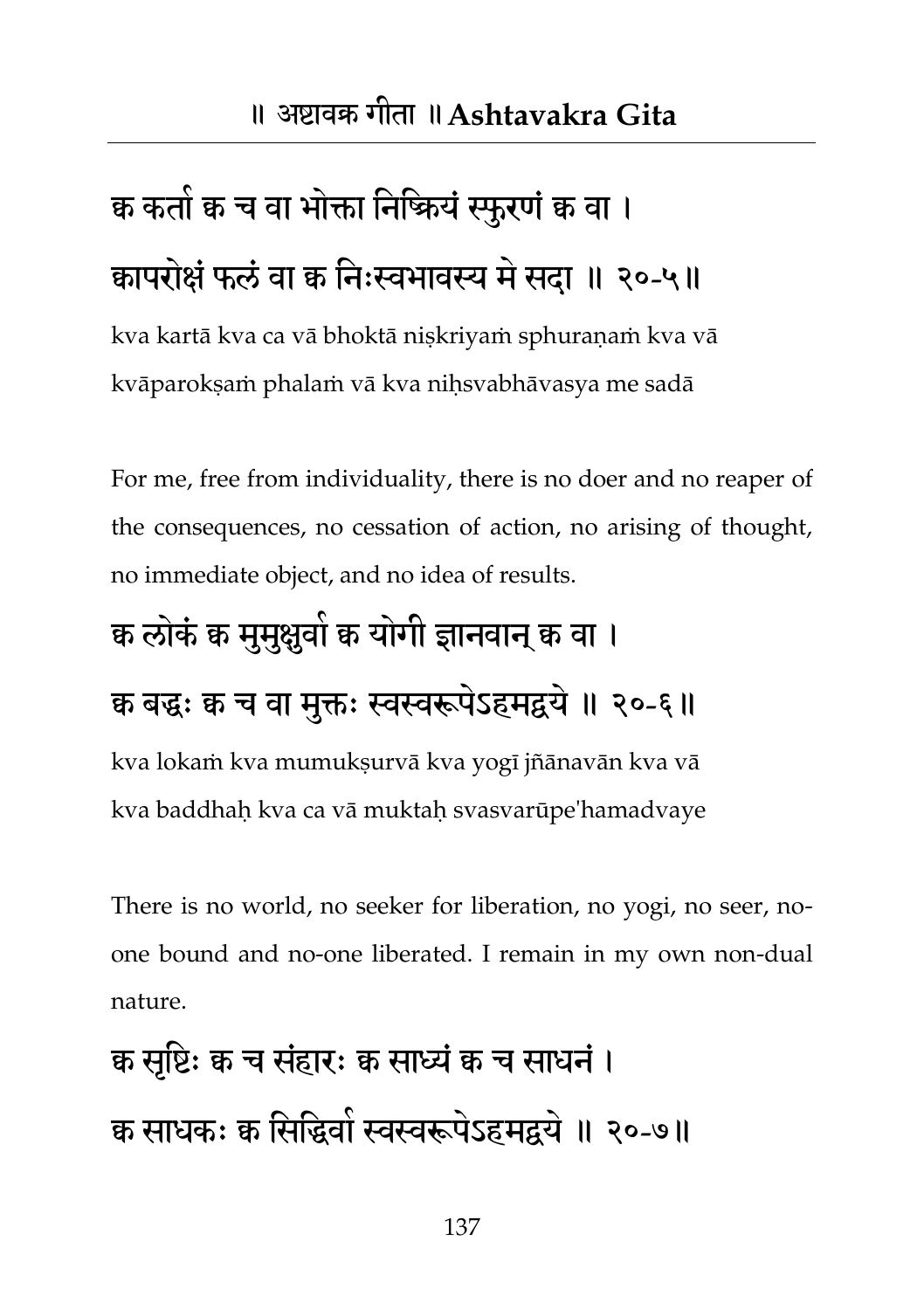## क्व कतां क च वा भोक्ता निष्कियं स्फुरणं क वा । कापरोक्षं फलं वा क्व निःस्वभावस्य मे सदा ॥ २०-५॥

kva kartā kva ca vā bhoktā niṣkriyaṁ sphuraṇaṁ kva vā kvāparokṣaṁ phalaṁ vā kva niḥsvabhāvasya me sadā

For me, free from individuality, there is no doer and no reaper of the consequences, no cessation of action, no arising of thought, no immediate object, and no idea of results.

#### क्व लोकं क मुमुक्षुवो क योगी ज्ञानवान् क वा ।

#### क बद्धः क च वा मुक्तः स्वस्वरूपेऽहमद्वये ॥ २०-६॥

kva lokaṁ kva mumukṣurvā kva yogī jñānavān kva vā kva baddhaḥ kva ca vā muktaḥ svasvarūpe'hamadvaye

There is no world, no seeker for liberation, no yogi, no seer, noone bound and no-one liberated. I remain in my own non-dual nature.

## क्व सृष्टिः क्व च संहारः क्व साध्यं क्वच साधनं । क्व साधकः क्व सिद्धिवां स्वस्वरूपेऽहमद्वये ॥ २०-७॥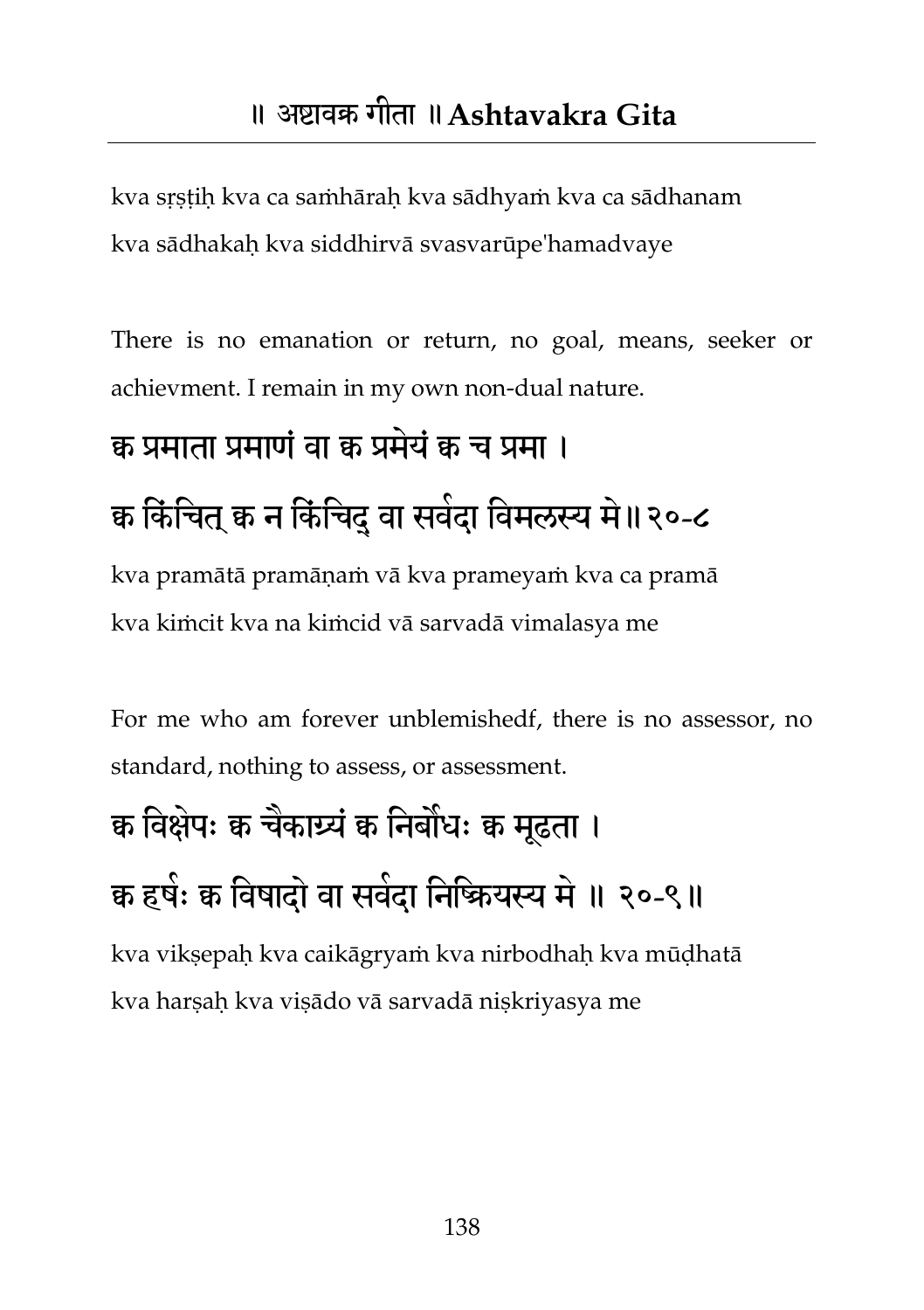kva sṛṣṭiḥ kva ca saṁhāraḥ kva sādhyaṁ kva ca sādhanam kva sādhakaḥ kva siddhirvā svasvarūpe'hamadvaye

There is no emanation or return, no goal, means, seeker or achievment. I remain in my own non-dual nature.

#### क्व प्रभाता प्रभाणंवा क्व प्रभमे ंक्व च प्रभा ।

### क किंचित् क न किंचिद् वा सवेदा विमलस्य मे ॥ २०-८

kva pramātā pramāṇaṁ vā kva prameyaṁ kva ca pramā kva kiṁcit kva na kiṁcid vā sarvadā vimalasya me

For me who am forever unblemishedf, there is no assessor, no standard, nothing to assess, or assessment.

## क्व विक्षेपः क चैकार्य्यं क निर्बांधः क मूढता । क हषेः क विषादो वा सवंदा निष्क्रियस्य में ॥ २०-९॥

kva vikṣepaḥ kva caikāgryaṁ kva nirbodhaḥ kva mūḍhatā kva harṣaḥ kva viṣādo vā sarvadā niṣkriyasya me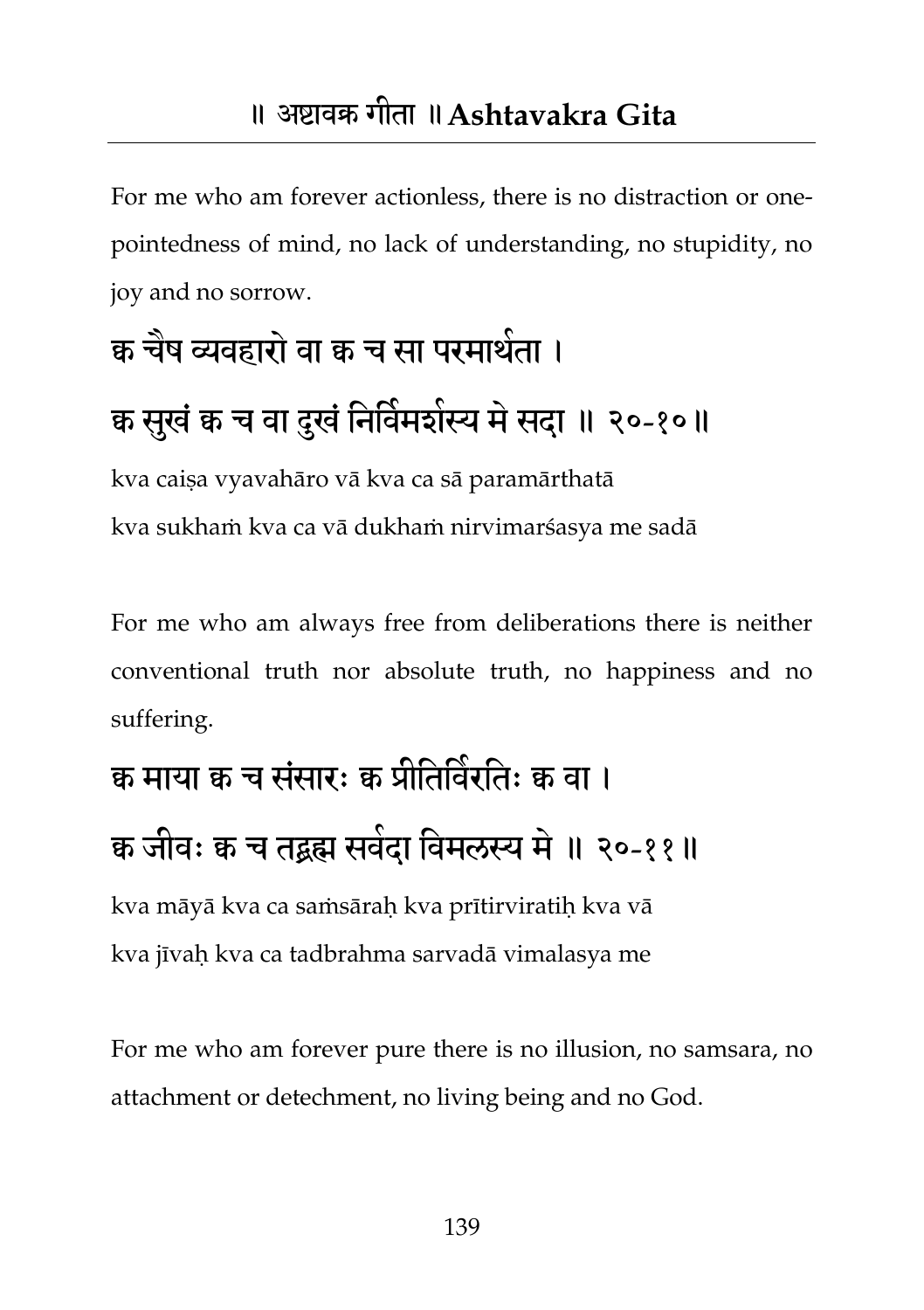For me who am forever actionless, there is no distraction or onepointedness of mind, no lack of understanding, no stupidity, no joy and no sorrow.

# क्व चैष व्यवहारों वा क्व च सा परमार्थता । क्व सुखं क च वा दुखं निर्विमशंस्य में सदा ॥ २०-१०॥

kva caiṣa vyavahāro vā kva ca sā paramārthatā kva sukhaṁ kva ca vā dukhaṁ nirvimarśasya me sadā

For me who am always free from deliberations there is neither conventional truth nor absolute truth, no happiness and no suffering.

## क्व माया क च संसारः क प्रीतिविरतिः क वा । क जीवः क च तद्वह्म सर्वदा विमलस्य में ॥ २०-११॥

kva māyā kva ca saṁsāraḥ kva prītirviratiḥ kva vā kva jīvaḥ kva ca tadbrahma sarvadā vimalasya me

For me who am forever pure there is no illusion, no samsara, no attachment or detechment, no living being and no God.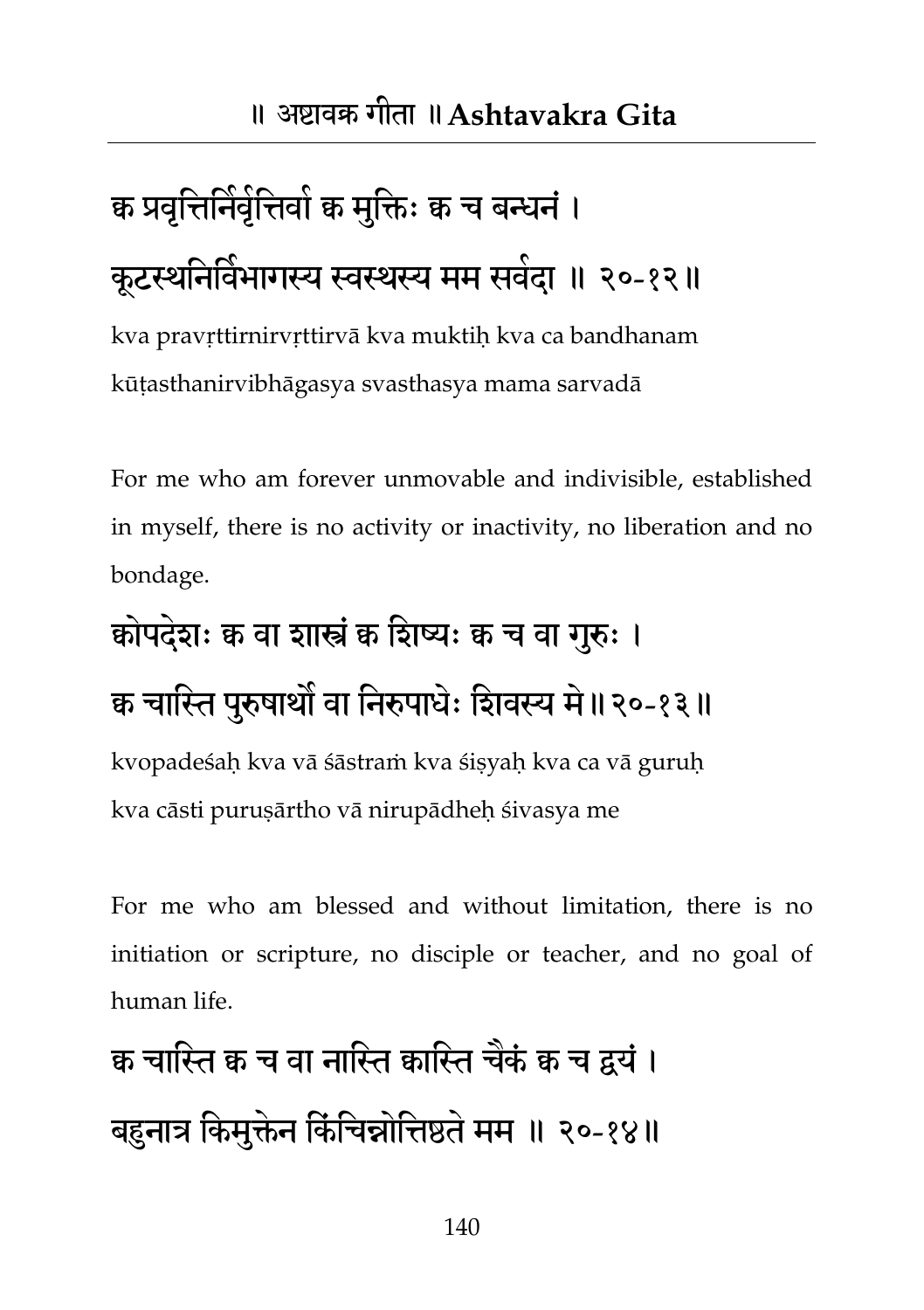## क्व प्रवृत्तिनिर्वृत्तिवो क मुक्तिः क च बन्धनं । कूटस्थनिर्विभागस्य स्वस्थस्य मम सर्वदा ॥ २०-१२॥

kva pravṛttirnirvṛttirvā kva muktiḥ kva ca bandhanam kūṭasthanirvibhāgasya svasthasya mama sarvadā

For me who am forever unmovable and indivisible, established in myself, there is no activity or inactivity, no liberation and no bondage.

# क्रोपदेशः क वा शास्त्रं क शिष्यः क च वा गुरुः । क्व चास्ति पुरुषार्थो वा निरुपाधेः शिवस्य मे॥२०-१३॥

kvopadeśaḥ kva vā śāstraṁ kva śiṣyaḥ kva ca vā guruḥ kva cāsti puruṣārtho vā nirupādheḥ śivasya me

For me who am blessed and without limitation, there is no initiation or scripture, no disciple or teacher, and no goal of human life.

## क चास्ति क च वा नास्ति कास्ति चेकं क च द्वयं । बहुनात्र किमुक्तेन किंचिन्नोत्तिष्ठते मम ॥ २०-१४॥